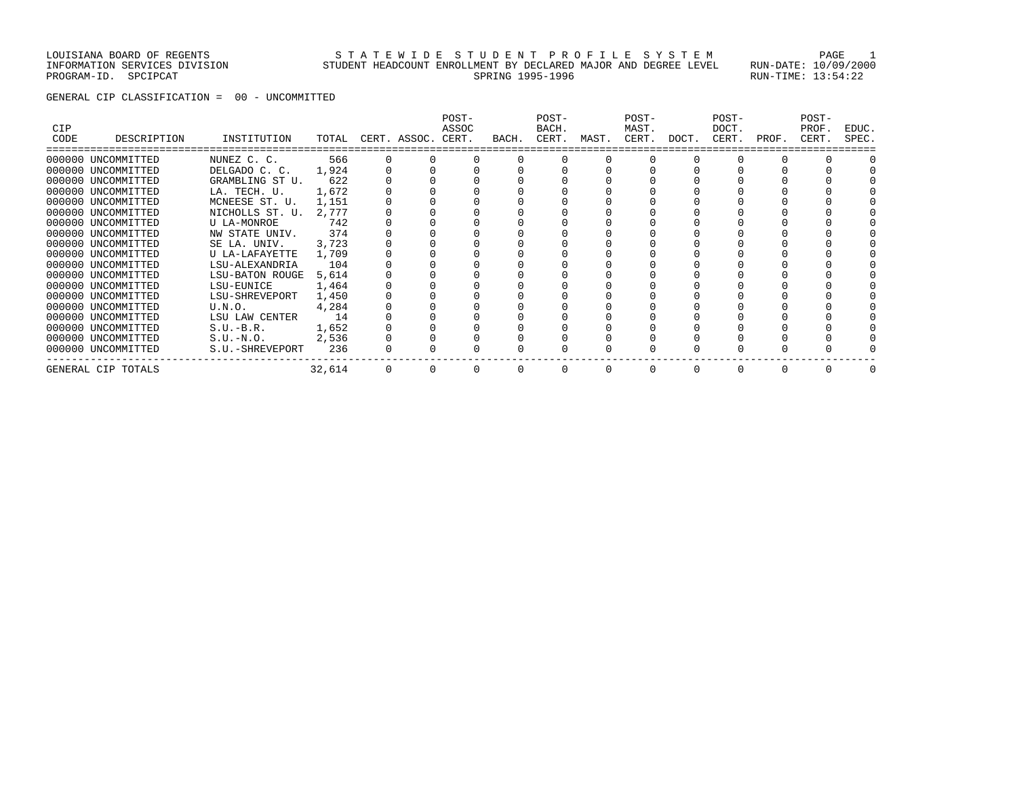#### LOUISIANA BOARD OF REGENTS STATEWIDE STUDENT PROFILE SYSTEM PAGE 1 INFORMATION SERVICES DIVISION STUDENT HEADCOUNT ENROLLMENT BY DECLARED MAJOR AND DEGREE LEVEL RUN-DATE: 10/09/2000 PROGRAM-ID. SPCIPCAT SERING 1995-1996 RUN-TIME: 13:54:22

GENERAL CIP CLASSIFICATION = 00 - UNCOMMITTED

| CIP<br>CODE | DESCRIPTION        | INSTITUTION     | TOTAL  |          | CERT. ASSOC. CERT. | POST-<br>ASSOC | BACH. | POST-<br>BACH.<br>CERT. | MAST. | POST-<br>MAST.<br>CERT. | DOCT.    | POST-<br>DOCT.<br>CERT. | PROF. | POST-<br>PROF.<br>CERT. | EDUC.<br>SPEC. |
|-------------|--------------------|-----------------|--------|----------|--------------------|----------------|-------|-------------------------|-------|-------------------------|----------|-------------------------|-------|-------------------------|----------------|
|             |                    |                 |        |          |                    |                |       |                         |       |                         |          |                         |       |                         |                |
|             | 000000 UNCOMMITTED | NUNEZ C. C.     | 566    |          |                    |                |       |                         |       |                         |          |                         |       |                         |                |
|             | 000000 UNCOMMITTED | DELGADO C. C.   | 1,924  |          |                    |                |       |                         |       |                         |          |                         |       |                         |                |
|             | 000000 UNCOMMITTED | GRAMBLING ST U. | 622    |          |                    |                |       |                         |       |                         |          |                         |       |                         |                |
|             | 000000 UNCOMMITTED | LA. TECH. U.    | 1,672  |          |                    |                |       |                         |       |                         |          |                         |       |                         |                |
|             | 000000 UNCOMMITTED | MCNEESE ST. U.  | 1,151  |          |                    |                |       |                         |       |                         |          |                         |       |                         |                |
|             | 000000 UNCOMMITTED | NICHOLLS ST. U. | 2,777  |          |                    |                |       |                         |       |                         |          |                         |       |                         |                |
|             | 000000 UNCOMMITTED | U LA-MONROE     | 742    |          |                    |                |       |                         |       |                         |          |                         |       |                         |                |
|             | 000000 UNCOMMITTED | NW STATE UNIV.  | 374    |          |                    |                |       |                         |       |                         |          |                         |       |                         |                |
|             | 000000 UNCOMMITTED | SE LA. UNIV.    | 3,723  |          |                    |                |       |                         |       |                         |          |                         |       |                         |                |
|             | 000000 UNCOMMITTED | U LA-LAFAYETTE  | 1,709  |          |                    |                |       |                         |       |                         |          |                         |       |                         |                |
|             | 000000 UNCOMMITTED | LSU-ALEXANDRIA  | 104    |          |                    |                |       |                         |       |                         |          |                         |       |                         |                |
|             | 000000 UNCOMMITTED | LSU-BATON ROUGE | 5,614  |          |                    |                |       |                         |       |                         |          |                         |       |                         |                |
|             | 000000 UNCOMMITTED | LSU-EUNICE      | 1,464  |          |                    |                |       |                         |       |                         |          |                         |       |                         |                |
|             | 000000 UNCOMMITTED | LSU-SHREVEPORT  | 1,450  |          |                    |                |       |                         |       |                         |          |                         |       |                         |                |
|             | 000000 UNCOMMITTED | U.N.O.          | 4,284  |          |                    |                |       |                         |       |                         |          |                         |       |                         |                |
|             | 000000 UNCOMMITTED | LSU LAW CENTER  | 14     |          |                    |                |       |                         |       |                         |          |                         |       |                         |                |
|             | 000000 UNCOMMITTED | $S.U.-B.R.$     | 1,652  |          |                    |                |       |                         |       |                         |          |                         |       |                         |                |
|             | 000000 UNCOMMITTED | $S.U.-N.O.$     | 2,536  |          |                    |                |       |                         |       |                         |          |                         |       |                         |                |
|             | 000000 UNCOMMITTED | S.U.-SHREVEPORT | 236    |          |                    |                |       |                         |       |                         |          |                         |       |                         |                |
|             | GENERAL CIP TOTALS |                 | 32,614 | $\Omega$ |                    |                |       |                         |       | $\Omega$                | $\Omega$ |                         |       |                         |                |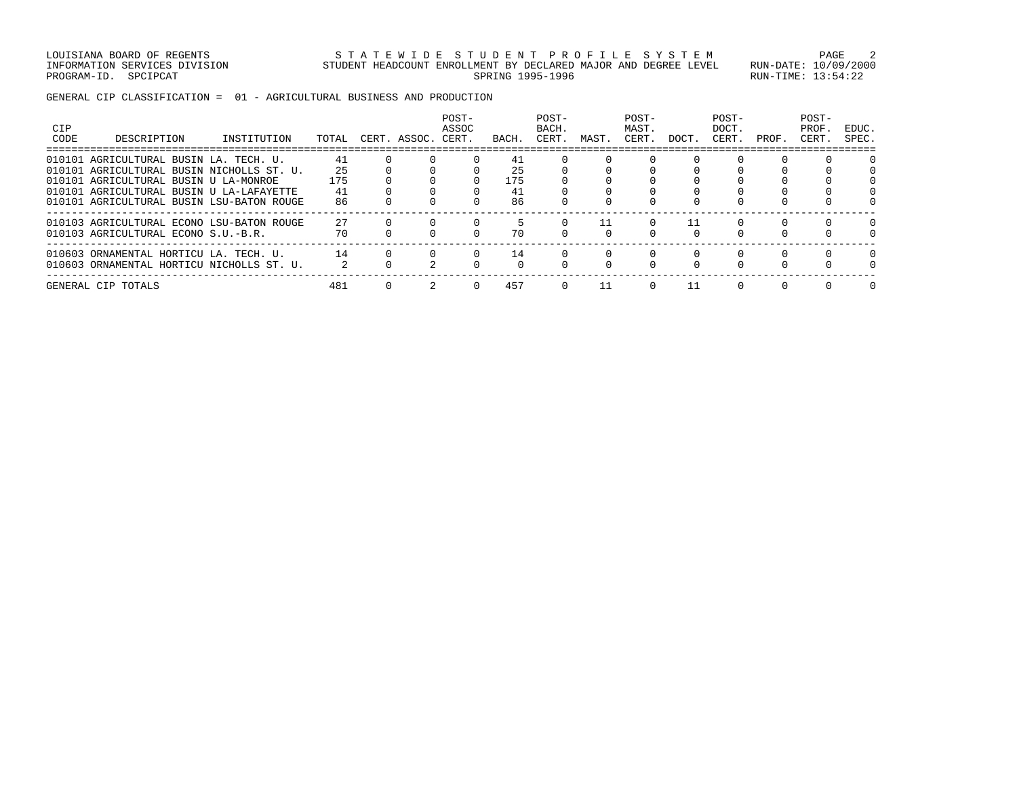LOUISIANA BOARD OF REGENTS STATEWIDE STUDENT PROFILE SYSTEM PAGE 2 INFORMATION SERVICES DIVISION STUDENT HEADCOUNT ENROLLMENT BY DECLARED MAJOR AND DEGREE LEVEL RUN-DATE: 10/09/2000 PROGRAM-ID. SPCIPCAT SERING 1995-1996 RUN-TIME: 13:54:22

GENERAL CIP CLASSIFICATION = 01 - AGRICULTURAL BUSINESS AND PRODUCTION

| <b>CIP</b><br>CODE | DESCRIPTION                               | INSTITUTION | TOTAL         | CERT. ASSOC. | POST-<br>ASSOC<br>CERT. | BACH. | POST-<br>BACH.<br>CERT. | MAST. | $POST-$<br>MAST.<br>CERT. | DOCT. | POST-<br>DOCT.<br>CERT. | PROF. | POST-<br>PROF.<br>CERT. | EDUC.<br>SPEC. |
|--------------------|-------------------------------------------|-------------|---------------|--------------|-------------------------|-------|-------------------------|-------|---------------------------|-------|-------------------------|-------|-------------------------|----------------|
|                    | 010101 AGRICULTURAL BUSIN LA. TECH. U.    |             | 41            |              |                         | 41    |                         |       |                           |       |                         |       |                         |                |
|                    | 010101 AGRICULTURAL BUSIN NICHOLLS ST. U. |             | 25            |              |                         | 25    |                         |       |                           |       |                         |       |                         |                |
|                    | 010101 AGRICULTURAL BUSIN U LA-MONROE     |             | 175           |              |                         | 175   |                         |       |                           |       |                         |       |                         |                |
|                    | 010101 AGRICULTURAL BUSIN U LA-LAFAYETTE  |             | 41            |              |                         | 41    |                         |       |                           |       |                         |       |                         |                |
|                    | 010101 AGRICULTURAL BUSIN LSU-BATON ROUGE |             | 86            |              |                         | 86    |                         |       |                           |       |                         |       |                         |                |
|                    | 010103 AGRICULTURAL ECONO LSU-BATON ROUGE |             | 27            |              |                         |       |                         |       | 0                         | 11    |                         |       |                         |                |
|                    | 010103 AGRICULTURAL ECONO S.U.-B.R.       |             | 70            |              |                         | 70    |                         |       |                           |       |                         |       |                         |                |
|                    | 010603 ORNAMENTAL HORTICU LA. TECH. U.    |             | 14            |              |                         | 14    |                         |       | $\Omega$                  |       |                         |       |                         |                |
|                    | 010603 ORNAMENTAL HORTICU NICHOLLS ST. U. |             | $\mathcal{P}$ |              |                         |       |                         |       |                           |       |                         |       |                         |                |
|                    | GENERAL CIP TOTALS                        |             | 481           |              |                         | 457   |                         |       |                           |       |                         |       |                         |                |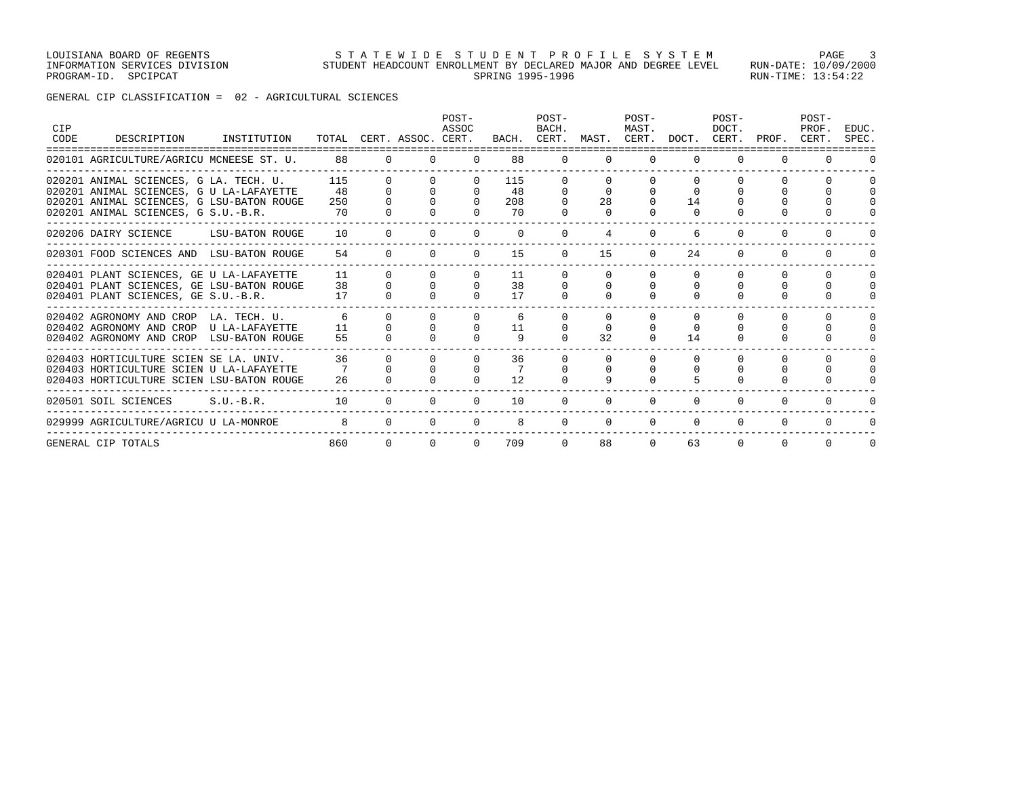GENERAL CIP CLASSIFICATION = 02 - AGRICULTURAL SCIENCES

| CIP<br>CODE | DESCRIPTION                                                                                                                                                            | INSTITUTION     |                        |                    | TOTAL CERT. ASSOC. CERT. | POST-<br>ASSOC                   |                        | POST-<br>BACH.<br>BACH. CERT. MAST. |          | POST-<br>MAST.                       | CERT. DOCT.          | POST-<br>DOCT.<br>CERT.          | PROF.                                | POST-<br>PROF.<br>CERT.          | EDUC.<br>SPEC. |
|-------------|------------------------------------------------------------------------------------------------------------------------------------------------------------------------|-----------------|------------------------|--------------------|--------------------------|----------------------------------|------------------------|-------------------------------------|----------|--------------------------------------|----------------------|----------------------------------|--------------------------------------|----------------------------------|----------------|
|             | 020101 AGRICULTURE/AGRICU MCNEESE ST. U.                                                                                                                               |                 | 88                     |                    |                          | $\Omega$                         | 88                     | $\Omega$                            | $\Omega$ | $\Omega$                             |                      | $\Omega$                         | $\Omega$                             | $\Omega$                         |                |
|             | 020201 ANIMAL SCIENCES, G LA. TECH. U.<br>020201 ANIMAL SCIENCES, G U LA-LAFAYETTE<br>020201 ANIMAL SCIENCES, G LSU-BATON ROUGE<br>020201 ANIMAL SCIENCES, G S.U.-B.R. |                 | 115<br>48<br>250<br>70 | $\Omega$<br>$\cap$ | $\Omega$                 | $\Omega$<br>$\Omega$<br>$\Omega$ | 115<br>48<br>208<br>70 | 0<br>$\Omega$<br><sup>n</sup>       | O.<br>28 | <sup>0</sup><br>$\Omega$<br>$\Omega$ | 14                   | $\Omega$<br>0<br>$\Omega$        | <sup>n</sup><br>$\Omega$             | <sup>0</sup><br>0<br>$\Omega$    | ∩              |
|             | 020206 DAIRY SCIENCE                                                                                                                                                   | LSU-BATON ROUGE | 10                     | $\Omega$           | $\Omega$                 | $\Omega$                         | $\Omega$               | $\Omega$                            | 4        | $\Omega$                             | б.                   | $\Omega$                         | <sup>0</sup>                         |                                  |                |
|             | 020301 FOOD SCIENCES AND LSU-BATON ROUGE                                                                                                                               |                 | 54                     | $\Omega$           | $\Omega$                 | $\Omega$                         | 15                     | $\Omega$                            | 15       | $\Omega$                             | 24                   | $\Omega$                         | <sup>n</sup>                         | $\Omega$                         |                |
|             | 020401 PLANT SCIENCES, GE U LA-LAFAYETTE<br>020401 PLANT SCIENCES, GE LSU-BATON ROUGE<br>020401 PLANT SCIENCES, GE S.U.-B.R.                                           |                 | 11<br>38<br>17         | $\Omega$           | $\cap$                   | $\Omega$<br>$\Omega$             | 11<br>38<br>17         | $\Omega$<br>$\Omega$                | 0<br>0   | $\Omega$<br>$\Omega$                 | $\Omega$<br>$\Omega$ | $\Omega$<br>$\Omega$<br>$\Omega$ | <sup>0</sup><br>$\Omega$<br>$\Omega$ | $\Omega$<br>$\Omega$<br>$\Omega$ |                |
|             | 020402 AGRONOMY AND CROP LA. TECH. U.<br>020402 AGRONOMY AND CROP<br>020402 AGRONOMY AND CROP LSU-BATON ROUGE                                                          | U LA-LAFAYETTE  | 6<br>11<br>55          | $\cap$             | $\cap$<br>$\Omega$       | $\Omega$<br>$\Omega$<br>$\cap$   | 6<br>11<br>9           | $\Omega$<br>0<br>$\cap$             | 0<br>32  | $\Omega$<br>$\Omega$<br>$\cap$       | <sup>n</sup><br>14   | $\Omega$<br>$\Omega$<br>$\cap$   | <sup>n</sup><br>$\cap$               | $\Omega$<br>0<br>$\cap$          | ∩<br>$\Omega$  |
|             | 020403 HORTICULTURE SCIEN SE LA. UNIV.<br>020403 HORTICULTURE SCIEN U LA-LAFAYETTE<br>020403 HORTICULTURE SCIEN LSU-BATON ROUGE                                        |                 | 36<br>26               |                    | $\Omega$<br>$\cap$       | $\Omega$                         | 36<br>12               | <sup>0</sup><br>$\Omega$            | 9        | $\Omega$<br>$\Omega$                 |                      | $\Omega$<br>$\Omega$             | <sup>n</sup>                         | $\Omega$<br>$\Omega$             |                |
|             | 020501 SOIL SCIENCES                                                                                                                                                   | $S.U.-B.R.$     | 10                     |                    |                          | $\Omega$                         | 10                     | $\Omega$                            | 0        | $\Omega$                             | $\Omega$             | $\Omega$                         | $\Omega$                             | $\Omega$                         |                |
|             | 029999 AGRICULTURE/AGRICU U LA-MONROE                                                                                                                                  |                 | 8                      | $\Omega$           | $\Omega$                 | $\Omega$                         | 8                      | $\Omega$                            | $\Omega$ | $\Omega$                             | $\Omega$             | $\Omega$                         | <sup>n</sup>                         | $\cap$                           |                |
|             | GENERAL CIP TOTALS                                                                                                                                                     |                 | 860                    |                    | $\Omega$                 | $\Omega$                         | 709                    | $\Omega$                            | 88       | $\Omega$                             | 63                   | 0                                | 0                                    | $\Omega$                         |                |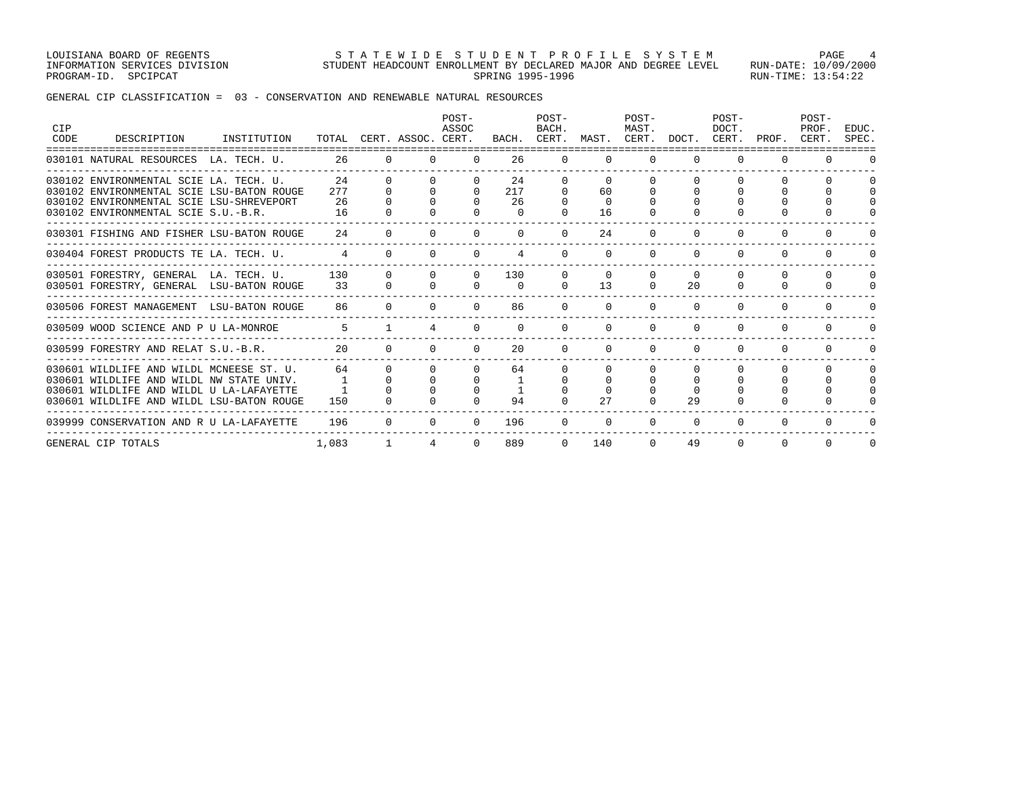LOUISIANA BOARD OF REGENTS STA TEWIDE STUDENT PROFILE SYSTEM PAGE 4 INFORMATION SERVICES DIVISION STUDENT HEADCOUNT ENROLLMENT BY DECLARED MAJOR AND DEGREE LEVEL RUN-DATE: 10/09/2000 PROGRAM-ID. SPCIPCAT SERING 1995-1996 RUN-TIME: 13:54:22

GENERAL CIP CLASSIFICATION = 03 - CONSERVATION AND RENEWABLE NATURAL RESOURCES

| CIP<br>CODE | DESCRIPTION                                                                                                                                                                   | INSTITUTION |                       |          | TOTAL CERT. ASSOC. CERT. | POST-<br>ASSOC                   |                 | POST-<br>BACH.       | BACH. CERT. MAST.          | POST-<br>MAST.       | CERT. DOCT.                | POST-<br>DOCT.                   | CERT. PROF.                  | POST-<br>PROF.<br>CERT.   | EDUC.<br>SPEC.    |
|-------------|-------------------------------------------------------------------------------------------------------------------------------------------------------------------------------|-------------|-----------------------|----------|--------------------------|----------------------------------|-----------------|----------------------|----------------------------|----------------------|----------------------------|----------------------------------|------------------------------|---------------------------|-------------------|
|             | 030101 NATURAL RESOURCES LA. TECH. U.                                                                                                                                         |             | 26                    |          | $\cap$                   | $\cap$                           | 26              | $\Omega$             | $\Omega$                   | $\Omega$             | $\Omega$                   | $\Omega$                         | $\cap$                       | <sup>n</sup>              |                   |
|             | 030102 ENVIRONMENTAL SCIE LA. TECH. U.<br>030102 ENVIRONMENTAL SCIE LSU-BATON ROUGE<br>030102 ENVIRONMENTAL SCIE LSU-SHREVEPORT<br>030102 ENVIRONMENTAL SCIE S.U.-B.R.        |             | 24<br>277<br>26<br>16 |          |                          | $\Omega$<br>$\Omega$             | 24<br>217<br>26 | $\Omega$<br>0        | 60<br>$\Omega$<br>16       |                      | $\Omega$                   | $\Omega$<br>$\Omega$             | O<br>$\Omega$                | $\Omega$<br>$\Omega$      | <sup>n</sup>      |
|             | --------------------------<br>030301 FISHING AND FISHER LSU-BATON ROUGE                                                                                                       |             | 2.4                   |          |                          | $\Omega$                         |                 | $\Omega$             | 24                         |                      | 0                          | $\Omega$                         | <sup>0</sup>                 |                           |                   |
|             | 030404 FOREST PRODUCTS TE LA. TECH. U.                                                                                                                                        |             | 4                     | $\Omega$ |                          |                                  |                 | $\Omega$             | $\Omega$                   | $\Omega$             | $\Omega$                   | $\Omega$                         | <sup>0</sup>                 | 0                         |                   |
|             | 030501 FORESTRY, GENERAL LA. TECH. U.<br>030501 FORESTRY, GENERAL LSU-BATON ROUGE                                                                                             |             | 130<br>33             | $\Omega$ | $\Omega$                 | $\Omega$<br>$\Omega$             | 130<br>$\Omega$ | $\Omega$             | $\Omega$<br>13             | $\Omega$<br>$\Omega$ | $\Omega$<br>20             | $\Omega$<br>$\Omega$             | $\Omega$<br>$\Omega$         | $\Omega$<br>0             |                   |
|             | 030506 FOREST MANAGEMENT LSU-BATON ROUGE                                                                                                                                      |             | 86                    |          | $\Omega$                 | $\Omega$                         | 86              | $\Omega$             | $\Omega$                   |                      | $\Omega$                   |                                  |                              |                           |                   |
|             | 030509 WOOD SCIENCE AND P U LA-MONROE                                                                                                                                         |             | 5                     |          | 4                        | $\Omega$                         | $\Omega$        | $\Omega$             | $\Omega$                   | $\Omega$             | $\Omega$                   | $\Omega$                         | $\Omega$                     | $\Omega$                  |                   |
|             | 030599 FORESTRY AND RELAT S.U.-B.R.                                                                                                                                           |             | 20                    | $\cap$   | $\Omega$                 | $\Omega$                         | 20              | $\Omega$             | $\Omega$                   | $\Omega$             | $\Omega$                   | $\Omega$                         | <sup>n</sup>                 | <sup>n</sup>              |                   |
|             | 030601 WILDLIFE AND WILDL MCNEESE ST. U.<br>030601 WILDLIFE AND WILDL NW STATE UNIV.<br>030601 WILDLIFE AND WILDL U LA-LAFAYETTE<br>030601 WILDLIFE AND WILDL LSU-BATON ROUGE |             | 64<br>150             |          | $\Omega$                 | $\Omega$<br>$\Omega$<br>$\Omega$ | 64<br>-1<br>94  | $\Omega$<br>$\Omega$ | $\Omega$<br>$\Omega$<br>27 |                      | $\Omega$<br>$\Omega$<br>29 | $\Omega$<br>$\Omega$<br>$\Omega$ | <sup>0</sup><br><sup>0</sup> | 0<br>$\Omega$<br>$\Omega$ | <sup>0</sup><br>0 |
|             | 039999 CONSERVATION AND R U LA-LAFAYETTE                                                                                                                                      |             | 196                   | $\cap$   | $\Omega$                 | $\Omega$                         | 196             | $\Omega$             | $\Omega$                   | $\Omega$             | $\Omega$                   | $\Omega$                         | $\Omega$                     | 0                         |                   |
|             | GENERAL CIP TOTALS                                                                                                                                                            |             | 1,083                 |          | 4                        | <sup>0</sup>                     | 889             | $\Omega$             | 140                        | $\Omega$             | 49                         | $\Omega$                         | $\Omega$                     | 0                         | 0                 |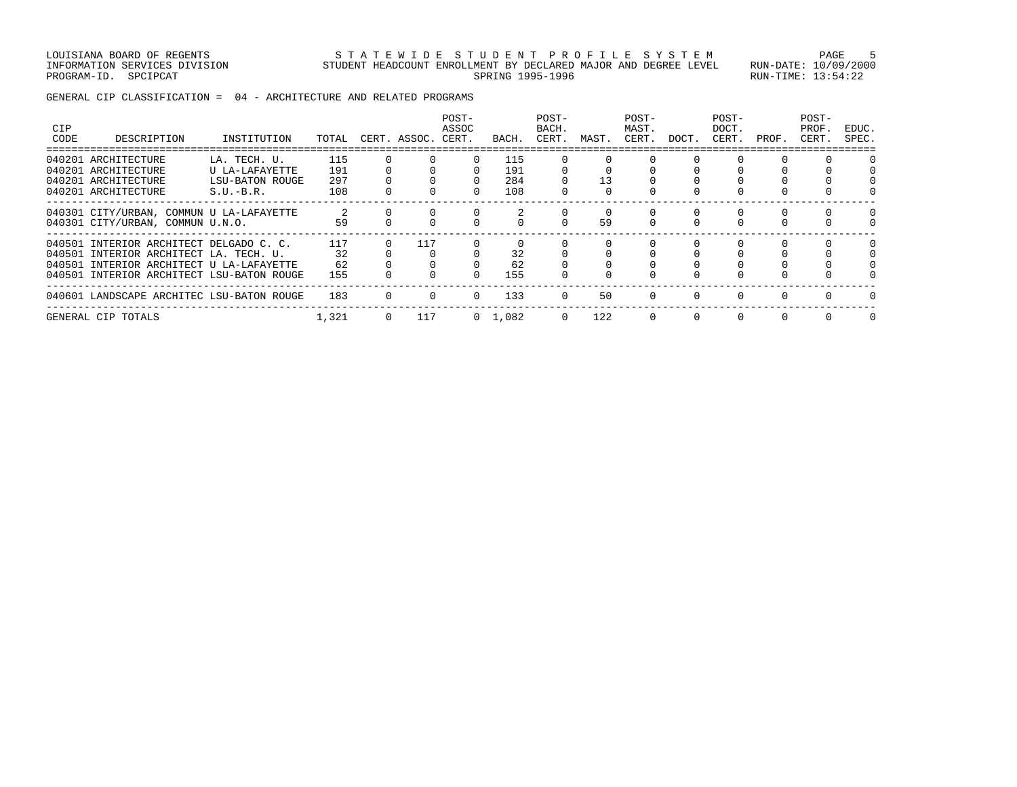LOUISIANA BOARD OF REGENTS STATEWIDE STUDENT PROFILE SYSTEM PAGE 5 INFORMATION SERVICES DIVISION STUDENT HEADCOUNT ENROLLMENT BY DECLARED MAJOR AND DEGREE LEVEL RUN-DATE: 10/09/2000 PROGRAM-ID. SPCIPCAT SERING 1995-1996 RUN-TIME: 13:54:22

GENERAL CIP CLASSIFICATION = 04 - ARCHITECTURE AND RELATED PROGRAMS

| <b>CIP</b><br>CODE | DESCRIPTION                                                                                                                                                                | INSTITUTION                                       | TOTAL                    |          | CERT. ASSOC. | POST-<br>ASSOC<br>CERT. | BACH.                    | POST-<br>BACH.<br>CERT. | MAST. | POST-<br>MAST.<br>CERT. | DOCT.    | POST-<br>DOCT.<br>CERT. | PROF. | POST-<br>PROF.<br>CERT. | EDUC.<br>SPEC. |
|--------------------|----------------------------------------------------------------------------------------------------------------------------------------------------------------------------|---------------------------------------------------|--------------------------|----------|--------------|-------------------------|--------------------------|-------------------------|-------|-------------------------|----------|-------------------------|-------|-------------------------|----------------|
|                    | 040201 ARCHITECTURE<br>040201 ARCHITECTURE<br>040201 ARCHITECTURE<br>040201 ARCHITECTURE                                                                                   | LA. TECH. U.<br>U LA-LAFAYETTE<br>LSU-BATON ROUGE | 115<br>191<br>297<br>108 |          |              |                         | 115<br>191<br>284<br>108 |                         | 13    |                         |          |                         |       |                         |                |
|                    | 040301 CITY/URBAN, COMMUN U LA-LAFAYETTE<br>040301 CITY/URBAN, COMMUN U.N.O.                                                                                               | $S.U.-B.R.$                                       | 59                       |          |              |                         |                          |                         | 59    | 0                       | $\Omega$ | 0                       |       |                         |                |
|                    | 040501 INTERIOR ARCHITECT DELGADO C. C.<br>040501 INTERIOR ARCHITECT LA. TECH. U.<br>040501 INTERIOR ARCHITECT U LA-LAFAYETTE<br>040501 INTERIOR ARCHITECT LSU-BATON ROUGE |                                                   | 117<br>32<br>62<br>155   | 0        | 117          |                         | 32<br>62<br>155          |                         |       | $\Omega$                |          |                         |       | <sup>0</sup>            |                |
|                    | 040601 LANDSCAPE ARCHITEC LSU-BATON ROUGE                                                                                                                                  |                                                   | 183                      |          |              | $\Omega$                | 133                      | $\Omega$                | 50    | $\Omega$                | $\Omega$ |                         |       |                         |                |
|                    | GENERAL CIP TOTALS                                                                                                                                                         |                                                   | 1,321                    | $\Omega$ | 117          |                         | $0 \quad 1.082$          | 0                       | 122   | $\Omega$                | $\Omega$ |                         |       |                         | $\Omega$       |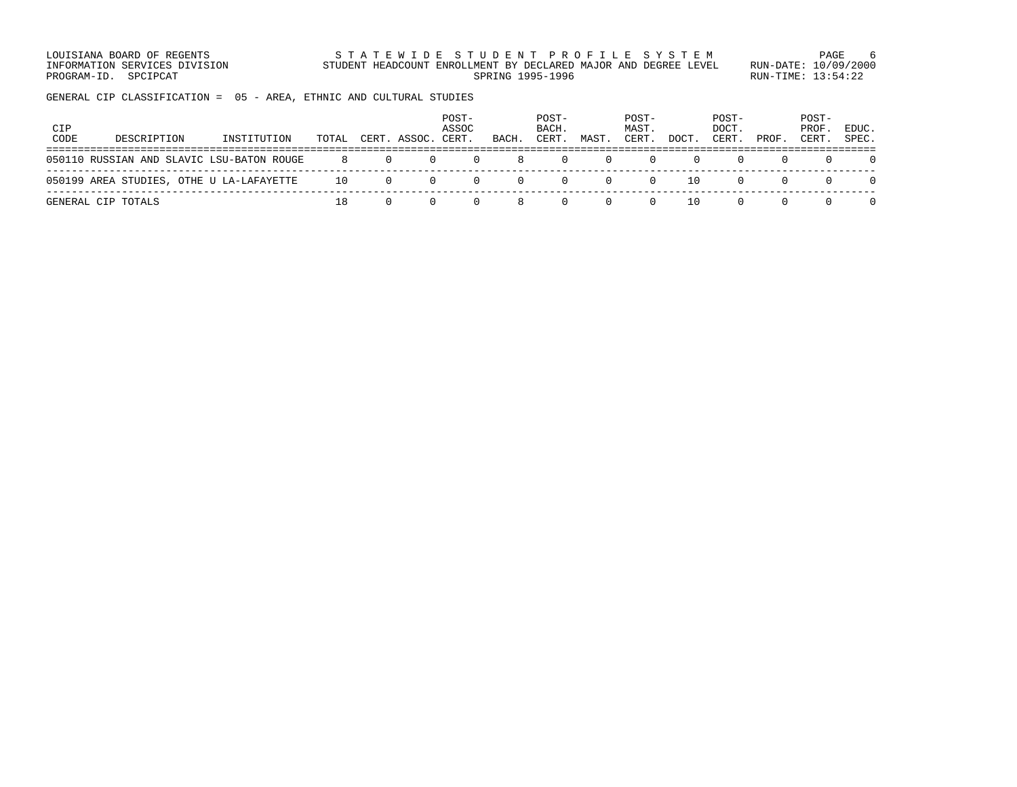LOUISIANA BOARD OF REGENTS STATEWIDE STUDENT PROFILE SYSTEM PAGE 6 INFORMATION SERVICES DIVISION STUDENT HEADCOUNT ENROLLMENT BY DECLARED MAJOR AND DEGREE LEVEL RUN-DATE: 10/09/2000 PROGRAM-ID. SPCIPCAT SERING 1995-1996 RUN-TIME: 13:54:22

GENERAL CIP CLASSIFICATION = 05 - AREA, ETHNIC AND CULTURAL STUDIES

| CIP<br>CODE | DESCRIPTION                               | INSTITUTION | TOTAL |          | CERT. ASSOC. | POST-<br>ASSOC<br>CERT. | BACH. | POST-<br>BACH.<br>CERT. | MAST | POST-<br>MAST.<br>CERT. | DOCT. | POST-<br>DOCT.<br>CERT. | PROF. | POST-<br>PROF.<br>CERT. | EDUC.<br>SPEC. |
|-------------|-------------------------------------------|-------------|-------|----------|--------------|-------------------------|-------|-------------------------|------|-------------------------|-------|-------------------------|-------|-------------------------|----------------|
|             | 050110 RUSSIAN AND SLAVIC LSU-BATON ROUGE |             | 8     | $\Omega$ |              | $\Omega$                |       |                         |      |                         |       |                         |       |                         |                |
|             | 050199 AREA STUDIES, OTHE U LA-LAFAYETTE  |             | 10    | $\Omega$ |              | $\left( \right)$        |       |                         |      |                         | 10    |                         |       |                         |                |
|             | GENERAL CIP TOTALS                        |             |       |          |              |                         |       |                         |      |                         | 10    |                         |       |                         |                |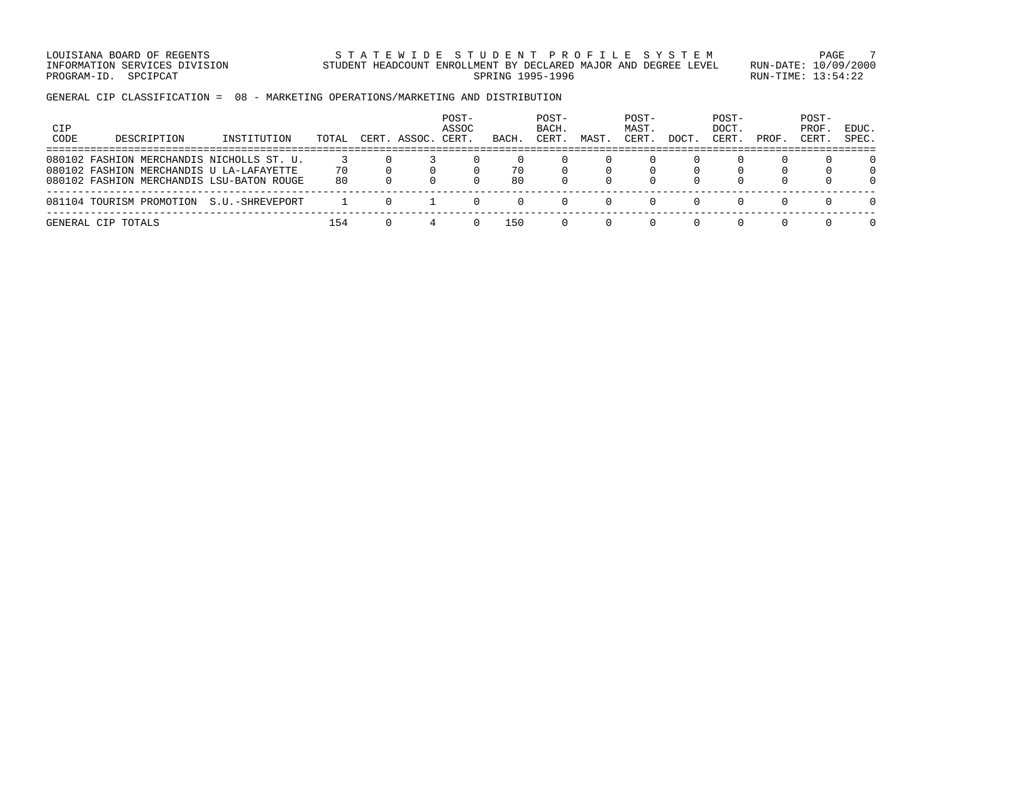LOUISIANA BOARD OF REGENTS STA TEWIDE STUDENT PROFILE SYSTEM PAGE 7 INFORMATION SERVICES DIVISION STUDENT HEADCOUNT ENROLLMENT BY DECLARED MAJOR AND DEGREE LEVEL RUN-DATE: 10/09/2000 PROGRAM-ID. SPCIPCAT SERING 1995-1996 RUN-TIME: 13:54:22

GENERAL CIP CLASSIFICATION = 08 - MARKETING OPERATIONS/MARKETING AND DISTRIBUTION

| CIP<br>CODE | DESCRIPTION                                                                                                                        | INSTITUTION     | TOTAL    | CERT. ASSOC. CERT. | POST-<br>ASSOC | BACH.    | POST-<br>BACH.<br>CERT. | MAST. | POST-<br>MAST.<br>CERT | DOCT | POST-<br>DOCT.<br>CERT. | PROF. | POST-<br>PROF<br>CERT. | EDUC.<br>SPEC. |
|-------------|------------------------------------------------------------------------------------------------------------------------------------|-----------------|----------|--------------------|----------------|----------|-------------------------|-------|------------------------|------|-------------------------|-------|------------------------|----------------|
|             | 080102 FASHION MERCHANDIS NICHOLLS ST. U.<br>080102 FASHION MERCHANDIS U LA-LAFAYETTE<br>080102 FASHION MERCHANDIS LSU-BATON ROUGE |                 | 70<br>80 |                    |                | 70<br>80 |                         |       |                        | n.   |                         |       | n.                     | 0              |
|             | 081104 TOURISM PROMOTION                                                                                                           | S.U.-SHREVEPORT |          |                    |                |          |                         |       |                        |      |                         |       |                        | n.             |
|             | GENERAL CIP TOTALS                                                                                                                 |                 | 154      |                    |                | 150      |                         |       |                        |      |                         |       |                        |                |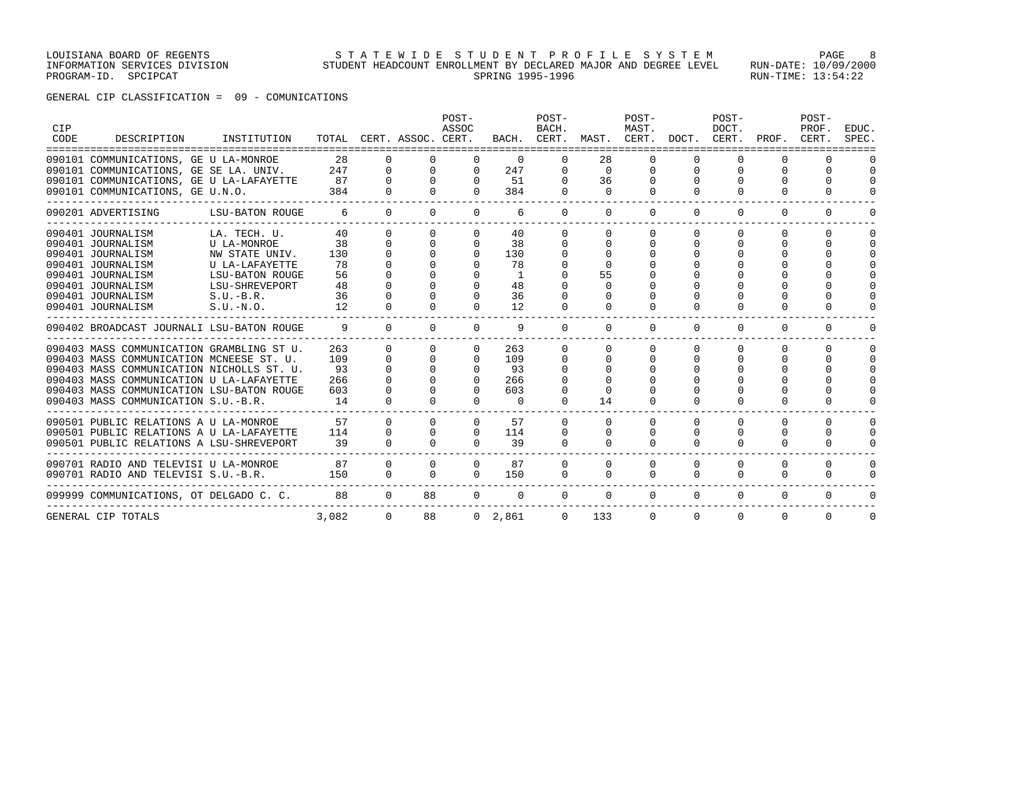GENERAL CIP CLASSIFICATION = 09 - COMUNICATIONS

| CIP<br>CODE | DESCRIPTION                                           | INSTITUTION                   |          |                | TOTAL CERT. ASSOC. CERT. | POST-<br>ASSOC |              | POST-<br>BACH. | BACH. CERT. MAST. CERT. DOCT. | POST-<br>MAST. |              | POST-<br>DOCT.<br>CERT. | PROF.        | POST-<br>PROF.<br>CERT. | EDUC.<br>SPEC. |
|-------------|-------------------------------------------------------|-------------------------------|----------|----------------|--------------------------|----------------|--------------|----------------|-------------------------------|----------------|--------------|-------------------------|--------------|-------------------------|----------------|
|             | ============<br>090101 COMMUNICATIONS, GE U LA-MONROE |                               | 28       |                |                          | 0              | $\mathbf{0}$ |                | 28                            | 0              |              |                         | 0            |                         |                |
|             | 090101 COMMUNICATIONS, GE SE LA. UNIV.                |                               | 247      | $\mathbf 0$    | $\mathbf{0}$             | $\mathbf 0$    | 247          | $\mathbf 0$    | $\mathbf 0$                   | $\Omega$       | 0            | $\Omega$                | $\Omega$     | 0                       | $\Omega$       |
|             | 090101 COMMUNICATIONS, GE U LA-LAFAYETTE              |                               | 87       | $\Omega$       | $\Omega$                 | $\Omega$       | 51           | $\Omega$       | 36                            | $\Omega$       | $\Omega$     |                         | $\cap$       | $\Omega$                | $\cap$         |
|             | 090101 COMMUNICATIONS, GE U.N.O.                      |                               | 384      | $\Omega$       | $\Omega$                 | $\Omega$       | 384          | $\Omega$       | $\Omega$                      | $\Omega$       | $\Omega$     | 0                       | $\Omega$     | $\Omega$                | ∩              |
|             | 090201 ADVERTISING                                    | LSU-BATON ROUGE               | 6        | $\Omega$       | $\Omega$                 | $\Omega$       | 6            | $\Omega$       | $\Omega$                      | $\Omega$       | $\Omega$     | 0                       | $\Omega$     | $\Omega$                |                |
|             | 090401 JOURNALISM                                     | LA. TECH. U.                  | 40       | $\Omega$       | $\Omega$                 | $\Omega$       | 40           |                | <sup>0</sup>                  | $\Omega$       | $\Omega$     | 0                       | <sup>0</sup> | $\Omega$                |                |
|             | 090401 JOURNALISM                                     | U LA-MONROE                   | 38       | $\Omega$       | $\Omega$                 | $\Omega$       | 38           | $\Omega$       |                               | 0              |              | 0                       | $\Omega$     | $\Omega$                | $\cap$         |
|             | 090401 JOURNALISM                                     | NW STATE UNIV.                | 130      | $\Omega$       | $\Omega$                 | 0              | 130          | $\mathbf 0$    |                               |                |              |                         |              | $\Omega$                |                |
|             | 090401 JOURNALISM                                     | U LA-LAFAYETTE                | 78       |                |                          |                | 78           |                |                               |                |              |                         |              | ∩                       |                |
|             | 090401 JOURNALISM                                     | LSU-BATON ROUGE               | 56       |                | $\cap$                   | $\Omega$       | 1            |                | 55                            |                |              |                         |              |                         |                |
|             | 090401 JOURNALISM<br>090401 JOURNALISM                | LSU-SHREVEPORT<br>$S.U.-B.R.$ | 48<br>36 |                |                          | 0              | 48<br>36     | $\Omega$       | <sup>0</sup>                  |                |              |                         |              | $\Omega$<br>$\Omega$    |                |
|             | 090401 JOURNALISM                                     | S.U.-N.O.                     | 12       |                |                          | $\Omega$       | 12           | $\Omega$       | $\Omega$                      | 0              |              | 0                       | $\Omega$     | $\Omega$                |                |
|             |                                                       |                               |          |                |                          |                |              |                |                               |                |              |                         |              |                         |                |
|             | 090402 BROADCAST JOURNALI LSU-BATON ROUGE             |                               | 9        | $\Omega$       | $\Omega$                 | $\Omega$       | 9            | $\Omega$       | $\Omega$                      | $\Omega$       | $\Omega$     | 0                       | $\Omega$     | $\Omega$                |                |
|             | 090403 MASS COMMUNICATION GRAMBLING ST U.             |                               | 263      | <sup>o</sup>   | $\Omega$                 | $\Omega$       | 263          | $\Omega$       | <sup>0</sup>                  | $\Omega$       | <sup>0</sup> | 0                       | <sup>0</sup> | $\Omega$                |                |
|             | 090403 MASS COMMUNICATION MCNEESE ST. U.              |                               | 109      | 0              | $\Omega$                 | $\Omega$       | 109          |                |                               | 0              |              |                         | <sup>0</sup> | $\Omega$                |                |
|             | 090403 MASS COMMUNICATION NICHOLLS ST. U.             |                               | 93       |                | $\Omega$                 |                | 93           | $\mathbf 0$    |                               |                |              |                         | $\Omega$     | $\Omega$                |                |
|             | 090403 MASS COMMUNICATION U LA-LAFAYETTE              |                               | 266      |                |                          |                | 266          |                |                               |                |              |                         | $\Omega$     | $\Omega$                |                |
|             | 090403 MASS COMMUNICATION LSU-BATON ROUGE             |                               | 603      |                |                          | $\Omega$       | 603          | $\Omega$       |                               |                |              |                         |              | $\Omega$                |                |
|             | 090403 MASS COMMUNICATION S.U.-B.R.                   |                               | 14       | $\Omega$       | $\Omega$                 | $\Omega$       | $\Omega$     | $\Omega$       | 14                            | $\Omega$       | $\Omega$     | $\Omega$                | $\Omega$     | $\Omega$                |                |
|             | 090501 PUBLIC RELATIONS A U LA-MONROE                 |                               | 57       | $\Omega$       | $\Omega$                 | $\Omega$       | 57           | $\Omega$       | $\Omega$                      | $\Omega$       | $\Omega$     | 0                       | <sup>n</sup> | $\Omega$                | $\Omega$       |
|             | 090501 PUBLIC RELATIONS A U LA-LAFAYETTE              |                               | 114      | $\Omega$       | $\Omega$                 | $\Omega$       | 114          | $\Omega$       | 0                             | 0              |              | $\Omega$                | $\Omega$     | $\Omega$                | $\Omega$       |
|             | 090501 PUBLIC RELATIONS A LSU-SHREVEPORT              |                               | 39       | $\cap$         | $\cap$                   | $\cap$         | 39           | $\Omega$       | $\Omega$                      | $\Omega$       | $\cap$       | $\Omega$                | $\Omega$     | $\Omega$                |                |
|             | 090701 RADIO AND TELEVISI U LA-MONROE                 |                               | 87       | $\Omega$       | $\Omega$                 | $\Omega$       | 87           | $\Omega$       | $\Omega$                      | $\Omega$       | $\Omega$     | $\Omega$                | $\Omega$     | $\Omega$                | $\Omega$       |
|             | 090701 RADIO AND TELEVISI S.U.-B.R.                   |                               | 150      | $\Omega$       | $\Omega$                 | $\Omega$       | 150          | $\Omega$       | $\Omega$                      | $\Omega$       | $\Omega$     | 0                       | $\Omega$     | $\Omega$                |                |
|             | 099999 COMMUNICATIONS, OT DELGADO C. C.               |                               | 88       | $\overline{0}$ | 88                       | $\mathbf 0$    | $\mathbf 0$  | $\mathbf 0$    | $\mathbf 0$                   | $\mathbf 0$    | $\mathbf 0$  | $\mathbf 0$             | $\mathbf 0$  | $\mathbf 0$             | $\Omega$       |
|             | GENERAL CIP TOTALS                                    |                               | 3,082    | $\mathbf{0}$   | 88                       |                | 0, 2, 861    | $\Omega$       | 133                           | $\Omega$       | $\Omega$     | $\Omega$                | $\Omega$     | $\Omega$                | $\mathbf 0$    |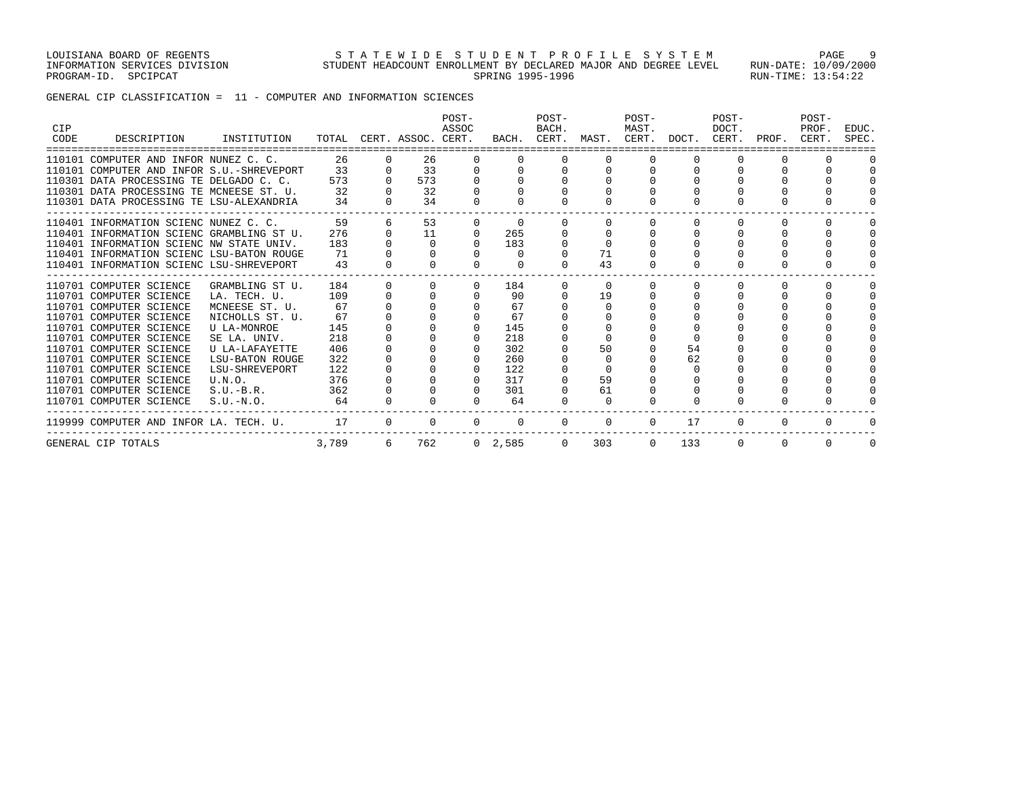GENERAL CIP CLASSIFICATION = 11 - COMPUTER AND INFORMATION SCIENCES

| CIP<br>CODE | DESCRIPTION                                 | INSTITUTION     | TOTAL |          | CERT. ASSOC. CERT. | POST-<br>ASSOC | BACH.     | POST-<br>BACH.<br>CERT. | MAST.    | POST-<br>MAST.<br>CERT. | DOCT.    | POST-<br>DOCT.<br>CERT. | PROF. | POST-<br>PROF.<br>CERT. | EDUC.<br>SPEC. |
|-------------|---------------------------------------------|-----------------|-------|----------|--------------------|----------------|-----------|-------------------------|----------|-------------------------|----------|-------------------------|-------|-------------------------|----------------|
|             | 110101 COMPUTER AND INFOR NUNEZ C. C.       |                 | 26    |          | 26                 | $\Omega$       | $\Omega$  | $\Omega$                |          |                         | $\Omega$ | $\Omega$                |       |                         |                |
|             | 110101 COMPUTER AND INFOR S.U. - SHREVEPORT |                 | 33    | $\Omega$ | 33                 | $\Omega$       |           |                         |          |                         |          |                         |       | U                       |                |
|             | 110301 DATA PROCESSING TE DELGADO C. C.     |                 | 573   |          | 573                |                |           |                         |          |                         |          |                         |       |                         |                |
|             | 110301 DATA PROCESSING TE MCNEESE ST. U.    |                 | 32    |          | 32                 |                |           |                         |          |                         |          |                         |       |                         |                |
|             | 110301 DATA PROCESSING TE LSU-ALEXANDRIA    |                 | 34    |          | 34                 |                |           |                         |          |                         |          |                         |       |                         |                |
|             | 110401 INFORMATION SCIENC NUNEZ C. C.       |                 | 59    | 6        | 53                 | $\Omega$       | $\Omega$  |                         |          |                         | $\Omega$ | $\Omega$                | ∩     | 0                       |                |
|             | 110401 INFORMATION SCIENC GRAMBLING ST U.   |                 | 276   | $\Omega$ | 11                 | $\Omega$       | 265       |                         |          |                         | $\Omega$ | $\Omega$                |       | O                       |                |
|             | 110401 INFORMATION SCIENC NW STATE UNIV.    |                 | 183   |          | $\Omega$           | $\Omega$       | 183       |                         |          |                         |          | $\Omega$                |       | $\cap$                  |                |
|             | 110401 INFORMATION SCIENC LSU-BATON ROUGE   |                 | 71    |          |                    |                | $\Omega$  |                         | 71       |                         |          |                         |       |                         |                |
|             | 110401 INFORMATION SCIENC LSU-SHREVEPORT    |                 | 43    |          |                    |                |           | $\Omega$                | 43       |                         |          |                         |       |                         |                |
|             | 110701 COMPUTER SCIENCE                     | GRAMBLING ST U. | 184   |          | $\Omega$           | $\Omega$       | 184       | <sup>0</sup>            | $\Omega$ |                         | $\Omega$ | $\Omega$                | n     | n.                      |                |
|             | 110701 COMPUTER SCIENCE                     | LA. TECH. U.    | 109   |          |                    | $\Omega$       | 90        |                         | 19       |                         |          |                         |       | $\Omega$                |                |
|             | 110701 COMPUTER SCIENCE                     | MCNEESE ST. U.  | 67    |          |                    |                | 67        |                         | $\cap$   |                         |          |                         |       | $\cap$                  |                |
|             | 110701 COMPUTER SCIENCE                     | NICHOLLS ST. U. | 67    |          |                    |                | 67        |                         |          |                         |          |                         |       |                         |                |
|             | 110701 COMPUTER SCIENCE                     | U LA-MONROE     | 145   |          |                    | $\Omega$       | 145       |                         |          |                         |          |                         |       |                         |                |
|             | 110701 COMPUTER SCIENCE                     | SE LA. UNIV.    | 218   |          |                    |                | 218       |                         |          |                         |          |                         |       |                         |                |
|             | 110701 COMPUTER SCIENCE                     | U LA-LAFAYETTE  | 406   |          |                    |                | 302       |                         | 50       |                         | 54       |                         |       |                         |                |
|             | 110701 COMPUTER SCIENCE                     | LSU-BATON ROUGE | 322   |          |                    |                | 260       |                         | $\Omega$ |                         | 62       |                         |       |                         |                |
|             | 110701 COMPUTER SCIENCE                     | LSU-SHREVEPORT  | 122   |          |                    | $\Omega$       | 122       |                         |          |                         | $\Omega$ |                         |       |                         |                |
|             | 110701 COMPUTER SCIENCE                     | U.N.O.          | 376   |          |                    |                | 317       |                         | 59       |                         |          |                         |       |                         |                |
|             | 110701 COMPUTER SCIENCE                     | $S.U.-B.R.$     | 362   |          |                    | $\Omega$       | 301       |                         | 61       |                         |          |                         |       |                         |                |
|             | 110701 COMPUTER SCIENCE                     | $S.U.-N.O.$     | 64    |          |                    |                | 64        |                         | $\Omega$ |                         |          |                         |       |                         |                |
|             | 119999 COMPUTER AND INFOR LA. TECH. U.      |                 | 17    | $\Omega$ | $\Omega$           | $\Omega$       | $\Omega$  | $\Omega$                | $\Omega$ | $\Omega$                | 17       | $\Omega$                | 0     | 0                       |                |
|             | GENERAL CIP TOTALS                          |                 | 3,789 | 6        | 762                |                | 0, 2, 585 | $\Omega$                | 303      | $\Omega$                | 133      | $\Omega$                | 0     | $\Omega$                | $\Omega$       |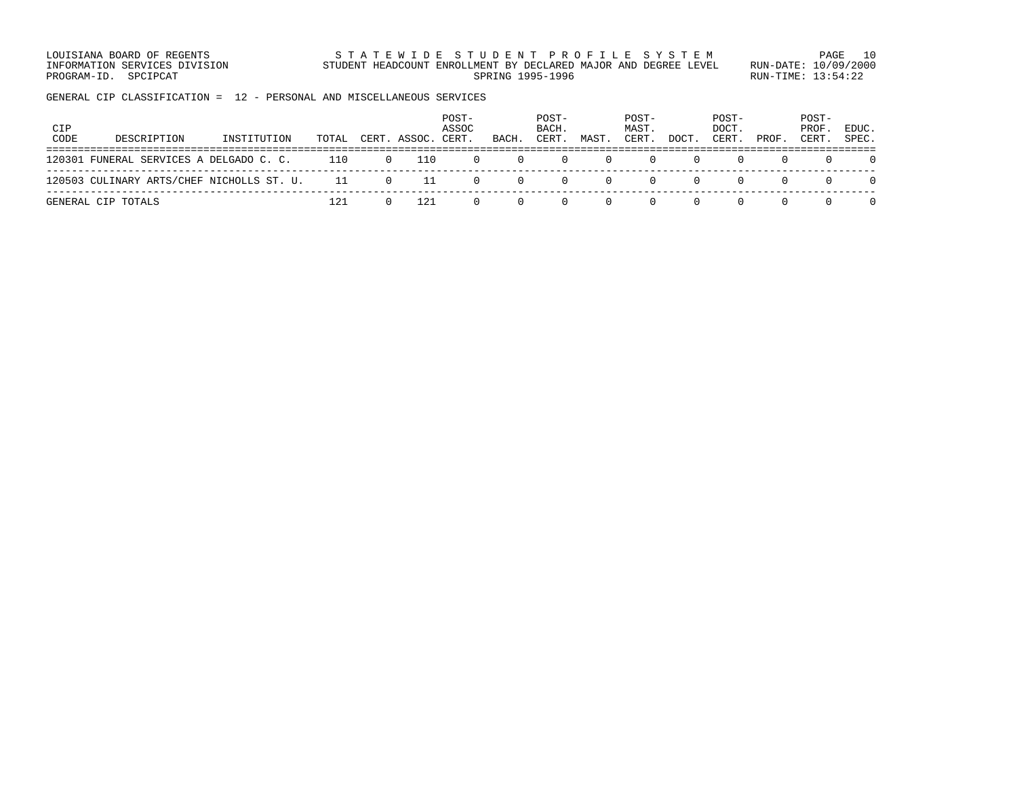LOUISIANA BOARD OF REGENTS STATEWIDE STUDENT PROFILE SYSTEM PAGE 10 INFORMATION SERVICES DIVISION STUDENT HEADCOUNT ENROLLMENT BY DECLARED MAJOR AND DEGREE LEVEL RUN-DATE: 10/09/2000 PROGRAM-ID. SPCIPCAT SERING 1995-1996 RUN-TIME: 13:54:22

GENERAL CIP CLASSIFICATION = 12 - PERSONAL AND MISCELLANEOUS SERVICES

| CIP<br>CODE | DESCRIPTION                               | INSTITUTION | TOTAL |          | CERT. ASSOC. | POST-<br>ASSOC<br>CERT. | BACH. | POST-<br>BACH.<br>CERT. | MAST. | POST-<br>MAST.<br>CERT. | DOCT. | POST-<br>DOCT.<br>CERT. | PROF. | POST-<br>PROF.<br>CERT. | EDUC.<br>SPEC. |
|-------------|-------------------------------------------|-------------|-------|----------|--------------|-------------------------|-------|-------------------------|-------|-------------------------|-------|-------------------------|-------|-------------------------|----------------|
|             | 120301 FUNERAL SERVICES A DELGADO C. C.   |             | 110   | $\Omega$ | 110          |                         | (1)   |                         |       |                         |       |                         |       |                         |                |
|             | 120503 CULINARY ARTS/CHEF NICHOLLS ST. U. |             | 11    | $\Omega$ | - 11         |                         | (1)   |                         |       |                         |       |                         |       |                         |                |
|             | GENERAL CIP TOTALS                        |             | 121   |          |              |                         |       |                         |       |                         |       |                         |       |                         |                |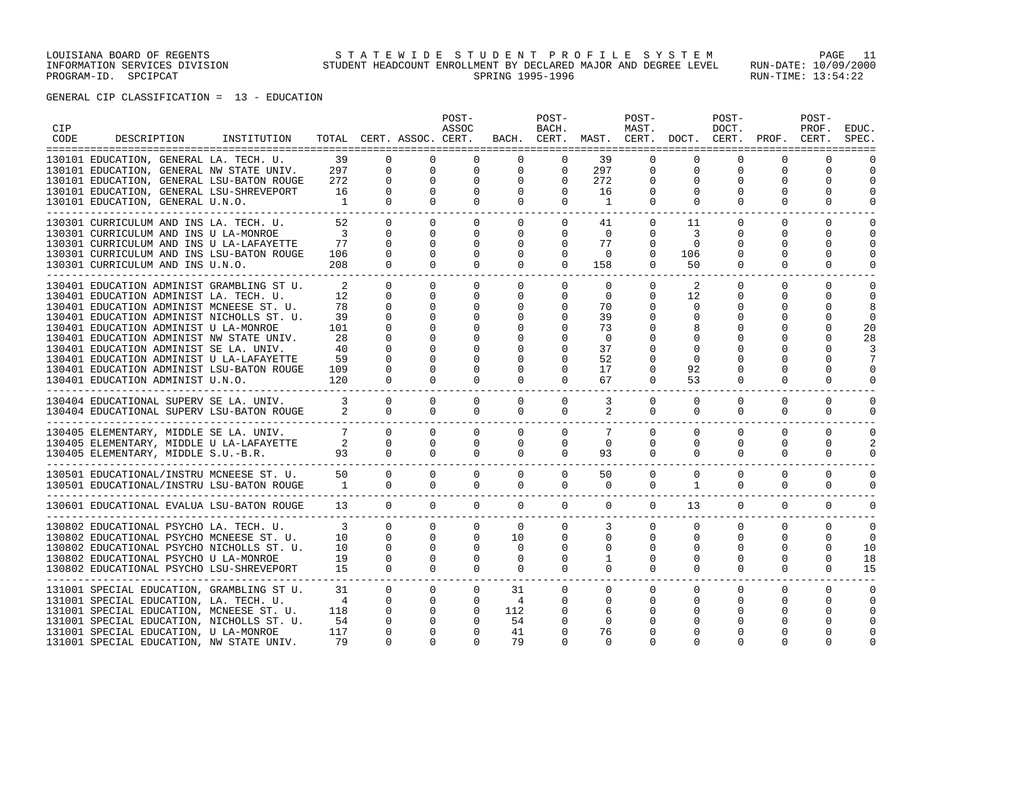| CIP<br>CODE | DESCRIPTION                                                                                                                                                                                                                                                                                                                                                                                                                              | INSTITUTION |                                                            |                                                                                                          | TOTAL CERT. ASSOC. CERT.                                                                                                 | POST-<br>ASSOC                                                                              |                                                                                      | POST-<br>BACH.                                                                              |                                                                     | POST-<br>MAST.                                                                               | BACH. CERT. MAST. CERT. DOCT. CERT. PROF. CERT.                        | POST-<br>DOCT.                                       |                                                          | POST-<br>PROF.                                                                                     | EDUC.<br>SPEC.                                                                          |
|-------------|------------------------------------------------------------------------------------------------------------------------------------------------------------------------------------------------------------------------------------------------------------------------------------------------------------------------------------------------------------------------------------------------------------------------------------------|-------------|------------------------------------------------------------|----------------------------------------------------------------------------------------------------------|--------------------------------------------------------------------------------------------------------------------------|---------------------------------------------------------------------------------------------|--------------------------------------------------------------------------------------|---------------------------------------------------------------------------------------------|---------------------------------------------------------------------|----------------------------------------------------------------------------------------------|------------------------------------------------------------------------|------------------------------------------------------|----------------------------------------------------------|----------------------------------------------------------------------------------------------------|-----------------------------------------------------------------------------------------|
|             | 130101 EDUCATION, GENERAL LA. TECH. U.<br>130101 EDUCATION, GENERAL NW STATE UNIV.<br>130101 EDUCATION, GENERAL LSU-BATON ROUGE<br>130101 EDUCATION, GENERAL LSU-SHREVEPORT<br>130101 EDUCATION, GENERAL U.N.O.<br>______________________________________                                                                                                                                                                                |             | 39<br>297<br>272<br>16<br>$\overline{1}$                   | $\mathbf 0$<br>$\Omega$<br>$\mathbf{0}$<br>$\Omega$                                                      | 0<br>$\overline{0}$<br>$\overline{0}$<br>$\mathbf{0}$<br>$\Omega$                                                        | $\Omega$<br>$\mathsf{O}$<br>$\mathbf 0$<br>$\mathbf{0}$<br>$\Omega$                         | $\mathsf{O}$<br>$\mathbf 0$<br>$\mathbf{0}$<br>$\Omega$                              | $\Omega$<br>$\mathbf 0$<br>$\Omega$<br>$\mathbf{0}$<br>$\Omega$                             | 39<br>297<br>272<br>16<br>$\overline{1}$                            | $\Omega$<br>$\mathbf 0$<br>$\mathbf 0$<br>0<br>$\Omega$                                      | 0<br>$\mathbf 0$<br>$\Omega$<br>0<br>$\Omega$                          | 0<br>0<br>$\Omega$<br>0<br>$\Omega$                  | 0<br>$\mathbf 0$<br>$\Omega$<br>$\Omega$<br>$\Omega$     | $\mathbf 0$<br>$\mathbf 0$<br>$\Omega$<br>0<br>$\Omega$                                            | $\Omega$<br>$\Omega$<br>$\Omega$<br>$\Omega$                                            |
|             | 130301 CURRICULUM AND INS LA. TECH. U.<br>130301 CURRICULUM AND INS U LA-MONROE<br>130301 CURRICULUM AND INS U LA-LAFAYETTE<br>130301 CURRICULUM AND INS LSU-BATON ROUGE<br>130301 CURRICULUM AND INS U.N.O.                                                                                                                                                                                                                             |             | 52<br>$\overline{\mathbf{3}}$<br>77<br>106<br>208          | $\Omega$<br>$\Omega$<br>$\Omega$<br>$\Omega$<br>$\Omega$                                                 | $\Omega$<br>$\Omega$<br>$\Omega$<br>$\Omega$<br>$\Omega$                                                                 | $\mathbf{0}$<br>$\Omega$<br>$\Omega$<br>$\Omega$<br>$\Omega$                                | $\mathbf{0}$<br>$\mathbf{0}$<br>$\mathbf{0}$<br>$\mathbf 0$<br>$\Omega$              | $\mathbf{0}$<br>$\Omega$<br>$\Omega$<br>$\Omega$<br>$\Omega$                                | 41<br>$\Omega$<br>77<br>$\Omega$<br>158                             | $\overline{0}$<br>$\Omega$<br>$\Omega$<br>$\Omega$<br>$\Omega$                               | 11<br>3<br>$\Omega$<br>106<br>50                                       | $\mathbf 0$<br>$\Omega$<br>0<br>$\Omega$<br>$\Omega$ | $\Omega$<br>$\Omega$<br>$\Omega$<br>$\Omega$<br>$\Omega$ | $\Omega$<br>$\Omega$<br>0<br>$\Omega$<br>$\Omega$                                                  | $\Omega$<br>$\Omega$<br>$\Omega$<br>$\Omega$<br>$\Omega$                                |
|             | 130401 EDUCATION ADMINIST GRAMBLING ST U.<br>130401 EDUCATION ADMINIST LA. TECH. U.<br>130401 EDUCATION ADMINIST MCNEESE ST. U.<br>130401 EDUCATION ADMINIST NICHOLLS ST. U.<br>130401 EDUCATION ADMINIST U LA-MONROE<br>130401 EDUCATION ADMINIST NW STATE UNIV.<br>130401 EDUCATION ADMINIST SE LA. UNIV.<br>130401 EDUCATION ADMINIST U LA-LAFAYETTE<br>130401 EDUCATION ADMINIST LSU-BATON ROUGE<br>130401 EDUCATION ADMINIST U.N.O. |             | 2<br>12<br>78<br>39<br>101<br>28<br>40<br>59<br>109<br>120 | $\Omega$<br>$\Omega$<br>$\Omega$<br>$\Omega$<br>$\Omega$<br>$\Omega$<br>$\Omega$<br>$\Omega$<br>$\Omega$ | $\Omega$<br>$\mathbf 0$<br>$\mathbf{0}$<br>0<br>$\Omega$<br>$\Omega$<br>$\Omega$<br>$\Omega$<br>$\mathbf{0}$<br>$\Omega$ | $\Omega$<br>$\mathbf 0$<br>0<br>0<br>$\Omega$<br>$\Omega$<br>0<br>$\Omega$<br>0<br>$\Omega$ | $\Omega$<br>$\mathbf 0$<br>0<br>0<br>0<br>$\Omega$<br>0<br>$\Omega$<br>0<br>$\Omega$ | $\Omega$<br>$\mathbf 0$<br>$\Omega$<br>0<br>0<br>$\Omega$<br>0<br>$\Omega$<br>0<br>$\Omega$ | $\Omega$<br>0<br>70<br>39<br>73<br>$\Omega$<br>37<br>52<br>17<br>67 | $\Omega$<br>$\mathbf{0}$<br>$\Omega$<br>0<br>0<br>$\Omega$<br>0<br>$\Omega$<br>0<br>$\Omega$ | 2<br>12<br>0<br>0<br>8<br>$\Omega$<br>$\Omega$<br>$\Omega$<br>92<br>53 | $\Omega$<br>0<br>0<br>0<br>$\Omega$                  | $\Omega$<br>0<br>$\Omega$<br>$\Omega$<br>0<br>$\Omega$   | $\Omega$<br>$\mathbf 0$<br>0<br>0<br>0<br>$\Omega$<br>$\Omega$<br>$\Omega$<br>$\Omega$<br>$\Omega$ | $\Omega$<br>$\Omega$<br>8<br>$\Omega$<br>20<br>28<br>3<br>7<br>$\mathbf{0}$<br>$\Omega$ |
|             | ---------------------------------<br>130404 EDUCATIONAL SUPERV SE LA. UNIV.<br>130404 EDUCATIONAL SUPERV LSU-BATON ROUGE                                                                                                                                                                                                                                                                                                                 |             | $\overline{\mathbf{c}}$                                    | $\Omega$<br>$\Omega$                                                                                     | $\Omega$<br>$\Omega$                                                                                                     | $\Omega$<br>$\Omega$                                                                        | $\Omega$<br>$\Omega$                                                                 | $\Omega$<br>$\Omega$                                                                        | 3<br>$\overline{2}$                                                 | $\Omega$<br>$\Omega$                                                                         | $\Omega$<br>$\Omega$                                                   | $\Omega$<br>$\mathbf 0$                              | $\Omega$<br>$\mathbf 0$                                  | $\Omega$<br>$\mathbf 0$                                                                            | $\Omega$<br>$\mathbf{0}$                                                                |
|             | 130405 ELEMENTARY, MIDDLE SE LA. UNIV.<br>130405 ELEMENTARY, MIDDLE U LA-LAFAYETTE<br>130405 ELEMENTARY, MIDDLE S.U.-B.R.<br>____________________________                                                                                                                                                                                                                                                                                |             | 7<br>$\overline{\mathbf{2}}$<br>93                         | $\Omega$<br>$\Omega$<br>$\overline{0}$                                                                   | $\circ$<br>$\mathbf{0}$<br>$\Omega$                                                                                      | $\mathbf{0}$<br>$\mathbf 0$<br>$\mathbf 0$                                                  | $\mathbf{0}$<br>$\mathbf{0}$<br>$\mathbf{0}$                                         | $\Omega$<br>$\mathbf 0$<br>$\mathbf 0$                                                      | $7\overline{ }$<br>$\mathbf 0$<br>93                                | $\Omega$<br>$\mathbf 0$<br>$\mathbf{0}$                                                      | $\Omega$<br>$\mathbf 0$<br>$\mathbf 0$                                 | $\Omega$<br>$\Omega$<br>$\mathbf 0$                  | $\Omega$<br>$\Omega$<br>$\Omega$                         | $\Omega$<br>$\Omega$<br>$\mathbf{0}$                                                               | $\Omega$<br>$\overline{2}$<br>$\mathbf 0$                                               |
|             | 130501 EDUCATIONAL/INSTRU MCNEESE ST. U.<br>130501 EDUCATIONAL/INSTRU LSU-BATON ROUGE                                                                                                                                                                                                                                                                                                                                                    |             | 50<br>1                                                    | $\Omega$<br>$\Omega$                                                                                     | $\Omega$<br>$\Omega$                                                                                                     | $\mathbf{0}$<br>$\Omega$                                                                    | $\mathbf{0}$<br>$\Omega$                                                             | $\mathbf{0}$<br>$\Omega$                                                                    | 50<br>$\Omega$                                                      | $\mathbf{0}$<br>$\mathbf{0}$                                                                 | $\mathbf{0}$<br>$\mathbf{1}$<br>-------------                          | $\mathbf 0$<br>$\mathbf 0$                           | 0<br>$\mathbf 0$                                         | $\mathbf 0$<br>$\Omega$                                                                            | $\mathbf 0$<br>$\Omega$                                                                 |
|             | 130601 EDUCATIONAL EVALUA LSU-BATON ROUGE                                                                                                                                                                                                                                                                                                                                                                                                |             | 13 0                                                       |                                                                                                          | $\Omega$                                                                                                                 | $\Omega$                                                                                    | $\Omega$                                                                             | $\Omega$                                                                                    | $\Omega$                                                            | $\circ$                                                                                      | 13                                                                     | $\overline{0}$                                       | $\mathbf 0$                                              | $\mathbf 0$                                                                                        | $\mathbf 0$                                                                             |
|             | 130802 EDUCATIONAL PSYCHO LA. TECH. U.<br>130802 EDUCATIONAL PSYCHO MCNEESE ST. U.<br>130802 EDUCATIONAL PSYCHO NICHOLLS ST. U.<br>130802 EDUCATIONAL PSYCHO U LA-MONROE<br>130802 EDUCATIONAL PSYCHO LSU-SHREVEPORT                                                                                                                                                                                                                     |             | $\overline{\mathbf{3}}$<br>10<br>10<br>19<br>15            | $\Omega$<br>$\Omega$<br>$\Omega$<br>$\mathbf{0}$<br>$\Omega$                                             | $\Omega$<br>$\Omega$<br>$\Omega$<br>$\mathbf{0}$<br>$\Omega$                                                             | $\mathbf{0}$<br>$\mathbf{0}$<br>$\Omega$<br>$\mathbf{0}$<br>$\Omega$                        | $\Omega$<br>10 <sup>°</sup><br>$\Omega$<br>$\mathbf{0}$<br>$\mathbf{0}$              | $\Omega$<br>$\Omega$<br>$\Omega$<br>$\mathbf 0$<br>$\Omega$                                 | 3<br>$\Omega$<br>$\Omega$<br>1<br>$\Omega$                          | $\Omega$<br>$\Omega$<br>$\Omega$<br>$\mathbf 0$<br>$\Omega$                                  | $\Omega$<br>$\Omega$<br>$\Omega$<br>0<br>$\Omega$                      | $\Omega$<br>$\Omega$<br>$\Omega$<br>0<br>$\Omega$    | $\mathbf 0$<br>$\Omega$<br>$\Omega$<br>0<br>$\Omega$     | 0<br>$\Omega$<br>$\Omega$<br>0<br>$\Omega$                                                         | $\Omega$<br>$\Omega$<br>10<br>18<br>15                                                  |
|             | 131001 SPECIAL EDUCATION, GRAMBLING ST U.<br>131001 SPECIAL EDUCATION, LA. TECH. U.<br>131001 SPECIAL EDUCATION, MCNEESE ST. U.<br>131001 SPECIAL EDUCATION, NICHOLLS ST. U.<br>131001 SPECIAL EDUCATION, U LA-MONROE<br>131001 SPECIAL EDUCATION, NW STATE UNIV.                                                                                                                                                                        |             | 31<br>$\overline{4}$<br>118<br>54<br>117<br>79             | $\Omega$<br>$\Omega$<br>$\mathbf 0$<br>$\Omega$<br>$\Omega$<br>$\Omega$                                  | $\circ$<br>$\overline{0}$<br>$\overline{0}$<br>$\circ$<br>$\mathbf 0$<br>$\Omega$                                        | $\mathbf 0$<br>$\mathbf{0}$<br>$\mathbf 0$<br>$\mathbf{0}$<br>0<br>$\Omega$                 | 31<br>$\overline{4}$<br>112<br>54<br>41<br>79                                        | $\mathbf{0}$<br>$\mathbf 0$<br>0<br>$\mathbf 0$<br>$\mathbf 0$<br>$\Omega$                  | $\mathbf 0$<br>$\mathbf 0$<br>6<br>$\Omega$<br>76<br>$\Omega$       | $\mathbf{0}$<br>$\mathbf 0$<br>$\Omega$<br>0<br>O<br>$\Omega$                                | $\Omega$<br>$\Omega$<br>$\Omega$<br>$\Omega$                           | $\mathbf 0$<br>$\Omega$<br>$\Omega$<br>O<br>U        | $\Omega$<br>$\Omega$<br>$\Omega$<br>$\Omega$<br>$\Omega$ | $\mathbf 0$<br>$\Omega$<br>0<br>$\Omega$<br>$\Omega$<br>$\Omega$                                   | $\Omega$<br>$\Omega$<br>$\Omega$<br>$\Omega$<br>$\Omega$<br>$\cap$                      |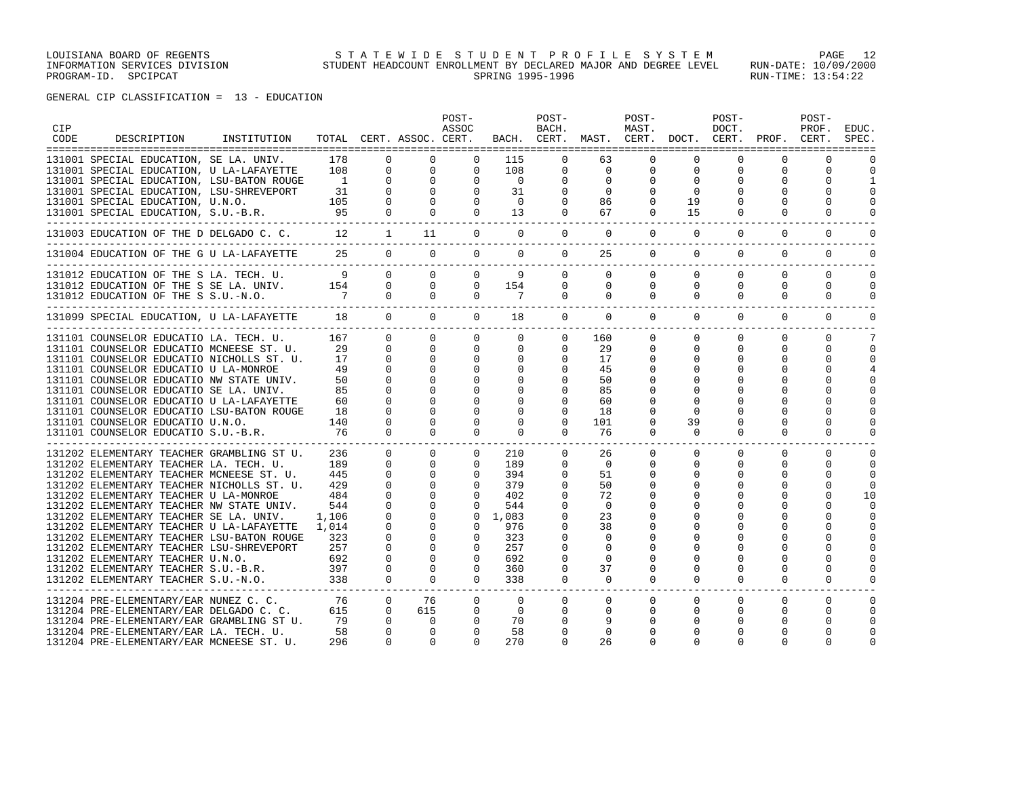| <b>CIP</b><br>CODE | DESCRIPTION                                                                           | INSTITUTION |                                        |                          | TOTAL CERT. ASSOC. CERT. | POST-<br>ASSOC                   |                          | POST-<br>BACH.       |                            | POST-<br>MAST.       | BACH. CERT. MAST. CERT. DOCT. CERT. PROF. CERT. | POST-<br>DOCT.       |               | POST-<br>PROF. | EDUC.<br>SPEC.          |
|--------------------|---------------------------------------------------------------------------------------|-------------|----------------------------------------|--------------------------|--------------------------|----------------------------------|--------------------------|----------------------|----------------------------|----------------------|-------------------------------------------------|----------------------|---------------|----------------|-------------------------|
|                    | 131001 SPECIAL EDUCATION, SE LA. UNIV.                                                |             | 178                                    | $\mathbf 0$              | $\mathbf 0$              | $\Omega$                         | 115                      | $\Omega$             | 63                         | 0                    | 0                                               | 0                    | $\Omega$      | $\Omega$       |                         |
|                    | 131001 SPECIAL EDUCATION, U LA-LAFAYETTE                                              |             | 108                                    | $\mathbf 0$              |                          | $\overline{0}$<br>$\mathbf 0$    | 108                      | $\mathbf 0$          | $\overline{0}$             | $\mathbf 0$          | $\mathbf 0$                                     | 0                    | $\mathbf 0$   | 0              | $\Omega$                |
|                    | 131001 SPECIAL EDUCATION, LSU-BATON ROUGE                                             |             | $\overline{1}$                         | $\Omega$                 | $\overline{0}$           | $\mathbf 0$                      | $\overline{0}$           | $\mathbf 0$          | 0                          | $\Omega$             | $\Omega$                                        | $\Omega$             | $\Omega$      | $\Omega$       | $\mathbf{1}$            |
|                    | 131001 SPECIAL EDUCATION, LSU-SHREVEPORT                                              |             | 31                                     | $\mathbf 0$              | $\circ$                  | $\mathbf{0}$                     | 31                       | 0                    | 0                          | 0                    | $\Omega$                                        |                      |               | $\Omega$       | $\Omega$                |
|                    | 131001 SPECIAL EDUCATION, U.N.O.                                                      |             | 105                                    | $\Omega$                 | $\Omega$                 | $\Omega$                         | $\overline{0}$           | $\Omega$             | 86                         | $\Omega$             | 19                                              | $\Omega$             | $\Omega$      | $\Omega$       | $\Omega$                |
|                    | 131001 SPECIAL EDUCATION, S.U.-B.R.                                                   |             | $\sim$ 95                              | $\Omega$                 | $\circ$                  | $\mathbf{0}$                     | 13                       | $\Omega$             | 67                         | $\Omega$             | 15                                              | 0                    | $\Omega$      | $\Omega$       | $\Omega$                |
|                    |                                                                                       |             |                                        |                          | 11                       | $\Omega$                         | $\Omega$                 | $\Omega$             | $\Omega$<br>-------------- | $\circ$              | $\Omega$                                        | $\overline{0}$       | $\mathbf 0$   | $\mathbf 0$    | $\Omega$                |
|                    | 131004 EDUCATION OF THE G U LA-LAFAYETTE<br>--------------------                      |             | $25$ 0                                 |                          | $\Omega$                 | $\Omega$                         | $\Omega$                 | $\Omega$             | 25                         | $\Omega$             | $\mathbf 0$                                     | $\mathbf{0}$         | $\mathbf 0$   | $\mathbf 0$    | $\Omega$                |
|                    |                                                                                       |             |                                        |                          | $\Omega$                 | $\Omega$                         | 9                        | $\Omega$             | $\Omega$                   | $\Omega$             | $\Omega$                                        | $\Omega$             | $\Omega$      | $\Omega$       | $\Omega$                |
|                    |                                                                                       |             |                                        |                          | $\circ$                  |                                  | $0 \qquad \qquad$<br>154 | $\Omega$             | $\mathbf 0$                | $\Omega$             | $\Omega$                                        | $\Omega$             | $\Omega$      | $\Omega$       | $\Omega$                |
|                    | 131012 EDUCATION OF THE S S.U.-N.O.                                                   |             | $\begin{array}{ccc} 7 & 0 \end{array}$ |                          | $\overline{0}$           | $\overline{0}$                   | $\overline{7}$           | $\mathbf 0$          | $\mathbf 0$                | $\circ$              | $\mathbf 0$                                     | $\mathbf{0}$         | $\mathbf 0$   | $\mathbf 0$    | $\mathbf 0$             |
|                    | 131099 SPECIAL EDUCATION, U LA-LAFAYETTE                                              |             | 18 0                                   |                          |                          | $\overline{0}$<br>$\overline{0}$ | 18                       | $\circ$              | $\circ$                    | $\overline{0}$       | $\mathbf{0}$                                    | $\overline{0}$       | $\mathbf{0}$  | 0              | $\mathbf 0$             |
|                    | 131101 COUNSELOR EDUCATIO LA. TECH. U.                                                |             | 167                                    | $\Omega$                 | $\Omega$                 | $\Omega$                         | $\Omega$                 | $\Omega$             | 160                        | $\Omega$             | $\Omega$                                        | $\Omega$             | $\Omega$      | $\Omega$       | 7                       |
|                    | 131101 COUNSELOR EDUCATIO MCNEESE ST. U.                                              |             | 29                                     | $\mathbf 0$              | $\Omega$                 | $\mathbf{0}$                     | $\mathbf{0}$             | 0                    | 29                         | $\mathbf 0$          | 0                                               | $\Omega$             | $\Omega$      | $\Omega$       | $\Omega$                |
|                    | 131101 COUNSELOR EDUCATIO NICHOLLS ST. U.                                             |             | 17                                     | $\overline{0}$           | $\Omega$                 | $\mathbf 0$                      | $\mathbf{0}$             | $\Omega$             | 17                         | $\Omega$             | $\Omega$                                        | $\Omega$             | $\Omega$      | $\Omega$       | $\Omega$                |
|                    | 131101 COUNSELOR EDUCATIO U LA-MONROE                                                 |             | 49                                     | $\Omega$                 | $\mathbf 0$              | 0                                | 0                        |                      | 45                         | 0                    | 0                                               | $\Omega$             | 0             | $\Omega$       | 4                       |
|                    | 131101 COUNSELOR EDUCATIO NW STATE UNIV.                                              |             | 50                                     | $\Omega$                 | $\Omega$                 | 0                                | $\Omega$                 | $\cap$               | 50                         | $\Omega$             |                                                 |                      | $\Omega$      | $\Omega$       | $\Omega$                |
|                    | 131101 COUNSELOR EDUCATIO SE LA. UNIV.                                                |             | 85                                     | $\Omega$                 | $\Omega$                 | $\Omega$                         | $\Omega$                 |                      | 85                         |                      |                                                 |                      |               | $\Omega$       | $\Omega$                |
|                    | 131101 COUNSELOR EDUCATIO U LA-LAFAYETTE                                              |             | 60                                     | $\Omega$                 | $\Omega$                 | $\Omega$                         | $\Omega$                 | $\Omega$             | 60                         | $\Omega$             |                                                 | U                    | $\Omega$      | $\Omega$       | $\Omega$                |
|                    | 131101 COUNSELOR EDUCATIO LSU-BATON ROUGE                                             |             | 18                                     | $\Omega$                 | $\Omega$                 | $\Omega$                         | $\Omega$                 | $\Omega$             | 18                         | $\Omega$             | <sup>0</sup>                                    |                      |               | $\Omega$       | $\cap$                  |
|                    | 131101 COUNSELOR EDUCATIO U.N.O.                                                      |             | 140                                    | $\Omega$                 | 0                        | 0                                | $\Omega$                 | 0                    | 101                        | 0                    | 39                                              | 0                    | 0             | O              | O                       |
|                    | 131101 COUNSELOR EDUCATIO S.U.-B.R.                                                   |             | 76                                     | $\Omega$                 | $\Omega$                 | $\Omega$                         | $\Omega$                 | $\Omega$             | 76                         | $\Omega$             | $\Omega$                                        | $\Omega$             | $\Omega$      | $\Omega$       | $\Omega$                |
|                    | 131202 ELEMENTARY TEACHER GRAMBLING ST U.                                             |             | 236                                    | $\mathbf{0}$             | $\mathbf{0}$             | $\mathbf{0}$                     | 210                      | $\mathbf{0}$         | 26                         | $\Omega$             | $\Omega$                                        | $\Omega$             | $\mathbf 0$   | $\Omega$       | $\Omega$                |
|                    | 131202 ELEMENTARY TEACHER LA. TECH. U.                                                |             | 189                                    | $\Omega$                 | $\Omega$                 |                                  | 189<br>$\Omega$          | $\Omega$             | $\Omega$                   | $\Omega$             | $\Omega$                                        | $\Omega$             | $\Omega$      | $\Omega$       | $\Omega$                |
|                    | 131202 ELEMENTARY TEACHER MCNEESE ST. U.                                              |             | 445                                    | $\mathbf{0}$             | $\circ$                  | $\mathbf{0}$                     | 394                      | 0                    | 51                         | $\Omega$             | 0                                               | $\Omega$             | $\Omega$      | $\Omega$       | $\mathbf 0$             |
|                    | 131202 ELEMENTARY TEACHER NICHOLLS ST. U.                                             |             | 429                                    | $\mathbf 0$              | $\mathbf{0}$             | $\Omega$                         | 379                      | 0                    | 50                         | $\Omega$             | $\Omega$                                        | $\Omega$             | $\Omega$      | $\Omega$       | $\Omega$                |
|                    | 131202 ELEMENTARY TEACHER U LA-MONROE                                                 |             | 484                                    | $\Omega$                 | $\Omega$                 | $\Omega$                         | 402                      | $\Omega$             | 72                         | $\Omega$             |                                                 |                      | $\Omega$      | $\Omega$       | 10                      |
|                    | 131202 ELEMENTARY TEACHER NW STATE UNIV.                                              |             | 544                                    | $\Omega$                 | $\mathbf 0$              | $\Omega$                         | 544                      | $\Omega$             | 0                          |                      |                                                 | U                    | O             | n              | ∩                       |
|                    | 131202 ELEMENTARY TEACHER SE LA. UNIV.                                                |             | 1,106                                  | $\Omega$                 | $\Omega$                 | $\Omega$                         | 1,083                    | $\Omega$             | 23                         | $\Omega$             |                                                 | U                    | $\Omega$      | $\cap$         | $\Omega$                |
|                    | 131202 ELEMENTARY TEACHER U LA-LAFAYETTE                                              |             | 1,014                                  | $\Omega$                 | $\mathbf 0$              | 0                                | 976                      | $\Omega$             | 38                         |                      |                                                 |                      | $\cap$        | ∩<br>$\Omega$  | $\Omega$                |
|                    | 131202 ELEMENTARY TEACHER LSU-BATON ROUGE<br>131202 ELEMENTARY TEACHER LSU-SHREVEPORT |             | 323<br>257                             | $\Omega$<br>$\Omega$     | $\Omega$<br>$\Omega$     | $\mathbf{0}$<br>$\Omega$         | 323<br>257               | $\Omega$<br>$\Omega$ | $\Omega$<br>$\Omega$       | $\Omega$             |                                                 |                      | $\Omega$      | $\Omega$       | $\Omega$<br>$\Omega$    |
|                    | 131202 ELEMENTARY TEACHER U.N.O.                                                      |             | 692                                    | $\mathbf 0$              | $\Omega$                 | $\Omega$                         | 692                      | 0                    | $\Omega$                   | $\Omega$             | $\Omega$                                        | U                    | O             | $\Omega$       | $\Omega$                |
|                    | 131202 ELEMENTARY TEACHER S.U.-B.R.                                                   |             | 397                                    | $\Omega$                 | $\Omega$                 | $\Omega$                         | 360                      | $\Omega$             | 37                         | $\Omega$             | $\Omega$                                        | $\Omega$             | $\Omega$      | $\Omega$       | $\Omega$                |
|                    | 131202 ELEMENTARY TEACHER S.U.-N.O.                                                   |             | 338                                    | $\Omega$                 | $\Omega$                 | $\Omega$                         | 338                      | 0                    | $\mathbf 0$                | $\mathbf{0}$         | $\Omega$                                        | $\Omega$             | $\Omega$      | $\Omega$       | $\Omega$                |
|                    |                                                                                       |             |                                        |                          |                          |                                  |                          |                      |                            |                      |                                                 |                      |               |                |                         |
|                    | 131204 PRE-ELEMENTARY/EAR NUNEZ C. C.                                                 |             | 76                                     | $\Omega$                 | 76                       | $\Omega$                         | $\Omega$                 | $\Omega$             | $\Omega$                   | $\Omega$             | $\Omega$                                        | $\Omega$             | $\Omega$      | $\Omega$       | $\Omega$                |
|                    | 131204 PRE-ELEMENTARY/EAR DELGADO C. C.<br>131204 PRE-ELEMENTARY/EAR GRAMBLING ST U.  |             | 615<br>79                              | $\mathbf{0}$<br>$\Omega$ | 615<br>$\Omega$          | $\mathbf{0}$<br>$\mathbf 0$      | $\mathbf{0}$<br>70       | $\Omega$<br>$\Omega$ | 0<br>9                     | $\Omega$<br>$\Omega$ | $\Omega$<br>$\Omega$                            | $\Omega$<br>$\Omega$ | 0<br>$\Omega$ | 0<br>$\Omega$  | $\mathbf 0$<br>$\Omega$ |
|                    | 131204 PRE-ELEMENTARY/EAR LA. TECH. U.                                                |             | 58                                     | $\Omega$                 | $\Omega$                 | $\Omega$                         | 58                       | $\Omega$             | 0                          | 0                    |                                                 | $\Omega$             | O             | $\Omega$       | O                       |
|                    | 131204 PRE-ELEMENTARY/EAR MCNEESE ST. U.                                              |             | 296                                    | $\Omega$                 | $\Omega$                 | $\Omega$                         | 270                      | $\Omega$             | 26                         | $\Omega$             | $\Omega$                                        | $\Omega$             | $\Omega$      | $\Omega$       | $\cap$                  |
|                    |                                                                                       |             |                                        |                          |                          |                                  |                          |                      |                            |                      |                                                 |                      |               |                |                         |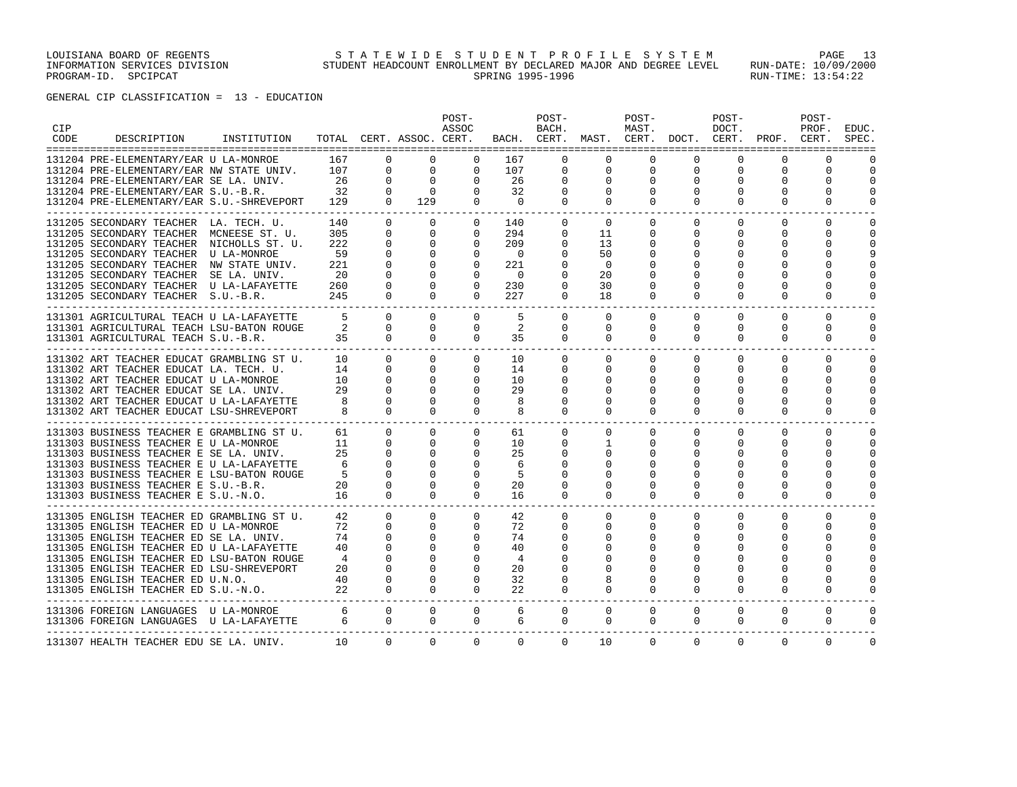| <b>CIP</b><br>CODE | DESCRIPTION                                                                                                                                                                                                                                                                                                                                  | INSTITUTION |                                                          |                                                                                              | TOTAL CERT. ASSOC. CERT.                                                                     | POST-<br>ASSOC                                                                            |                                                                    | POST-<br>BACH.                                                            | BACH. CERT. MAST. CERT. DOCT. CERT.                                   | POST-<br>MAST.                                              |                                                                              | POST-<br>DOCT.                             | PROF.                                                  | POST-<br>PROF.<br>CERT.                                                        | EDUC.<br>SPEC.                                                 |
|--------------------|----------------------------------------------------------------------------------------------------------------------------------------------------------------------------------------------------------------------------------------------------------------------------------------------------------------------------------------------|-------------|----------------------------------------------------------|----------------------------------------------------------------------------------------------|----------------------------------------------------------------------------------------------|-------------------------------------------------------------------------------------------|--------------------------------------------------------------------|---------------------------------------------------------------------------|-----------------------------------------------------------------------|-------------------------------------------------------------|------------------------------------------------------------------------------|--------------------------------------------|--------------------------------------------------------|--------------------------------------------------------------------------------|----------------------------------------------------------------|
|                    | 131204 PRE-ELEMENTARY/EAR U LA-MONROE<br>131204 PRE-ELEMENTARY/EAR NW STATE UNIV.<br>131204 PRE-ELEMENTARY/EAR SE LA. UNIV.<br>131204 PRE-ELEMENTARY/EAR S.U.-B.R.<br>131204 PRE-ELEMENTARY/EAR S.U.-SHREVEPORT                                                                                                                              |             | 167<br>107<br>26<br>32<br>129                            | $\Omega$<br>$\mathbf 0$<br>$\Omega$<br>$\Omega$<br>$\Omega$                                  | $\Omega$<br>$\mathbf 0$<br>$\Omega$<br>$\Omega$<br>129                                       | $\Omega$<br>$\mathbf 0$<br>$\Omega$<br>$\Omega$<br>$\mathbf{0}$                           | 167<br>107<br>26<br>32<br>$\Omega$                                 | $\Omega$<br>0<br>$\Omega$<br>$\Omega$<br>$\Omega$                         | $\Omega$<br>$\mathbf 0$<br>$\Omega$<br>0<br>$\mathbf 0$               | $\Omega$<br>0<br>$\Omega$<br>$\Omega$<br>$\Omega$           | $\Omega$<br>0<br>$\Omega$<br>0<br>$\Omega$                                   | $\Omega$<br>0<br>$\Omega$<br>0<br>$\Omega$ | $\Omega$<br>0<br>$\Omega$<br>$\Omega$<br>$\Omega$      | $\Omega$<br>0<br>$\Omega$<br>$\Omega$<br>$\Omega$                              | $\Omega$<br>$\Omega$<br>$\Omega$<br>$\Omega$                   |
|                    | 131205 SECONDARY TEACHER LA. TECH. U.<br>131205 SECONDARY TEACHER MCNEESE ST. U.<br>131205 SECONDARY TEACHER NICHOLLS ST. U.<br>131205 SECONDARY TEACHER U LA-MONROE<br>131205 SECONDARY TEACHER NW STATE UNIV.<br>131205 SECONDARY TEACHER SE LA. UNIV.<br>131205 SECONDARY TEACHER U LA-LAFAYETTE<br>131205 SECONDARY TEACHER S.U.-B.R.    |             | 140<br>305<br>222<br>59<br>221<br>20<br>260<br>245       | $\mathbf{0}$<br>$\Omega$<br>$\Omega$<br>0<br>$\Omega$<br>$\Omega$<br>$\Omega$<br>$\Omega$    | 0<br>$\Omega$<br>$\Omega$<br>0<br>$\Omega$<br>$\Omega$<br>$\Omega$<br>$\Omega$               | $\mathbf{0}$<br>$\Omega$<br>$\Omega$<br>0<br>$\Omega$<br>$\Omega$<br>$\Omega$<br>$\Omega$ | 140<br>294<br>209<br>$\mathbf{0}$<br>221<br>$\Omega$<br>230<br>227 | $\mathbf{0}$<br>0<br>$\Omega$<br>0<br>$\Omega$<br>$\Omega$<br>$\Omega$    | $\mathbf 0$<br>11<br>13<br>50<br>$\Omega$<br>$20^{\circ}$<br>30<br>18 | 0<br>0<br>$\Omega$<br>0<br>O<br>O<br>$\Omega$<br>$\Omega$   | 0<br>0<br>$\Omega$<br>0<br>$\Omega$<br>$\Omega$                              | 0<br>0<br>$\Omega$<br>0<br>0<br>$\Omega$   | 0<br>$\Omega$<br>$\Omega$<br>0<br>$\Omega$<br>$\Omega$ | 0<br>$\Omega$<br>$\Omega$<br>0<br>$\Omega$<br>$\Omega$<br>$\Omega$<br>$\Omega$ | $\Omega$<br>$\Omega$<br>$\Omega$<br>9<br>$\Omega$<br>$\cap$    |
|                    | 131301 AGRICULTURAL TEACH U LA-LAFAYETTE<br>131301 AGRICULTURAL TEACH LSU-BATON ROUGE<br>131301 AGRICULTURAL TEACH S.U.-B.R.                                                                                                                                                                                                                 |             | .5<br>$\overline{2}$<br>35                               | $\Omega$<br>$\Omega$<br>$\Omega$                                                             | $\Omega$<br>$\Omega$<br>$\Omega$                                                             | $\Omega$<br>0<br>0                                                                        | 5<br>2<br>35                                                       | $\Omega$<br>$\Omega$<br>$\mathbf 0$                                       | $\Omega$<br>0<br>$\mathbf 0$                                          | $\Omega$<br>$\mathbf 0$<br>$\mathbf 0$                      | $\Omega$<br>0<br>0                                                           | $\Omega$<br>$\Omega$<br>$\Omega$           | $\Omega$<br>$\Omega$<br>0                              | $\Omega$<br>0<br>0                                                             | $\Omega$<br>$\Omega$<br>$\Omega$                               |
|                    | 131302 ART TEACHER EDUCAT GRAMBLING ST U.<br>131302 ART TEACHER EDUCAT LA. TECH. U.<br>131302 ART TEACHER EDUCAT U LA-MONROE<br>131302 ART TEACHER EDUCAT SE LA. UNIV.<br>131302 ART TEACHER EDUCAT U LA-LAFAYETTE<br>131302 ART TEACHER EDUCAT LSU-SHREVEPORT                                                                               |             | 10<br>14<br>10<br>29<br>8                                | $\Omega$<br>$\Omega$<br>$\Omega$<br>$\Omega$<br>$\Omega$<br>$\Omega$                         | $\Omega$<br>$\Omega$<br>$\Omega$<br>$\Omega$<br>$\Omega$<br>$\Omega$                         | $\mathbf{0}$<br>0<br>$\Omega$<br>0<br>$\Omega$<br>$\mathbf 0$                             | 10<br>14<br>10<br>29<br>8<br>8                                     | $\mathbf{0}$<br>$\mathbf{0}$<br>$\Omega$<br>0<br>$\Omega$<br>0            | $\Omega$<br>0<br>$\Omega$<br>0<br>$\Omega$<br>$\Omega$                | $\mathbf{0}$<br>0<br>$\Omega$<br>0<br>$\Omega$<br>$\Omega$  | $\Omega$<br>$\Omega$<br><sup>0</sup><br>$\Omega$<br><sup>0</sup><br>$\Omega$ | 0<br>0<br>$\Omega$<br>O<br>0<br>0          | $\Omega$<br>$\Omega$<br>$\Omega$<br>0<br>$\Omega$<br>0 | $\mathbf 0$<br>0<br>$\Omega$<br>0<br>0<br>0                                    | $\Omega$<br>$\Omega$<br>$\Omega$<br>∩<br>∩<br>$\Omega$         |
|                    | ------------------------------<br>131303 BUSINESS TEACHER E GRAMBLING ST U.<br>131303 BUSINESS TEACHER E U LA-MONROE<br>131303 BUSINESS TEACHER E SE LA. UNIV.<br>131303 BUSINESS TEACHER E U LA-LAFAYETTE<br>131303 BUSINESS TEACHER E LSU-BATON ROUGE<br>131303 BUSINESS TEACHER E S.U.-B.R.<br>131303 BUSINESS TEACHER E S.U.-N.O.        |             | 61<br>11<br>25<br>6<br>5<br>20<br>16                     | $\Omega$<br>$\Omega$<br>$\Omega$<br>$\Omega$<br>$\Omega$<br>$\Omega$<br>$\Omega$             | $\Omega$<br>$\Omega$<br>$\Omega$<br>$\Omega$<br>$\Omega$<br>$\Omega$<br>$\Omega$             | $\Omega$<br>0<br>$\Omega$<br>$\Omega$<br>0<br>0<br>$\Omega$                               | 61<br>10<br>25<br>6<br>5<br>20<br>16                               | $\Omega$<br>$\Omega$<br>$\Omega$<br>$\Omega$<br>$\Omega$<br>0<br>$\Omega$ | $\Omega$<br>1<br>0<br>$\Omega$<br>O<br>$\Omega$<br>$\Omega$           | $\Omega$<br>0<br>$\Omega$<br>$\Omega$<br>O<br>0<br>$\Omega$ | $\Omega$<br>0<br>0<br>$\Omega$<br>$\Omega$<br>$\Omega$                       | $\Omega$<br>0<br>0<br>O<br>0<br>$\Omega$   | $\Omega$<br>0<br>0<br>0<br>$\Omega$<br>$\Omega$        | $\Omega$<br>0<br>0<br>$\Omega$<br>$\Omega$<br>$\Omega$<br>0                    | $\Omega$<br>$\Omega$<br>$\cap$<br>$\cap$<br>$\cap$<br>$\Omega$ |
|                    | 131305 ENGLISH TEACHER ED GRAMBLING ST U.<br>131305 ENGLISH TEACHER ED U LA-MONROE<br>131305 ENGLISH TEACHER ED SE LA. UNIV.<br>131305 ENGLISH TEACHER ED U LA-LAFAYETTE<br>131305 ENGLISH TEACHER ED LSU-BATON ROUGE<br>131305 ENGLISH TEACHER ED LSU-SHREVEPORT<br>131305 ENGLISH TEACHER ED U.N.O.<br>131305 ENGLISH TEACHER ED S.U.-N.O. |             | 42<br>72<br>74<br>40<br>$\overline{4}$<br>20<br>40<br>22 | $\Omega$<br>$\Omega$<br>$\Omega$<br>$\Omega$<br>$\Omega$<br>$\Omega$<br>$\Omega$<br>$\Omega$ | $\Omega$<br>$\Omega$<br>$\Omega$<br>$\Omega$<br>$\Omega$<br>$\Omega$<br>$\Omega$<br>$\Omega$ | $\Omega$<br>0<br>$\Omega$<br>$\Omega$<br>O<br>$\Omega$<br>$\Omega$<br>$\Omega$            | 42<br>72<br>74<br>40<br>$\overline{4}$<br>20<br>32<br>22           | $\Omega$<br>0<br>$\Omega$<br>$\Omega$<br>$\cap$<br>0<br>$\Omega$          | $\Omega$<br>0<br>O<br>O<br>8<br>$\Omega$                              | $\Omega$<br>0<br>0<br>0<br>O<br>O<br>$\Omega$               | $\Omega$<br>0<br>$\Omega$<br>$\Omega$<br>$\Omega$                            | $\Omega$<br>0<br>0<br>0<br>$\Omega$        | $\Omega$<br>0<br>0<br>O<br>U<br>0<br>$\Omega$          | $\Omega$<br>0<br>0<br>$\mathbf 0$<br>$\Omega$<br>$\Omega$<br>$\Omega$<br>0     | $\cap$<br>$\Omega$<br>∩<br>$\cap$<br>$\Omega$                  |
|                    | 131306 FOREIGN LANGUAGES U LA-MONROE<br>131306 FOREIGN LANGUAGES U LA-LAFAYETTE                                                                                                                                                                                                                                                              |             | 6<br>$6\overline{6}$                                     | $\Omega$<br>$\Omega$                                                                         | $\mathbf 0$<br>$\mathbf{0}$                                                                  | 0<br>$\mathbf{0}$                                                                         | 6<br>6                                                             | $\mathbf{0}$<br>$\mathbf{0}$                                              | $\mathbf 0$<br>$\mathbf 0$                                            | $\mathbf{0}$<br>0                                           | 0<br>0                                                                       | 0<br>0                                     | 0<br>0                                                 | $\mathbf 0$<br>$\mathbf 0$                                                     | $\mathbf 0$<br>$\Omega$                                        |
|                    | 131307 HEALTH TEACHER EDU SE LA. UNIV.                                                                                                                                                                                                                                                                                                       |             | 10                                                       | $\Omega$                                                                                     | $\Omega$                                                                                     | $\Omega$                                                                                  | $\Omega$                                                           | $\Omega$                                                                  | 10                                                                    | $\Omega$                                                    | $\Omega$                                                                     | $\Omega$                                   | $\Omega$                                               | $\Omega$                                                                       | $\Omega$                                                       |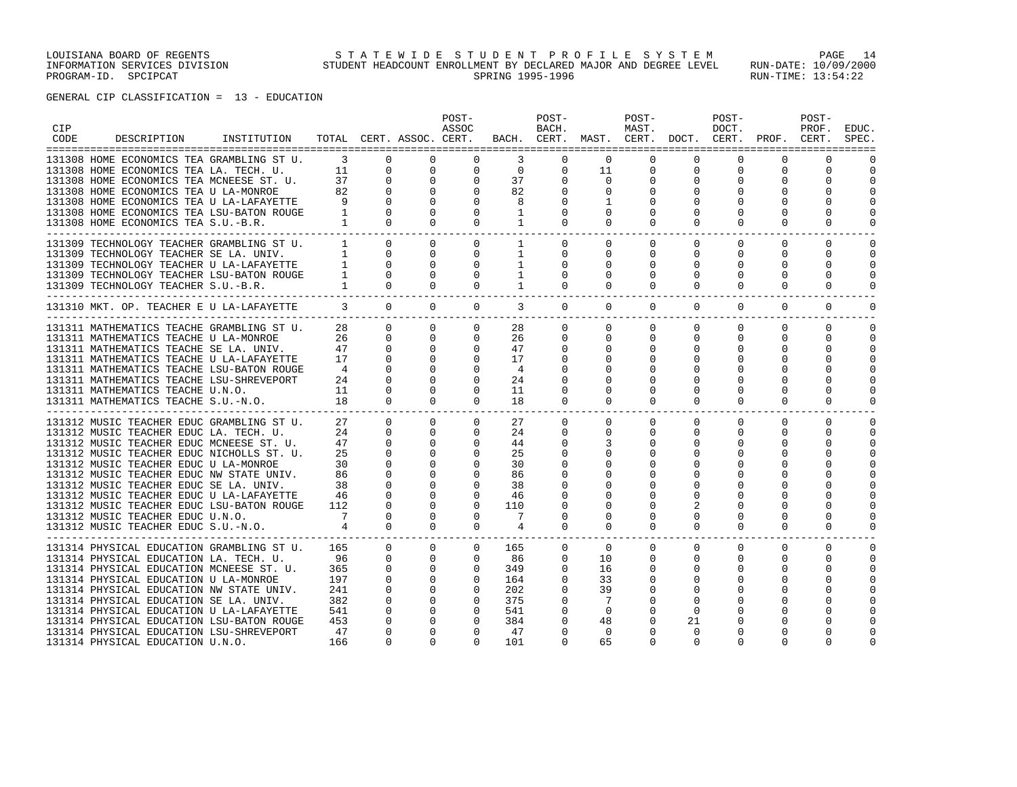| <b>CIP</b><br>CODE | DESCRIPTION                                                                                                                                                                                                                                                                                              | INSTITUTION |                                                |                                                                       |                                                                                          | POST-<br>ASSOC<br>TOTAL CERT. ASSOC. CERT.                                 |                                                              | POST-<br>BACH.                                                                |                                                          | POST-<br>MAST.                                              | BACH. CERT. MAST. CERT. DOCT. CERT. PROF. CERT.          | POST-<br>DOCT.                                    |                                                             | POST-<br>PROF.                                         | EDUC.<br>SPEC.                                              |
|--------------------|----------------------------------------------------------------------------------------------------------------------------------------------------------------------------------------------------------------------------------------------------------------------------------------------------------|-------------|------------------------------------------------|-----------------------------------------------------------------------|------------------------------------------------------------------------------------------|----------------------------------------------------------------------------|--------------------------------------------------------------|-------------------------------------------------------------------------------|----------------------------------------------------------|-------------------------------------------------------------|----------------------------------------------------------|---------------------------------------------------|-------------------------------------------------------------|--------------------------------------------------------|-------------------------------------------------------------|
|                    | 131308 HOME ECONOMICS TEA GRAMBLING ST U.<br>131308 HOME ECONOMICS TEA LA. TECH. U.<br>131308 HOME ECONOMICS TEA MCNEESE ST. U.<br>131308 HOME ECONOMICS TEA U LA-MONROE<br>131308 HOME ECONOMICS TEA U LA-LAFAYETTE<br>131308 HOME ECONOMICS TEA LSU-BATON ROUGE<br>131308 HOME ECONOMICS TEA S.U.-B.R. |             | $\overline{\mathbf{3}}$<br>11<br>37<br>82<br>9 | $\mathbf 0$<br>$\mathbf 0$<br>$\mathbf{0}$<br>$\Omega$<br>$\Omega$    | $\Omega$<br>$\mathbf{0}$<br>$\mathbf{0}$<br>$\Omega$<br>$\Omega$<br>$\Omega$<br>$\Omega$ | $\mathsf{O}$<br>$\mathbf 0$<br>$\circ$<br>$\Omega$<br>$\Omega$<br>$\Omega$ | $\overline{0}$<br>37<br>82<br>8<br>1<br>1                    | $\Omega$<br>$\mathbf{0}$<br>$\mathbf 0$<br>0<br>$\Omega$<br>0<br>$\mathbf{0}$ | $\Omega$<br>11<br>$\mathbf 0$<br>0<br>$\Omega$<br>0      | $\Omega$<br>0<br>0<br>0<br>$\Omega$<br>$\Omega$<br>$\Omega$ | 0<br>$\Omega$<br>$\Omega$                                | $\Omega$<br>0<br>$\Omega$<br>$\Omega$<br>$\Omega$ | $\mathbf 0$<br>$\Omega$<br>$\Omega$<br>$\Omega$<br>$\Omega$ | 0<br>0<br>$\Omega$<br>$\Omega$<br>$\Omega$<br>$\Omega$ | $\Omega$<br>$\cap$<br>$\Omega$<br>∩<br>$\Omega$<br>$\Omega$ |
|                    | 131309 TECHNOLOGY TEACHER GRAMBLING ST U.<br>131309 TECHNOLOGY TEACHER SE LA. UNIV.<br>131309 TECHNOLOGY TEACHER U LA-LAFAYETTE                                                                                                                                                                          |             | 1<br>1<br>$1 \quad \blacksquare$               | $\Omega$<br>$\Omega$<br>$\Omega$<br>$\Omega$                          | $\Omega$<br>$\Omega$<br>$\Omega$<br>$\Omega$<br>$\bigcap$                                | $\Omega$<br>$\Omega$<br>$\Omega$<br>$\Omega$<br>$\overline{0}$             | $\mathbf{1}$<br>$\mathbf{1}$<br>$\mathbf{1}$<br>$\mathbf{1}$ | $\Omega$<br>$\Omega$<br>$\Omega$<br>$\Omega$<br>$\Omega$                      | $\Omega$<br>$\Omega$<br>$\Omega$<br>$\Omega$<br>$\Omega$ | $\Omega$<br>$\Omega$<br>$\Omega$<br>$\Omega$<br>$\Omega$    | $\Omega$<br>$\Omega$<br>$\Omega$<br>$\Omega$<br>$\Omega$ | $\Omega$<br>0<br>0<br>0<br>$\Omega$               | $\Omega$<br>$\Omega$<br>$\Omega$<br>$\Omega$<br>$\Omega$    | $\Omega$<br>$\Omega$<br>$\Omega$<br>0<br>$\Omega$      | $\Omega$<br>$\Omega$<br>$\Omega$<br>$\Omega$<br>$\Omega$    |
|                    | 131310 MKT. OP. TEACHER E U LA-LAFAYETTE<br>131311 MATHEMATICS TEACHE GRAMBLING ST U.                                                                                                                                                                                                                    |             | $3\qquad 0$<br>U. $28$<br>$26$                 | $\Omega$                                                              | $\Omega$<br>$\Omega$                                                                     | $\circ$                                                                    | $0 \qquad 3 \qquad 0$<br>28                                  | $\circ$                                                                       | $\circ$<br>$\mathbf{0}$                                  | $\mathbf{0}$<br>$\mathbf{0}$                                | $\mathbf{0}$<br>$\mathbf{0}$                             | $\overline{0}$<br>$\mathbf{0}$                    | $\mathbf{0}$<br>$\Omega$                                    | $\mathbf{0}$<br>$\mathbf{0}$                           | $\Omega$<br>$\Omega$                                        |
|                    | 131311 MATHEMATICS TEACHE U LA-MONROE<br>131311 MATHEMATICS TEACHE SE LA. UNIV.<br>131311 MATHEMATICS TEACHE U LA-LAFAYETTE<br>131311 MATHEMATICS TEACHE LSU-BATON ROUGE                                                                                                                                 |             | 47<br>17<br>$\overline{4}$                     | $\Omega$<br>$\Omega$<br>$\Omega$<br>$\Omega$                          | $\Omega$<br>$\Omega$<br>$\Omega$<br>$\Omega$                                             | $\Omega$<br>$\mathbf{0}$<br>$\mathbf 0$<br>$\Omega$                        | 26<br>47<br>17<br>4                                          | $\mathbf{0}$<br>$\mathbf{0}$<br>0<br>$\Omega$                                 | $\mathbf{0}$<br>0<br>$\Omega$<br>$\Omega$                | $\mathbf{0}$<br>$\mathbf{0}$<br>0<br>$\Omega$               | $\Omega$<br>$\Omega$<br>$\Omega$                         | $\Omega$<br>$\Omega$<br>0                         | $\Omega$<br>$\Omega$<br>$\Omega$                            | $\mathbf 0$<br>$\mathbf 0$<br>0<br>$\Omega$            | $\Omega$<br>$\Omega$<br>$\Omega$                            |
|                    | 131311 MATHEMATICS TEACHE LSU-SHREVEPORT<br>131311 MATHEMATICS TEACHE U.N.O.<br>131311 MATHEMATICS TEACHE S.U.-N.O.                                                                                                                                                                                      |             | 24<br>11<br>18                                 | $\Omega$<br>$\Omega$<br>$\Omega$                                      | $\Omega$<br>$\Omega$<br>$\Omega$                                                         | $\Omega$<br>$\Omega$<br>$\Omega$                                           | 24<br>11<br>18                                               | $\Omega$<br>$\Omega$<br>$\Omega$                                              | $\Omega$<br>$\Omega$<br>$\Omega$                         | $\Omega$<br>$\Omega$<br>$\Omega$                            | $\Omega$                                                 | 0<br>$\Omega$                                     | $\Omega$<br>$\Omega$                                        | $\Omega$<br>$\Omega$<br>$\Omega$                       | $\Omega$<br>$\Omega$                                        |
|                    | 131312 MUSIC TEACHER EDUC GRAMBLING ST U.<br>131312 MUSIC TEACHER EDUC LA. TECH. U.<br>131312 MUSIC TEACHER EDUC MCNEESE ST. U.<br>131312 MUSIC TEACHER EDUC NICHOLLS ST. U.<br>131312 MUSIC TEACHER EDUC U LA-MONROE                                                                                    |             | 27<br>24<br>47<br>25<br>30                     | $\Omega$<br>$\Omega$<br>$\mathbf{0}$<br>$\Omega$<br>$\Omega$          | $\Omega$<br>$\Omega$<br>$\mathbf{0}$<br>$\Omega$<br>0                                    | $\circ$<br>$\Omega$<br>0<br>$\Omega$<br>0                                  | 27<br>24<br>44<br>25<br>30                                   | $\Omega$<br>$\Omega$<br>0<br>$\Omega$<br>0                                    | $\mathbf{0}$<br>$\Omega$<br>3<br>$\Omega$<br>0           | $\Omega$<br>$\Omega$<br>0<br>$\Omega$<br>0                  | $\Omega$<br>$\Omega$<br>0<br>$\Omega$                    | $\Omega$<br>$\Omega$<br>0                         | $\Omega$<br>$\Omega$<br>0<br>$\Omega$                       | $\mathbf 0$<br>$\Omega$<br>0<br>$\Omega$<br>∩          | $\Omega$<br>$\Omega$<br>$\cap$<br>$\cap$                    |
|                    | 131312 MUSIC TEACHER EDUC NW STATE UNIV.<br>131312 MUSIC TEACHER EDUC SE LA. UNIV.<br>131312 MUSIC TEACHER EDUC U LA-LAFAYETTE<br>131312 MUSIC TEACHER EDUC LSU-BATON ROUGE                                                                                                                              |             | 86<br>38<br>46<br>112                          | $\Omega$<br>$\Omega$<br>$\Omega$<br>$\Omega$                          | $\Omega$<br>$\Omega$<br>0<br>$\Omega$                                                    | $\Omega$<br>$\Omega$<br>$\Omega$<br>$\Omega$                               | 86<br>38<br>46<br>110                                        | 0<br>$\Omega$<br>0<br>$\Omega$                                                | $\Omega$<br>$\Omega$<br>$\Omega$                         | $\Omega$<br>$\Omega$<br>0<br>O                              |                                                          |                                                   |                                                             | ∩<br>$\Omega$<br>∩<br>∩                                |                                                             |
|                    | 131312 MUSIC TEACHER EDUC U.N.O.<br>131312 MUSIC TEACHER EDUC S.U.-N.O.<br>_________________________                                                                                                                                                                                                     |             | $\overline{4}$                                 | $\Omega$<br>$\Omega$                                                  | $\Omega$<br>$\Omega$                                                                     | $\Omega$<br>$\Omega$                                                       | 7<br>$\overline{4}$                                          | $\Omega$<br>$\Omega$                                                          | $\Omega$<br>$\Omega$                                     | $\Omega$<br>$\Omega$                                        | $\Omega$<br>$\Omega$                                     | $\Omega$<br>$\Omega$                              | $\Omega$<br>$\Omega$                                        | $\Omega$<br>$\Omega$                                   | $\Omega$                                                    |
|                    | 131314 PHYSICAL EDUCATION GRAMBLING ST U. 165<br>131314 PHYSICAL EDUCATION LA. TECH. U. 96<br>131314 PHYSICAL EDUCATION MCNEESE ST. U.<br>131314 PHYSICAL EDUCATION U LA-MONROE<br>131314 PHYSICAL EDUCATION NW STATE UNIV.                                                                              |             | 365<br>197<br>241                              | $\mathbf{0}$<br>$\mathbf 0$<br>$\mathbf 0$<br>$\mathbf 0$<br>$\Omega$ | $\mathbf{0}$<br>$\mathbf 0$<br>$\Omega$<br>$\mathbf{0}$<br>$\Omega$                      | $\mathbf{0}$<br>$\mathbf{0}$<br>$\Omega$<br>$\mathbf{0}$<br>$\Omega$       | 165<br>86<br>349<br>164<br>202                               | $\mathbf{0}$<br>$\mathbf{0}$<br>$\Omega$<br>0<br>$\Omega$                     | $\overline{0}$<br>10<br>16<br>33<br>39                   | $\mathbf{0}$<br>$\mathbf{0}$<br>$\Omega$<br>0<br>$\Omega$   | $\mathbf{0}$<br>0<br>$\Omega$<br>0                       | 0<br>0<br>$\Omega$                                | 0<br>0<br>$\Omega$<br>0                                     | 0<br>0<br>$\Omega$<br>0<br>$\Omega$                    | $\Omega$<br>$\Omega$<br>$\Omega$                            |
|                    | 131314 PHYSICAL EDUCATION SE LA. UNIV.<br>131314 PHYSICAL EDUCATION U LA-LAFAYETTE<br>131314 PHYSICAL EDUCATION LSU-BATON ROUGE<br>131314 PHYSICAL EDUCATION LSU-SHREVEPORT<br>131314 PHYSICAL EDUCATION U.N.O.                                                                                          |             | 382<br>541<br>453<br>- 47<br>166               | $\mathbf 0$<br>$\Omega$<br>$\Omega$<br>$\Omega$<br>$\Omega$           | 0<br>0<br>$\Omega$<br>$\Omega$<br>$\Omega$                                               | $\mathbf{0}$<br>$\Omega$<br>$\Omega$<br>$\Omega$<br>$\Omega$               | 375<br>541<br>384<br>-47<br>101                              | $\mathbf{0}$<br>0<br>0<br>$\Omega$                                            | 7<br>$\Omega$<br>48<br>$\mathbf 0$<br>65                 | 0<br>$\Omega$<br>$\Omega$<br>$\Omega$<br>$\Omega$           | $\Omega$<br>21<br>$\Omega$<br>$\Omega$                   | 0                                                 | $\Omega$                                                    | ∩<br>∩<br>$\Omega$<br>∩<br>$\Omega$                    |                                                             |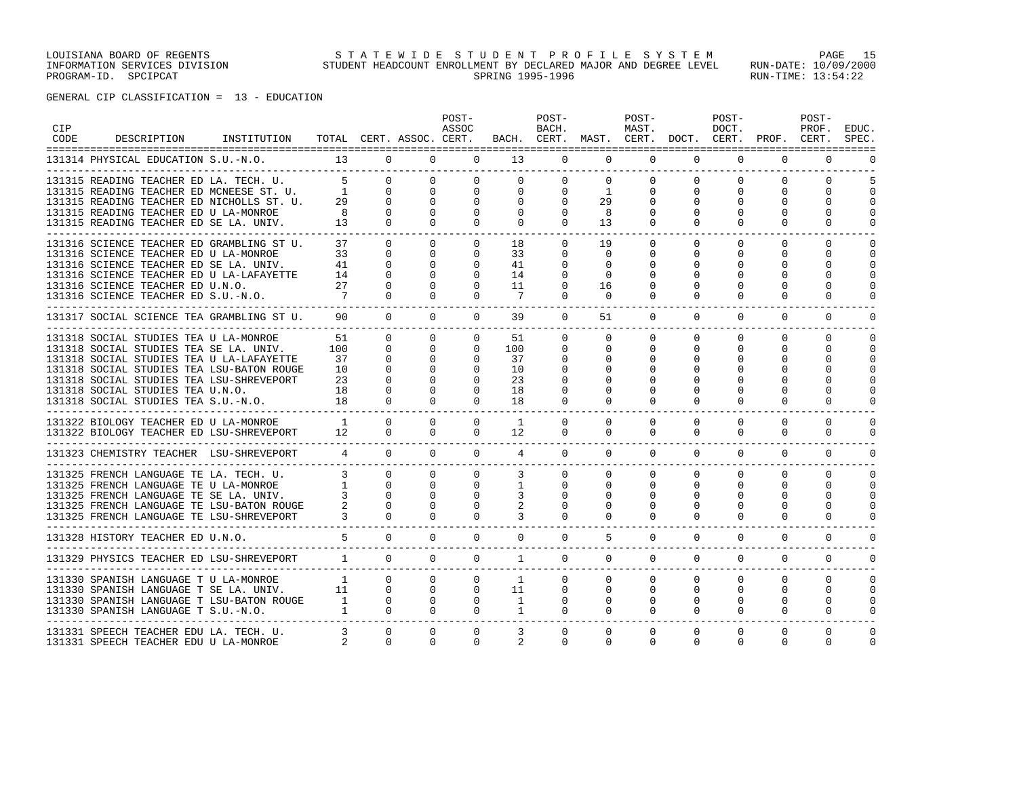| <b>CIP</b><br>CODE | DESCRIPTION                                                                                                                                                                                                                                                                                     | INSTITUTION |                                                      |                                                                    | TOTAL CERT. ASSOC. CERT.                                                  | POST-<br>ASSOC                                                            |                                                          | POST-<br>BACH.                                           | BACH. CERT. MAST. CERT. DOCT. CERT. PROF. CERT.             | POST-<br>MAST.                                           |                                                   | POST-<br>DOCT.                                                     |                                                                                  | POST-<br>PROF.                                                          | EDUC.<br>SPEC.                                       |
|--------------------|-------------------------------------------------------------------------------------------------------------------------------------------------------------------------------------------------------------------------------------------------------------------------------------------------|-------------|------------------------------------------------------|--------------------------------------------------------------------|---------------------------------------------------------------------------|---------------------------------------------------------------------------|----------------------------------------------------------|----------------------------------------------------------|-------------------------------------------------------------|----------------------------------------------------------|---------------------------------------------------|--------------------------------------------------------------------|----------------------------------------------------------------------------------|-------------------------------------------------------------------------|------------------------------------------------------|
|                    | 131314 PHYSICAL EDUCATION S.U.-N.O. 13                                                                                                                                                                                                                                                          |             |                                                      |                                                                    | $0 \qquad \qquad$<br>$\Omega$                                             | $\Omega$                                                                  | 13                                                       | $\Omega$                                                 | $\Omega$                                                    | $\Omega$                                                 | $\Omega$                                          | $\Omega$                                                           | $\Omega$                                                                         | $\Omega$                                                                | $\Omega$                                             |
|                    | 131315 READING TEACHER ED LA. TECH. U.<br>131315 READING TEACHER ED MCNEESE ST. U.<br>131315 READING TEACHER ED NICHOLLS ST. U.<br>131315 READING TEACHER ED U LA-MONROE<br>131315 READING TEACHER ED SE LA. UNIV.<br>__________________________________                                        |             | $5^{\circ}$<br>$\overline{1}$<br>29<br>8<br>13       | $\Omega$<br>$\Omega$<br>$\Omega$                                   | $\Omega$<br>$\Omega$<br>$\Omega$<br>$\Omega$<br>$\Omega$                  | $\Omega$<br>$\Omega$<br>$\Omega$<br>$\mathbf 0$<br>$\Omega$               | $\Omega$<br>$\Omega$<br>$\Omega$<br>$\Omega$<br>$\Omega$ | $\Omega$<br>$\Omega$<br>$\Omega$<br>$\Omega$<br>$\Omega$ | $\Omega$<br>$\mathbf{1}$<br>29<br>8<br>13                   | $\Omega$<br>$\Omega$<br>$\Omega$<br>$\Omega$             | $\Omega$<br>$\Omega$<br>0<br>$\Omega$<br>$\Omega$ | $\Omega$<br>$\Omega$<br>$\Omega$<br>$\Omega$<br>$\Omega$           | $\Omega$<br>$\Omega$<br>$\Omega$<br>$\Omega$<br>$\Omega$                         | $\Omega$<br>$\Omega$<br>$\Omega$<br>$\Omega$<br>$\Omega$                | 5<br>$\Omega$<br>$\Omega$<br>$\Omega$<br>$\Omega$    |
|                    | 131316 SCIENCE TEACHER ED GRAMBLING ST U.<br>131316 SCIENCE TEACHER ED U LA-MONROE<br>131316 SCIENCE TEACHER ED SE LA. UNIV.<br>131316 SCIENCE TEACHER ED U LA-LAFAYETTE<br>131316 SCIENCE TEACHER ED U.N.O.<br>131316 SCIENCE TEACHER ED S.U.-N.O.                                             |             | 37<br>33<br>41<br>14<br>27<br>$\overline{7}$         | $\cap$<br>$\Omega$<br>$\Omega$<br>$\Omega$<br>$\Omega$<br>$\Omega$ | $\Omega$<br>$\Omega$<br>$\Omega$<br>$\Omega$<br>$\Omega$<br>$\Omega$      | $\Omega$<br>0<br>$\Omega$<br>$\Omega$<br>$\Omega$<br>$\Omega$             | 18<br>33<br>41<br>14<br>11<br>$\overline{7}$             | $\Omega$<br>$\Omega$<br>O<br>$\Omega$<br>0<br>$\Omega$   | 19<br>0<br>$\Omega$<br>$\Omega$<br>16<br>$\Omega$           | $\Omega$<br>0<br><sup>0</sup><br>0<br>$\Omega$           | $\Omega$<br>0<br>O<br>U<br>0<br>$\Omega$          | $\Omega$<br>0<br>$\Omega$<br>$\Omega$<br>$\Omega$<br>$\Omega$      | $\Omega$<br>$\Omega$<br>$\Omega$<br>$\Omega$<br>$\Omega$<br>$\Omega$             | $\Omega$<br>$\Omega$<br>$\Omega$<br>$\Omega$<br>$\Omega$<br>$\Omega$    | $\Omega$<br>$\cap$<br>$\cap$<br>$\Omega$<br>$\cap$   |
|                    | 131317 SOCIAL SCIENCE TEA GRAMBLING ST U. 90                                                                                                                                                                                                                                                    |             |                                                      | $\overline{0}$                                                     | $\overline{0}$                                                            | $\Omega$                                                                  | 39                                                       | $\mathbf 0$                                              | 51                                                          | $\mathbf{0}$                                             | $\mathbf{0}$                                      | $\mathbf 0$                                                        | $\mathbf 0$                                                                      | $\mathbf 0$                                                             | 0                                                    |
|                    | 131318 SOCIAL STUDIES TEA U LA-MONROE<br>131318 SOCIAL STUDIES TEA SE LA. UNIV.<br>131318 SOCIAL STUDIES TEA U LA-LAFAYETTE<br>131318 SOCIAL STUDIES TEA LSU-BATON ROUGE<br>131318 SOCIAL STUDIES TEA LSU-SHREVEPORT<br>131318 SOCIAL STUDIES TEA U.N.O.<br>131318 SOCIAL STUDIES TEA S.U.-N.O. |             | 51<br>100<br>37<br>10<br>23<br>18<br>18              | $\Omega$<br>$\Omega$<br>$\Omega$<br>$\Omega$<br>$\Omega$           | $\Omega$<br>$\Omega$<br>$\Omega$<br>0<br>$\Omega$<br>$\Omega$<br>$\Omega$ | $\Omega$<br>$\Omega$<br>$\Omega$<br>0<br>$\Omega$<br>$\Omega$<br>$\Omega$ | 51<br>100<br>37<br>10<br>23<br>18<br>18                  | $\Omega$<br>0<br>$\Omega$<br>0<br>O<br>0<br>$\Omega$     | $\Omega$<br>$\Omega$<br>$\Omega$<br>0<br>U<br>U<br>$\Omega$ | $\Omega$<br>$\Omega$<br>$\Omega$<br>$\Omega$             | $\Omega$<br>$\Omega$<br>0<br>O<br>0               | $\Omega$<br>$\Omega$<br>$\Omega$<br>$\Omega$<br>U<br>U<br>$\Omega$ | $\Omega$<br>$\Omega$<br>$\Omega$<br>$\Omega$<br>$\Omega$<br>$\Omega$<br>$\Omega$ | $\Omega$<br>$\Omega$<br>$\Omega$<br>O<br>$\Omega$<br>$\Omega$<br>$\cap$ | $\Omega$<br>$\Omega$<br>$\Omega$<br>∩<br>∩<br>U<br>O |
|                    | 131322 BIOLOGY TEACHER ED U LA-MONROE<br>131322 BIOLOGY TEACHER ED LSU-SHREVEPORT 12                                                                                                                                                                                                            |             | $\overline{1}$                                       | $\Omega$<br>$\Omega$                                               | $\Omega$<br>$\Omega$                                                      | $\Omega$<br>$\Omega$                                                      | 1<br>$12 \overline{ }$                                   | $\Omega$<br>$\mathbf 0$                                  | $\Omega$<br>$\mathbf 0$                                     | $\Omega$<br>$\mathbf 0$                                  | $\Omega$<br>$\Omega$                              | $\Omega$<br>$\Omega$                                               | $\Omega$<br>$\Omega$                                                             | $\Omega$<br>$\Omega$                                                    | $\Omega$<br>$\Omega$                                 |
|                    | 131323 CHEMISTRY TEACHER LSU-SHREVEPORT                                                                                                                                                                                                                                                         |             | $\overline{4}$                                       | $\Omega$                                                           | $\Omega$                                                                  | $\Omega$                                                                  | $\overline{4}$                                           | $\Omega$                                                 | $\Omega$                                                    | $\Omega$                                                 | $\Omega$                                          | $\Omega$                                                           | $\Omega$                                                                         | $\Omega$                                                                | $\Omega$                                             |
|                    | 131325 FRENCH LANGUAGE TE LA. TECH. U.<br>131325 FRENCH LANGUAGE TE U LA-MONROE<br>131325 FRENCH LANGUAGE TE SE LA. UNIV.<br>131325 FRENCH LANGUAGE TE LSU-BATON ROUGE<br>131325 FRENCH LANGUAGE TE LSU-SHREVEPORT                                                                              |             | 3                                                    | $\Omega$<br>$\Omega$<br>$\Omega$<br>$\Omega$                       | $\Omega$<br>$\Omega$<br>$\Omega$<br>$\Omega$<br>$\Omega$                  | $\Omega$<br>$\Omega$<br>$\Omega$<br>$\Omega$<br>$\Omega$                  | 3<br>1<br>3<br>2<br>3                                    | $\Omega$<br>$\Omega$<br>$\Omega$<br>0<br>$\Omega$        | $\Omega$<br>$\Omega$<br>$\Omega$<br>$\Omega$<br>0           | $\Omega$<br>$\Omega$<br>$\Omega$<br>$\Omega$<br>$\Omega$ | $\Omega$<br>$\Omega$<br>0<br>$\Omega$<br>$\Omega$ | $\Omega$<br>$\Omega$<br>$\Omega$<br>0<br>$\Omega$                  | $\Omega$<br>$\Omega$<br>$\Omega$<br>$\Omega$<br>$\Omega$                         | $\Omega$<br>$\Omega$<br>$\Omega$<br>$\Omega$<br>$\Omega$                | $\Omega$<br>$\Omega$<br>$\Omega$<br>$\Omega$<br>0    |
|                    | 131328 HISTORY TEACHER ED U.N.O.<br>----------------------------------                                                                                                                                                                                                                          |             |                                                      | $\Omega$                                                           | $\Omega$                                                                  | $\Omega$                                                                  | $\Omega$                                                 | $\Omega$                                                 | 5                                                           | $\Omega$                                                 | $\Omega$                                          | $\Omega$                                                           | $\Omega$                                                                         | $\Omega$                                                                | $\cap$                                               |
|                    | 131329 PHYSICS TEACHER ED LSU-SHREVEPORT                                                                                                                                                                                                                                                        |             | $\mathbf{1}$                                         | $\Omega$                                                           | $\Omega$                                                                  | $\Omega$                                                                  | $\mathbf{1}$                                             | $\Omega$                                                 | $\Omega$                                                    | $\Omega$                                                 | $\Omega$                                          | $\Omega$                                                           | $\Omega$                                                                         | $\Omega$                                                                | $\Omega$                                             |
|                    | 131330 SPANISH LANGUAGE T U LA-MONROE<br>131330 SPANISH LANGUAGE T SE LA. UNIV.<br>131330 SPANISH LANGUAGE T LSU-BATON ROUGE<br>131330 SPANISH LANGUAGE T S.U.-N.O.                                                                                                                             |             | $\mathbf{1}$<br>11<br>$\overline{1}$<br>$\mathbf{1}$ | $\Omega$<br>$\overline{0}$<br>$\overline{0}$<br>$\Omega$           | $\Omega$<br>$\Omega$<br>$\mathbf{0}$<br>$\Omega$                          | $\Omega$<br>$\Omega$<br>$\mathbf{0}$<br>$\Omega$                          | 1<br>11<br>$\mathbf{1}$<br>$\mathbf{1}$                  | $\Omega$<br>$\Omega$<br>$\mathbf{0}$<br>$\Omega$         | $\Omega$<br>$\Omega$<br>0<br>$\Omega$                       | $\Omega$<br>$\Omega$<br>$\mathbf 0$<br>$\Omega$          | $\Omega$<br>$\Omega$<br>0<br>$\Omega$             | $\Omega$<br>$\Omega$<br>0<br>$\Omega$                              | $\Omega$<br>$\Omega$<br>0<br>$\Omega$                                            | $\Omega$<br>$\Omega$<br>0<br>$\Omega$                                   | $\Omega$<br>$\Omega$<br>0<br>$\Omega$                |
|                    | 131331 SPEECH TEACHER EDU LA. TECH. U.<br>131331 SPEECH TEACHER EDU U LA-MONROE                                                                                                                                                                                                                 |             | 2                                                    | $\Omega$<br>$\Omega$                                               | $\Omega$<br>$\Omega$                                                      | $\Omega$<br>$\Omega$                                                      | 2                                                        | $\mathbf 0$<br>$\Omega$                                  | $\Omega$<br>$\Omega$                                        | $\Omega$<br>$\Omega$                                     | $\Omega$<br>$\Omega$                              | 0<br>$\Omega$                                                      | $\Omega$<br>$\Omega$                                                             | $\Omega$<br>$\Omega$                                                    | 0<br>$\Omega$                                        |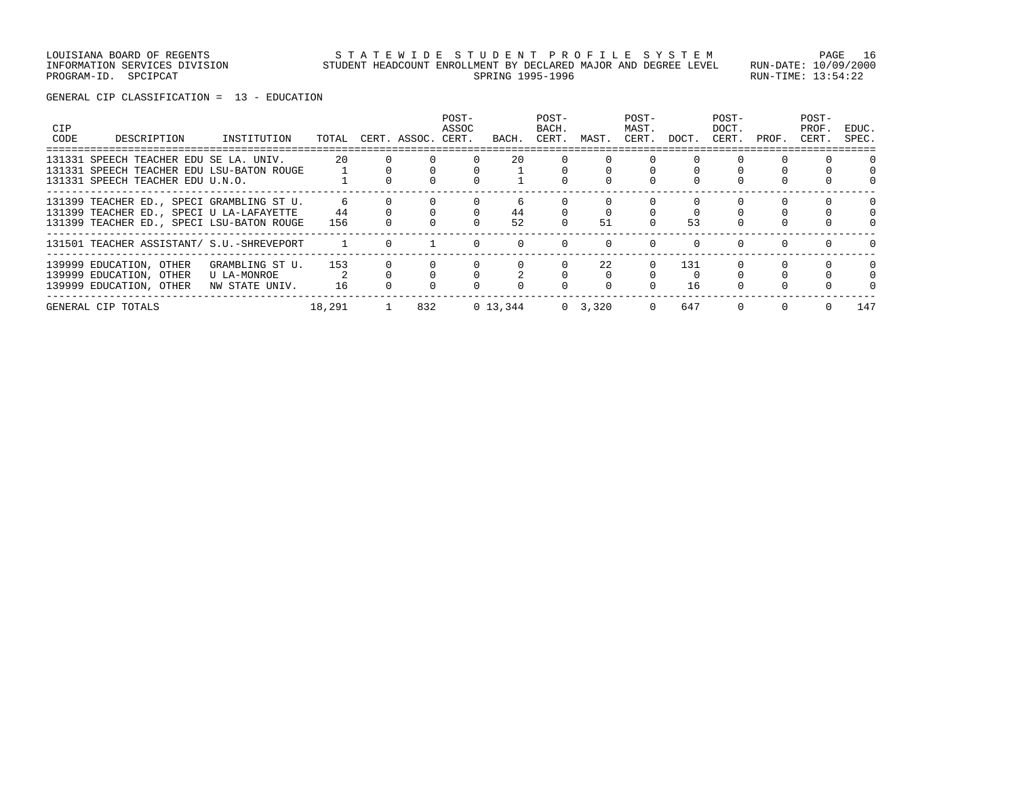| CIP<br>CODE | DESCRIPTION                                                                                                                        | INSTITUTION                                      | TOTAL          | CERT. ASSOC. CERT. | POST-<br>ASSOC | BACH.    | POST-<br>BACH.<br>CERT. | MAST.           | POST-<br>MAST.<br>CERT. | DOCT.     | POST-<br>DOCT.<br>CERT. | PROF.    | POST-<br>PROF.<br>CERT. | EDUC.<br>SPEC. |
|-------------|------------------------------------------------------------------------------------------------------------------------------------|--------------------------------------------------|----------------|--------------------|----------------|----------|-------------------------|-----------------|-------------------------|-----------|-------------------------|----------|-------------------------|----------------|
|             | 131331 SPEECH TEACHER EDU SE LA. UNIV.<br>131331 SPEECH TEACHER EDU LSU-BATON ROUGE<br>131331 SPEECH TEACHER EDU U.N.O.            |                                                  | 20             |                    |                | 20       |                         |                 |                         |           |                         |          |                         | $\Omega$       |
|             | 131399 TEACHER ED., SPECI GRAMBLING ST U.<br>131399 TEACHER ED., SPECI U LA-LAFAYETTE<br>131399 TEACHER ED., SPECI LSU-BATON ROUGE |                                                  | 6<br>44<br>156 |                    |                | 44<br>52 |                         | 51              |                         | 53        |                         |          |                         | $\circ$        |
|             | 131501 TEACHER ASSISTANT/ S.U.-SHREVEPORT                                                                                          |                                                  |                |                    |                | $\Omega$ |                         | $\Omega$        |                         | $\Omega$  |                         |          |                         |                |
|             | 139999 EDUCATION, OTHER<br>139999 EDUCATION, OTHER<br>139999 EDUCATION, OTHER                                                      | GRAMBLING ST U.<br>U LA-MONROE<br>NW STATE UNIV. | 153<br>16      |                    |                |          |                         | 22              |                         | 131<br>16 | $\Omega$                | $\Omega$ |                         | $\Omega$       |
|             | GENERAL CIP TOTALS                                                                                                                 |                                                  | 18,291         | 832                |                | 0 13,344 |                         | $0 \quad 3.320$ | 0                       | 647       | $\Omega$                | $\Omega$ |                         | 147            |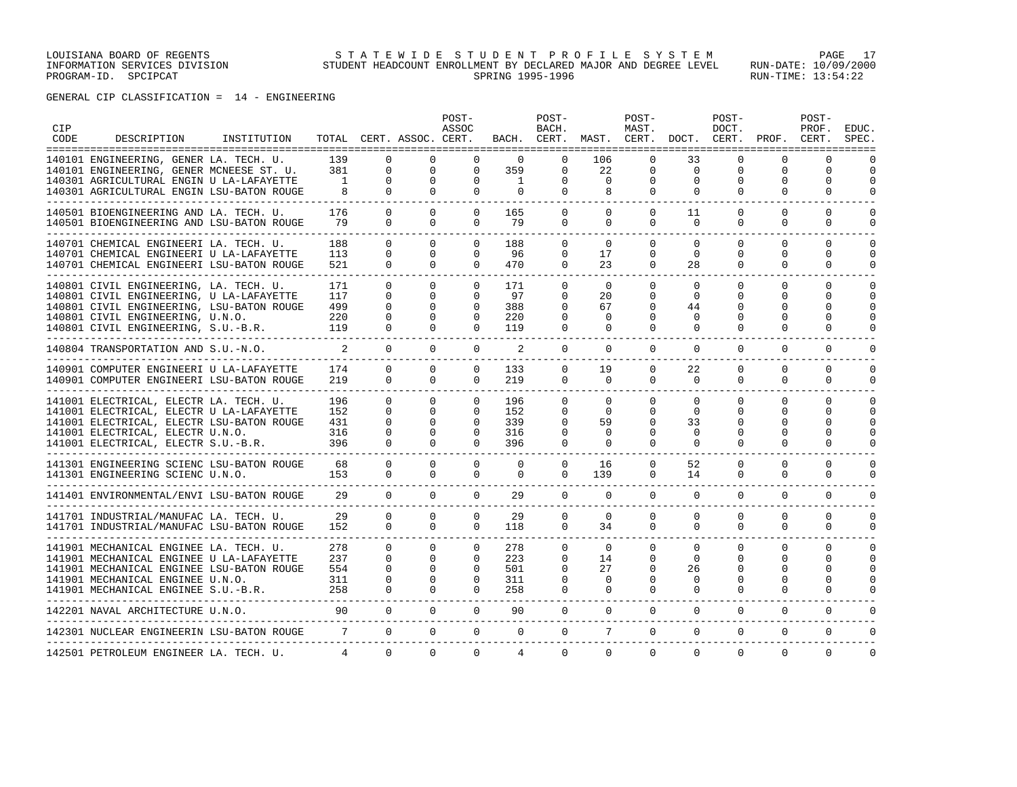GENERAL CIP CLASSIFICATION = 14 - ENGINEERING

| <b>CIP</b><br>CODE | DESCRIPTION                                                                           | INSTITUTION |                     |                          | TOTAL CERT. ASSOC. CERT. | POST-<br>ASSOC       |                | POST-<br>BACH.       |                                     | POST-<br>MAST.       | BACH. CERT. MAST. CERT. DOCT. CERT. | POST-<br>DOCT.       | PROF.                | POST-<br>PROF.<br>CERT. | EDUC.<br>SPEC.       |
|--------------------|---------------------------------------------------------------------------------------|-------------|---------------------|--------------------------|--------------------------|----------------------|----------------|----------------------|-------------------------------------|----------------------|-------------------------------------|----------------------|----------------------|-------------------------|----------------------|
|                    | 140101 ENGINEERING, GENER LA. TECH. U.                                                |             | 139                 | $\Omega$                 | $\Omega$                 | $\Omega$             | $\Omega$       | $\Omega$             | 106                                 | $\Omega$             | 33                                  | $\Omega$             | $\Omega$             | $\Omega$                |                      |
|                    | 140101 ENGINEERING, GENER MCNEESE ST. U.                                              |             | 381                 | $\mathbf 0$              | $\mathbf 0$              | $\Omega$             | 359            | $\Omega$             | 22                                  | $\mathbf 0$          | $\mathbf 0$                         | $\Omega$             | $\Omega$             | 0                       | $\Omega$             |
|                    | 140301 AGRICULTURAL ENGIN U LA-LAFAYETTE<br>140301 AGRICULTURAL ENGIN LSU-BATON ROUGE |             | $\overline{1}$<br>8 | $\Omega$<br>$\Omega$     | $\Omega$<br>$\Omega$     | $\Omega$<br>$\Omega$ | 1<br>$\Omega$  | $\Omega$<br>$\Omega$ | $\Omega$<br>8                       | 0<br>$\Omega$        | $\Omega$<br>$\Omega$                | $\Omega$<br>$\Omega$ | $\Omega$<br>$\Omega$ | $\Omega$<br>$\Omega$    | $\Omega$<br>$\Omega$ |
|                    |                                                                                       |             |                     |                          |                          |                      |                |                      |                                     |                      |                                     |                      |                      |                         |                      |
|                    | 140501 BIOENGINEERING AND LA. TECH. U.                                                |             | 176                 | $\Omega$                 | $\Omega$                 | $\Omega$             | 165            | $\Omega$             | $\Omega$                            | $\Omega$             | 11                                  | $\Omega$             | $\Omega$             | $\Omega$                |                      |
|                    | 140501 BIOENGINEERING AND LSU-BATON ROUGE                                             |             | 79                  | $\Omega$                 | $\Omega$                 | $\Omega$             | 79             | $\Omega$             | $\Omega$                            | $\Omega$             | $\Omega$                            | $\Omega$             | $\Omega$             | $\Omega$                | $\Omega$             |
|                    | 140701 CHEMICAL ENGINEERI LA. TECH. U.                                                |             | 188                 | $\Omega$                 | $\Omega$                 | $\Omega$             | 188            | $\Omega$             | $\Omega$                            | $\Omega$             | $\Omega$                            | $\Omega$             | $\Omega$             | $\Omega$                | $\Omega$             |
|                    | 140701 CHEMICAL ENGINEERI U LA-LAFAYETTE                                              |             | 113                 | $\Omega$                 | $\Omega$                 | $\Omega$             | 96             | $\Omega$             | 17                                  | $\Omega$             | $\Omega$                            | $\Omega$             | $\Omega$             | $\Omega$                | $\Omega$             |
|                    | 140701 CHEMICAL ENGINEERI LSU-BATON ROUGE                                             |             | 521                 | $\Omega$                 | $\Omega$                 | $\Omega$             | 470            | $\Omega$             | 23                                  | $\Omega$             | 28                                  | $\Omega$             | $\Omega$             | $\Omega$                | $\Omega$             |
|                    |                                                                                       |             |                     |                          |                          |                      |                |                      |                                     |                      |                                     |                      |                      |                         |                      |
|                    | 140801 CIVIL ENGINEERING, LA. TECH. U.                                                |             | 171                 | $\Omega$<br>$\Omega$     | $\Omega$<br>$\Omega$     | $\Omega$<br>$\Omega$ | 171<br>97      | $\Omega$<br>$\Omega$ | $\mathbf 0$<br>$20^{\circ}$         | $\Omega$<br>$\Omega$ | $\Omega$<br>$\Omega$                | $\Omega$             | $\Omega$<br>$\Omega$ | $\Omega$<br>$\Omega$    | $\Omega$<br>$\Omega$ |
|                    | 140801 CIVIL ENGINEERING, U LA-LAFAYETTE<br>140801 CIVIL ENGINEERING, LSU-BATON ROUGE |             | 117<br>499          | $\Omega$                 | $\Omega$                 | $\Omega$             | 388            | $\Omega$             | 67                                  | $\Omega$             | 44                                  | $\Omega$<br>$\Omega$ | $\Omega$             | $\Omega$                | $\Omega$             |
|                    | 140801 CIVIL ENGINEERING, U.N.O.                                                      |             | 220                 | $\Omega$                 | $\Omega$                 | $\Omega$             | 220            | $\Omega$             | $\Omega$                            | $\Omega$             | $\Omega$                            | $\Omega$             | $\Omega$             | $\Omega$                | $\cap$               |
|                    | 140801 CIVIL ENGINEERING, S.U.-B.R.                                                   |             | 119                 | $\Omega$                 | $\Omega$                 | $\Omega$             | 119            | $\Omega$             | $\Omega$                            | 0                    | $\Omega$                            | $\Omega$             | 0                    | $\Omega$                | ∩                    |
|                    |                                                                                       |             |                     |                          |                          |                      |                |                      |                                     |                      |                                     |                      |                      |                         |                      |
|                    | 140804 TRANSPORTATION AND S.U.-N.O.                                                   |             | 2                   | $\Omega$                 | $\Omega$                 | $\mathbf 0$          | 2              | $\mathbf 0$          | $\mathbf 0$                         | $\mathbf 0$          | $\mathbf 0$                         | $\mathbf 0$          | $\mathbf 0$          | $\mathbf 0$             | $\Omega$             |
|                    | 140901 COMPUTER ENGINEERI U LA-LAFAYETTE                                              |             | 174                 | $\Omega$                 | $\Omega$                 | $\Omega$             | 133            | $\Omega$             | 19                                  | 0                    | 22                                  | $\Omega$             | $\Omega$             | $\Omega$                | $\cap$               |
|                    | 140901 COMPUTER ENGINEERI LSU-BATON ROUGE                                             |             | 219                 | $\Omega$                 | $\Omega$                 | $\Omega$             | 219            | $\Omega$             | $\Omega$                            | $\Omega$             | $\Omega$                            | $\Omega$             | $\Omega$             | $\Omega$                | $\Omega$             |
|                    |                                                                                       |             | 196                 | $\mathbf 0$              | $\mathbf 0$              | $\mathbf 0$          | 196            | $\Omega$             | $\mathbf 0$                         | $\Omega$             | 0                                   | $\Omega$             | $\mathbf 0$          | $\mathbf 0$             | $\Omega$             |
|                    | 141001 ELECTRICAL, ELECTR LA. TECH. U.<br>141001 ELECTRICAL, ELECTR U LA-LAFAYETTE    |             | 152                 | $\mathbf{0}$             | $\Omega$                 | $\mathbf{0}$         | 152            | $\Omega$             | $\Omega$                            | 0                    | $\Omega$                            | $\Omega$             | 0                    | 0                       | $\Omega$             |
|                    | 141001 ELECTRICAL, ELECTR LSU-BATON ROUGE                                             |             | 431                 | $\Omega$                 | $\Omega$                 | $\Omega$             | 339            | $\Omega$             | 59                                  | 0                    | 33                                  | $\Omega$             | $\Omega$             | $\Omega$                | $\Omega$             |
|                    | 141001 ELECTRICAL, ELECTR U.N.O.                                                      |             | 316                 | $\Omega$                 | $\Omega$                 | $\Omega$             | 316            | 0                    | 0                                   | 0                    | $\Omega$                            | $\Omega$             | $\Omega$             | $\Omega$                | $\Omega$             |
|                    | 141001 ELECTRICAL, ELECTR S.U.-B.R.                                                   |             | 396                 | $\Omega$                 | $\Omega$                 | $\Omega$             | 396            | $\Omega$             | $\Omega$                            | $\Omega$             | $\Omega$                            | $\Omega$             | $\Omega$             | $\Omega$                | ∩                    |
|                    | ___________________________________                                                   |             | 68                  | $\Omega$                 | $\Omega$                 | $\Omega$             | $\Omega$       | $\Omega$             | 16                                  | $\Omega$             | 52                                  | $\Omega$             | $\Omega$             | $\Omega$                | $\Omega$             |
|                    | 141301 ENGINEERING SCIENC LSU-BATON ROUGE<br>141301 ENGINEERING SCIENC U.N.O.         |             | 153                 | $\mathbf{0}$             | $\mathbf 0$              | $\mathbf 0$          | $\mathbf{0}$   | $\Omega$             | 139                                 | $\mathbf 0$          | 14                                  | $\mathbf 0$          | $\mathbf 0$          | $\mathbf 0$             | $\Omega$             |
|                    |                                                                                       |             |                     |                          |                          |                      |                |                      |                                     |                      |                                     |                      |                      |                         |                      |
|                    | 141401 ENVIRONMENTAL/ENVI LSU-BATON ROUGE                                             |             | 29                  | $\Omega$                 | $\Omega$                 | $\Omega$             | 29             | $\Omega$             | $\Omega$                            | $\Omega$             | $\Omega$                            | $\Omega$             | $\Omega$             | $\mathbf 0$             | $\Omega$             |
|                    | 141701 INDUSTRIAL/MANUFAC LA. TECH. U.                                                |             | 29                  | $\Omega$                 | $\Omega$                 | $\Omega$             | 29             | $\Omega$             | 0                                   | $\Omega$             | 0                                   | $\Omega$             | $\Omega$             | $\Omega$                | $\Omega$             |
|                    | 141701 INDUSTRIAL/MANUFAC LSU-BATON ROUGE                                             |             | 152                 | $\Omega$                 | $\Omega$                 | $\Omega$             | 118            | $\Omega$             | 34                                  | $\Omega$             | $\Omega$                            | $\Omega$             | $\Omega$             | $\Omega$                | $\Omega$             |
|                    |                                                                                       |             |                     |                          |                          |                      |                |                      |                                     |                      |                                     |                      |                      |                         |                      |
|                    | 141901 MECHANICAL ENGINEE LA. TECH. U.                                                |             | 278                 | $\Omega$                 | $\Omega$                 | $\Omega$             | 278            | $\Omega$             | $\Omega$                            | $\Omega$             | $\Omega$                            | $\Omega$             | $\Omega$             | $\Omega$                | $\Omega$             |
|                    | 141901 MECHANICAL ENGINEE U LA-LAFAYETTE<br>141901 MECHANICAL ENGINEE LSU-BATON ROUGE |             | 237<br>554          | $\mathbf{0}$<br>$\Omega$ | $\Omega$<br>$\Omega$     | $\Omega$<br>$\Omega$ | 223<br>501     | $\Omega$<br>$\Omega$ | 14<br>27                            | $\Omega$<br>$\Omega$ | $\Omega$<br>26                      | $\Omega$<br>$\Omega$ | 0<br><sup>0</sup>    | $\Omega$<br>$\Omega$    | $\Omega$<br>$\Omega$ |
|                    | 141901 MECHANICAL ENGINEE U.N.O.                                                      |             | 311                 | $\Omega$                 | $\Omega$                 | $\Omega$             | 311            | $\Omega$             | $\Omega$                            | $\Omega$             | $\Omega$                            | $\Omega$             | $\Omega$             | $\Omega$                | $\Omega$             |
|                    | 141901 MECHANICAL ENGINEE S.U.-B.R.                                                   |             | 258                 | $\Omega$                 | $\Omega$                 | $\Omega$             | 258            | $\Omega$             | 0                                   | $\Omega$             | $\Omega$                            | $\Omega$             | $\Omega$             | $\Omega$                | $\cap$               |
|                    |                                                                                       |             |                     |                          |                          |                      |                |                      |                                     |                      |                                     |                      |                      |                         |                      |
|                    | 142201 NAVAL ARCHITECTURE U.N.O.                                                      |             | 90                  | $\Omega$                 | $\Omega$                 | $\Omega$             | 90             | $\Omega$             | $\Omega$<br>----------------------- | $\Omega$             | $\Omega$                            | $\Omega$             | $\Omega$             | $\Omega$                | $\Omega$             |
|                    | 142301 NUCLEAR ENGINEERIN LSU-BATON ROUGE                                             |             |                     | $\Omega$<br>7            | $\Omega$                 | $\Omega$             | $\Omega$       | $\Omega$             | $7^{\circ}$                         | $\Omega$             | $\mathbf{0}$                        | $\Omega$             | 0                    | $\mathbf 0$             | $\Omega$             |
|                    | 142501 PETROLEUM ENGINEER LA. TECH. U.                                                |             | $\overline{4}$      | $\Omega$                 | $\Omega$                 | $\Omega$             | $\overline{4}$ | $\Omega$             | $\Omega$                            | $\Omega$             | $\Omega$                            | $\Omega$             | $\Omega$             | $\Omega$                | $\Omega$             |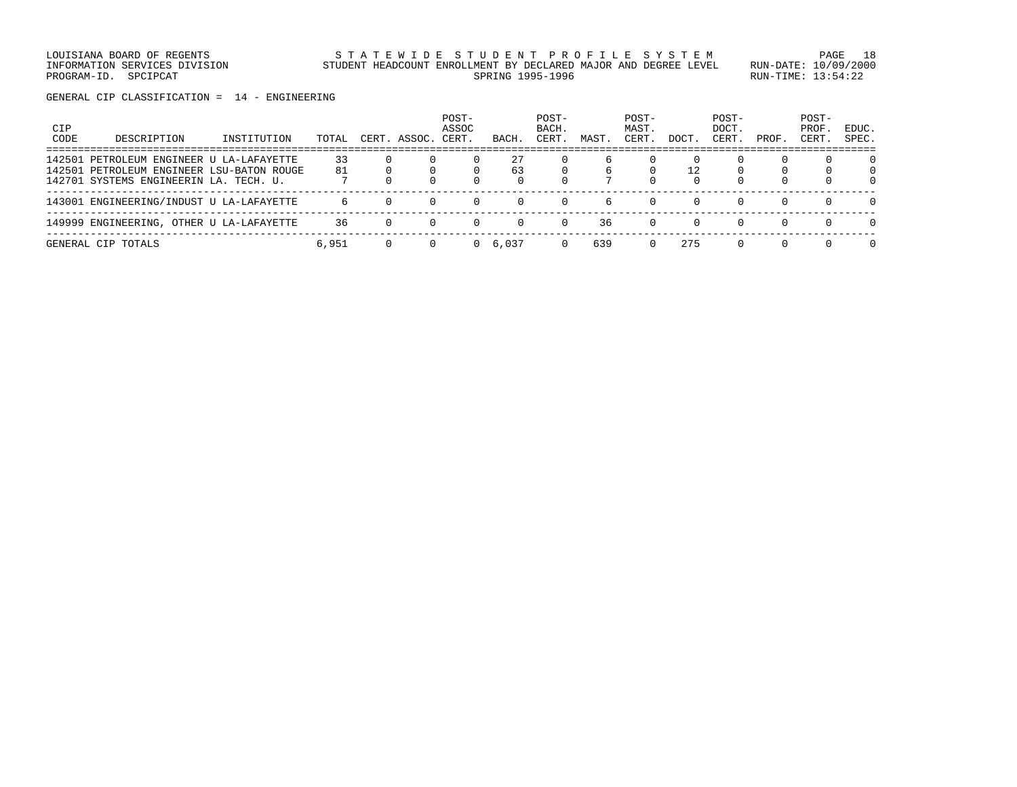LOUISIANA BOARD OF REGENTS STATEWIDE STUDENT PROFILE SYSTEM PAGE 18 INFORMATION SERVICES DIVISION STUDENT HEADCOUNT ENROLLMENT BY DECLARED MAJOR AND DEGREE LEVEL RUN-DATE: 10/09/2000 PROGRAM-ID. SPCIPCAT SERING 1995-1996 RUN-TIME: 13:54:22

GENERAL CIP CLASSIFICATION = 14 - ENGINEERING

| CIP<br>CODE | DESCRIPTION                               | INSTITUTION | TOTAL | CERT     | ASSOC.   | POST-<br>ASSOC<br>CERT. | BACH      | POST-<br>BACH.<br>CERT | MAST. | POST-<br>MAST.<br>CERT | DOCT.    | POST-<br>DOCT.<br>CERT. | PROF.    | POST-<br>PROF<br>CERT | EDUC.<br>SPEC. |
|-------------|-------------------------------------------|-------------|-------|----------|----------|-------------------------|-----------|------------------------|-------|------------------------|----------|-------------------------|----------|-----------------------|----------------|
|             | 142501 PETROLEUM ENGINEER U LA-LAFAYETTE  |             | 33    |          |          |                         | 27        |                        |       |                        |          |                         |          |                       | 0              |
|             | 142501 PETROLEUM ENGINEER LSU-BATON ROUGE |             | 81    |          |          |                         | 63        |                        |       |                        | 12       |                         |          |                       | 0              |
|             | 142701 SYSTEMS ENGINEERIN LA. TECH. U.    |             |       |          |          |                         |           |                        |       |                        | $\Omega$ | $\Omega$                |          | $\Omega$              | $\Omega$       |
|             | 143001 ENGINEERING/INDUST U LA-LAFAYETTE  |             | 6     |          | $\Omega$ | $\Omega$                | $\Omega$  | $\Omega$               | h     | $\Omega$               | $\Omega$ | $\Omega$                | $\Omega$ | $\Omega$              | $\Omega$       |
|             | 149999 ENGINEERING, OTHER U LA-LAFAYETTE  |             | 36    | $\Omega$ | 0        |                         |           | $\Omega$               | 36    | $\Omega$               | $\Omega$ | $\Omega$                | $\Omega$ | $\Omega$              | $\Omega$       |
|             | GENERAL CIP TOTALS                        |             | 6,951 |          |          |                         | 0, 6, 037 |                        | 639   | $\Omega$               | 275      | $\Omega$                |          | $\Omega$              | $\Omega$       |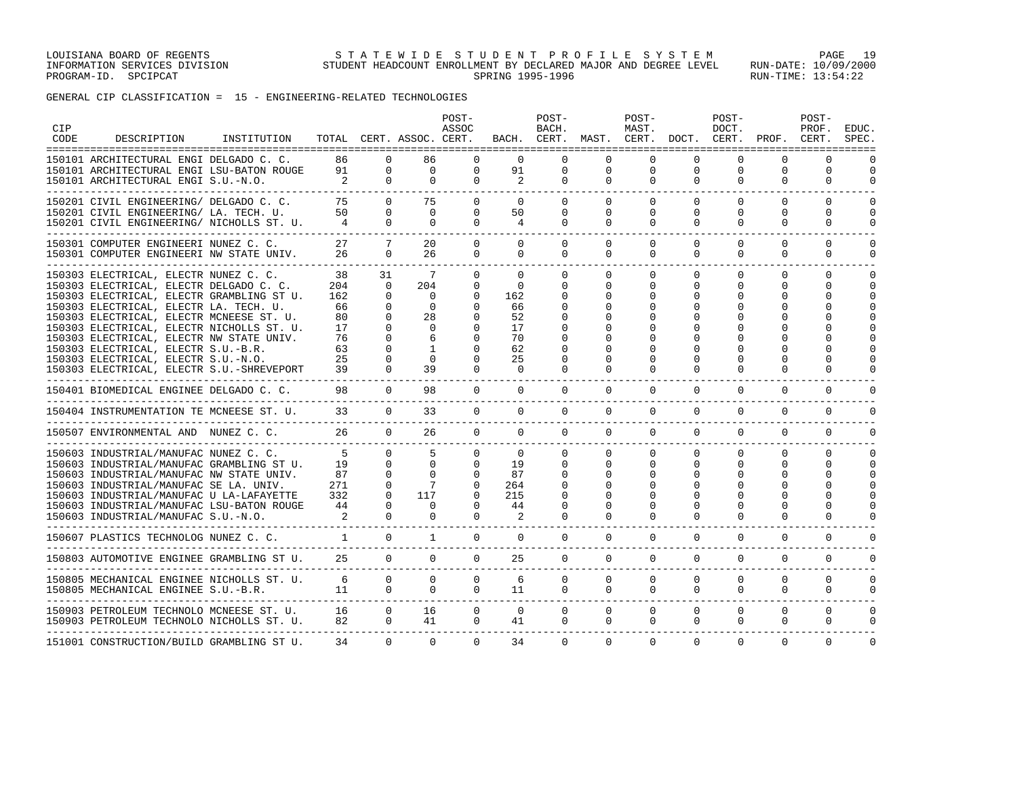GENERAL CIP CLASSIFICATION = 15 - ENGINEERING-RELATED TECHNOLOGIES

| <b>CIP</b><br>CODE | DESCRIPTION                                                                                                                                                                                                                                                                                                                                                                                                                             | INSTITUTION |                                                            |                                                                      | TOTAL CERT. ASSOC. CERT.                                                                  | POST-<br>ASSOC                                                                                                   |                                                                             | POST-<br>BACH.<br>BACH. CERT.                                       | MAST.                                           | POST-<br>MAST.<br>CERT.                                     | DOCT.                            | POST-<br>DOCT.<br>CERT.                           | PROF.                                                              | POST-<br>PROF.<br>CERT.                                                                           | EDUC.<br>SPEC.                                               |
|--------------------|-----------------------------------------------------------------------------------------------------------------------------------------------------------------------------------------------------------------------------------------------------------------------------------------------------------------------------------------------------------------------------------------------------------------------------------------|-------------|------------------------------------------------------------|----------------------------------------------------------------------|-------------------------------------------------------------------------------------------|------------------------------------------------------------------------------------------------------------------|-----------------------------------------------------------------------------|---------------------------------------------------------------------|-------------------------------------------------|-------------------------------------------------------------|----------------------------------|---------------------------------------------------|--------------------------------------------------------------------|---------------------------------------------------------------------------------------------------|--------------------------------------------------------------|
|                    | 150101 ARCHITECTURAL ENGI DELGADO C. C.<br>150101 ARCHITECTURAL ENGI LSU-BATON ROUGE<br>150101 ARCHITECTURAL ENGI S.U.-N.O.                                                                                                                                                                                                                                                                                                             |             | 86<br>91<br>2                                              | $\cap$<br>$\Omega$<br>$\Omega$                                       | 86<br>$\Omega$<br>$\Omega$                                                                | $\Omega$<br>$\mathbf{0}$<br>$\Omega$                                                                             | $\Omega$<br>91<br>2                                                         | <sup>0</sup><br>$\mathbf 0$<br>$\Omega$                             | $\Omega$<br>0<br>$\Omega$                       | $\Omega$<br>0<br>$\Omega$                                   | $\Omega$<br>$\Omega$<br>$\Omega$ | $\Omega$<br>0<br>$\Omega$                         | $\Omega$<br>0<br>$\Omega$                                          | $\Omega$<br>0<br>$\Omega$                                                                         | $\Omega$<br>$\Omega$                                         |
|                    | 150201 CIVIL ENGINEERING/ DELGADO C. C.<br>150201 CIVIL ENGINEERING/ LA. TECH. U.<br>150201 CIVIL ENGINEERING/ NICHOLLS ST. U.                                                                                                                                                                                                                                                                                                          |             | 75<br>50<br>$\overline{4}$                                 | $\Omega$<br>$\Omega$<br>$\Omega$                                     | 75<br>$\Omega$<br>$\Omega$                                                                | $\Omega$<br>$\Omega$<br>$\Omega$                                                                                 | $\Omega$<br>50<br>4                                                         | $\Omega$<br>$\Omega$<br>$\Omega$                                    | $\Omega$<br>$\Omega$<br>$\Omega$                | $\Omega$<br>$\Omega$<br>$\Omega$                            | $\Omega$<br>$\Omega$<br>$\Omega$ | $\Omega$<br>$\Omega$<br>$\Omega$                  | $\Omega$<br>$\Omega$<br>$\Omega$                                   | $\Omega$<br>$\Omega$<br>$\Omega$                                                                  | $\cap$<br>$\cap$<br>$\Omega$                                 |
|                    | 150301 COMPUTER ENGINEERI NUNEZ C. C.<br>150301 COMPUTER ENGINEERI NW STATE UNIV.                                                                                                                                                                                                                                                                                                                                                       |             | 27<br>26                                                   | $7\overline{ }$<br>$\Omega$                                          | 20<br>26                                                                                  | $\Omega$<br>$\mathbf{0}$                                                                                         | $\Omega$<br>$\overline{0}$                                                  | $\Omega$<br>0                                                       | $\Omega$<br>$\mathbf 0$                         | $\Omega$<br>$\mathbf{0}$                                    | $\Omega$<br>$\Omega$             | $\Omega$<br>0                                     | $\Omega$<br>$\mathbf 0$                                            | $\Omega$<br>0                                                                                     | $\cap$<br>0                                                  |
|                    | 150303 ELECTRICAL, ELECTR NUNEZ C. C.<br>150303 ELECTRICAL, ELECTR DELGADO C. C.<br>150303 ELECTRICAL, ELECTR GRAMBLING ST U.<br>150303 ELECTRICAL, ELECTR LA. TECH. U.<br>150303 ELECTRICAL, ELECTR MCNEESE ST. U.<br>150303 ELECTRICAL, ELECTR NICHOLLS ST. U.<br>150303 ELECTRICAL, ELECTR NW STATE UNIV.<br>150303 ELECTRICAL, ELECTR S.U.-B.R.<br>150303 ELECTRICAL, ELECTR S.U.-N.O.<br>150303 ELECTRICAL, ELECTR S.U.-SHREVEPORT |             | 38<br>204<br>162<br>66<br>80<br>17<br>76<br>63<br>25<br>39 | 31<br>$\Omega$<br>$\Omega$<br>$\Omega$                               | 7<br>204<br>$\Omega$<br>$\Omega$<br>28<br>$\Omega$<br>6<br>$\mathbf{1}$<br>$\Omega$<br>39 | $\Omega$<br>$\Omega$<br>$\Omega$<br>$\Omega$<br>$\Omega$<br><sup>0</sup><br><sup>0</sup><br>$\Omega$<br>$\Omega$ | $\Omega$<br>$\Omega$<br>162<br>66<br>52<br>17<br>70<br>62<br>25<br>$\Omega$ | $\Omega$<br>0<br>0<br>O<br>∩<br>∩<br>O<br>O<br>$\Omega$<br>$\Omega$ | $\Omega$<br>U<br>U<br>U<br>$\Omega$             | $\Omega$<br>0<br>0<br>U<br>N<br>0                           | $\Omega$<br>0                    | $\Omega$<br>O<br>O<br>O                           | $\Omega$<br>0<br>0<br>O<br>n<br>∩<br>O<br>0                        | $\Omega$<br>$\Omega$<br>$\Omega$<br>$\Omega$<br>$\Omega$<br>∩<br>$\Omega$<br>$\Omega$<br>$\Omega$ | $\cap$<br>$\cap$<br>$\Omega$                                 |
|                    | 150401 BIOMEDICAL ENGINEE DELGADO C. C.                                                                                                                                                                                                                                                                                                                                                                                                 |             | 98                                                         | $\Omega$                                                             | 98                                                                                        | $\Omega$                                                                                                         | $\overline{0}$                                                              | $\mathbf 0$                                                         | 0                                               | $\mathbf{0}$                                                | $\Omega$                         | $\Omega$                                          | $\mathbf 0$                                                        | 0                                                                                                 | ∩                                                            |
|                    | 150404 INSTRUMENTATION TE MCNEESE ST. U.                                                                                                                                                                                                                                                                                                                                                                                                |             | 33                                                         | $\Omega$                                                             | 33                                                                                        | $\Omega$                                                                                                         | $\Omega$<br>---------------------                                           | $\Omega$                                                            | $\Omega$                                        | $\Omega$                                                    | $\Omega$                         | $\Omega$<br>------<br>------                      | $\Omega$                                                           | $\Omega$                                                                                          | $\Omega$                                                     |
|                    |                                                                                                                                                                                                                                                                                                                                                                                                                                         |             |                                                            | $\Omega$                                                             | 26                                                                                        | $\Omega$                                                                                                         | $\Omega$                                                                    | $\Omega$                                                            | $\Omega$                                        | $\Omega$                                                    | $\Omega$                         | $\Omega$                                          | $\Omega$                                                           | $\mathbf 0$                                                                                       | $\cap$                                                       |
|                    | 150603 INDUSTRIAL/MANUFAC NUNEZ C. C.<br>150603 INDUSTRIAL/MANUFAC GRAMBLING ST U.<br>150603 INDUSTRIAL/MANUFAC NW STATE UNIV.<br>150603 INDUSTRIAL/MANUFAC SE LA. UNIV.<br>150603 INDUSTRIAL/MANUFAC U LA-LAFAYETTE<br>150603 INDUSTRIAL/MANUFAC LSU-BATON ROUGE<br>150603 INDUSTRIAL/MANUFAC S.U.-N.O.                                                                                                                                |             | $5^{\circ}$<br>19<br>87<br>271<br>332<br>44<br>2           | $\Omega$<br>$\Omega$<br>$\Omega$<br>$\Omega$<br>$\Omega$<br>$\Omega$ | 5<br>$\Omega$<br>$\Omega$<br>7<br>117<br>$\Omega$<br>$\Omega$                             | $\Omega$<br>$\Omega$<br>$\Omega$<br>$\Omega$<br>$\Omega$<br>$\Omega$<br>$\Omega$                                 | $\Omega$<br>19<br>87<br>264<br>215<br>44<br>2                               | $\Omega$<br>$\Omega$<br>O<br>O<br>$\Omega$<br>$\Omega$<br>$\Omega$  | $\Omega$<br>$\Omega$<br>0<br>U<br>U<br>$\Omega$ | $\Omega$<br>$\Omega$<br>0<br><sup>0</sup><br>O.<br>$\Omega$ | $\Omega$<br>$\Omega$             | $\Omega$<br>$\Omega$<br>$\Omega$<br>U<br>$\Omega$ | $\Omega$<br>$\Omega$<br>$\Omega$<br>$\Omega$<br>O<br>0<br>$\Omega$ | $\Omega$<br>$\Omega$<br>$\Omega$<br>$\Omega$<br>$\Omega$<br><sup>0</sup><br>$\Omega$              | $\cap$<br>$\Omega$<br>$\Omega$<br>$\cap$<br>$\cap$<br>$\cap$ |
|                    | 150607 PLASTICS TECHNOLOG NUNEZ C. C.                                                                                                                                                                                                                                                                                                                                                                                                   |             | $\mathbf{1}$                                               | $\overline{0}$                                                       | 1                                                                                         | $\mathbf{0}$                                                                                                     | $\mathbf{0}$                                                                | $\mathbf 0$                                                         | 0                                               | $\mathbf{0}$                                                | 0                                | $\mathbf{0}$                                      | $\mathbf 0$                                                        | 0                                                                                                 | O                                                            |
|                    | 150803 AUTOMOTIVE ENGINEE GRAMBLING ST U.<br>___________________________________                                                                                                                                                                                                                                                                                                                                                        |             | 25                                                         | $\Omega$                                                             | $\Omega$                                                                                  | $\Omega$                                                                                                         | 25                                                                          | $\mathbf 0$                                                         | 0                                               | $\mathbf{0}$                                                | $\Omega$                         | 0                                                 | $\mathbf 0$                                                        | 0                                                                                                 | O                                                            |
|                    | 150805 MECHANICAL ENGINEE NICHOLLS ST. U.<br>150805 MECHANICAL ENGINEE S.U.-B.R.                                                                                                                                                                                                                                                                                                                                                        |             | - 6<br>11                                                  | $\Omega$<br>$\Omega$                                                 | $\Omega$<br>$\Omega$                                                                      | $\Omega$<br>$\Omega$                                                                                             | 6<br>11                                                                     | $\Omega$<br>$\Omega$                                                | $\Omega$<br>$\Omega$                            | $\Omega$<br>$\Omega$                                        | $\Omega$<br>$\Omega$             | $\Omega$<br>$\Omega$                              | $\Omega$<br>$\Omega$                                               | $\Omega$<br>$\Omega$                                                                              | $\Omega$<br>$\Omega$                                         |
|                    | 150903 PETROLEUM TECHNOLO MCNEESE ST. U. 16<br>150903 PETROLEUM TECHNOLO NICHOLLS ST. U.                                                                                                                                                                                                                                                                                                                                                |             | 82                                                         | $\mathbf{0}$<br>$\Omega$                                             | 16<br>41                                                                                  | $\mathbf{0}$<br>$\Omega$                                                                                         | $\overline{0}$<br>41                                                        | $\mathbf 0$<br>$\Omega$                                             | 0<br>$\Omega$                                   | $\mathbf 0$<br>$\Omega$                                     | $\mathbf 0$<br>$\Omega$          | $\mathbf 0$<br>$\Omega$                           | 0<br>$\Omega$                                                      | 0<br>$\Omega$                                                                                     | $\Omega$<br>$\cap$                                           |
|                    | 151001 CONSTRUCTION/BUILD GRAMBLING ST U.                                                                                                                                                                                                                                                                                                                                                                                               |             | 34                                                         | $\cap$                                                               | $\cap$                                                                                    | $\Omega$                                                                                                         | 34                                                                          | $\Omega$                                                            | $\Omega$                                        | $\Omega$                                                    | $\Omega$                         | $\Omega$                                          | $\Omega$                                                           | $\Omega$                                                                                          | $\Omega$                                                     |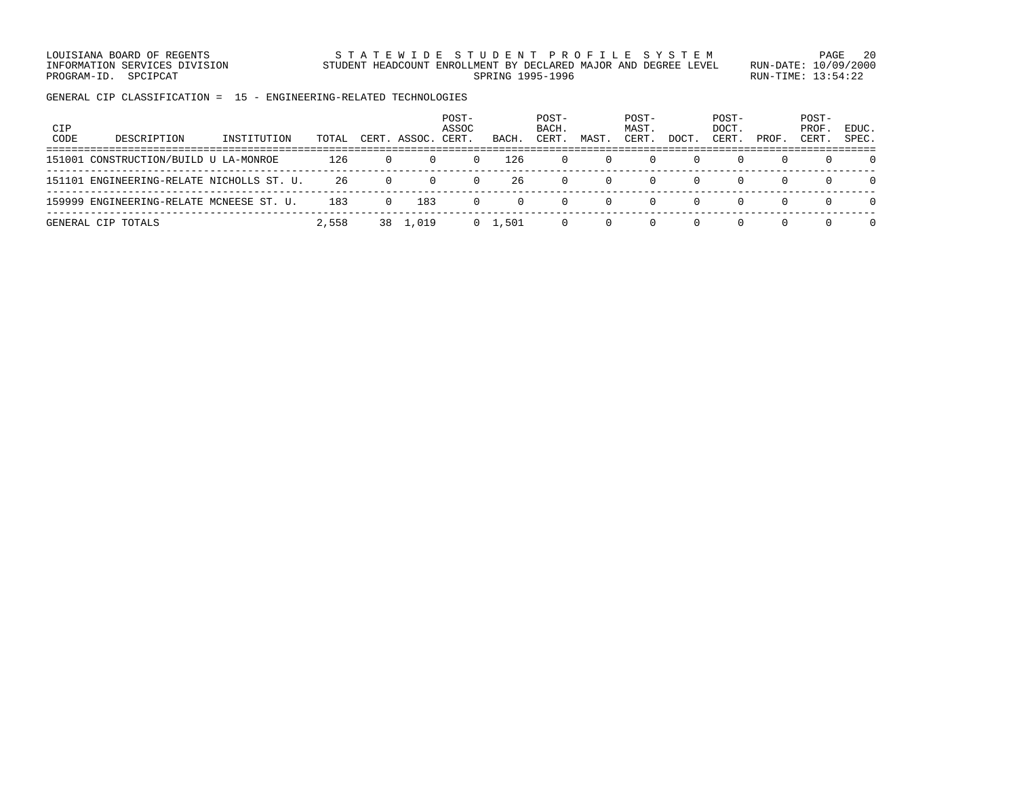LOUISIANA BOARD OF REGENTS STATEWIDE STUDENT PROFILE SYSTEM PAGE 20 INFORMATION SERVICES DIVISION STUDENT HEADCOUNT ENROLLMENT BY DECLARED MAJOR AND DEGREE LEVEL RUN-DATE: 10/09/2000 PROGRAM-ID. SPCIPCAT SERING 1995-1996 RUN-TIME: 13:54:22

GENERAL CIP CLASSIFICATION = 15 - ENGINEERING-RELATED TECHNOLOGIES

| <b>CIP</b><br>CODE | DESCRIPTION                               | INSTITUTION | TOTAL |          | CERT. ASSOC. | POST-<br>ASSOC<br>CERT | BACH            | POST-<br>BACH.<br>CERT. | MAST.        | POST-<br>MAST.<br>CERT. | <b>DOCT</b> | POST-<br>DOCT.<br>CERT. | PROF     | POST-<br>PROF.<br>CERT. | EDUC.<br>SPEC. |
|--------------------|-------------------------------------------|-------------|-------|----------|--------------|------------------------|-----------------|-------------------------|--------------|-------------------------|-------------|-------------------------|----------|-------------------------|----------------|
|                    | 151001 CONSTRUCTION/BUILD U LA-MONROE     |             | 126   |          | 0            | $\Omega$               | 126             | $\left( \right)$        | $\Omega$     | $\left( \right)$        |             | $\Omega$                |          | $\Omega$                |                |
|                    | 151101 ENGINEERING-RELATE NICHOLLS ST. U. |             | 26    | $\Omega$ | $\Omega$     | $\Omega$               | 26              | 0                       | $\Omega$     | 0                       |             | $\left( \right)$        | $\Omega$ | $\Omega$                |                |
|                    | 159999 ENGINEERING-RELATE MCNEESE ST. U.  |             | 183   | $\Omega$ | 183          | $\Omega$               | $\Omega$        |                         | $\Omega$     | $\Omega$                |             | $\Omega$                | $\Box$   | $\Omega$                | $\Omega$       |
|                    | GENERAL CIP TOTALS                        |             | 2,558 | 38       | 1,019        |                        | $0 \quad 1.501$ |                         | <sup>n</sup> | $\left( \right)$        |             | $\Omega$                | $\Omega$ | $\Omega$                |                |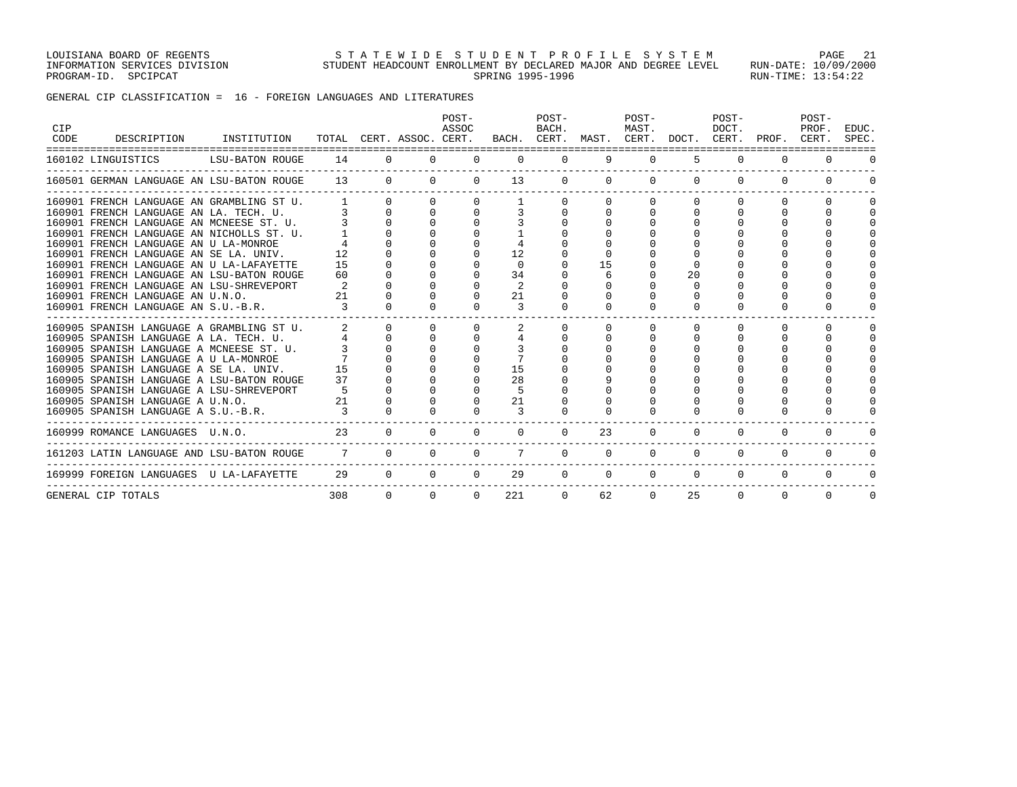GENERAL CIP CLASSIFICATION = 16 - FOREIGN LANGUAGES AND LITERATURES

| CIP<br><b>CODE</b> | DESCRIPTION<br>.============================                                                                                                                                                                                                                                                                                                                                           | INSTITUTION TOTAL CERT. ASSOC. CERT. |                           |          |                      | POST-<br>ASSOC |                     | POST-<br>BACH. | BACH. CERT. MAST. CERT. DOCT. | POST-<br>MAST. |          | POST-<br>DOCT. | CERT. PROF.  | POST-<br>PROF.<br>CERT. | EDUC.<br>SPEC. |
|--------------------|----------------------------------------------------------------------------------------------------------------------------------------------------------------------------------------------------------------------------------------------------------------------------------------------------------------------------------------------------------------------------------------|--------------------------------------|---------------------------|----------|----------------------|----------------|---------------------|----------------|-------------------------------|----------------|----------|----------------|--------------|-------------------------|----------------|
|                    | 160102 LINGUISTICS                                                                                                                                                                                                                                                                                                                                                                     | LSU-BATON ROUGE                      | 14                        | $\Omega$ |                      | 0              | $\Omega$            | $\Omega$       | 9                             | $\Omega$       | 5        | $\mathbf{0}$   | $\Omega$     | $\Omega$                |                |
|                    | 160501 GERMAN LANGUAGE AN LSU-BATON ROUGE                                                                                                                                                                                                                                                                                                                                              |                                      | 13                        |          | $\Omega$             | $\Omega$       | 13                  | $\Omega$       | $\mathbf{0}$                  | $\Omega$       | $\Omega$ | $\overline{0}$ | $\mathbf{0}$ |                         |                |
|                    | 160901 FRENCH LANGUAGE AN GRAMBLING ST U.<br>160901 FRENCH LANGUAGE AN LA. TECH. U.<br>160901 FRENCH LANGUAGE AN MCNEESE ST. U.                                                                                                                                                                                                                                                        |                                      |                           |          | $\Omega$<br>$\Omega$ |                |                     |                | $\Omega$                      | $\Omega$       |          | 0              | $\Omega$     | <sup>0</sup>            |                |
|                    | 160901 FRENCH LANGUAGE AN NICHOLLS ST. U.<br>160901 FRENCH LANGUAGE AN U LA-MONROE<br>160901 FRENCH LANGUAGE AN SE LA. UNIV.<br>160901 FRENCH LANGUAGE AN U LA-LAFAYETTE                                                                                                                                                                                                               |                                      | 12<br>15                  |          |                      |                | $\Omega$            |                | 15                            |                |          |                |              |                         |                |
|                    | 160901 FRENCH LANGUAGE AN LSU-BATON ROUGE<br>160901 FRENCH LANGUAGE AN LSU-SHREVEPORT<br>160901 FRENCH LANGUAGE AN U.N.O.<br>160901 FRENCH LANGUAGE AN S.U.-B.R.                                                                                                                                                                                                                       |                                      | 60<br>21<br>$\mathcal{L}$ |          |                      |                | 34<br>21<br>3       |                | $\Omega$                      |                |          |                |              |                         |                |
|                    | 160905 SPANISH LANGUAGE A GRAMBLING ST U.<br>160905 SPANISH LANGUAGE A LA. TECH. U.<br>160905 SPANISH LANGUAGE A MCNEESE ST. U.<br>160905 SPANISH LANGUAGE A U LA-MONROE<br>160905 SPANISH LANGUAGE A SE LA. UNIV.<br>160905 SPANISH LANGUAGE A LSU-BATON ROUGE<br>160905 SPANISH LANGUAGE A LSU-SHREVEPORT<br>160905 SPANISH LANGUAGE A U.N.O.<br>160905 SPANISH LANGUAGE A S.U.-B.R. |                                      | 15<br>37<br>21<br>3       |          | $\Omega$             |                | 15<br>28<br>21<br>3 |                |                               |                |          |                |              | $\Omega$<br>$\Omega$    |                |
|                    | 160999 ROMANCE LANGUAGES U.N.O.                                                                                                                                                                                                                                                                                                                                                        |                                      | 23                        | $\Omega$ | $\Omega$             | $\Omega$       | $\Omega$            | $\Omega$       | 23                            | $\Omega$       | $\Omega$ | $\mathbf{0}$   | $\Omega$     | $\Omega$                |                |
|                    | 161203 LATIN LANGUAGE AND LSU-BATON ROUGE                                                                                                                                                                                                                                                                                                                                              |                                      | $\overline{7}$            | $\Omega$ | $\Omega$             | $\Omega$       | $7^{\circ}$         | $\Omega$       | $\Omega$                      | $\Omega$       | $\Omega$ | $\Omega$       | $\Omega$     | $\Omega$                |                |
|                    | 169999 FOREIGN LANGUAGES                                                                                                                                                                                                                                                                                                                                                               | U LA-LAFAYETTE                       | 29                        | $\Omega$ | $\Omega$             | $\Omega$       | 29                  | $\mathbf{0}$   | $\Omega$                      | $\Omega$       | $\Omega$ | $\overline{0}$ | $\mathbf{0}$ | $\Omega$                |                |
|                    | GENERAL CIP TOTALS                                                                                                                                                                                                                                                                                                                                                                     |                                      | 308                       | $\Omega$ | $\Omega$             |                | 221<br>$\Omega$     | $\Omega$       | 62                            | $\Omega$       | 25       | $\Omega$       | $\Omega$     | $\Omega$                | $\Omega$       |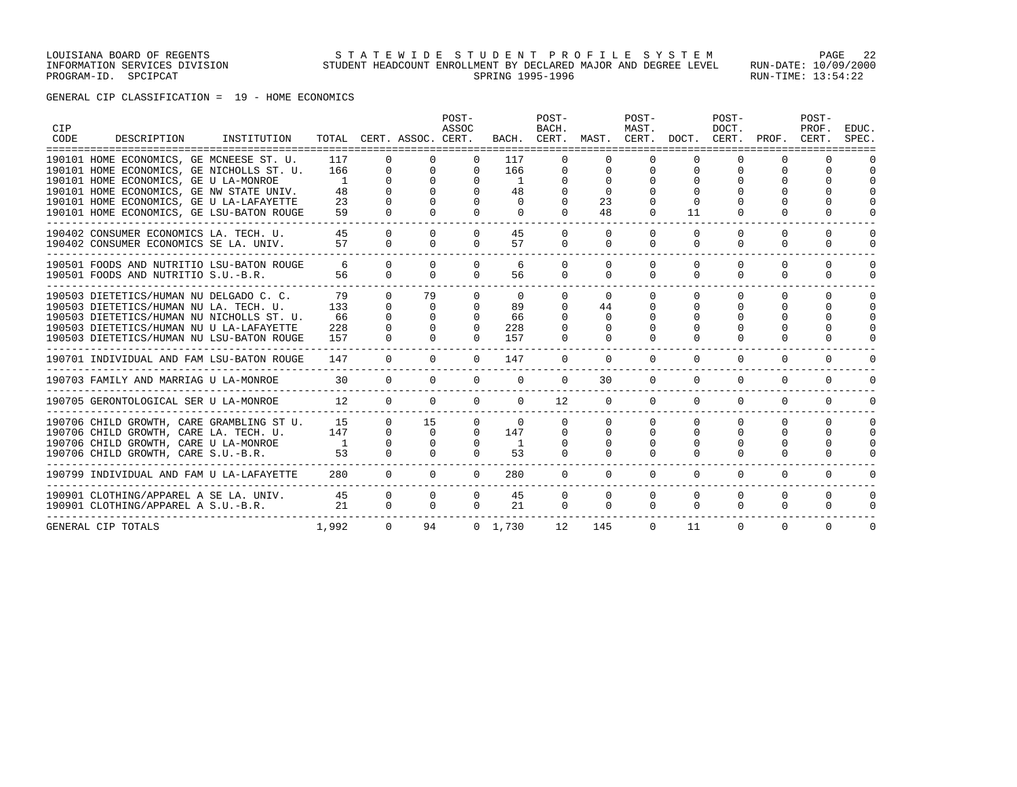GENERAL CIP CLASSIFICATION = 19 - HOME ECONOMICS

| CIP<br>CODE | DESCRIPTION                                                                 | INSTITUTION |                |                | TOTAL CERT. ASSOC. CERT. | POST-<br>ASSOC |                 | POST-<br>BACH. |             | POST-<br>MAST. | BACH. CERT. MAST. CERT. DOCT. CERT. PROF. CERT. | POST-<br>DOCT. |              | POST-<br>PROF. | EDUC.<br>SPEC. |
|-------------|-----------------------------------------------------------------------------|-------------|----------------|----------------|--------------------------|----------------|-----------------|----------------|-------------|----------------|-------------------------------------------------|----------------|--------------|----------------|----------------|
|             | -------------------------------<br>190101 HOME ECONOMICS, GE MCNEESE ST. U. |             | 117            | $\Omega$       | $\Omega$                 | $\Omega$       | 117             | $\Omega$       |             | $\Omega$       |                                                 | $\Omega$       | $\Omega$     | ∩              |                |
|             | 190101 HOME ECONOMICS, GE NICHOLLS ST. U.                                   |             | 166            | $\Omega$       | $\Omega$                 | $\Omega$       | 166             | $\Omega$       |             | $\Omega$       |                                                 | $\Omega$       | 0            | <sup>0</sup>   | O              |
|             | 190101 HOME ECONOMICS, GE U LA-MONROE                                       |             | $\overline{1}$ | $\Omega$       | $\Omega$                 | $\Omega$       | -1              | $\Omega$       |             | $\cap$         |                                                 | U              | $\Omega$     | $\Omega$       | ∩              |
|             | 190101 HOME ECONOMICS, GE NW STATE UNIV.                                    |             | 48             | $\Omega$       | $\Omega$                 | $\Omega$       | 48              | 0              | $\Omega$    |                |                                                 | $\Omega$       | $\Omega$     | $\Omega$       | ∩              |
|             | 190101 HOME ECONOMICS, GE U LA-LAFAYETTE                                    |             | 23             | $\Omega$       | $\Omega$                 | $\Omega$       | $\Omega$        | $\Omega$       | 23          |                |                                                 |                | <sup>0</sup> |                |                |
|             | 190101 HOME ECONOMICS, GE LSU-BATON ROUGE                                   |             | 59             | $\Omega$       | $\Omega$                 | $\Omega$       | $\Omega$        | $\Omega$       | 48          | $\Omega$       | 11                                              |                | $\Omega$     |                |                |
|             | 190402 CONSUMER ECONOMICS LA. TECH. U.                                      |             | 45             | $\Omega$       | $\Omega$                 | $\Omega$       | 45              | $\Omega$       | $\Omega$    | $\Omega$       | $\Omega$                                        | $\Omega$       | $\Omega$     | $\Omega$       | $\Omega$       |
|             | 190402 CONSUMER ECONOMICS SE LA. UNIV.                                      |             | 57             | $\Omega$       | $\Omega$                 | $\Omega$       | 57              | $\Omega$       | $\Omega$    | $\Omega$       | $\Omega$                                        | $\Omega$       | $\Omega$     | $\Omega$       | $\Omega$       |
|             | 190501 FOODS AND NUTRITIO LSU-BATON ROUGE                                   |             | - 6            | $\Omega$       | $\Omega$                 | $\Omega$       | 6               | $\Omega$       | $\Omega$    | $\Omega$       | $\Omega$                                        | $\Omega$       | $\Omega$     | $\Omega$       | $\Omega$       |
|             | 190501 FOODS AND NUTRITIO S.U.-B.R.                                         |             | 56             | $\Omega$       | $\Omega$                 | $\Omega$       | 56              | $\Omega$       | $\Omega$    | $\Omega$       | $\Omega$                                        | $\Omega$       | $\Omega$     | $\Omega$       | $\Omega$       |
|             | 190503 DIETETICS/HUMAN NU DELGADO C. C.                                     |             | 79             | $\Omega$       | 79                       | $\Omega$       | $\Omega$        | $\Omega$       | $\Omega$    | $\Omega$       | $\Omega$                                        | $\Omega$       | $\Omega$     | $\Omega$       | $\Omega$       |
|             | 190503 DIETETICS/HUMAN NU LA. TECH. U.                                      |             | 133            | $\Omega$       | $\Omega$                 | $\Omega$       | 89              | $\Omega$       | 44          | $\Omega$       | $\Omega$                                        | $\Omega$       | $\Omega$     | $\Omega$       | O              |
|             | 190503 DIETETICS/HUMAN NU NICHOLLS ST. U.                                   |             | 66             | $\Omega$       | $\Omega$                 | $\Omega$       | 66              | <sup>n</sup>   | $\Omega$    | $\Omega$       |                                                 | $\Omega$       | 0            | $\Omega$       | 0              |
|             | 190503 DIETETICS/HUMAN NU U LA-LAFAYETTE                                    |             | 228            |                |                          | $\Omega$       | 228             |                |             |                |                                                 |                | 0            | $\Omega$       | $\Omega$       |
|             | 190503 DIETETICS/HUMAN NU LSU-BATON ROUGE                                   |             | 157            | $\Omega$       | $\Omega$                 | $\Omega$       | 157             | $\Omega$       | 0           | $\cap$         |                                                 |                | $\Omega$     |                |                |
|             | 190701 INDIVIDUAL AND FAM LSU-BATON ROUGE                                   |             | 147            | $\overline{0}$ | $\overline{0}$           | $\mathbf{0}$   | 147             | 0              | $\mathbf 0$ | $\mathbf{0}$   | 0                                               | 0              | $\mathbf 0$  | 0              | $\Omega$       |
|             | 190703 FAMILY AND MARRIAG U LA-MONROE                                       |             | 30             | $\Omega$       | $\overline{0}$           | $\mathbf{0}$   | $\mathbf 0$     | $\mathbf 0$    | 30          | $\mathbf 0$    | $\mathbf 0$                                     | $\mathbf 0$    | $\mathbf 0$  | $\Omega$       | $\Omega$       |
|             | 190705 GERONTOLOGICAL SER U LA-MONROE                                       |             | 12             | $\Omega$       | $\Omega$                 | $\Omega$       | $\Omega$        | 12             | $\Omega$    | $\Omega$       | $\Omega$                                        | $\Omega$       | $\Omega$     | $\Omega$       | $\Omega$       |
|             | 190706 CHILD GROWTH, CARE GRAMBLING ST U.                                   |             | 15             | $\Omega$       | 15                       | $\Omega$       | $\Omega$        | $\Omega$       | $\Omega$    | $\Omega$       | $\Omega$                                        | $\Omega$       | $\Omega$     | $\Omega$       | 0              |
|             | 190706 CHILD GROWTH, CARE LA. TECH. U.                                      |             | 147            | $\Omega$       | $\Omega$                 | $\Omega$       | 147             | $\Omega$       | $\Omega$    | $\Omega$       | $\Omega$                                        | $\Omega$       | $\Omega$     | $\Omega$       | $\Omega$       |
|             | 190706 CHILD GROWTH, CARE U LA-MONROE                                       |             | $\overline{1}$ | $\Omega$       | $\Omega$                 | $\mathbf{0}$   | $\overline{1}$  | 0              | $\Omega$    | $\mathbf 0$    | $\Omega$                                        | $\Omega$       | $\Omega$     | $\mathbf 0$    | $\Omega$       |
|             | 190706 CHILD GROWTH, CARE S.U.-B.R.                                         |             | 53             | $\Omega$       | $\Omega$                 | $\Omega$       | 53              | $\Omega$       | $\Omega$    | $\Omega$       | $\Omega$                                        | $\Omega$       | $\Omega$     | $\Omega$       | $\Omega$       |
|             | 190799 INDIVIDUAL AND FAM U LA-LAFAYETTE                                    |             | 280            | $\Omega$       | $\Omega$                 | $\Omega$       | 280             | $\mathbf{0}$   | $\Omega$    | $\Omega$       | $\Omega$                                        | $\Omega$       | $\Omega$     | $\Omega$       | <sup>0</sup>   |
|             | 190901 CLOTHING/APPAREL A SE LA. UNIV.                                      |             | 45             | $\Omega$       | $\Omega$                 | $\Omega$       | 45              | $\Omega$       | $\Omega$    | $\Omega$       | $\Omega$                                        | $\Omega$       | 0            | 0              | $\Omega$       |
|             | 190901 CLOTHING/APPAREL A S.U.-B.R.                                         |             | 21             | $\Omega$       | $\Omega$                 | $\Omega$       | 21              | $\Omega$       | $\Omega$    | $\Omega$       | $\Omega$                                        | $\Omega$       | $\Omega$     | $\Omega$       | $\Omega$       |
|             | GENERAL CIP TOTALS                                                          |             | 1,992          | $\Omega$       | 94                       |                | $0 \quad 1.730$ | 12             | 145         | $\Omega$       | 11                                              | $\Omega$       | $\Omega$     | $\Omega$       | $\Omega$       |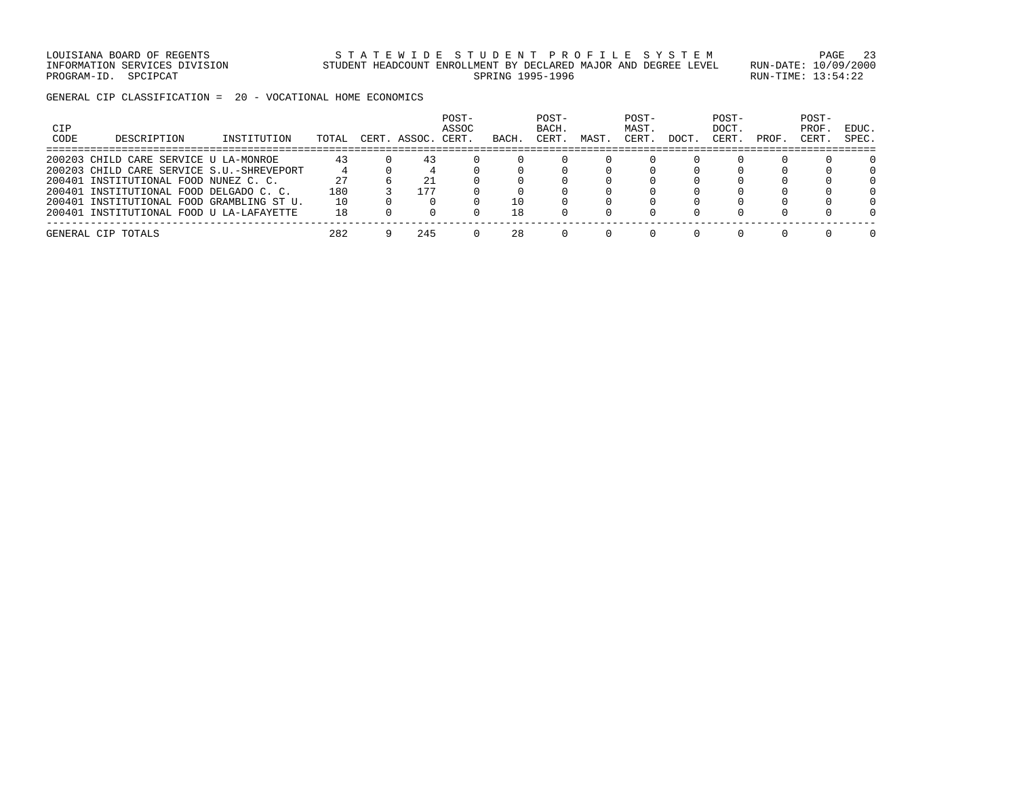LOUISIANA BOARD OF REGENTS STATEWIDE STUDENT PROFILE SYSTEM PAGE 23 INFORMATION SERVICES DIVISION STUDENT HEADCOUNT ENROLLMENT BY DECLARED MAJOR AND DEGREE LEVEL RUN-DATE: 10/09/2000 PROGRAM-ID. SPCIPCAT SERING 1995-1996 RUN-TIME: 13:54:22

GENERAL CIP CLASSIFICATION = 20 - VOCATIONAL HOME ECONOMICS

| <b>CIP</b><br>CODE | DESCRIPTION                                 | INSTITUTION | TOTAL | CERT | ASSOC. | POST-<br>ASSOC<br>CERT | <b>BACH</b> | POST-<br>BACH.<br>CERT | MAST | $POST-$<br>MAST.<br>CERT | DOCT. | POST-<br>DOCT.<br>CERT. | PROF | POST-<br>PROF.<br>CERT. | EDUC.<br>SPEC. |
|--------------------|---------------------------------------------|-------------|-------|------|--------|------------------------|-------------|------------------------|------|--------------------------|-------|-------------------------|------|-------------------------|----------------|
|                    | 200203 CHILD CARE SERVICE U LA-MONROE       |             | 43    |      | 43     |                        |             |                        |      |                          |       |                         |      |                         |                |
|                    | 200203 CHILD CARE SERVICE S.U. - SHREVEPORT |             |       |      |        |                        |             |                        |      |                          |       |                         |      |                         |                |
|                    | 200401 INSTITUTIONAL FOOD NUNEZ C. C.       |             | 27    |      | 21     |                        |             |                        |      |                          |       |                         |      |                         |                |
|                    | 200401 INSTITUTIONAL FOOD DELGADO C. C.     |             | 180   |      | 177    |                        |             |                        |      |                          |       |                         |      |                         |                |
|                    | 200401 INSTITUTIONAL FOOD GRAMBLING ST U.   |             | 10    |      |        |                        | 10          |                        |      |                          |       |                         |      |                         |                |
|                    | 200401 INSTITUTIONAL FOOD U LA-LAFAYETTE    |             | 18    |      |        |                        | 18          |                        |      |                          |       |                         |      |                         | 0              |
|                    | GENERAL CIP TOTALS                          |             | 282   |      | 245    |                        | 28          |                        |      |                          |       |                         |      |                         |                |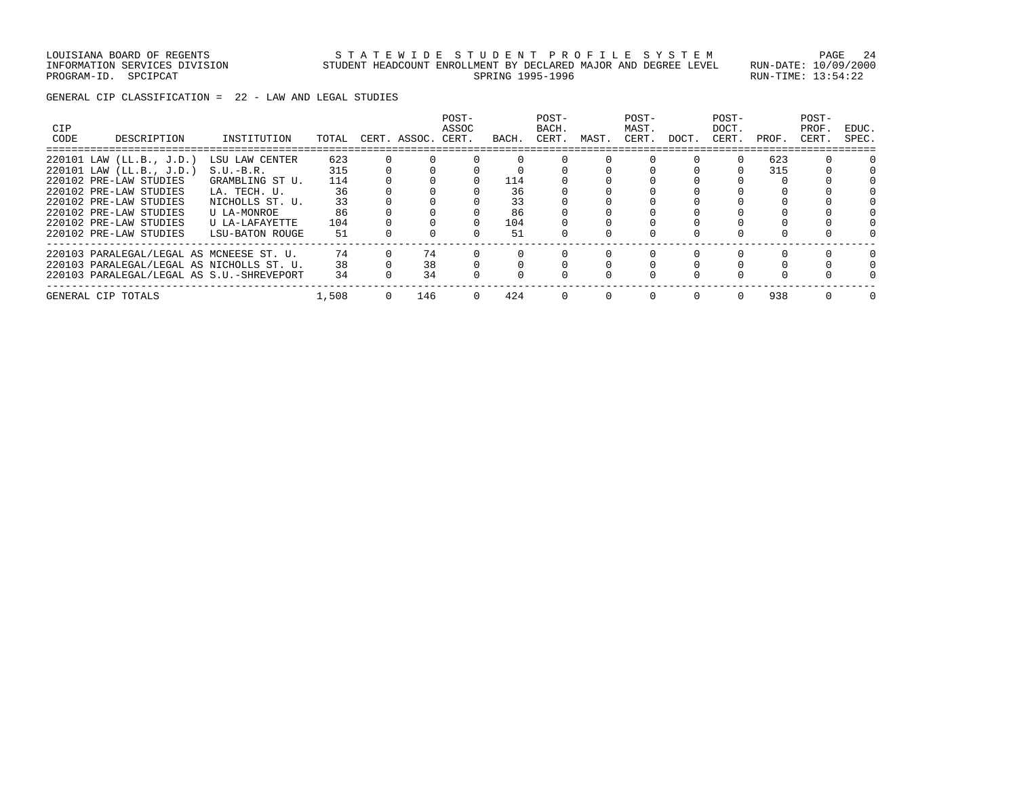GENERAL CIP CLASSIFICATION = 22 - LAW AND LEGAL STUDIES

| <b>CIP</b><br>CODE | DESCRIPTION                               | INSTITUTION     | TOTAL | CERT. | ASSOC. | POST-<br>ASSOC<br>CERT. | BACH. | POST-<br>BACH.<br>CERT. | MAST. | POST-<br>MAST.<br>CERT. | DOCT.        | POST-<br>DOCT.<br>CERT. | PROF. | POST-<br>PROF<br>CERT. | EDUC.<br>SPEC. |
|--------------------|-------------------------------------------|-----------------|-------|-------|--------|-------------------------|-------|-------------------------|-------|-------------------------|--------------|-------------------------|-------|------------------------|----------------|
|                    | 220101 LAW (LL.B., J.D.)                  | LSU LAW CENTER  | 623   |       |        |                         |       |                         |       |                         |              |                         | 623   |                        |                |
|                    | 220101 LAW (LL.B., J.D.)                  | $S.U.-B.R.$     | 315   |       |        |                         |       |                         |       |                         |              |                         | 315   |                        |                |
|                    | 220102 PRE-LAW STUDIES                    | GRAMBLING ST U. | 114   |       |        |                         | 114   |                         |       |                         |              |                         |       |                        |                |
|                    | 220102 PRE-LAW STUDIES                    | LA. TECH. U.    | 36    |       |        |                         | 36    |                         |       |                         |              |                         |       |                        |                |
|                    | 220102 PRE-LAW STUDIES                    | NICHOLLS ST. U. | 33    |       |        |                         | 33    |                         |       |                         |              |                         |       |                        |                |
|                    | 220102 PRE-LAW STUDIES                    | U LA-MONROE     | 86    |       |        |                         | 86    |                         |       |                         |              |                         |       |                        |                |
|                    | 220102 PRE-LAW STUDIES                    | U LA-LAFAYETTE  | 104   |       |        |                         | 104   |                         |       |                         |              |                         |       |                        |                |
|                    | 220102 PRE-LAW STUDIES                    | LSU-BATON ROUGE | 51    |       |        |                         | 51    |                         |       |                         |              |                         |       |                        |                |
|                    | 220103 PARALEGAL/LEGAL AS MCNEESE ST. U.  |                 | 74    |       | 74     |                         |       |                         |       |                         |              |                         |       |                        |                |
|                    | 220103 PARALEGAL/LEGAL AS NICHOLLS ST. U. |                 | 38    |       | 38     |                         |       |                         |       |                         |              |                         |       |                        |                |
|                    | 220103 PARALEGAL/LEGAL AS S.U.-SHREVEPORT |                 | 34    |       | 34     |                         |       |                         |       |                         |              |                         |       |                        |                |
|                    | GENERAL CIP TOTALS                        |                 | 1,508 |       | 146    | $\Omega$                | 424   | $\Omega$                | O     | $\Omega$                | <sup>0</sup> |                         | 938   |                        |                |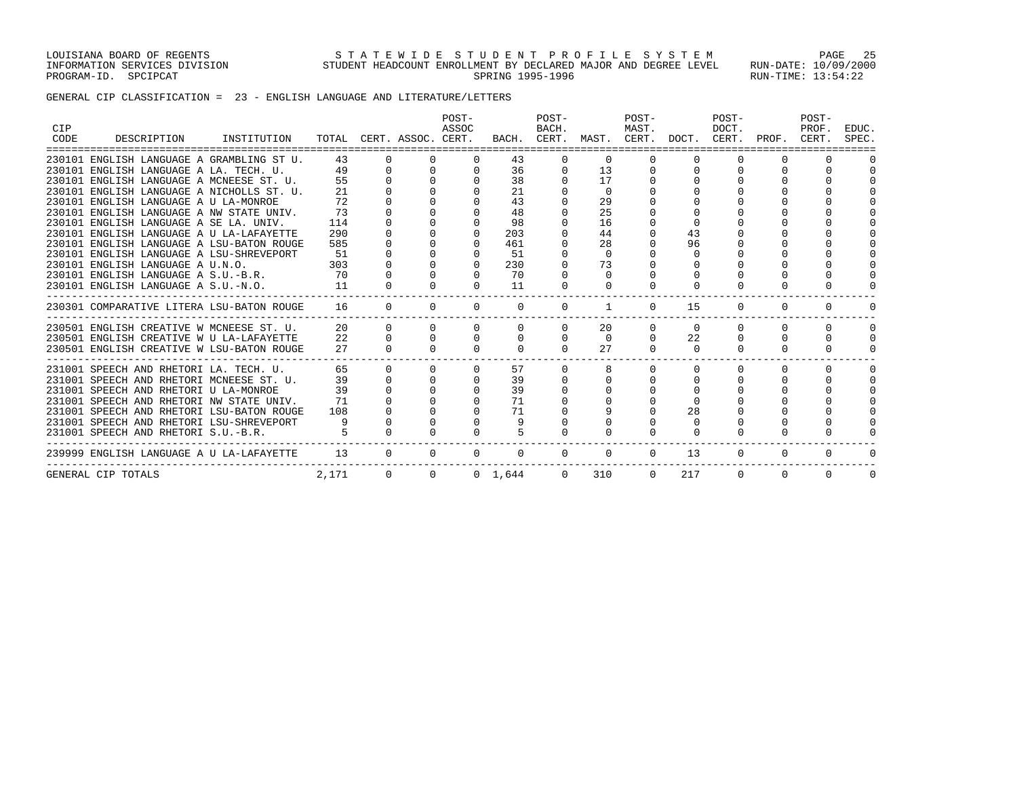LOUISIANA BOARD OF REGENTS S T A T E W I D E S T U D E N T P R O F I L E S Y S T E M PAGE 25 INFORMATION SERVICES DIVISION STUDENT HEADCOUNT ENROLLMENT BY DECLARED MAJOR AND DEGREE LEVEL RUN-DATE: 10/09/2000 PROGRAM-ID. SPCIPCAT SERING 1995-1996 RUN-TIME: 13:54:22

GENERAL CIP CLASSIFICATION = 23 - ENGLISH LANGUAGE AND LITERATURE/LETTERS

| <b>CIP</b><br>CODE | DESCRIPTION<br>INSTITUTION                                                            |            |              | TOTAL CERT. ASSOC. CERT. | POST-<br>ASSOC |                 | POST-<br>BACH. | BACH. CERT. MAST. CERT. DOCT. | POST-<br>MAST. |          | POST-<br>DOCT.<br>CERT. | PROF.        | POST-<br>PROF.<br>CERT. | EDUC.<br>SPEC. |
|--------------------|---------------------------------------------------------------------------------------|------------|--------------|--------------------------|----------------|-----------------|----------------|-------------------------------|----------------|----------|-------------------------|--------------|-------------------------|----------------|
|                    | 230101 ENGLISH LANGUAGE A GRAMBLING ST U.                                             | 43         |              |                          | $\Omega$       | 43              | $\Omega$       | $\Omega$                      | $\Omega$       |          |                         |              |                         |                |
|                    | 230101 ENGLISH LANGUAGE A LA. TECH. U.                                                | 49         | $\Omega$     | $\Omega$                 | $\Omega$       | 36              | 0              | 13                            | 0              |          |                         |              |                         |                |
|                    | 230101 ENGLISH LANGUAGE A MCNEESE ST. U.                                              | 55         |              |                          |                | 38              |                | 17                            |                |          |                         |              |                         |                |
|                    | 230101 ENGLISH LANGUAGE A NICHOLLS ST. U.                                             | 21         |              |                          |                | 21              |                | $\Omega$                      |                |          |                         |              |                         |                |
|                    | 230101 ENGLISH LANGUAGE A U LA-MONROE                                                 | 72         |              |                          |                | 43              |                | 29                            |                |          |                         |              |                         |                |
|                    | 230101 ENGLISH LANGUAGE A NW STATE UNIV.                                              | 73         |              |                          |                | 48              |                | 25                            |                |          |                         |              |                         |                |
|                    | 230101 ENGLISH LANGUAGE A SE LA. UNIV.                                                | 114        |              |                          |                | 98              |                | 16                            |                |          |                         |              |                         |                |
|                    | 230101 ENGLISH LANGUAGE A U LA-LAFAYETTE<br>230101 ENGLISH LANGUAGE A LSU-BATON ROUGE | 290<br>585 |              |                          |                | 203<br>461      |                | 44<br>28                      |                | 43<br>96 |                         |              |                         |                |
|                    | 230101 ENGLISH LANGUAGE A LSU-SHREVEPORT                                              | 51         |              |                          |                | 51              |                | $\Omega$                      |                | $\Omega$ |                         |              |                         |                |
|                    | 230101 ENGLISH LANGUAGE A U.N.O.                                                      | 303        |              |                          |                | 230             |                | 73                            |                |          |                         |              |                         |                |
|                    | 230101 ENGLISH LANGUAGE A S.U.-B.R.                                                   | 70         |              |                          | $\Omega$       | 70              | $\Omega$       | $\Omega$                      |                |          |                         |              |                         |                |
|                    | 230101 ENGLISH LANGUAGE A S.U.-N.O.                                                   | 11         |              |                          |                | 11              | $\Omega$       | $\Omega$                      | $\Omega$       | 0        | <sup>n</sup>            |              | $\Omega$                |                |
|                    | 230301 COMPARATIVE LITERA LSU-BATON ROUGE                                             | 16         | $\Omega$     |                          | $\Omega$       | $\Omega$        | $\Omega$       |                               | $\Omega$       | 15       | $\Omega$                |              | $\Omega$                |                |
|                    | 230501 ENGLISH CREATIVE W MCNEESE ST. U.                                              | 20         | $\Omega$     | $\Omega$                 | $\Omega$       | $\Omega$        | $\Omega$       | 20                            | $\Omega$       | $\Omega$ | $\Omega$                | <sup>0</sup> | $\Omega$                | $\Omega$       |
|                    | 230501 ENGLISH CREATIVE W U LA-LAFAYETTE                                              | 22         | $\Omega$     | $\Omega$                 | $\Omega$       | $\Omega$        | $\mathbf{0}$   | $\Omega$                      | 0              | 22       | $\Omega$                |              | $\Omega$                | $\Omega$       |
|                    | 230501 ENGLISH CREATIVE W LSU-BATON ROUGE                                             | 27         | $\Omega$     |                          | $\Omega$       |                 | $\Omega$       | 27                            | $\Omega$       | $\Omega$ | $\Omega$                |              |                         |                |
|                    | 231001 SPEECH AND RHETORI LA. TECH. U.                                                | 65         |              |                          |                | 57              | $\Omega$       |                               | U              |          |                         |              | $\Omega$                | $\Omega$       |
|                    | 231001 SPEECH AND RHETORI MCNEESE ST. U.                                              | 39         |              |                          |                | 39              |                |                               |                |          |                         |              | $\Omega$                |                |
|                    | 231001 SPEECH AND RHETORI U LA-MONROE                                                 | 39         |              |                          |                | 39              |                |                               |                |          |                         |              |                         |                |
|                    | 231001 SPEECH AND RHETORI NW STATE UNIV.                                              | 71         |              |                          |                | 71              |                |                               |                |          |                         |              |                         |                |
|                    | 231001 SPEECH AND RHETORI LSU-BATON ROUGE                                             | 108        |              |                          |                | 71              |                |                               |                | 28       |                         |              |                         |                |
|                    | 231001 SPEECH AND RHETORI LSU-SHREVEPORT                                              | 9          |              |                          |                | 9               |                |                               |                | 0        |                         |              |                         |                |
|                    | 231001 SPEECH AND RHETORI S.U.-B.R.                                                   |            |              |                          |                |                 |                |                               | $\Omega$       | $\Omega$ |                         |              |                         |                |
|                    | 239999 ENGLISH LANGUAGE A U LA-LAFAYETTE                                              | 13         | $\Omega$     | $\Omega$                 | $\Omega$       | $\Omega$        | $\Omega$       | $\Omega$                      | $\Omega$       | 13       | $\Omega$                | $\Omega$     | 0                       | $\Omega$       |
|                    | GENERAL CIP TOTALS                                                                    | 2,171      | $\mathbf{0}$ | $\circ$                  |                | $0 \quad 1.644$ | $\mathbf{0}$   | 310                           | $\Omega$       | 217      | 0                       |              | $\Omega$                | 0              |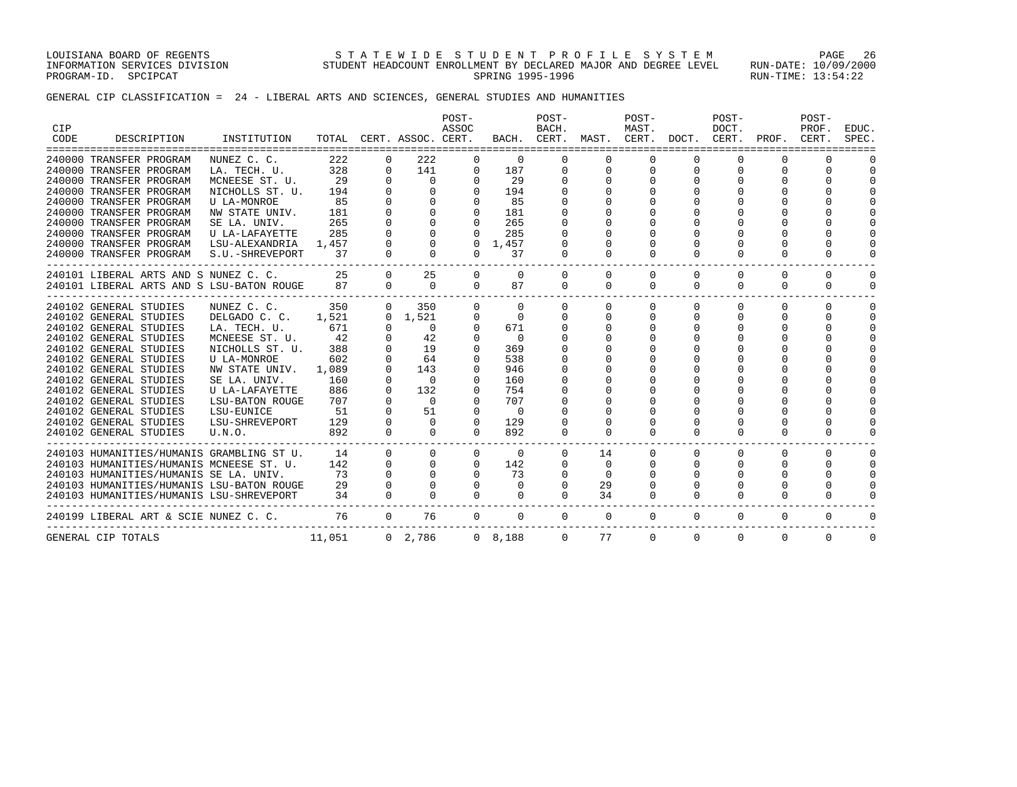LOUISIANA BOARD OF REGENTS STATEWIDE STUDENT PROFILE SYSTEM PAGE 26 INFORMATION SERVICES DIVISION STUDENT HEADCOUNT ENROLLMENT BY DECLARED MAJOR AND DEGREE LEVEL RUN-DATE: 10/09/2000 PROGRAM-ID. SPCIPCAT SERING 1995-1996 RUN-TIME: 13:54:22

GENERAL CIP CLASSIFICATION = 24 - LIBERAL ARTS AND SCIENCES, GENERAL STUDIES AND HUMANITIES

|                    |                                           |                    |        |          |                    | POST-        |                 | POST-       |          | POST-    |                               | POST-          |              | POST-          |          |
|--------------------|-------------------------------------------|--------------------|--------|----------|--------------------|--------------|-----------------|-------------|----------|----------|-------------------------------|----------------|--------------|----------------|----------|
| <b>CIP</b><br>CODE | DESCRIPTION                               | INSTITUTION        | TOTAL  |          | CERT. ASSOC. CERT. | ASSOC        |                 | BACH.       |          | MAST.    | BACH. CERT. MAST. CERT. DOCT. | DOCT.<br>CERT. | PROF.        | PROF.<br>CERT. | EDUC.    |
|                    | :=================                        |                    |        |          |                    |              |                 |             |          |          |                               |                |              |                | SPEC.    |
|                    | 240000 TRANSFER PROGRAM                   | NUNEZ C. C.        | 222    | 0        | 222                | $\Omega$     | $\Omega$        | $\Omega$    | $\Omega$ | $\Omega$ |                               | $\Omega$       | $\Omega$     | $\Omega$       |          |
|                    | 240000 TRANSFER PROGRAM                   | LA. TECH. U.       | 328    | $\Omega$ | 141                | $\mathbf{0}$ | 187             | 0           | $\Omega$ | 0        |                               | 0              | $\Omega$     | $\Omega$       | $\Omega$ |
|                    | 240000 TRANSFER PROGRAM                   | MCNEESE ST. U.     | 29     |          | $\Omega$           | $\Omega$     | 29              | 0           |          | 0        |                               |                | <sup>0</sup> | $\Omega$       | $\Omega$ |
|                    | 240000 TRANSFER PROGRAM                   | NICHOLLS ST. U.    | 194    |          | $\Omega$           | $\Omega$     | 194             | $\Omega$    |          |          |                               |                |              | $\Omega$       | $\Omega$ |
|                    | 240000 TRANSFER PROGRAM                   | <b>U LA-MONROE</b> | 85     |          | $\mathbf{0}$       | $\Omega$     | 85              | 0           |          |          |                               |                |              | $\Omega$       | $\cap$   |
|                    | 240000 TRANSFER PROGRAM                   | NW STATE UNIV.     | 181    |          | $\Omega$           | $\Omega$     | 181             |             |          |          |                               |                |              |                |          |
|                    | 240000 TRANSFER PROGRAM                   | SE LA. UNIV.       | 265    |          |                    | $\Omega$     | 265             |             |          |          |                               |                |              | $\Omega$       | $\cap$   |
|                    | 240000 TRANSFER PROGRAM                   | U LA-LAFAYETTE     | 285    |          | $\Omega$           | $\Omega$     | 285             | 0           |          | O        |                               | 0              | <sup>0</sup> | $\Omega$       | $\Omega$ |
|                    | 240000 TRANSFER PROGRAM                   | LSU-ALEXANDRIA     | 1,457  |          | $\Omega$           |              | $0 \quad 1.457$ |             |          |          |                               |                | 0            | 0              | $\Omega$ |
|                    | 240000 TRANSFER PROGRAM                   | S.U.-SHREVEPORT    | 37     | $\Omega$ | $\Omega$           | $\Omega$     | 37              | $\Omega$    | $\Omega$ | $\Omega$ | $\Omega$                      | $\Omega$       | $\Omega$     | $\Omega$       | $\Omega$ |
|                    | 240101 LIBERAL ARTS AND S NUNEZ C. C.     |                    | 25     | $\Omega$ | 25                 | $\Omega$     | $\mathbf 0$     | $\Omega$    | $\Omega$ | $\Omega$ | $\Omega$                      | $\Omega$       | $\Omega$     | 0              | $\Omega$ |
|                    | 240101 LIBERAL ARTS AND S LSU-BATON ROUGE |                    | 87     | $\Omega$ | $\Omega$           | $\Omega$     | 87              | $\Omega$    | $\Omega$ | $\Omega$ | $\Omega$                      | $\Omega$       | $\Omega$     | $\Omega$       | $\Omega$ |
|                    | 240102 GENERAL STUDIES                    | NUNEZ C. C.        | 350    | $\Omega$ | 350                | $\Omega$     | $\mathbf{0}$    | $\mathbf 0$ | 0        | 0        | 0                             | 0              | 0            | $\mathbf 0$    | $\Omega$ |
|                    | 240102 GENERAL STUDIES                    | DELGADO C. C.      | 1,521  |          | $0 \quad 1.521$    | $\mathbf{0}$ | $\mathbf{0}$    | 0           | $\Omega$ | 0        | $\Omega$                      | $\Omega$       | $\Omega$     | $\mathbf 0$    | $\Omega$ |
|                    | 240102 GENERAL STUDIES                    | LA. TECH. U.       | 671    |          | $\Omega$           | $\Omega$     | 671             | 0           | U        | 0        |                               | 0              | $\Omega$     | $\Omega$       | $\Omega$ |
|                    | 240102 GENERAL STUDIES                    | MCNEESE ST. U.     | 42     |          | 42                 |              | $\Omega$        |             |          | O        |                               |                | $\cap$       | $\Omega$       | $\Omega$ |
|                    | 240102 GENERAL STUDIES                    | NICHOLLS ST. U.    | 388    | $\Omega$ | 19                 | $\Omega$     | 369             | $\Omega$    |          | O        |                               |                |              | $\Omega$       | $\cap$   |
|                    | 240102 GENERAL STUDIES                    | <b>U LA-MONROE</b> | 602    |          | 64                 | 0            | 538             |             |          |          |                               |                |              | $\Omega$       |          |
|                    | 240102 GENERAL STUDIES                    | NW STATE UNIV.     | 1,089  | $\Omega$ | 143                | $\Omega$     | 946             | $\Omega$    |          | O        |                               |                |              | $\Omega$       | $\cap$   |
|                    | 240102 GENERAL STUDIES                    | SE LA. UNIV.       | 160    |          | $\Omega$           | $\Omega$     | 160             | 0           |          |          |                               |                |              | $\Omega$       |          |
|                    | 240102 GENERAL STUDIES                    | U LA-LAFAYETTE     | 886    | $\Omega$ | 132                |              | 754             |             |          |          |                               |                |              | ∩              |          |
|                    | 240102 GENERAL STUDIES                    | LSU-BATON ROUGE    | 707    |          | $\Omega$           | $\Omega$     | 707             |             |          |          |                               |                |              | $\Omega$       |          |
|                    | 240102 GENERAL STUDIES                    | LSU-EUNICE         | 51     |          | 51                 | 0            | 0               | O           |          |          |                               |                |              | 0              |          |
|                    | 240102 GENERAL STUDIES                    | LSU-SHREVEPORT     | 129    |          | $\Omega$           | 0            | 129             |             |          |          |                               |                |              | $\Omega$       | ∩        |
|                    | 240102 GENERAL STUDIES                    | U.N.O.             | 892    | $\Omega$ | $\Omega$           | $\Omega$     | 892             | $\Omega$    | $\Omega$ | $\Omega$ | $\Omega$                      | $\Omega$       | $\Omega$     | $\Omega$       | $\cap$   |
|                    | 240103 HUMANITIES/HUMANIS GRAMBLING ST U. |                    | 14     | $\Omega$ | $\Omega$           | $\Omega$     | $\Omega$        | $\Omega$    | 14       | $\Omega$ | $\Omega$                      | $\Omega$       | $\Omega$     | $\Omega$       | $\Omega$ |
|                    | 240103 HUMANITIES/HUMANIS MCNEESE ST. U.  |                    | 142    | $\Omega$ | $\Omega$           | $\mathbf{0}$ | 142             | 0           | 0        | 0        | $\Omega$                      | 0              | 0            | $\mathbf 0$    | $\Omega$ |
|                    | 240103 HUMANITIES/HUMANIS SE LA. UNIV.    |                    | 73     |          | $\Omega$           | $\Omega$     | 73              | 0           | $\Omega$ | 0        |                               | 0              | $\Omega$     | 0              | $\Omega$ |
|                    | 240103 HUMANITIES/HUMANIS LSU-BATON ROUGE |                    | 29     |          | $\Omega$           | $\Omega$     | $\Omega$        | $\Omega$    | 29       | O        |                               |                | $\Omega$     | $\Omega$       | $\Omega$ |
|                    | 240103 HUMANITIES/HUMANIS LSU-SHREVEPORT  |                    | 34     | $\Omega$ | $\Omega$           | $\Omega$     | $\Omega$        | $\Omega$    | 34       | 0        | $\Omega$                      | $\Omega$       | $\Omega$     | $\Omega$       | $\Omega$ |
|                    | 240199 LIBERAL ART & SCIE NUNEZ C. C.     |                    | 76     | $\Omega$ | 76                 | $\Omega$     | $\Omega$        | $\Omega$    | $\Omega$ | $\Omega$ | $\Omega$                      | $\Omega$       | $\Omega$     | $\Omega$       | $\Omega$ |
|                    | GENERAL CIP TOTALS                        |                    | 11,051 |          | 0, 2.786           |              | 0 8.188         | $\Omega$    | 77       | $\Omega$ | $\Omega$                      | $\Omega$       | $\Omega$     | $\Omega$       | $\Omega$ |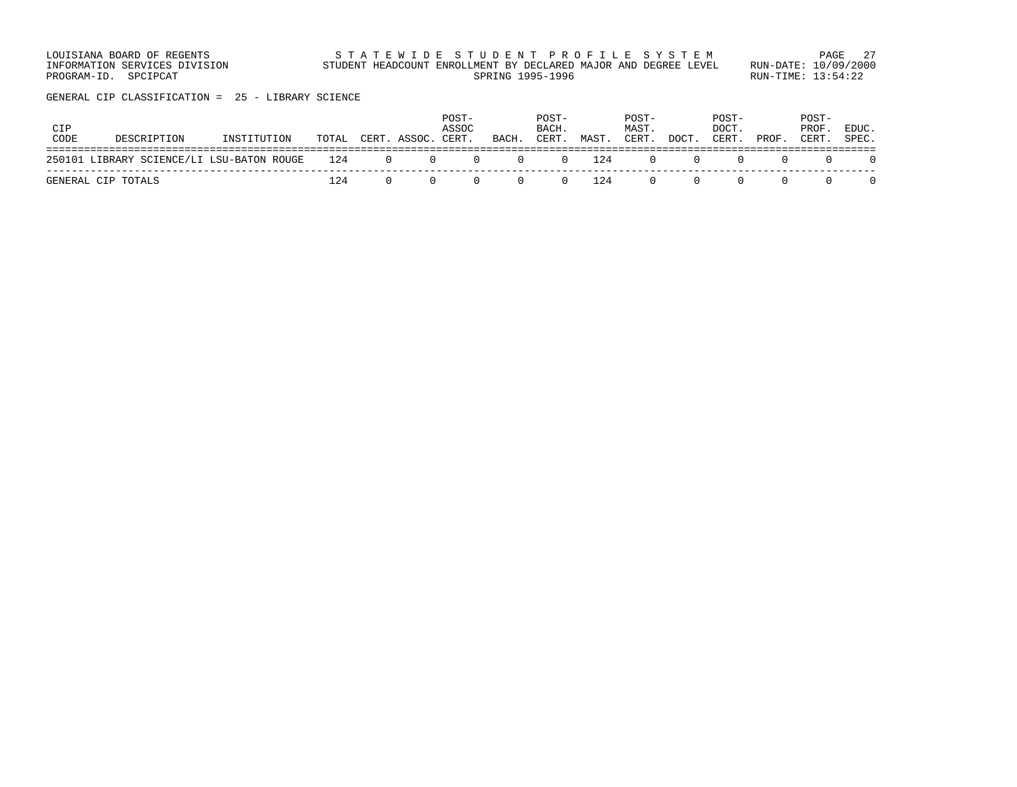LOUISIANA BOARD OF REGENTS STATEWIDE STUDENT PROFILE SYSTEM PAGE 27 INFORMATION SERVICES DIVISION STUDENT HEADCOUNT ENROLLMENT BY DECLARED MAJOR AND DEGREE LEVEL RUN-DATE: 10/09/2000 PROGRAM-ID. SPCIPCAT SERING 1995-1996 RUN-TIME: 13:54:22

GENERAL CIP CLASSIFICATION = 25 - LIBRARY SCIENCE

| CIP<br>CODE | DESCRIPTION                                   | INSTITUTION |     | TOTAL CERT. ASSOC. CERT.                                                                                                                                                                                                                                                                                                                                                                                                                                                                          | POST-<br>ASSOC | BACH.                               | POST-<br>BACH.<br>CERT. | MAST.      | POST-<br>MAST.<br>CERT.                                | DOCT. | POST-<br>DOCT.<br>CERT. | PROF. | POST-<br>PROF.<br>CERT. | EDUC.<br>SPEC. |
|-------------|-----------------------------------------------|-------------|-----|---------------------------------------------------------------------------------------------------------------------------------------------------------------------------------------------------------------------------------------------------------------------------------------------------------------------------------------------------------------------------------------------------------------------------------------------------------------------------------------------------|----------------|-------------------------------------|-------------------------|------------|--------------------------------------------------------|-------|-------------------------|-------|-------------------------|----------------|
|             | 250101 LIBRARY SCIENCE/LI LSU-BATON ROUGE 124 |             |     | $\begin{array}{ccc} & & & & \text{if } & \text{if } & \text{if } & \text{if } & \text{if } & \text{if } & \text{if } & \text{if } & \text{if } & \text{if } & \text{if } & \text{if } & \text{if } & \text{if } & \text{if } & \text{if } & \text{if } & \text{if } & \text{if } & \text{if } & \text{if } & \text{if } & \text{if } & \text{if } & \text{if } & \text{if } & \text{if } & \text{if } & \text{if } & \text{if } & \text{if } & \text{if } & \text{if } & \text{if } & \text{if }$ |                | $\begin{matrix} 0 & 0 \end{matrix}$ |                         | $0 \t 124$ | $\begin{array}{ccc} & & & 0 & \quad & & 0 \end{array}$ |       |                         |       |                         |                |
|             | GENERAL CIP TOTALS                            |             | 124 |                                                                                                                                                                                                                                                                                                                                                                                                                                                                                                   |                |                                     |                         | $0 \t 124$ | $\Omega$                                               |       |                         |       |                         |                |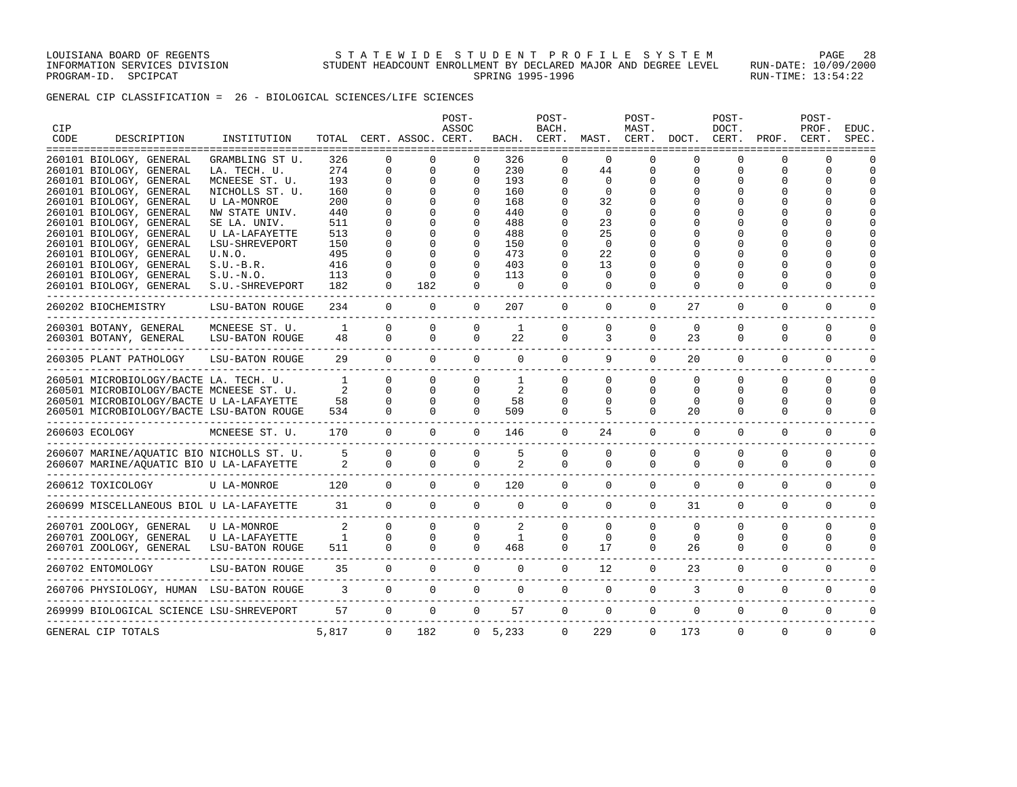GENERAL CIP CLASSIFICATION = 26 - BIOLOGICAL SCIENCES/LIFE SCIENCES

| <b>CIP</b><br>CODE | DESCRIPTION                                                          | INSTITUTION                               |                                       |                | TOTAL CERT. ASSOC. CERT. | POST-<br>ASSOC | BACH.          | POST-<br>BACH.<br>CERT. | MAST.            | POST-<br>MAST.<br>CERT.<br>================= | DOCT.               | POST-<br>DOCT.<br>CERT. | PROF.               | POST-<br>PROF.<br>CERT.<br>=================== | EDUC.<br>SPEC.     |
|--------------------|----------------------------------------------------------------------|-------------------------------------------|---------------------------------------|----------------|--------------------------|----------------|----------------|-------------------------|------------------|----------------------------------------------|---------------------|-------------------------|---------------------|------------------------------------------------|--------------------|
|                    | 260101 BIOLOGY, GENERAL                                              | GRAMBLING ST U.                           | 326                                   | $\Omega$       |                          | $\Omega$       | 326            | $\Omega$                | $\Omega$         | $\Omega$                                     | <sup>0</sup>        | O                       | U                   | $\Omega$                                       |                    |
|                    | 260101 BIOLOGY, GENERAL                                              | LA. TECH. U.                              | 274                                   | $\mathbf 0$    | 0                        | $\mathbf 0$    | 230            | 0                       | 44               | 0                                            | 0                   | 0                       | 0                   | 0                                              | $\Omega$<br>$\cap$ |
|                    | 260101 BIOLOGY, GENERAL                                              | MCNEESE ST. U.                            | 193                                   | 0<br>0         | $\Omega$<br>0            | 0<br>$\Omega$  | 193<br>160     | 0<br>O                  | 0<br>$\Omega$    | $\Omega$                                     | $\Omega$            | U                       | U                   | ∩                                              |                    |
|                    | 260101 BIOLOGY, GENERAL<br>260101 BIOLOGY, GENERAL                   | NICHOLLS ST. U.<br>U LA-MONROE            | 160<br>200                            | $\Omega$       | N                        | 0              | 168            | 0                       | 32               |                                              |                     |                         |                     |                                                |                    |
|                    | 260101 BIOLOGY, GENERAL                                              | NW STATE UNIV.                            | 440                                   |                |                          | $\Omega$       | 440            | O                       | 0                |                                              |                     |                         |                     |                                                |                    |
|                    | 260101 BIOLOGY, GENERAL                                              | SE LA. UNIV.                              | 511                                   |                |                          | $\Omega$       | 488            | O                       | 23               |                                              |                     |                         |                     |                                                |                    |
|                    | 260101 BIOLOGY, GENERAL                                              | U LA-LAFAYETTE                            | 513                                   | U              |                          | $\Omega$       | 488            | U                       | 25               |                                              |                     |                         |                     |                                                |                    |
|                    | 260101 BIOLOGY, GENERAL                                              | LSU-SHREVEPORT                            | 150                                   | U              | ∩                        | $\Omega$       | 150            | U                       | $\Omega$         |                                              |                     |                         |                     |                                                |                    |
|                    | 260101 BIOLOGY, GENERAL                                              | U.N.O.                                    | 495                                   | $\cap$         | $\cap$                   | $\Omega$       | 473            | U                       | 22               |                                              |                     |                         | C                   | $\cap$                                         |                    |
|                    | 260101 BIOLOGY, GENERAL                                              | $S.U.-B.R.$                               | 416                                   | $\Omega$       |                          | $\Omega$       | 403            | $\Omega$                | 13               |                                              |                     |                         |                     |                                                |                    |
|                    | 260101 BIOLOGY, GENERAL                                              | $S.U.-N.O.$                               | 113                                   | $\Omega$       | $\Omega$                 | $\Omega$       | 113            | U                       | $\Omega$         |                                              | n                   | U                       | $\cap$              | $\cap$                                         |                    |
|                    | 260101 BIOLOGY, GENERAL                                              | S.U.-SHREVEPORT                           | 182                                   | $\Omega$       | 182                      | $\Omega$       | $\mathbf 0$    | $\Omega$                | $\Omega$         | $\Omega$                                     | $\Omega$            | $\Omega$                | $\Omega$            | $\Omega$                                       |                    |
|                    | 260202 BIOCHEMISTRY                                                  | LSU-BATON ROUGE                           | 234                                   | $\Omega$       | $\mathbf 0$              | $\Omega$       | 207            | $\mathbf 0$             | 0                | $\Omega$                                     | 27                  | 0                       | 0                   | $\mathbf 0$                                    | ∩                  |
|                    | 260301 BOTANY, GENERAL                                               | MCNEESE ST. U.                            | 1                                     | $\Omega$       | $\Omega$                 | $\Omega$       | $\mathbf{1}$   | $\Omega$                | $\Omega$         | $\Omega$                                     | $\mathbf 0$         | $\Omega$                | $\mathbf 0$         | $\mathbf 0$                                    | O                  |
|                    | 260301 BOTANY, GENERAL                                               | LSU-BATON ROUGE                           | 48                                    | $\Omega$       | $\Omega$                 | $\Omega$       | 22             | $\Omega$                | 3                | $\Omega$                                     | 23                  | $\Omega$                | $\Omega$            | $\Omega$                                       | $\Omega$           |
|                    | 260305 PLANT PATHOLOGY                                               | LSU-BATON ROUGE                           | 29                                    | $\Omega$       | $\Omega$                 | $\Omega$       | $\Omega$       | $\Omega$                | 9                | $\Omega$                                     | $20^{\circ}$        | $\Omega$                | $\Omega$            | $\Omega$                                       | $\cap$             |
|                    | 260501 MICROBIOLOGY/BACTE LA. TECH. U.                               |                                           | 1                                     | $\Omega$       | $\Omega$                 | $\Omega$       | 1              | $\Omega$                | $\Omega$         | $\Omega$                                     | $\Omega$            | $\Omega$                | $\Omega$            | $\Omega$                                       | $\cap$             |
|                    | 260501 MICROBIOLOGY/BACTE MCNEESE ST. U.                             |                                           | 2                                     | $\Omega$       | $\Omega$                 | $\Omega$       | $\overline{a}$ | $\Omega$                | $\Omega$         | $\Omega$                                     | $\Omega$            | $\Omega$                | $\Omega$            | $\Omega$                                       | $\Omega$           |
|                    | 260501 MICROBIOLOGY/BACTE U LA-LAFAYETTE                             |                                           | 58                                    | $\Omega$       | $\Omega$                 | $\mathbf 0$    | 58             | $\Omega$                | 0                | $\Omega$                                     | $\Omega$            | $\Omega$                | $\Omega$            | $\Omega$                                       | $\Omega$           |
|                    | 260501 MICROBIOLOGY/BACTE LSU-BATON ROUGE                            |                                           | 534                                   | $\Omega$       | $\Omega$                 | $\Omega$       | 509            | $\Omega$                | 5                | $\Omega$                                     | 20                  | $\Omega$                | $\Omega$            | $\Omega$                                       | $\cap$             |
|                    | 260603 ECOLOGY                                                       | MCNEESE ST. U.                            | 170                                   | $\mathbf{0}$   | $\mathbf{0}$             | $\Omega$       | 146            | $\mathbf{0}$            | 24               | $\mathbf{0}$                                 | 0                   | 0                       | 0                   | 0                                              | $\Omega$           |
|                    | 260607 MARINE/AQUATIC BIO NICHOLLS ST. U.                            |                                           | 5                                     | $\Omega$       | $\Omega$                 | $\Omega$       | 5              | $\Omega$                | $\Omega$         | $\Omega$                                     | $\Omega$            | $\mathbf 0$             | $\mathbf 0$         | $\mathbf 0$                                    | $\Omega$           |
|                    | 260607 MARINE/AQUATIC BIO U LA-LAFAYETTE<br>________________________ |                                           | $\overline{2}$                        | $\Omega$       | $\Omega$                 | $\Omega$       | $\overline{a}$ | $\Omega$                | $\Omega$         | $\Omega$                                     | $\Omega$            | $\Omega$                | $\Omega$            | $\Omega$                                       | $\Omega$           |
|                    | 260612 TOXICOLOGY                                                    | <b>U LA-MONROE</b>                        | 120                                   | $\Omega$       | $\Omega$                 | $\Omega$       | 120            | 0                       | $\Omega$<br>---- | $\mathbf{0}$<br>-----                        | $\Omega$<br>$- - -$ | $\Omega$<br>$---$       | $\Omega$<br>$- - -$ | $\mathbf 0$                                    | $\cap$             |
|                    | 260699 MISCELLANEOUS BIOL U LA-LAFAYETTE                             |                                           | 31                                    | $\Omega$       | $\Omega$                 | $\Omega$       | $\Omega$       | $\Omega$                | $\Omega$         | $\mathbf{0}$                                 | 31                  | 0                       | $\Omega$            | $\mathbf 0$                                    | $\Omega$           |
|                    | 260701 ZOOLOGY, GENERAL                                              | U LA-MONROE                               | 2                                     | $\Omega$       | $\Omega$                 | $\mathbf{0}$   | 2              | 0                       | 0                | $\mathbf{0}$                                 | $\Omega$            | $\Omega$                | 0                   | $\mathbf 0$                                    | $\Omega$           |
|                    | 260701 ZOOLOGY, GENERAL                                              | U LA-LAFAYETTE                            | $\overline{1}$                        | $\Omega$       | $\mathbf 0$              | $\mathbf 0$    | 1              | $\Omega$                | $\mathbf 0$      | $\Omega$                                     | $\Omega$            | $\Omega$                | $\mathbf 0$         | $\Omega$                                       | $\Omega$           |
|                    | 260701 ZOOLOGY, GENERAL<br>__________________                        | LSU-BATON ROUGE                           | 511                                   | $\Omega$       | $\Omega$                 | $\Omega$       | 468            | $\Omega$                | 17               | $\Omega$                                     | 26                  | 0                       | $\Omega$            | $\Omega$                                       | $\Omega$           |
|                    | 260702 ENTOMOLOGY                                                    | LSU-BATON ROUGE<br>---------------------- | 35                                    | $\overline{0}$ | $\Omega$                 | $\mathbf{0}$   | 0              | $\mathbf{0}$            | 12               | $\mathbf{0}$                                 | 23                  | 0                       | $\mathbf 0$         | $\mathbf 0$                                    | ∩                  |
|                    | 260706 PHYSIOLOGY, HUMAN LSU-BATON ROUGE                             |                                           | $\mathbf{3}$                          | $\Omega$       | $\Omega$                 | $\Omega$       | $\Omega$       | $\Omega$                | $\Omega$         | $\Omega$                                     | 3                   | $\Omega$                | $\Omega$            | $\Omega$                                       | $\Omega$           |
|                    | 269999 BIOLOGICAL SCIENCE LSU-SHREVEPORT                             |                                           | -------------------------------<br>57 | $\Omega$       | $\Omega$                 | $\mathbf{0}$   | 57             | $\mathbf{0}$            | $\mathbf{0}$     | $\mathbf{0}$                                 | 0                   | $\mathbf{0}$            | $\mathbf 0$         | 0                                              | $\Omega$           |
|                    | GENERAL CIP TOTALS                                                   |                                           | 5,817                                 | $\Omega$       | 182                      |                | 0, 5, 233      | $\Omega$                | 229              | $\Omega$                                     | 173                 | $\Omega$                | $\Omega$            | $\Omega$                                       | $\Omega$           |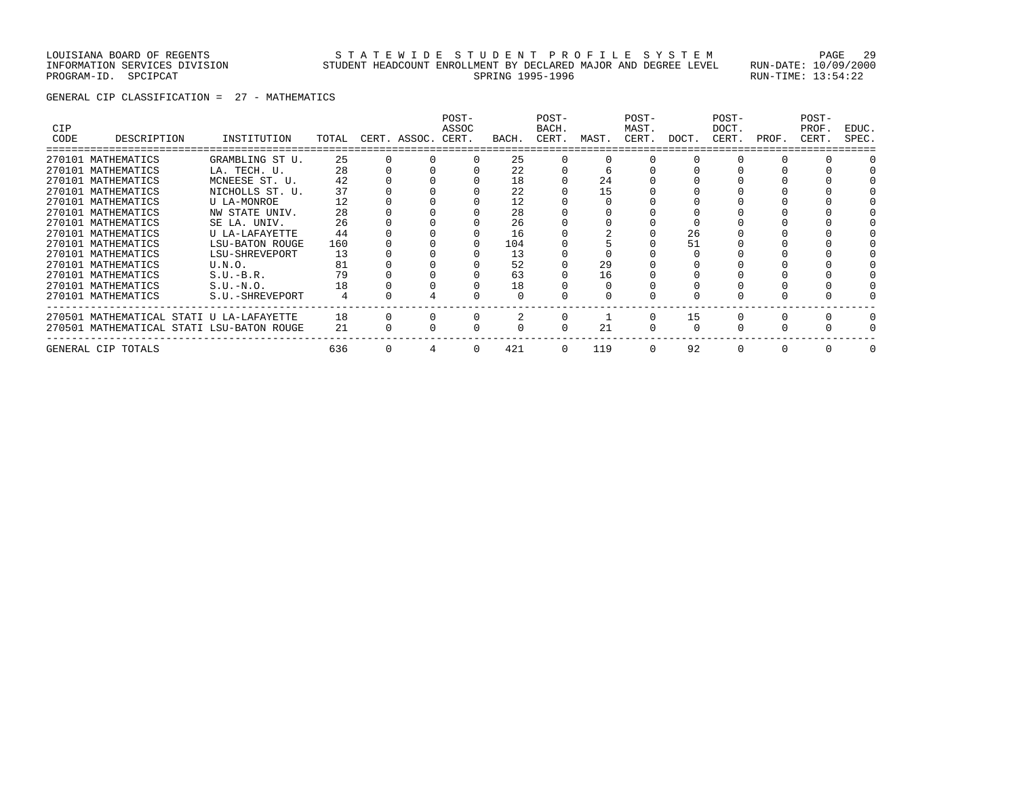#### LOUISIANA BOARD OF REGENTS STA TEWIDE STUDENT PROFILE SYSTEM PAGE 29 INFORMATION SERVICES DIVISION STUDENT HEADCOUNT ENROLLMENT BY DECLARED MAJOR AND DEGREE LEVEL RUN-DATE: 10/09/2000 PROGRAM-ID. SPCIPCAT SERING 1995-1996 RUN-TIME: 13:54:22

GENERAL CIP CLASSIFICATION = 27 - MATHEMATICS

| CIP<br>CODE | DESCRIPTION                               | INSTITUTION     | TOTAL | CERT. ASSOC. CERT. | POST-<br>ASSOC | BACH. | POST-<br>BACH.<br>CERT. | MAST. | POST-<br>MAST.<br>CERT. | DOCT. | POST-<br>DOCT.<br>CERT. | PROF. | POST-<br>PROF.<br>CERT. | EDUC.<br>SPEC. |
|-------------|-------------------------------------------|-----------------|-------|--------------------|----------------|-------|-------------------------|-------|-------------------------|-------|-------------------------|-------|-------------------------|----------------|
|             | 270101 MATHEMATICS                        | GRAMBLING ST U. | 25    |                    |                | 25    |                         |       |                         |       |                         |       |                         |                |
|             | 270101 MATHEMATICS                        | LA. TECH. U.    | 28    |                    |                | 22    |                         |       |                         |       |                         |       |                         |                |
|             | 270101 MATHEMATICS                        | MCNEESE ST. U.  | 42    |                    |                | 18    |                         | 2.4   |                         |       |                         |       |                         |                |
|             | 270101 MATHEMATICS                        | NICHOLLS ST. U. | 37    |                    |                | 22    |                         | 15    |                         |       |                         |       |                         |                |
|             | 270101 MATHEMATICS                        | U LA-MONROE     | 12    |                    |                | 12    |                         |       |                         |       |                         |       |                         |                |
|             | 270101 MATHEMATICS                        | NW STATE UNIV.  | 28    |                    |                | 28    |                         |       |                         |       |                         |       |                         |                |
|             | 270101 MATHEMATICS                        | SE LA. UNIV.    | 26    |                    |                | 26    |                         |       |                         |       |                         |       |                         |                |
|             | 270101 MATHEMATICS                        | U LA-LAFAYETTE  | 44    |                    |                | 16    |                         |       |                         | 26    |                         |       |                         |                |
|             | 270101 MATHEMATICS                        | LSU-BATON ROUGE | 160   |                    |                | 104   |                         |       |                         | 51    |                         |       |                         |                |
|             | 270101 MATHEMATICS                        | LSU-SHREVEPORT  | 13    |                    |                | 13    |                         |       |                         |       |                         |       |                         |                |
|             | 270101 MATHEMATICS                        | U.N.O.          | 81    |                    |                | 52    |                         | 29    |                         |       |                         |       |                         |                |
|             | 270101 MATHEMATICS                        | $S.U.-B.R.$     | 79    |                    |                | 63    |                         | 16    |                         |       |                         |       |                         |                |
|             | 270101 MATHEMATICS                        | $S.U.-N.O.$     | 18    |                    |                | 18    |                         |       |                         |       |                         |       |                         |                |
|             | 270101 MATHEMATICS                        | S.U.-SHREVEPORT |       |                    |                |       |                         |       |                         |       |                         |       |                         |                |
|             | 270501 MATHEMATICAL STATI U LA-LAFAYETTE  |                 | 18    |                    |                |       |                         |       |                         | 15    |                         |       |                         |                |
|             | 270501 MATHEMATICAL STATI LSU-BATON ROUGE |                 | 21    |                    |                |       |                         | 21    |                         |       |                         |       |                         |                |
|             | GENERAL CIP TOTALS                        |                 | 636   |                    |                | 421   | $\Omega$                | 119   |                         | 92    |                         |       |                         |                |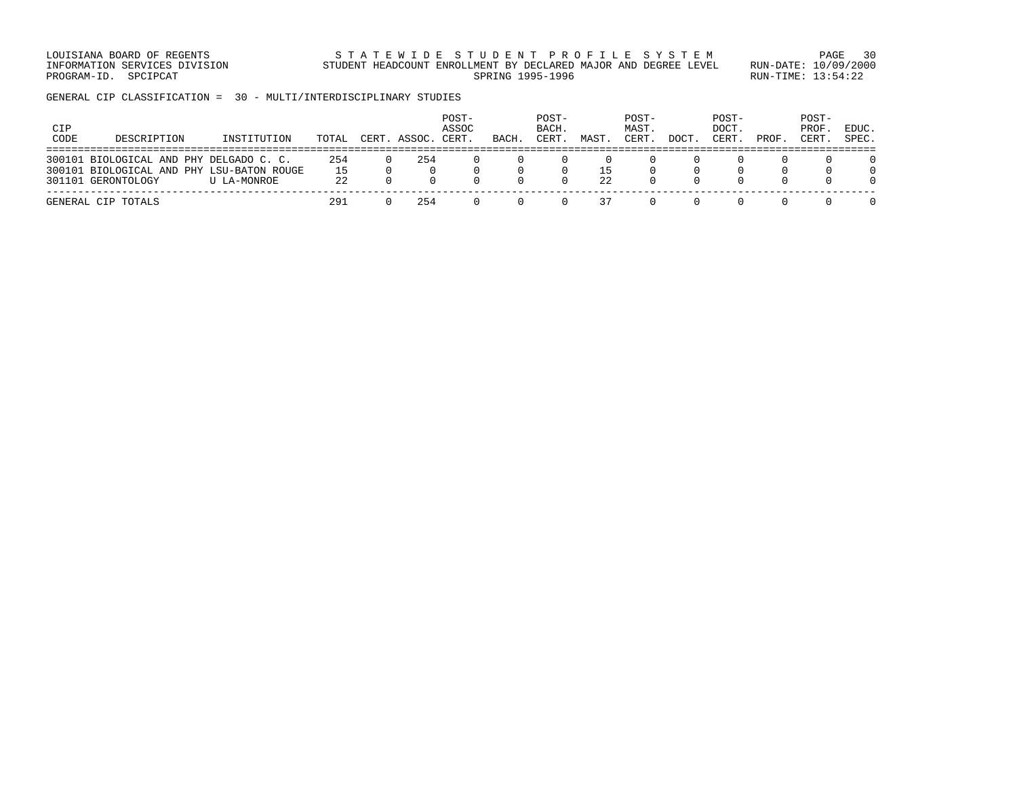LOUISIANA BOARD OF REGENTS STATEWIDE STUDENT PROFILE SYSTEM PAGE 30 INFORMATION SERVICES DIVISION STUDENT HEADCOUNT ENROLLMENT BY DECLARED MAJOR AND DEGREE LEVEL RUN-DATE: 10/09/2000 PROGRAM-ID. SPCIPCAT SERING 1995-1996 RUN-TIME: 13:54:22

GENERAL CIP CLASSIFICATION = 30 - MULTI/INTERDISCIPLINARY STUDIES

| CIP<br>CODE | DESCRIPTION                                                                                                | INSTITUTION | TOTAL           | CERT. | ASSOC. | POST-<br>ASSOC<br>CERT | BACH. | POST-<br>BACH.<br>CERT. | MAST      | POST-<br>MAST.<br>CERT | DOCT. | POST-<br>DOCT.<br>CERT | PROF | POST-<br>PROF<br>CERT | EDUC.<br>SPEC. |
|-------------|------------------------------------------------------------------------------------------------------------|-------------|-----------------|-------|--------|------------------------|-------|-------------------------|-----------|------------------------|-------|------------------------|------|-----------------------|----------------|
|             | 300101 BIOLOGICAL AND PHY DELGADO C. C.<br>300101 BIOLOGICAL AND PHY LSU-BATON ROUGE<br>301101 GERONTOLOGY | U LA-MONROE | 254<br>15<br>22 |       | 254    |                        |       |                         | 1 E<br>22 |                        |       |                        |      |                       |                |
|             | GENERAL CIP TOTALS                                                                                         |             | 291             |       | 254    |                        |       |                         |           |                        |       |                        |      |                       |                |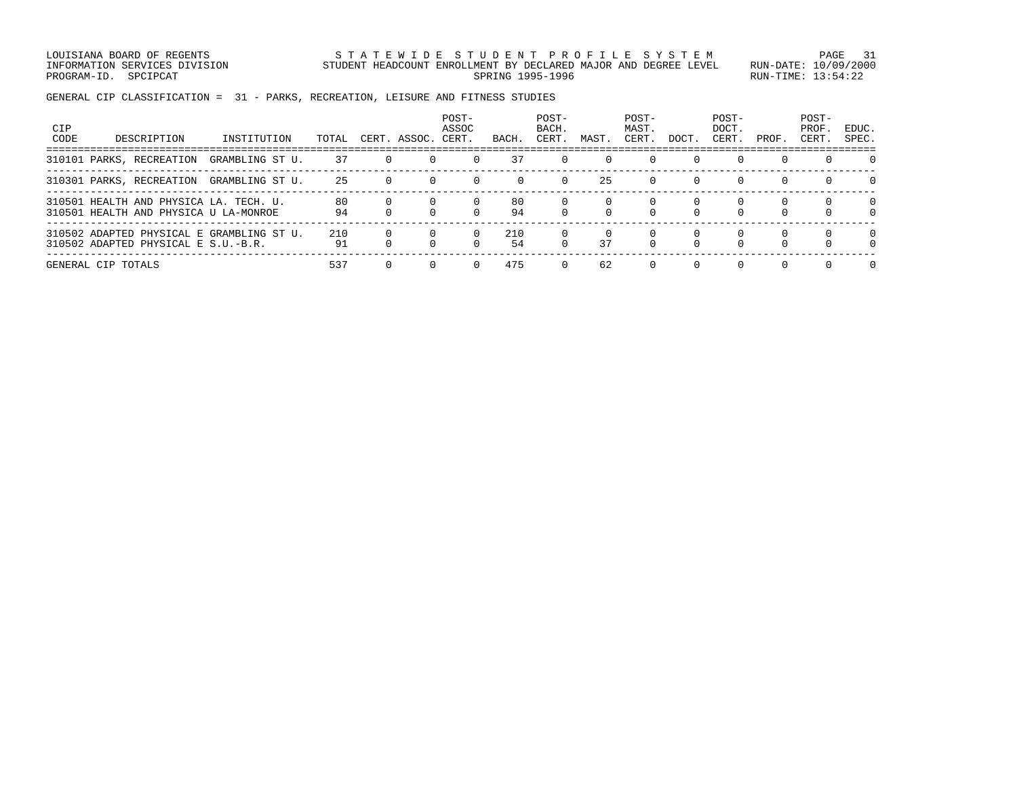LOUISIANA BOARD OF REGENTS STATEWIDE STUDENT PROFILE SYSTEM PAGE 31 INFORMATION SERVICES DIVISION STUDENT HEADCOUNT ENROLLMENT BY DECLARED MAJOR AND DEGREE LEVEL RUN-DATE: 10/09/2000 PROGRAM-ID. SPCIPCAT SERING 1995-1996 RUN-TIME: 13:54:22

GENERAL CIP CLASSIFICATION = 31 - PARKS, RECREATION, LEISURE AND FITNESS STUDIES

| CIP<br>CODE | DESCRIPTION                                                                      | INSTITUTION     | TOTAL     | CERT. ASSOC. | POST-<br>ASSOC<br>CERT. | BACH.     | POST-<br>BACH.<br>CERT. | MAST. | POST-<br>MAST.<br>CERT. | DOCT.    | POST-<br>DOCT.<br>CERT. | PROF.    | POST-<br>PROF.<br>CERT. | EDUC.<br>SPEC.       |
|-------------|----------------------------------------------------------------------------------|-----------------|-----------|--------------|-------------------------|-----------|-------------------------|-------|-------------------------|----------|-------------------------|----------|-------------------------|----------------------|
|             | 310101 PARKS, RECREATION                                                         | GRAMBLING ST U. | 37        |              | $\Omega$                | 37        | $\Omega$                |       |                         |          |                         |          |                         | $\Omega$             |
|             | 310301 PARKS, RECREATION                                                         | GRAMBLING ST U. | 25        | $\Omega$     | $\Omega$                | $\Omega$  | $\Omega$                | 25    | $\Omega$                | $\Omega$ | $\Omega$                | $\Omega$ |                         | $\Omega$             |
|             | 310501 HEALTH AND PHYSICA LA. TECH. U.<br>310501 HEALTH AND PHYSICA U LA-MONROE  |                 | 80<br>94  |              | $\Omega$                | 80<br>94  |                         |       |                         |          | $\Omega$                |          |                         | $\Omega$<br>$\Omega$ |
|             | 310502 ADAPTED PHYSICAL E GRAMBLING ST U.<br>310502 ADAPTED PHYSICAL E S.U.-B.R. |                 | 210<br>91 |              | $\Omega$                | 210<br>54 | $\Omega$                | 37    |                         |          | $\Omega$                |          |                         | $\cap$               |
|             | GENERAL CIP TOTALS                                                               |                 | 537       |              | $\left( \right)$        | 475       |                         | 62    | $\Omega$                |          | $\Omega$                |          |                         | $\Omega$             |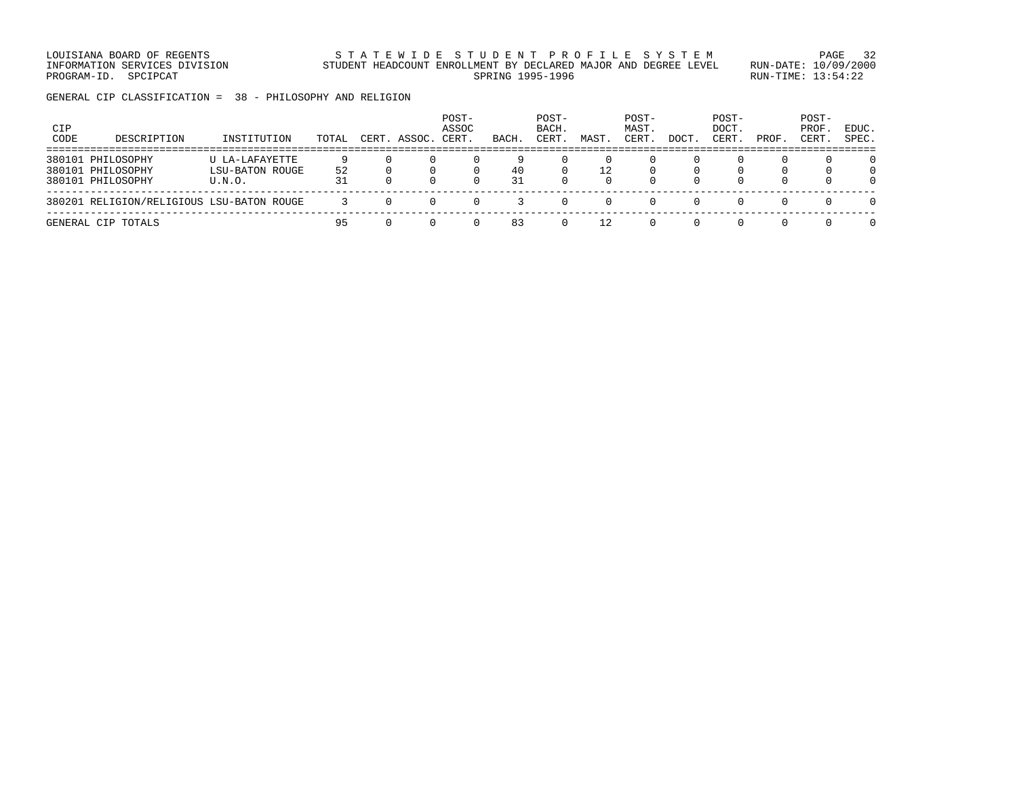LOUISIANA BOARD OF REGENTS STATEWIDE STUDENT PROFILE SYSTEM PAGE 32 INFORMATION SERVICES DIVISION STUDENT HEADCOUNT ENROLLMENT BY DECLARED MAJOR AND DEGREE LEVEL RUN-DATE: 10/09/2000 PROGRAM-ID. SPCIPCAT SERING 1995-1996 RUN-TIME: 13:54:22

GENERAL CIP CLASSIFICATION = 38 - PHILOSOPHY AND RELIGION

| CIP<br>CODE | DESCRIPTION                                                 | INSTITUTION                                        | TOTAL    | CERT. | ASSOC. | POST-<br>ASSOC<br>CERT. | BACH.    | POST-<br>BACH.<br>CERT. | MAST               | POST-<br>MAST.<br>CERT | <b>DOCT</b> | POST-<br>DOCT.<br>CERT. | PROF | POST-<br>PROF.<br>CERT | EDUC.<br>SPEC. |
|-------------|-------------------------------------------------------------|----------------------------------------------------|----------|-------|--------|-------------------------|----------|-------------------------|--------------------|------------------------|-------------|-------------------------|------|------------------------|----------------|
|             | 380101 PHILOSOPHY<br>380101 PHILOSOPHY<br>380101 PHILOSOPHY | U LA-LAFAYETTE<br><b>LSU-BATON ROUGE</b><br>U.N.O. | 52<br>31 |       |        | $\Omega$                | 40<br>31 |                         | 12<br><sup>0</sup> | <sup>0</sup>           |             |                         |      | $\Omega$               |                |
|             | 380201 RELIGION/RELIGIOUS LSU-BATON ROUGE                   |                                                    |          |       |        |                         |          |                         |                    |                        |             |                         |      |                        |                |
|             | GENERAL CIP TOTALS                                          |                                                    | 95       |       |        |                         | 83       |                         |                    |                        |             |                         |      |                        |                |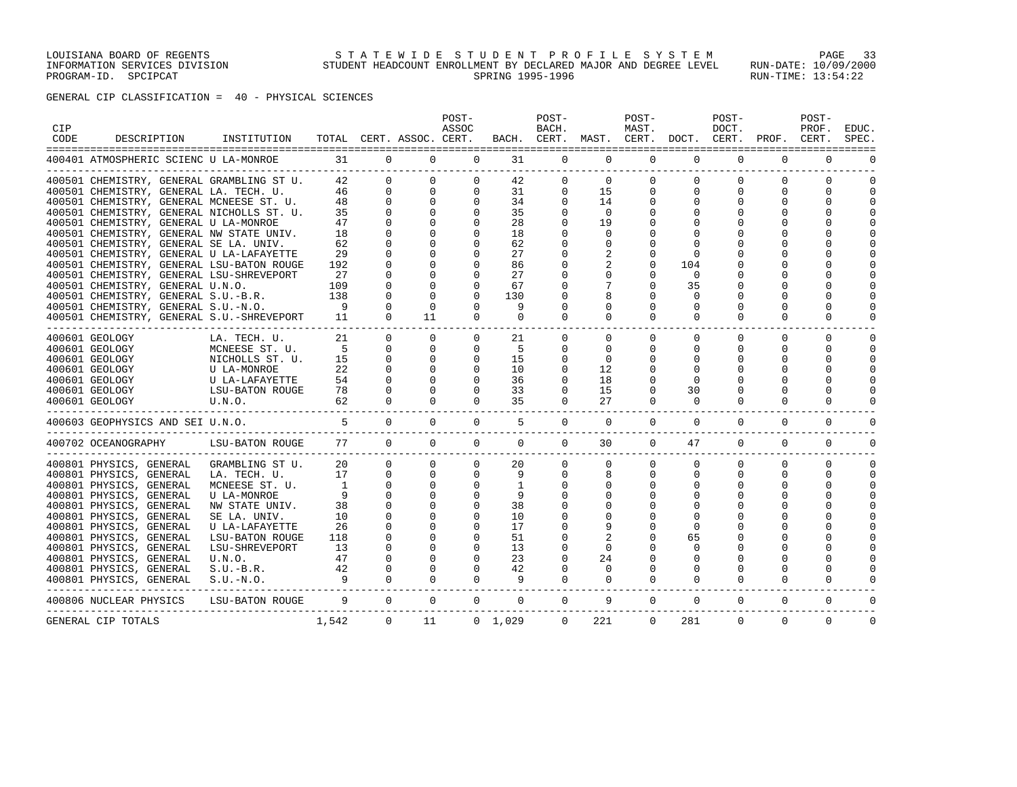LOUISIANA BOARD OF REGENTS STATEWIDE STUDENT PROFILE SYSTEM PAGE 33 INFORMATION SERVICES DIVISION STUDENT HEADCOUNT ENROLLMENT BY DECLARED MAJOR AND DEGREE LEVEL RUN-DATE: 10/09/2000 PROGRAM-ID. SPCIPCAT SERING 1995-1996 RUN-TIME: 13:54:22

# GENERAL CIP CLASSIFICATION = 40 - PHYSICAL SCIENCES

| <b>CIP</b><br>CODE | DESCRIPTION                                                 | INSTITUTION       |                |              | TOTAL CERT. ASSOC. CERT. | POST-<br>ASSOC |                 | POST-<br>BACH.<br>BACH. CERT. | MAST.       | POST-<br>MAST.<br>CERT. | DOCT.        | POST-<br>DOCT.<br>CERT. | PROF.       | POST-<br>PROF.<br>CERT. | EDUC.<br>SPEC. |
|--------------------|-------------------------------------------------------------|-------------------|----------------|--------------|--------------------------|----------------|-----------------|-------------------------------|-------------|-------------------------|--------------|-------------------------|-------------|-------------------------|----------------|
|                    | 400401 ATMOSPHERIC SCIENC U LA-MONROE                       |                   | 31             |              | $\Omega$<br>$\Omega$     | $\Omega$       | 31              | $\Omega$                      | $\Omega$    | $\Omega$                | $\Omega$     | $\Omega$                | $\Omega$    | $\Omega$                |                |
|                    | 400501 CHEMISTRY, GENERAL GRAMBLING ST U.                   |                   | 42             | $\Omega$     | $\Omega$                 | $\Omega$       | 42              | $\Omega$                      | $\Omega$    | $\Omega$                | $\Omega$     | $\Omega$                | $\Omega$    | $\Omega$                | $\cap$         |
|                    | 400501 CHEMISTRY, GENERAL LA. TECH. U.                      |                   | 46             | $\Omega$     | $\Omega$                 | 0              | 31              | $\Omega$                      | 15          | $\Omega$                | $\Omega$     | $\Omega$                | $\Omega$    | $\mathbf 0$             | $\Omega$       |
|                    | 400501 CHEMISTRY, GENERAL MCNEESE ST. U.                    |                   | 48             | $\Omega$     | $\Omega$                 | 0              | 34              | 0                             | 14          | 0                       | $\Omega$     | 0                       | $\Omega$    | $\Omega$                | $\Omega$       |
|                    | 400501 CHEMISTRY, GENERAL NICHOLLS ST. U.                   |                   | 35             | $\Omega$     | $\Omega$                 | $\Omega$       | 35              | $\Omega$                      | $\Omega$    | O                       |              |                         |             | $\Omega$                | $\cap$         |
|                    | 400501 CHEMISTRY, GENERAL U LA-MONROE                       |                   | 47             |              | $\Omega$                 | $\Omega$       | 28              | $\Omega$                      | 19          |                         |              |                         |             | $\cap$                  |                |
|                    | 400501 CHEMISTRY, GENERAL NW STATE UNIV.                    |                   | 18             |              | $\Omega$                 | $\Omega$       | 18              | ∩                             | $\Omega$    |                         |              |                         |             |                         |                |
|                    | 400501 CHEMISTRY, GENERAL SE LA. UNIV.                      |                   | 62             |              | 0                        | $\Omega$       | 62              | O                             | 0           | O                       |              |                         |             | U                       |                |
|                    | 400501 CHEMISTRY, GENERAL U LA-LAFAYETTE                    |                   | 29             |              | $\Omega$                 | $\Omega$       | 27              | O                             |             | O                       | <sup>0</sup> |                         |             |                         |                |
|                    | 400501 CHEMISTRY, GENERAL LSU-BATON ROUGE                   |                   | 192            |              | $\Omega$                 | $\Omega$       | 86              | O                             | 2           | O                       | 104          |                         |             | $\Omega$                |                |
|                    | 400501 CHEMISTRY, GENERAL LSU-SHREVEPORT                    |                   | 27             |              | $\Omega$                 | $\Omega$       | 27              | $\Omega$                      | U           | O                       | $\Omega$     |                         |             | $\Omega$                |                |
|                    | 400501 CHEMISTRY, GENERAL U.N.O.                            |                   | 109            | $\Omega$     | $\Omega$                 | $\Omega$       | 67              | O                             | 7           | 0                       | 35           |                         |             | $\Omega$                |                |
|                    | 400501 CHEMISTRY, GENERAL S.U.-B.R.                         |                   | 138            |              | $\Omega$                 | $\Omega$       | 130             | $\Omega$                      | 8           |                         | $\Omega$     |                         |             | $\Omega$                |                |
|                    | 400501 CHEMISTRY, GENERAL S.U.-N.O.                         |                   | 9              |              | $\Omega$                 | $\Omega$       | 9               |                               | U           | U                       | n            |                         |             | $\Omega$                |                |
|                    | 400501 CHEMISTRY, GENERAL S.U.-SHREVEPORT                   |                   | 11             | $\Omega$     | 11                       | $\Omega$       | $\Omega$        | $\Omega$                      | $\Omega$    | $\Omega$                | $\Omega$     | $\Omega$                | $\Omega$    | $\Omega$                |                |
|                    | 400601 GEOLOGY                                              | LA. TECH. U.      | 21             | $\Omega$     | $\Omega$                 | $\Omega$       | 21              | $\Omega$                      | $\Omega$    | $\Omega$                | $\Omega$     | $\Omega$                | $\Omega$    | $\Omega$                |                |
|                    | 400601 GEOLOGY                                              | MCNEESE ST. U.    | - 5            | $\Omega$     | 0                        | 0              | 5               | 0                             | 0           | 0                       | $\Omega$     | 0                       | 0           | 0                       | $\cap$         |
|                    | 400601 GEOLOGY                                              | NICHOLLS ST. U.   | 15             | $\Omega$     | $\Omega$                 | 0              | 15              | 0                             | $\Omega$    | 0                       | $\Omega$     | O                       | 0           | 0                       | ∩              |
|                    | 400601 GEOLOGY                                              | U LA-MONROE       | 22             | 0            | 0                        | 0              | 10              | 0                             | 12          | 0                       |              |                         |             | 0                       |                |
|                    | 400601 GEOLOGY                                              | U LA-LAFAYETTE    | 54             | $\Omega$     | $\Omega$                 | $\Omega$       | 36              | 0                             | 18          | 0                       | $\Omega$     |                         |             | $\Omega$                |                |
|                    | 400601 GEOLOGY                                              | LSU-BATON ROUGE   | 78             | $\Omega$     | $\Omega$                 | $\Omega$       | 33              | $\Omega$                      | 15          | $\Omega$                | 30           | O                       | $\Omega$    | $\Omega$                |                |
|                    | 400601 GEOLOGY                                              | U.N.O.            |                | $\Omega$     | $\Omega$                 | $\Omega$       | 35              | $\Omega$                      | 27          | $\Omega$                | $\Omega$     | $\Omega$                | $\Omega$    | $\Omega$                |                |
|                    | 400603 GEOPHYSICS AND SEI U.N.O.                            |                   | 5 <sup>5</sup> | $\Omega$     | $\circ$                  | $\mathbf{0}$   | 5               | $\mathbf 0$                   | $\mathbf 0$ | $\mathbf{0}$            | $\mathbf 0$  | $\mathbf 0$             | $\mathbf 0$ | $\mathbf 0$             |                |
|                    | 400702 OCEANOGRAPHY                                         | LSU-BATON ROUGE   | 77             | $\Omega$     | $\Omega$                 | $\Omega$       | $\Omega$        | $\Omega$                      | 30          | $\Omega$                | 47           | $\Omega$                | $\Omega$    | $\mathbf 0$             | $\Omega$       |
|                    | 400801 PHYSICS, GENERAL                                     | GRAMBLING ST U.   | 20             | $\Omega$     | $\mathbf{0}$             | $\mathbf{0}$   | 20              | $\Omega$                      | 0           | $\circ$                 | 0            | 0                       | $\Omega$    | $\mathbf 0$             | $\Omega$       |
|                    | 400801 PHYSICS, GENERAL                                     | LA. TECH. U.      | 17             | $\mathbf{0}$ | $\mathbf{0}$             | 0              | 9               | $\mathbf 0$                   | 8           | 0                       | 0            | 0                       | 0           | 0                       | $\Omega$       |
|                    | 400801 PHYSICS, GENERAL                                     | MCNEESE ST. U.    | $\overline{1}$ | $\Omega$     | $\Omega$                 | $\Omega$       | 1               | $\Omega$                      | $\Omega$    | $\Omega$                | $\Omega$     | $\Omega$                | $\Omega$    | $\Omega$                | $\cap$         |
|                    | 400801 PHYSICS, GENERAL                                     | U LA-MONROE       | 9              | $\Omega$     | $\Omega$                 | $\Omega$       | 9               | $\Omega$                      | U           | O                       |              |                         |             | $\Omega$                |                |
|                    | 400801 PHYSICS, GENERAL                                     | NW STATE UNIV.    | 38             | $\Omega$     | $\Omega$                 | $\Omega$       | 38              | O                             | U           | O                       |              |                         |             | $\Omega$                |                |
|                    | 400801 PHYSICS, GENERAL                                     | SE LA. UNIV.      | 10             |              | $\Omega$                 | $\Omega$       | 10              |                               | U           |                         |              |                         |             |                         |                |
|                    | 400801 PHYSICS, GENERAL                                     | U LA-LAFAYETTE    | 26             |              | $\Omega$                 | $\Omega$       | 17              |                               | 9           |                         | $\Omega$     |                         |             | $\cap$                  |                |
|                    | 400801 PHYSICS, GENERAL                                     | LSU-BATON ROUGE   | 118            |              | $\Omega$                 | $\Omega$       | 51              |                               |             |                         | 65           |                         |             |                         |                |
|                    | 400801 PHYSICS, GENERAL                                     | LSU-SHREVEPORT    | 13             | $\Omega$     | $\Omega$                 | $\Omega$       | 13              | O                             | $\Omega$    |                         | O            |                         |             | ∩                       |                |
|                    | 400801 PHYSICS, GENERAL                                     | U.N.O.            | 47             |              | $\Omega$                 | $\Omega$       | 23              |                               | 24          | O                       |              |                         |             | $\Omega$                |                |
|                    | 400801 PHYSICS, GENERAL                                     | $S.U.-B.R.$       | 42             |              | $\Omega$                 | $\Omega$       | 42              | 0                             | 0           | O                       |              |                         |             | $\Omega$                |                |
|                    | 400801 PHYSICS, GENERAL<br>-------------------------------- | $S.U.-N.O.$       | $\overline{9}$ | $\Omega$     | $\Omega$                 | $\Omega$       | 9               | $\Omega$                      | $\Omega$    | $\Omega$                | $\Omega$     | $\Omega$                | $\Omega$    | $\Omega$                |                |
|                    | 400806 NUCLEAR PHYSICS                                      | LSU-BATON ROUGE 9 |                | $\Omega$     | $\Omega$                 | $\mathbf{0}$   | $\mathbf{0}$    | $\mathbf{0}$                  | 9           | $\mathbf{0}$            | $\mathbf 0$  | $\mathbf{0}$            | 0           | $\mathbf{0}$            |                |
|                    | GENERAL CIP TOTALS                                          |                   | 1,542          | $\Omega$     | 11                       |                | $0 \quad 1.029$ | $\Omega$                      | 221         | $\Omega$                | 281          | $\Omega$                | $\Omega$    | $\Omega$                | $\Omega$       |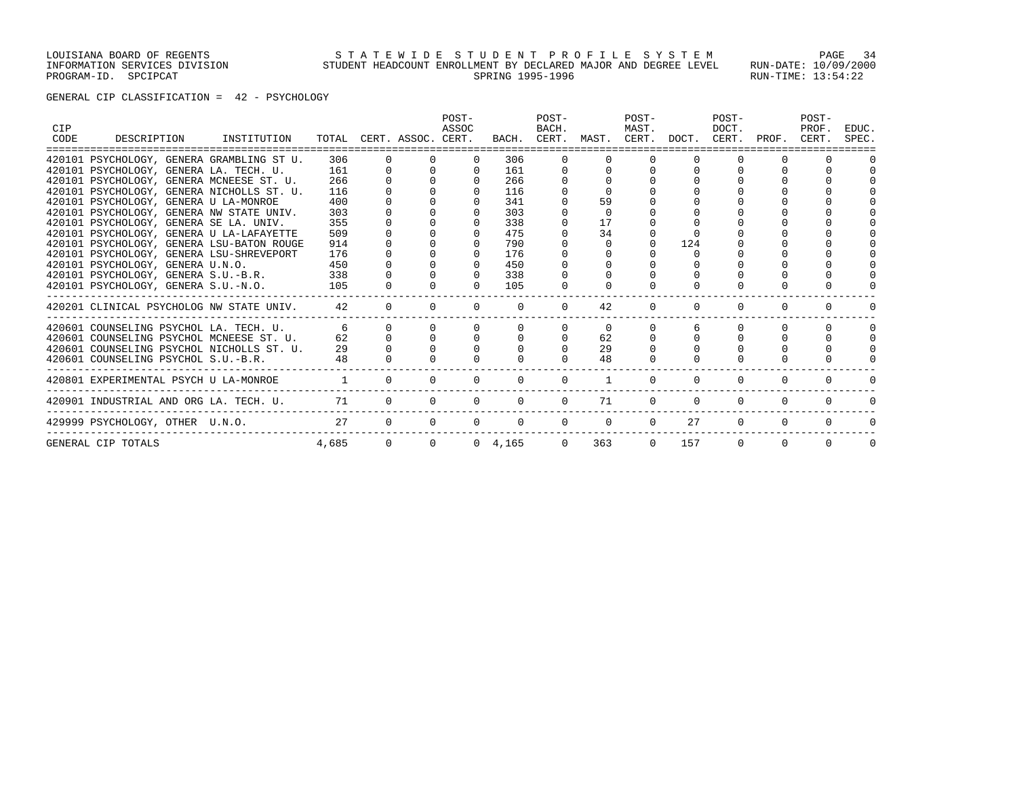#### LOUISIANA BOARD OF REGENTS STATEWIDE STUDENT PROFILE SYSTEM PAGE 34 INFORMATION SERVICES DIVISION STUDENT HEADCOUNT ENROLLMENT BY DECLARED MAJOR AND DEGREE LEVEL RUN-DATE: 10/09/2000 PROGRAM-ID. SPCIPCAT SERING 1995-1996 RUN-TIME: 13:54:22

GENERAL CIP CLASSIFICATION = 42 - PSYCHOLOGY

| <b>CIP</b><br>CODE | DESCRIPTION                            | INSTITUTION                               |                |          | TOTAL CERT. ASSOC. CERT. | POST-<br>ASSOC |                 | POST-<br>BACH. | BACH. CERT. MAST. | POST-<br>MAST. | CERT. DOCT. | POST-<br>DOCT. | CERT. PROF. | POST-<br>PROF.<br>CERT. | EDUC.<br>SPEC. |
|--------------------|----------------------------------------|-------------------------------------------|----------------|----------|--------------------------|----------------|-----------------|----------------|-------------------|----------------|-------------|----------------|-------------|-------------------------|----------------|
|                    |                                        |                                           |                |          |                          |                |                 |                |                   |                |             |                |             |                         |                |
|                    | 420101 PSYCHOLOGY, GENERA LA. TECH. U. | 420101 PSYCHOLOGY, GENERA GRAMBLING ST U. | 306<br>161     | $\Omega$ | $\Omega$                 | $\Omega$       | 306<br>161      | $\Omega$       |                   |                |             |                |             |                         |                |
|                    |                                        | 420101 PSYCHOLOGY, GENERA MCNEESE ST. U.  | 266            |          |                          |                | 266             |                |                   |                |             |                |             |                         |                |
|                    |                                        | 420101 PSYCHOLOGY, GENERA NICHOLLS ST. U. | 116            |          |                          | $\Omega$       | 116             |                |                   |                |             |                |             |                         |                |
|                    | 420101 PSYCHOLOGY, GENERA U LA-MONROE  |                                           | 400            |          |                          |                | 341             |                | 59                |                |             |                |             |                         |                |
|                    |                                        | 420101 PSYCHOLOGY, GENERA NW STATE UNIV.  | 303            |          |                          |                | 303             |                |                   |                |             |                |             |                         |                |
|                    | 420101 PSYCHOLOGY, GENERA SE LA. UNIV. |                                           | 355            |          |                          |                | 338             |                | 17                |                |             |                |             |                         |                |
|                    |                                        | 420101 PSYCHOLOGY, GENERA U LA-LAFAYETTE  | 509            |          |                          |                | 475             |                | 34                |                |             |                |             |                         |                |
|                    |                                        | 420101 PSYCHOLOGY, GENERA LSU-BATON ROUGE | 914            |          |                          |                | 790             |                |                   |                | 124         |                |             |                         |                |
|                    |                                        | 420101 PSYCHOLOGY, GENERA LSU-SHREVEPORT  | 176            |          |                          |                | 176             |                |                   |                |             |                |             |                         |                |
|                    | 420101 PSYCHOLOGY, GENERA U.N.O.       |                                           | 450            |          |                          | $\Omega$       | 450             |                |                   |                |             |                |             |                         |                |
|                    | 420101 PSYCHOLOGY, GENERA S.U.-B.R.    |                                           | 338            |          |                          |                | 338             |                |                   |                |             |                |             |                         |                |
|                    | 420101 PSYCHOLOGY, GENERA S.U.-N.O.    |                                           | 105            |          |                          |                | 105             |                |                   |                |             |                |             |                         |                |
|                    |                                        | 420201 CLINICAL PSYCHOLOG NW STATE UNIV.  | 42             |          | $\Omega$                 |                | $\Omega$        | $\Omega$       | 42                | $\Omega$       |             |                |             |                         |                |
|                    | 420601 COUNSELING PSYCHOL LA. TECH. U. |                                           |                |          |                          |                |                 |                |                   |                | 6           |                |             |                         |                |
|                    |                                        | 420601 COUNSELING PSYCHOL MCNEESE ST. U.  | 62             |          |                          |                |                 |                | 62                |                |             |                |             | <sup>n</sup>            |                |
|                    |                                        | 420601 COUNSELING PSYCHOL NICHOLLS ST. U. | 29             |          |                          |                |                 |                | 29                |                |             |                |             |                         |                |
|                    | 420601 COUNSELING PSYCHOL S.U.-B.R.    |                                           | 48             |          |                          |                |                 |                | 48                |                |             |                |             |                         |                |
|                    | 420801 EXPERIMENTAL PSYCH U LA-MONROE  |                                           | $\overline{1}$ |          |                          |                |                 |                |                   |                |             |                |             |                         |                |
|                    | 420901 INDUSTRIAL AND ORG LA. TECH. U. |                                           | 71             |          |                          |                | $\Omega$        | $\Omega$       | 71                | $\Omega$       | $\Omega$    | $\Omega$       | $\Omega$    |                         |                |
|                    | 429999 PSYCHOLOGY, OTHER U.N.O.        |                                           | 27             | $\cap$   | $\Omega$                 | $\Omega$       | $\cap$          | $\Omega$       | $\Omega$          | $\Omega$       | 27          | $\Omega$       | $\Omega$    |                         |                |
|                    | GENERAL CIP TOTALS                     |                                           | 4,685          |          | $\Omega$                 |                | $0 \quad 4,165$ | $\Omega$       | 363               | $\Omega$       | 157         | $\Omega$       | $\Omega$    | $\Omega$                |                |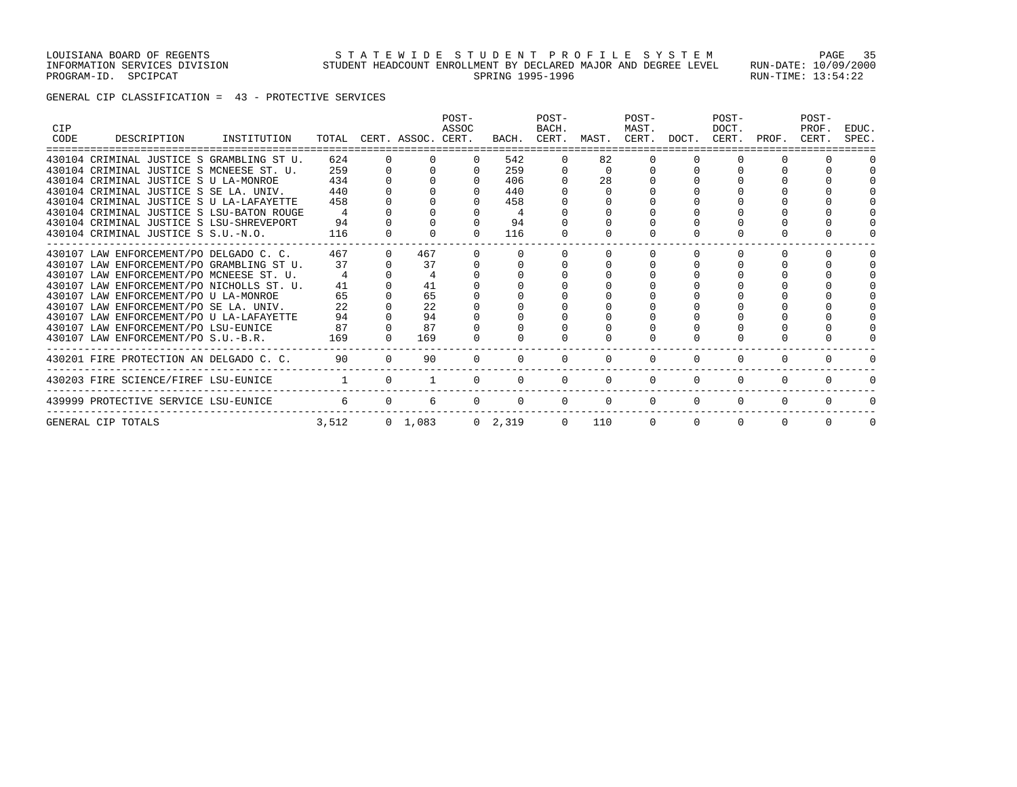GENERAL CIP CLASSIFICATION = 43 - PROTECTIVE SERVICES

| CIP<br>CODE | DESCRIPTION                               | INSTITUTION |          |              | TOTAL CERT. ASSOC. CERT. | POST-<br>ASSOC | BACH.           | POST-<br>BACH.<br>CERT. | MAST.    | POST-<br>MAST.<br>CERT. | DOCT.    | POST-<br>DOCT.<br>CERT. | PROF.        | POST-<br>PROF.<br>CERT. | EDUC.<br>SPEC. |
|-------------|-------------------------------------------|-------------|----------|--------------|--------------------------|----------------|-----------------|-------------------------|----------|-------------------------|----------|-------------------------|--------------|-------------------------|----------------|
|             | 430104 CRIMINAL JUSTICE S GRAMBLING ST U. |             | 624      |              |                          |                | 542             |                         | 82       |                         |          |                         |              |                         |                |
|             | 430104 CRIMINAL JUSTICE S MCNEESE ST. U.  |             | 259      |              |                          |                | 259             |                         | $\Omega$ |                         |          |                         |              |                         |                |
|             | 430104 CRIMINAL JUSTICE S U LA-MONROE     |             | 434      |              |                          |                | 406             |                         | 28       |                         |          |                         |              |                         |                |
|             | 430104 CRIMINAL JUSTICE S SE LA. UNIV.    |             | 440      |              |                          |                | 440             |                         |          |                         |          |                         |              |                         |                |
|             | 430104 CRIMINAL JUSTICE S U LA-LAFAYETTE  |             | 458      |              |                          |                | 458             |                         |          |                         |          |                         |              |                         |                |
|             | 430104 CRIMINAL JUSTICE S LSU-BATON ROUGE |             |          |              |                          |                |                 |                         |          |                         |          |                         |              |                         |                |
|             | 430104 CRIMINAL JUSTICE S LSU-SHREVEPORT  |             | 94       |              |                          |                | 94              |                         |          |                         |          |                         |              |                         |                |
|             | 430104 CRIMINAL JUSTICE S S.U.-N.O.       |             | 116      |              |                          |                | 116             |                         |          |                         |          |                         |              |                         |                |
|             | 430107 LAW ENFORCEMENT/PO DELGADO C. C.   |             | 467      |              | 467                      |                |                 |                         |          |                         |          |                         |              |                         |                |
|             | 430107 LAW ENFORCEMENT/PO GRAMBLING ST U. |             | 37       |              | 37                       |                |                 |                         |          |                         |          |                         |              |                         |                |
|             | 430107 LAW ENFORCEMENT/PO MCNEESE ST. U.  |             |          |              |                          |                |                 |                         |          |                         |          |                         |              |                         |                |
|             | 430107 LAW ENFORCEMENT/PO NICHOLLS ST. U. |             | 41       |              | 41                       |                |                 |                         |          |                         |          |                         |              |                         |                |
|             | 430107 LAW ENFORCEMENT/PO U LA-MONROE     |             | 65       |              | 65                       |                |                 |                         |          |                         |          |                         |              |                         |                |
|             | 430107 LAW ENFORCEMENT/PO SE LA. UNIV.    |             | 22       |              | 22                       |                |                 |                         |          |                         |          |                         |              |                         |                |
|             | 430107 LAW ENFORCEMENT/PO U LA-LAFAYETTE  |             | 94       |              | 94                       |                |                 |                         |          |                         |          |                         |              |                         |                |
|             | 430107 LAW ENFORCEMENT/PO LSU-EUNICE      |             | 87       |              | 87                       |                |                 |                         |          |                         |          |                         |              |                         |                |
|             | 430107 LAW ENFORCEMENT/PO S.U.-B.R.       |             | 169      |              | 169                      |                |                 |                         |          |                         |          |                         |              |                         |                |
|             | 430201 FIRE PROTECTION AN DELGADO C. C.   |             | 90       |              | 90                       |                |                 |                         | $\Omega$ | $\Omega$                | $\Omega$ |                         | <sup>0</sup> |                         |                |
|             | 430203 FIRE SCIENCE/FIREF LSU-EUNICE      |             | $\sim$ 1 | $\mathbf{0}$ |                          |                |                 |                         | $\Omega$ | $\Omega$                | $\Omega$ |                         |              |                         |                |
|             | 439999 PROTECTIVE SERVICE LSU-EUNICE      |             | 6        |              |                          |                |                 | $\Omega$                | $\Omega$ | $\Omega$                | $\Omega$ | $\Omega$                | $\Omega$     |                         |                |
|             | GENERAL CIP TOTALS                        |             | 3,512    |              | $0 \quad 1,083$          |                | $0 \quad 2,319$ | $\Omega$                | 110      | $\Omega$                | $\Omega$ | $\Omega$                | $\Omega$     |                         |                |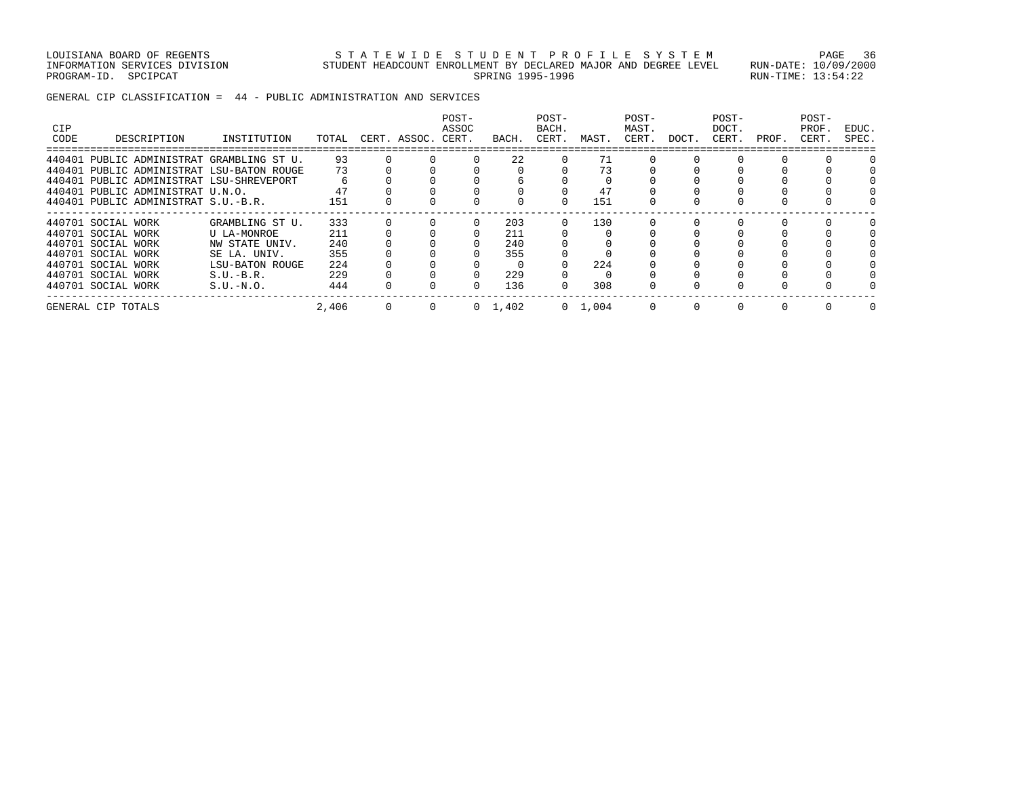LOUISIANA BOARD OF REGENTS SAND STATEWIDE STUDENT PROFILE SYSTEM PAGE 36 INFORMATION SERVICES DIVISION STUDENT HEADCOUNT ENROLLMENT BY DECLARED MAJOR AND DEGREE LEVEL RUN-DATE: 10/09/2000 PROGRAM-ID. SPCIPCAT SERING 1995-1996 RUN-TIME: 13:54:22

GENERAL CIP CLASSIFICATION = 44 - PUBLIC ADMINISTRATION AND SERVICES

| CIP<br>CODE | DESCRIPTION                               | INSTITUTION     | TOTAL | CERT. ASSOC. | POST-<br>ASSOC<br>CERT. | BACH.           | POST-<br>BACH.<br>CERT. | MAST.           | POST-<br>MAST.<br>CERT. | DOCT. | POST-<br>DOCT.<br>CERT. | PROF. | POST-<br>PROF.<br>CERT. | EDUC.<br>SPEC. |
|-------------|-------------------------------------------|-----------------|-------|--------------|-------------------------|-----------------|-------------------------|-----------------|-------------------------|-------|-------------------------|-------|-------------------------|----------------|
|             | 440401 PUBLIC ADMINISTRAT GRAMBLING ST U. |                 | 93    |              |                         | 22              |                         | 71              |                         |       |                         |       |                         |                |
|             | 440401 PUBLIC ADMINISTRAT LSU-BATON ROUGE |                 | 73    |              |                         |                 |                         | 73              |                         |       |                         |       |                         |                |
|             | 440401 PUBLIC ADMINISTRAT LSU-SHREVEPORT  |                 |       |              |                         |                 |                         |                 |                         |       |                         |       |                         |                |
|             | 440401 PUBLIC ADMINISTRAT U.N.O.          |                 | 47    |              |                         |                 |                         | 47              |                         |       |                         |       |                         |                |
|             | 440401 PUBLIC ADMINISTRAT S.U.-B.R.       |                 | 151   |              |                         |                 |                         | 151             |                         |       |                         |       |                         |                |
|             |                                           |                 |       |              |                         |                 |                         |                 |                         |       |                         |       |                         |                |
|             | 440701 SOCIAL WORK                        | GRAMBLING ST U. | 333   |              |                         | 203             |                         | 130             |                         |       |                         |       |                         |                |
|             | 440701 SOCIAL WORK                        | U LA-MONROE     | 211   |              |                         | 211             |                         |                 |                         |       |                         |       |                         |                |
|             | 440701 SOCIAL WORK                        | NW STATE UNIV.  | 240   |              |                         | 240             |                         |                 |                         |       |                         |       |                         |                |
|             | 440701 SOCIAL WORK                        | SE LA. UNIV.    | 355   |              |                         | 355             |                         |                 |                         |       |                         |       |                         |                |
|             | 440701 SOCIAL WORK                        | LSU-BATON ROUGE | 224   |              |                         |                 |                         | 224             |                         |       |                         |       |                         |                |
|             | 440701 SOCIAL WORK                        | $S.U.-B.R.$     | 229   |              |                         | 229             |                         |                 |                         |       |                         |       |                         |                |
|             | 440701 SOCIAL WORK                        | $S.U.-N.O.$     | 444   |              |                         | 136             |                         | 308             |                         |       |                         |       |                         |                |
|             | GENERAL CIP TOTALS                        |                 | 2,406 |              |                         | $0 \quad 1,402$ |                         | $0 \quad 1.004$ | 0                       |       |                         |       |                         |                |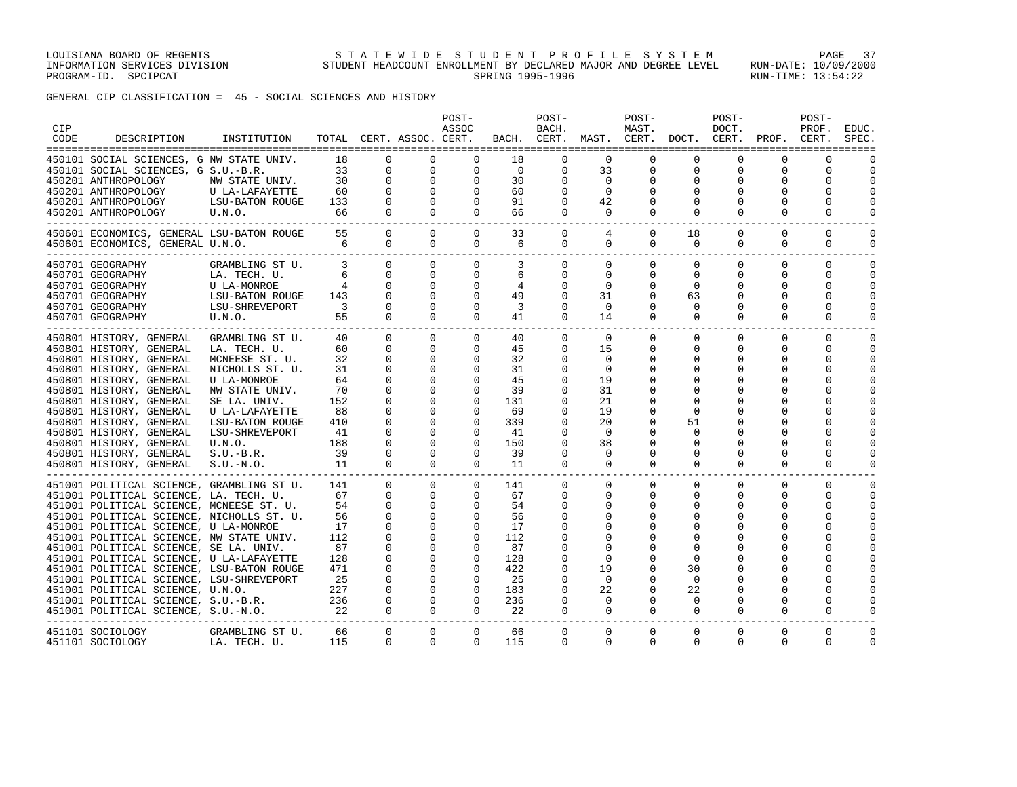GENERAL CIP CLASSIFICATION = 45 - SOCIAL SCIENCES AND HISTORY

| CIP<br>CODE | DESCRIPTION                                               | INSTITUTION                       |                         |                | TOTAL CERT. ASSOC. CERT. | POST-<br>ASSOC |                | POST-<br>BACH. |             | POST-<br>MAST. | BACH. CERT. MAST. CERT. DOCT. | POST-<br>DOCT. | CERT. PROF. CERT. | POST-<br>PROF. | EDUC.<br>SPEC. |
|-------------|-----------------------------------------------------------|-----------------------------------|-------------------------|----------------|--------------------------|----------------|----------------|----------------|-------------|----------------|-------------------------------|----------------|-------------------|----------------|----------------|
|             | 450101 SOCIAL SCIENCES, G NW STATE UNIV.                  |                                   | 18                      | $\Omega$       | $\mathbf 0$              | 0              | 18             | $\Omega$       | 0           | $\Omega$       | 0                             | $\mathbf 0$    | 0                 | 0              |                |
|             | 450101 SOCIAL SCIENCES, G S.U.-B.R.                       |                                   | 33                      | $\mathbf{0}$   | $\overline{0}$           | $\mathbf 0$    | $\overline{0}$ | 0              | 33          | $\mathbf 0$    | $\mathbf 0$                   | $\mathbf 0$    | $\mathbf 0$       | 0              | $\Omega$       |
|             | 450201 ANTHROPOLOGY                                       | NW STATE UNIV.                    | 30                      | $\Omega$       | $\circ$                  | $\mathbf 0$    | 30             | $\Omega$       | $\Omega$    | $\Omega$       | $\Omega$                      | $\Omega$       | $\Omega$          | $\Omega$       | $\Omega$       |
|             | 450201 ANTHROPOLOGY                                       | U LA-LAFAYETTE<br>LSU-BATON ROUGE | 60                      | $\mathbf{0}$   | $\mathbf{0}$             | $\circ$        | 60             | 0              | $\mathbf 0$ | 0              | 0                             | 0              | $\Omega$          | 0              | $\Omega$       |
|             | 450201 ANTHROPOLOGY                                       |                                   | 133                     | $\mathbf{0}$   | $\overline{0}$           | $\mathbf 0$    | 91             | $\mathbf 0$    | 42          | $\mathbf 0$    | $\Omega$                      | $\Omega$       | $\Omega$          | 0              | $\Omega$       |
|             | 450201 ANTHROPOLOGY                                       | U.N.O.                            | 66                      | $\mathbf{0}$   | $\overline{0}$           | $\mathbf 0$    | 66             | 0              | 0           | 0              | 0                             | $\mathbf 0$    | 0                 | 0              | $\Omega$       |
|             | 450601 ECONOMICS, GENERAL LSU-BATON ROUGE                 |                                   | 55                      | $\overline{0}$ | $\circ$                  | $\mathbf{0}$   | 33             | $\mathbf 0$    | 4           | 0              | 18                            | $\mathbf{0}$   | $\mathbf 0$       | $\mathbf 0$    | $\mathbf{0}$   |
|             | 450601 ECONOMICS, GENERAL U.N.O.                          |                                   | 6                       | $\overline{0}$ | $\mathbf{0}$             | $\mathbf{0}$   | 6              | $\mathbf 0$    | 0           | $\mathbf 0$    | 0                             | $\mathbf 0$    | 0                 | $\mathbf 0$    | $\mathbf 0$    |
|             | ----------------------------<br>450701 GEOGRAPHY          | GRAMBLING ST U.                   | 3                       | $\mathbf{0}$   | $\mathbf{0}$             | $\mathbf{0}$   | 3              | 0              | $\mathbf 0$ | $\mathbf{0}$   | 0                             | 0              | 0                 | $\mathbf 0$    | $\Omega$       |
|             | 450701 GEOGRAPHY                                          | LA. TECH. U.                      | 6                       | $\Omega$       | $\Omega$                 | $\mathbf{0}$   | 6              | $\Omega$       | $\Omega$    | $\Omega$       | $\Omega$                      | $\Omega$       | $\Omega$          | $\mathbf 0$    | $\Omega$       |
|             | 450701 GEOGRAPHY                                          | U LA-MONROE                       | 4                       | $\overline{0}$ | $\overline{0}$           | $\circ$        | 4              | 0              | 0           | 0              | 0                             | 0              | 0                 | 0              | $\Omega$       |
|             | 450701 GEOGRAPHY                                          | LSU-BATON ROUGE                   | 143                     | $\Omega$       | $\circ$                  | $\Omega$       | 49             | $\Omega$       | 31          | $\Omega$       | 63                            | $\Omega$       | $\Omega$          | $\Omega$       | $\Omega$       |
|             | 450701 GEOGRAPHY                                          | LSU-BATON ROUGE<br>LSU-SHREVEPORT | $\overline{\mathbf{3}}$ | $\Omega$       | $\mathbf{0}$             | $\mathbf 0$    | $\overline{3}$ | 0              | $\mathbf 0$ | 0              | 0                             | 0              | $\Omega$          | 0              | $\Omega$       |
|             | 450701 GEOGRAPHY<br>U.N.O.                                |                                   | 55                      | $\overline{0}$ | $\Omega$                 | $\Omega$       | 41             | $\Omega$       | 14          | $\Omega$       | $\Omega$                      | $\Omega$       | $\Omega$          | $\Omega$       | $\Omega$       |
|             | 450801 HISTORY, GENERAL                                   | GRAMBLING ST U.                   | 40                      | $\overline{0}$ | $\circ$                  | $\mathbf 0$    | 40             | $\mathbf 0$    | $\mathbf 0$ | $\mathbf 0$    | $\mathbf 0$                   | $\mathbf 0$    | $\mathbf 0$       | $\mathbf 0$    | $\Omega$       |
|             | 450801 HISTORY, GENERAL                                   | LA. TECH. U.                      | 60 —                    | 0              | $\overline{0}$           | 0              | 45             | 0              | 15          | 0              | 0                             | 0              | 0                 | $\mathbf 0$    | $\Omega$       |
|             | 450801 HISTORY, GENERAL                                   | MCNEESE ST. U.                    | 32                      | $\mathbf{0}$   | $\circ$                  | $\mathbf 0$    | 32             | 0              | 0           | 0              | $\Omega$                      | $\mathbf 0$    | $\Omega$          | 0              | $\Omega$       |
|             | 450801 HISTORY, GENERAL                                   | NICHOLLS ST. U.                   | 31                      | $\mathbf{0}$   | $\mathbf{0}$             | $\mathbf 0$    | 31             | 0              | 0           | 0              |                               | $\Omega$       | 0                 | 0              | $\Omega$       |
|             | 450801 HISTORY, GENERAL                                   | U LA-MONROE                       | 64                      | 0              | 0                        | $\mathbf 0$    | 45             | 0              | 19          | 0              |                               |                | 0                 | 0              | $\Omega$       |
|             | 450801 HISTORY, GENERAL                                   | NW STATE UNIV.                    | 70                      | 0              | $\mathbf 0$              | $\mathbf 0$    | 39             | $\Omega$       | 31          | 0              |                               | $\Omega$       | O                 | 0              | $\Omega$       |
|             | 450801 HISTORY, GENERAL                                   | SE LA. UNIV.                      | 152                     | $\mathbf{0}$   | $\circ$                  | $\mathbf 0$    | 131            | $\Omega$       | 21          | $\Omega$       | $\Omega$                      |                |                   | 0              | ∩              |
|             | 450801 HISTORY, GENERAL                                   | U LA-LAFAYETTE                    | 88                      | $\Omega$       | $\mathbf{0}$             | $\Omega$       | 69             | $\Omega$       | 19          | $\Omega$       | $\Omega$                      |                |                   | $\Omega$       | $\cap$         |
|             | 450801 HISTORY, GENERAL                                   | LSU-BATON ROUGE                   | 410                     | 0              | $\mathbf{0}$             | $\mathbf 0$    | 339            | 0              | 20          | 0              | 51                            | O              | O                 | 0              | $\Omega$       |
|             | 450801 HISTORY, GENERAL                                   | LSU-SHREVEPORT                    | 41                      | $\mathbf 0$    | $\mathbf{0}$             | $\Omega$       | 41             | $\Omega$       | $\Omega$    | $\Omega$       | $\Omega$                      | $\Omega$       | $\Omega$          | $\Omega$       | $\cap$         |
|             | 450801 HISTORY, GENERAL                                   | U.N.O.                            | 188                     | 0              | $\mathbf{0}$             | $\mathbf{0}$   | 150            | 0              | 38          | 0              | 0                             | O              | 0                 | $\mathbf 0$    | $\Omega$       |
|             | 450801 HISTORY, GENERAL                                   | $S.U.-B.R.$                       | 39                      | $\mathbf 0$    | $\mathbf 0$              | $\mathbf 0$    | 39             | $\mathbf 0$    | 0           | 0              | $\Omega$                      | O              | $\Omega$          | 0              | $\cap$         |
|             | 450801 HISTORY, GENERAL<br>------------------------------ | S.U.-N.O.                         | 11                      | $\mathbf{0}$   | $\circ$                  | $\mathbf{0}$   | 11             | 0              | $\mathbf 0$ | 0              | 0                             | $\mathbf 0$    | 0                 | $\mathbf 0$    | $\Omega$       |
|             | 451001 POLITICAL SCIENCE, GRAMBLING ST U.                 |                                   | 141                     | $\Omega$       | $\overline{0}$           | $\circ$        | 141            | $\mathbf{0}$   | $\Omega$    | $\Omega$       | $\Omega$                      | $\Omega$       | $\Omega$          | $\mathbf 0$    | $\Omega$       |
|             | 451001 POLITICAL SCIENCE, LA. TECH. U.                    |                                   | 67                      | $\mathbf{0}$   | $\overline{0}$           | $\mathbf{0}$   | 67             | 0              | 0           | 0              | 0                             | $\Omega$       | 0                 | 0              | $\mathbf 0$    |
|             | 451001 POLITICAL SCIENCE, MCNEESE ST. U.                  |                                   | 54                      | $\mathbf{0}$   | $\circ$                  | $\mathbf{0}$   | 54             | 0              | 0           | 0              | $\Omega$                      | 0              | 0                 | 0              | $\Omega$       |
|             | 451001 POLITICAL SCIENCE, NICHOLLS ST. U.                 |                                   | 56                      | 0              | $\overline{0}$           | $\overline{0}$ | 56             | 0              | 0           | 0              | $\Omega$                      | 0              | $\Omega$          | 0              | $\Omega$       |
|             | 451001 POLITICAL SCIENCE, U LA-MONROE                     |                                   | 17                      | $\mathbf{0}$   | $\mathbf 0$              | $\mathbf 0$    | 17             | $\Omega$       | 0           | <sup>0</sup>   |                               |                |                   | $\Omega$       | $\Omega$       |
|             | 451001 POLITICAL SCIENCE, NW STATE UNIV.                  |                                   | 112                     | $\mathbf{0}$   | $\mathbf{0}$             | $\mathbf 0$    | 112            | 0              | $\Omega$    | 0              |                               |                |                   | $\mathbf 0$    | $\Omega$       |
|             | 451001 POLITICAL SCIENCE, SE LA. UNIV.                    |                                   | 87                      | $\mathbf 0$    | $\mathbf{0}$             | $\mathbf 0$    | 87             | $\mathbf 0$    | $\Omega$    | $\Omega$       |                               |                |                   | 0              | $\cap$         |
|             | 451001 POLITICAL SCIENCE, U LA-LAFAYETTE                  |                                   | 128                     | $\mathbf{0}$   | $\mathbf{0}$             | $\mathbf{0}$   | 128            | 0              | 0           | 0              | 0                             | $\Omega$       | $\Omega$          | 0              | $\Omega$       |
|             | 451001 POLITICAL SCIENCE, LSU-BATON ROUGE                 |                                   | 471                     | $\mathbf{0}$   | $\mathbf 0$              | $\mathbf 0$    | 422            | $\mathbf 0$    | 19          | $\mathbf 0$    | 30                            |                | O                 | 0              | $\cap$         |
|             | 451001 POLITICAL SCIENCE, LSU-SHREVEPORT                  |                                   | 25                      | $\mathbf{0}$   | $\circ$                  | $\mathbf{0}$   | 25             | 0              | $\mathbf 0$ | $\Omega$       | $\Omega$                      |                | $\Omega$          | $\Omega$       | $\Omega$       |
|             | 451001 POLITICAL SCIENCE, U.N.O.                          |                                   | 227                     | $\mathbf{0}$   | $\overline{0}$           | $\mathbf{0}$   | 183            | 0              | 22          | 0              | 22                            | 0              |                   | 0              | $\Omega$       |
|             | 451001 POLITICAL SCIENCE, S.U.-B.R.                       |                                   | $\frac{236}{22}$        | $\mathbf{0}$   | $\mathbf 0$              | $\mathbf 0$    | 236            | 0              | $\mathbf 0$ | $\mathbf 0$    | $\Omega$                      | $\Omega$       | $\Omega$          | $\mathbf 0$    | $\cap$         |
|             | 451001 POLITICAL SCIENCE, S.U.-N.O.                       |                                   |                         | $\mathbf{0}$   | $\circ$                  | $\mathbf{0}$   | 22             | 0              | $\mathbf 0$ | $\mathbf 0$    | 0                             | $\mathbf 0$    | 0                 | 0              | $\Omega$       |
|             | 451101 SOCIOLOGY                                          | GRAMBLING ST U.                   | 66                      | $\mathbf{0}$   | $\mathbf 0$              | $\mathbf{0}$   | 66             | 0              | 0           | 0              | 0                             | $\mathbf 0$    | 0                 | $\mathbf 0$    | $\mathbf 0$    |
|             | 451101 SOCIOLOGY                                          | LA. TECH. U.                      | 115                     | $\Omega$       | 0                        | 0              | 115            | $\mathbf 0$    | 0           | $\mathbf 0$    | $\mathbf 0$                   | $\mathbf 0$    | 0                 | $\mathbf 0$    | $\mathbf{0}$   |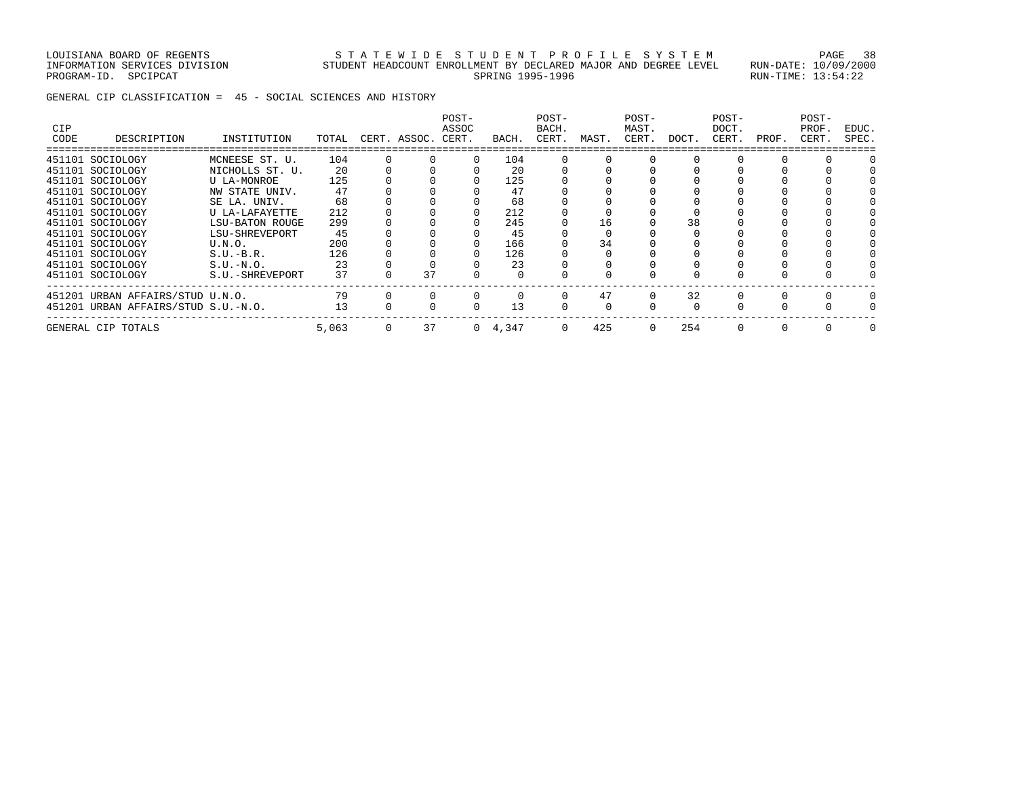LOUISIANA BOARD OF REGENTS STRTEWIDE STUDENT PROFILE SYSTEM PAGE 38 INFORMATION SERVICES DIVISION STUDENT HEADCOUNT ENROLLMENT BY DECLARED MAJOR AND DEGREE LEVEL RUN-DATE: 10/09/2000

PROGRAM-ID. SPCIPCAT SERING 1995-1996 RUN-TIME: 13:54:22

GENERAL CIP CLASSIFICATION = 45 - SOCIAL SCIENCES AND HISTORY

| <b>CIP</b><br>CODE | DESCRIPTION                         | INSTITUTION     | TOTAL | CERT. ASSOC. CERT. | POST-<br>ASSOC | BACH.           | POST-<br>BACH.<br>CERT. | MAST. | POST-<br>MAST.<br>CERT. | DOCT. | POST-<br>DOCT.<br>CERT. | PROF. | POST-<br>PROF.<br>CERT. | EDUC.<br>SPEC. |
|--------------------|-------------------------------------|-----------------|-------|--------------------|----------------|-----------------|-------------------------|-------|-------------------------|-------|-------------------------|-------|-------------------------|----------------|
|                    | 451101 SOCIOLOGY                    | MCNEESE ST. U.  | 104   |                    | $\Omega$       | 104             |                         |       |                         |       |                         |       |                         |                |
|                    | 451101 SOCIOLOGY                    | NICHOLLS ST. U. | 20    |                    |                | 20              |                         |       |                         |       |                         |       |                         |                |
|                    | 451101 SOCIOLOGY                    | U LA-MONROE     | 125   |                    |                | 125             |                         |       |                         |       |                         |       |                         |                |
|                    | 451101 SOCIOLOGY                    | NW STATE UNIV.  | 47    |                    |                | 47              |                         |       |                         |       |                         |       |                         |                |
|                    | 451101 SOCIOLOGY                    | SE LA. UNIV.    | 68    |                    |                | 68              |                         |       |                         |       |                         |       |                         |                |
|                    | 451101 SOCIOLOGY                    | U LA-LAFAYETTE  | 212   |                    |                | 212             |                         |       |                         |       |                         |       |                         |                |
|                    | 451101 SOCIOLOGY                    | LSU-BATON ROUGE | 299   |                    |                | 245             |                         | 16    |                         | 38    |                         |       |                         |                |
|                    | 451101 SOCIOLOGY                    | LSU-SHREVEPORT  | 45    |                    |                | 45              |                         |       |                         |       |                         |       |                         |                |
|                    | 451101 SOCIOLOGY                    | U.N.O.          | 200   |                    |                | 166             |                         | 34    |                         |       |                         |       |                         |                |
|                    | 451101 SOCIOLOGY                    | $S.U.-B.R.$     | 126   |                    |                | 126             |                         |       |                         |       |                         |       |                         |                |
|                    | 451101 SOCIOLOGY                    | $S.U.-N.O.$     | 23    |                    |                | 23              |                         |       |                         |       |                         |       |                         |                |
|                    | 451101 SOCIOLOGY                    | S.U.-SHREVEPORT | 37    | 37                 |                |                 |                         |       |                         |       |                         |       |                         |                |
|                    | 451201 URBAN AFFAIRS/STUD U.N.O.    |                 | 79    |                    |                |                 |                         | 47    |                         | 32    |                         |       |                         |                |
|                    | 451201 URBAN AFFAIRS/STUD S.U.-N.O. |                 | 13    |                    |                | 13              |                         |       |                         |       |                         |       |                         |                |
|                    | GENERAL CIP TOTALS                  |                 | 5,063 | 37                 |                | $0 \quad 4,347$ | $\mathbf{0}$            | 425   | $\Omega$                | 254   |                         |       |                         |                |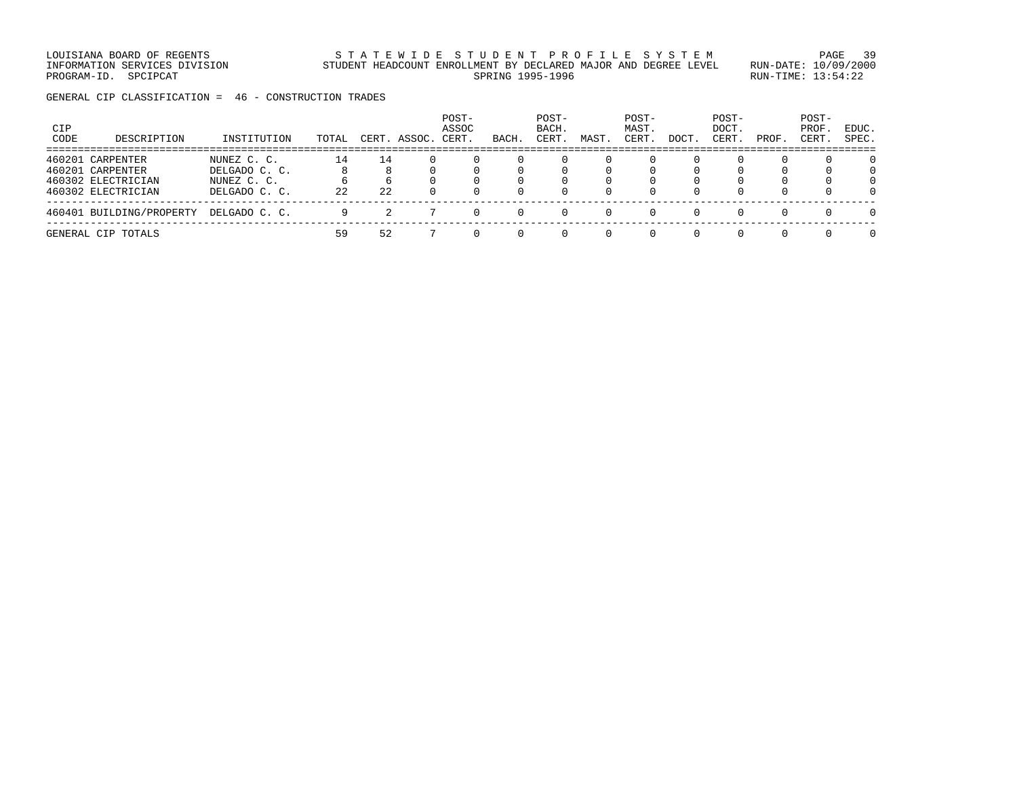LOUISIANA BOARD OF REGENTS STATEWIDE STUDENT PROFILE SYSTEM PAGE 39 INFORMATION SERVICES DIVISION STUDENT HEADCOUNT ENROLLMENT BY DECLARED MAJOR AND DEGREE LEVEL RUN-DATE: 10/09/2000 PROGRAM-ID. SPCIPCAT SALLER SERING 1995-1996 RUN-TIME: 13:54:22

GENERAL CIP CLASSIFICATION = 46 - CONSTRUCTION TRADES

| CIP<br>CODE | DESCRIPTION                                                                      | INSTITUTION                                                  | TOTAL    | CERT      | ASSOC. | POST-<br>ASSOC<br>CERT | BACH | POST-<br>BACH.<br>CERT | MAST | POST-<br>MAST.<br>CERT | DOCT         | POST-<br>DOCT.<br>CERT | PROF | POST-<br>PROF<br>CERT | EDUC.<br>SPEC. |
|-------------|----------------------------------------------------------------------------------|--------------------------------------------------------------|----------|-----------|--------|------------------------|------|------------------------|------|------------------------|--------------|------------------------|------|-----------------------|----------------|
|             | 460201 CARPENTER<br>460201 CARPENTER<br>460302 ELECTRICIAN<br>460302 ELECTRICIAN | NUNEZ C. C.<br>DELGADO C. C.<br>NUNEZ C. C.<br>DELGADO C. C. | 14<br>22 | 14<br>2.2 |        |                        |      |                        |      |                        | <sup>n</sup> |                        |      |                       | 0<br>0         |
|             | 460401 BUILDING/PROPERTY                                                         | DELGADO C. C.                                                | 9.       |           |        |                        |      |                        |      |                        | $\Omega$     | <sup>n</sup>           |      | $\Omega$              | $\Omega$       |
|             | GENERAL CIP TOTALS                                                               |                                                              | 59       | 52        |        |                        |      |                        |      |                        |              |                        |      |                       |                |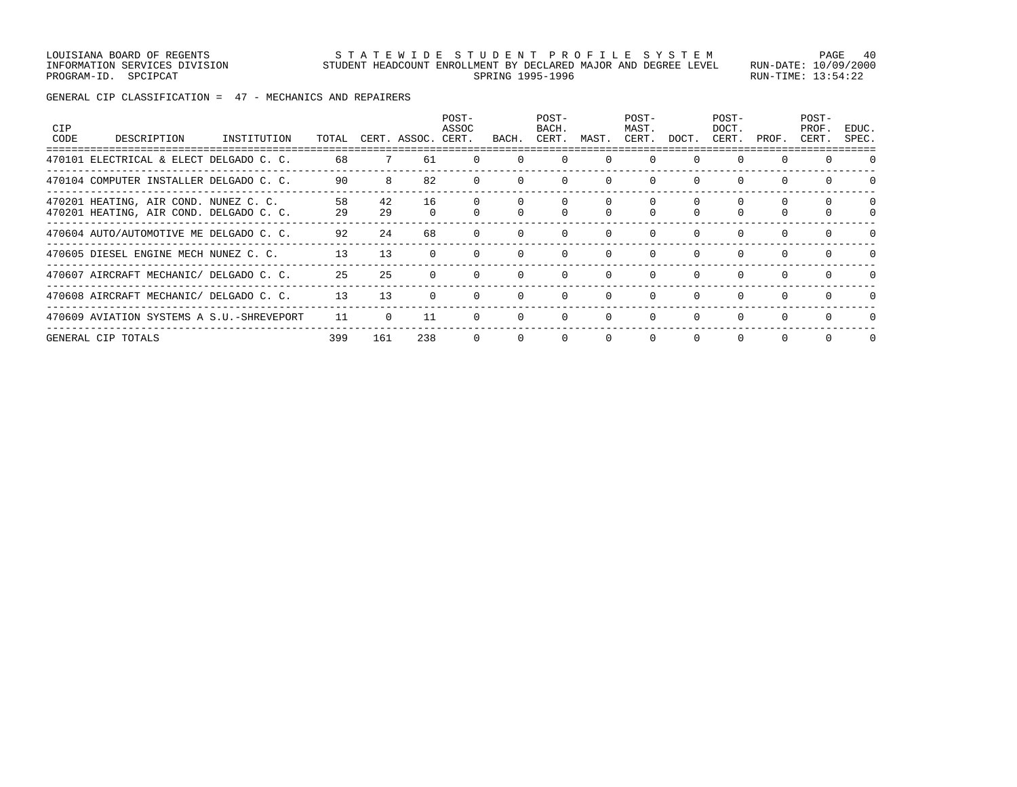LOUISIANA BOARD OF REGENTS STATEWIDE STUDENT PROFILE SYSTEM PAGE 40 INFORMATION SERVICES DIVISION STUDENT HEADCOUNT ENROLLMENT BY DECLARED MAJOR AND DEGREE LEVEL RUN-DATE: 10/09/2000 PROGRAM-ID. SPCIPCAT SALLER SERING 1995-1996 RUN-TIME: 13:54:22

GENERAL CIP CLASSIFICATION = 47 - MECHANICS AND REPAIRERS

| <b>CIP</b><br>CODE | DESCRIPTION                                                                      | INSTITUTION | TOTAL    |          | CERT. ASSOC. | POST-<br>ASSOC<br>CERT. | BACH.        | POST-<br>BACH.<br>CERT. | MAST.        | POST-<br>MAST.<br>CERT. | DOCT.    | POST-<br>DOCT.<br>CERT. | PROF.    | POST-<br>PROF.<br>CERT. | EDUC.<br>SPEC. |
|--------------------|----------------------------------------------------------------------------------|-------------|----------|----------|--------------|-------------------------|--------------|-------------------------|--------------|-------------------------|----------|-------------------------|----------|-------------------------|----------------|
|                    | 470101 ELECTRICAL & ELECT DELGADO C. C.                                          |             | 68       |          | 61           |                         |              |                         | <sup>0</sup> | $\Omega$                |          |                         |          |                         | $\Omega$       |
|                    | 470104 COMPUTER INSTALLER DELGADO C. C.                                          |             | 90       |          | 82           |                         |              |                         | $\Omega$     | $\Omega$                |          | 0                       |          |                         |                |
|                    | 470201 HEATING, AIR COND. NUNEZ C. C.<br>470201 HEATING, AIR COND. DELGADO C. C. |             | 58<br>29 | 42<br>29 | 16           |                         |              |                         |              |                         |          |                         |          | $\Omega$                | 0              |
|                    | 470604 AUTO/AUTOMOTIVE ME DELGADO C. C.                                          |             | 92       | 24       | 68           |                         | $\Omega$     | $\Omega$                | $\Omega$     | $\Omega$                | $\Omega$ | $\Omega$                | $\Omega$ | $\Omega$                | <sup>0</sup>   |
|                    | 470605 DIESEL ENGINE MECH NUNEZ C. C.                                            |             | 13       | 13       |              |                         |              | $\cap$                  | $\Omega$     | $\Omega$                |          | $\Omega$                |          |                         | $\cap$         |
|                    | 470607 AIRCRAFT MECHANIC/ DELGADO C. C.                                          |             | 25       | 25       |              |                         | $\Omega$     | $\Omega$                | $\Omega$     | $\Omega$                | $\Omega$ | $\Omega$                |          |                         |                |
|                    | 470608 AIRCRAFT MECHANIC/ DELGADO C. C.                                          |             | 13       | 13       | $\Omega$     |                         | $\Omega$     | $\Omega$                | $\Omega$     | $\Omega$                | $\Omega$ | $\Omega$                | $\Omega$ | $\Omega$                | <sup>n</sup>   |
|                    | 470609 AVIATION SYSTEMS A S.U.-SHREVEPORT                                        |             | 11       |          | 11           |                         |              | $\Omega$                | $\Omega$     | $\Omega$                |          | $\Omega$                |          |                         |                |
|                    | GENERAL CIP TOTALS                                                               |             | 399      | 161      | 238          | $\Omega$                | $\mathbf{0}$ | $\circ$                 | 0            | $\mathbf 0$             | 0        | 0                       | $\Omega$ | $\Omega$                | $\Omega$       |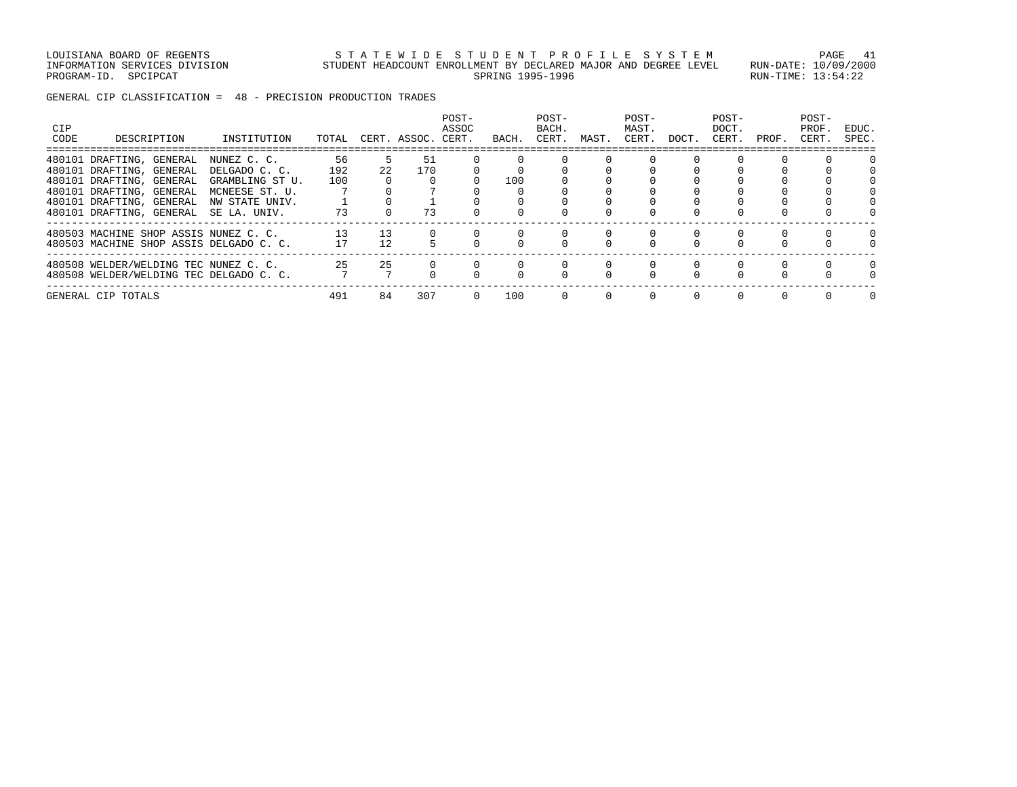LOUISIANA BOARD OF REGENTS STATEWIDE STUDENT PROFILE SYSTEM PAGE 41 INFORMATION SERVICES DIVISION STUDENT HEADCOUNT ENROLLMENT BY DECLARED MAJOR AND DEGREE LEVEL RUN-DATE: 10/09/2000 PROGRAM-ID. SPCIPCAT SALLER SERING 1995-1996 RUN-TIME: 13:54:22

GENERAL CIP CLASSIFICATION = 48 - PRECISION PRODUCTION TRADES

| CIP<br>CODE | DESCRIPTION                             | INSTITUTION     | TOTAL |     | CERT. ASSOC. CERT. | POST-<br>ASSOC | BACH. | POST-<br>BACH.<br>CERT. | MAST. | POST-<br>MAST.<br>CERT. | DOCT.    | POST-<br>DOCT.<br>CERT. | PROF. | POST-<br>PROF<br>CERT. | EDUC.<br>SPEC. |
|-------------|-----------------------------------------|-----------------|-------|-----|--------------------|----------------|-------|-------------------------|-------|-------------------------|----------|-------------------------|-------|------------------------|----------------|
|             | 480101 DRAFTING, GENERAL                | NUNEZ C. C.     | 56    | 5.  | 51                 |                |       |                         |       |                         |          |                         |       |                        |                |
|             | 480101 DRAFTING, GENERAL                | DELGADO C. C.   | 192   | 2.2 | 170                |                |       |                         |       |                         |          |                         |       |                        |                |
|             | 480101 DRAFTING, GENERAL                | GRAMBLING ST U. | 100   |     |                    |                | 100   |                         |       |                         |          |                         |       |                        |                |
|             | 480101 DRAFTING, GENERAL                | MCNEESE ST. U.  |       |     |                    |                |       |                         |       |                         |          |                         |       |                        |                |
|             | 480101 DRAFTING, GENERAL                | NW STATE UNIV.  |       |     |                    |                |       |                         |       |                         |          |                         |       |                        |                |
|             | 480101 DRAFTING, GENERAL                | SE LA. UNIV.    | 73    |     | 73                 |                |       |                         |       |                         |          |                         |       |                        |                |
|             | 480503 MACHINE SHOP ASSIS NUNEZ C. C.   |                 | 13    | 13  |                    |                |       |                         |       |                         |          |                         |       |                        |                |
|             | 480503 MACHINE SHOP ASSIS DELGADO C. C. |                 | 17    | 12  |                    |                |       |                         |       |                         |          |                         |       |                        |                |
|             | 480508 WELDER/WELDING TEC NUNEZ C. C.   |                 | 25    | 25  |                    |                |       |                         |       | 0                       | $\Omega$ |                         |       |                        |                |
|             | 480508 WELDER/WELDING TEC DELGADO C. C. |                 |       |     |                    |                |       |                         |       |                         |          |                         |       |                        |                |
|             | GENERAL CIP TOTALS                      |                 | 491   | 84  | 307                |                | 100   |                         |       | $\Omega$                | $\Omega$ |                         |       |                        |                |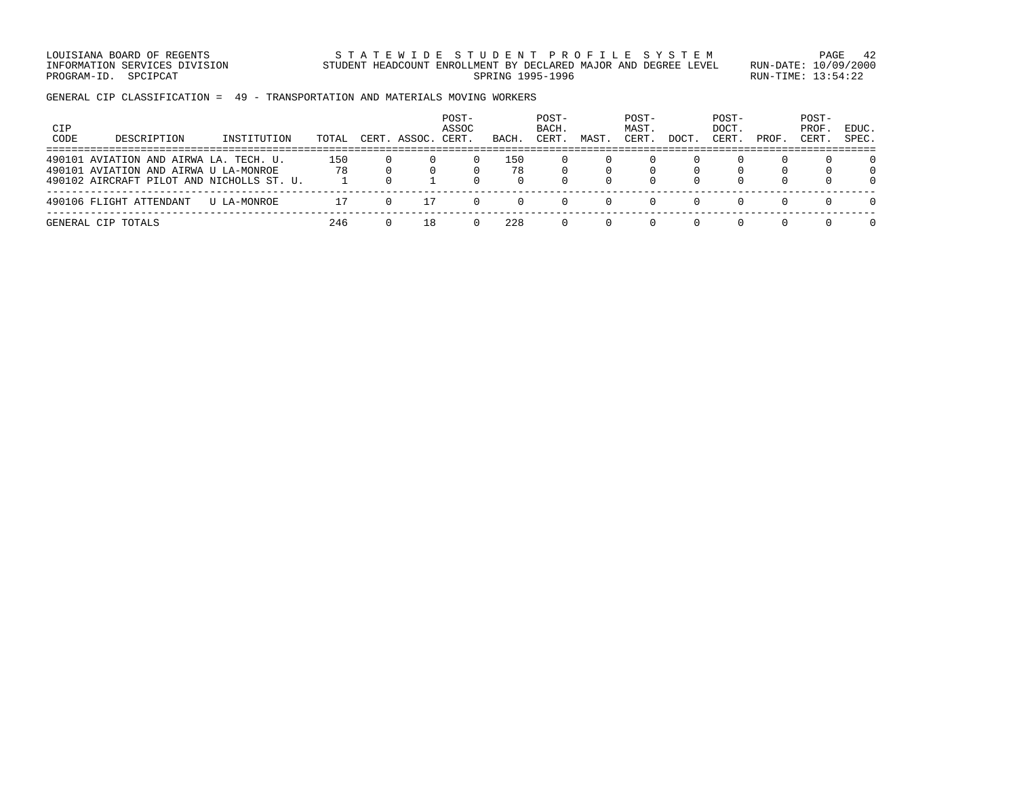LOUISIANA BOARD OF REGENTS STATEWIDE STUDENT PROFILE SYSTEM PAGE 42 INFORMATION SERVICES DIVISION STUDENT HEADCOUNT ENROLLMENT BY DECLARED MAJOR AND DEGREE LEVEL RUN-DATE: 10/09/2000 PROGRAM-ID. SPCIPCAT SALLER SERING 1995-1996 RUN-TIME: 13:54:22

GENERAL CIP CLASSIFICATION = 49 - TRANSPORTATION AND MATERIALS MOVING WORKERS

| CIP<br>CODE | DESCRIPTION                                                                                                                  | INSTITUTION | TOTAL     | CERT. ASSOC. | POST-<br>ASSOC<br>CERT. | BACH.     | POST-<br>BACH.<br>CERT. | MAST | POST-<br>MAST.<br>CERT. | DOCT     | POST-<br>DOCT.<br>CERT. | PROF     | POST-<br>PROF.<br>CERT. | EDUC.<br>SPEC. |
|-------------|------------------------------------------------------------------------------------------------------------------------------|-------------|-----------|--------------|-------------------------|-----------|-------------------------|------|-------------------------|----------|-------------------------|----------|-------------------------|----------------|
|             | 490101 AVIATION AND AIRWA LA. TECH. U.<br>490101 AVIATION AND AIRWA U LA-MONROE<br>490102 AIRCRAFT PILOT AND NICHOLLS ST. U. |             | 150<br>78 |              | n.                      | 150<br>78 |                         |      |                         | $\Omega$ |                         | O.<br>0  | $\Omega$<br>$\Omega$    |                |
|             | 490106 FLIGHT ATTENDANT                                                                                                      | U LA-MONROE |           | 17           | n.                      |           |                         |      |                         |          |                         | $\cap$   | $\Omega$                |                |
|             | GENERAL CIP TOTALS                                                                                                           |             | 246       | 18           |                         | 228       |                         |      |                         |          |                         | $\Omega$ |                         |                |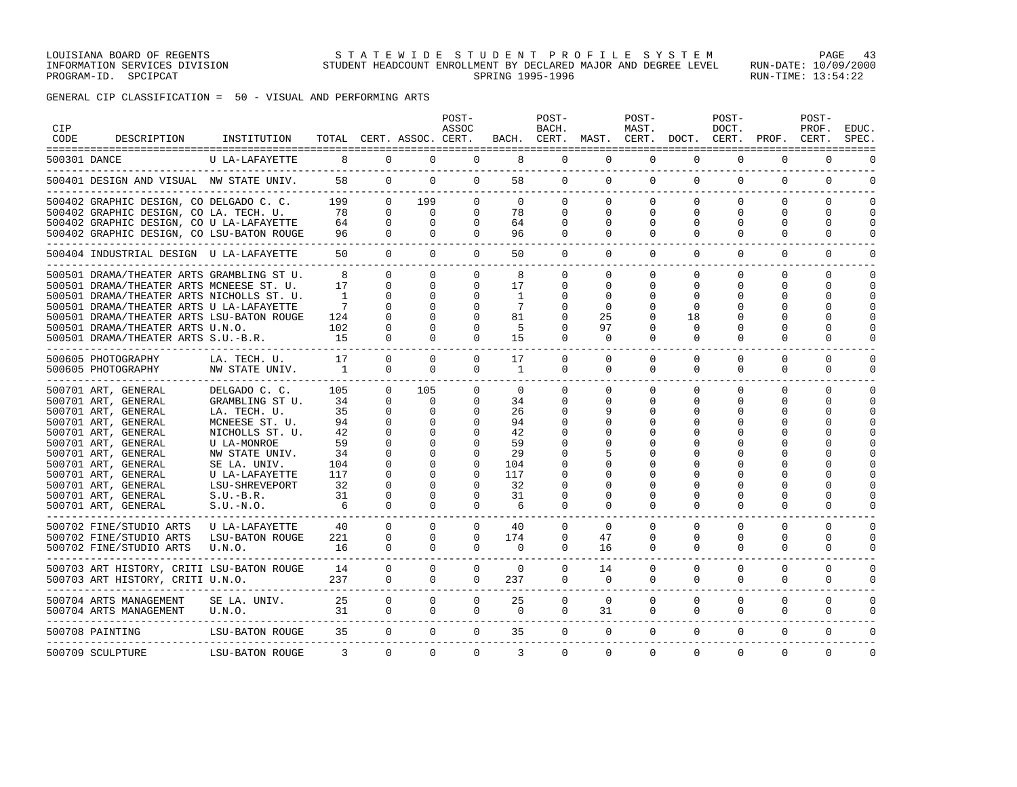GENERAL CIP CLASSIFICATION = 50 - VISUAL AND PERFORMING ARTS

| <b>CIP</b><br><b>CODE</b> | DESCRIPTION                                                                                                                                                                                                                                                                                            | INSTITUTION                                                                                                                                                                                            |                                                                        |                                                                                                                                                 | TOTAL CERT. ASSOC. CERT.                                                                                                         | POST-<br>ASSOC                                                                                            |                                                                             | POST-<br>BACH.                                                                                                  | BACH. CERT. MAST. CERT. DOCT. CERT. PROF.                                                            | POST-<br>MAST.                                                            |                                                                            | POST-<br>DOCT.                        |                                                           | POST-<br>PROF.<br>CERT.                                                                | EDUC.<br>SPEC.                               |
|---------------------------|--------------------------------------------------------------------------------------------------------------------------------------------------------------------------------------------------------------------------------------------------------------------------------------------------------|--------------------------------------------------------------------------------------------------------------------------------------------------------------------------------------------------------|------------------------------------------------------------------------|-------------------------------------------------------------------------------------------------------------------------------------------------|----------------------------------------------------------------------------------------------------------------------------------|-----------------------------------------------------------------------------------------------------------|-----------------------------------------------------------------------------|-----------------------------------------------------------------------------------------------------------------|------------------------------------------------------------------------------------------------------|---------------------------------------------------------------------------|----------------------------------------------------------------------------|---------------------------------------|-----------------------------------------------------------|----------------------------------------------------------------------------------------|----------------------------------------------|
|                           | 500301 DANCE                                                                                                                                                                                                                                                                                           | U LA-LAFAYETTE                                                                                                                                                                                         | $8 \t 0$                                                               |                                                                                                                                                 |                                                                                                                                  | $0 \qquad \qquad$<br>$\Omega$                                                                             | 8                                                                           | $\Omega$                                                                                                        | $\Omega$                                                                                             | $\Omega$                                                                  | $\mathbf 0$                                                                | $\Omega$                              | $\mathbf 0$                                               | 0                                                                                      |                                              |
|                           | 500401 DESIGN AND VISUAL NW STATE UNIV. 58 0                                                                                                                                                                                                                                                           |                                                                                                                                                                                                        |                                                                        |                                                                                                                                                 |                                                                                                                                  | 0<br>$\overline{0}$                                                                                       |                                                                             | 58<br>$\overline{0}$                                                                                            |                                                                                                      | $\overline{0}$<br>$\circ$                                                 | $\circ$                                                                    | $\mathbf{0}$                          | $\mathbf 0$                                               | $\mathbf{0}$                                                                           | $\Omega$                                     |
|                           | 500402 GRAPHIC DESIGN, CO DELGADO C. C. 199<br>500402 GRAPHIC DESIGN, CO LA. TECH. U.<br>500402 GRAPHIC DESIGN, CO U LA-LAFAYETTE<br>500402 GRAPHIC DESIGN, CO LSU-BATON ROUGE                                                                                                                         |                                                                                                                                                                                                        | $\begin{array}{c} 78 \\ 64 \end{array}$<br>64<br>96                    | $\Omega$<br>$\Omega$<br>$\Omega$<br>$\Omega$                                                                                                    | 199<br>$\Omega$<br>$\Omega$<br>$\Omega$                                                                                          | $\Omega$<br>$\circ$<br>$\mathbf 0$<br>$\circ$                                                             | $\overline{0}$<br>78<br>64<br>96                                            | $\Omega$<br>$\mathbf 0$<br>$\mathbf 0$<br>$\mathbf{0}$                                                          | $\Omega$<br>$\mathbf 0$<br>0<br>$\mathbf 0$                                                          | $\Omega$<br>$\mathbf 0$<br>0<br>0                                         | $\Omega$<br>$\Omega$<br>0<br>0                                             | $\Omega$<br>$\Omega$<br>$\Omega$<br>0 | $\Omega$<br>$\Omega$<br>$\Omega$<br>0                     | 0<br>$\mathbf 0$<br>0<br>0                                                             | $\Omega$<br>$\Omega$<br>$\Omega$<br>$\Omega$ |
|                           | ______________________________<br>500404 INDUSTRIAL DESIGN U LA-LAFAYETTE                                                                                                                                                                                                                              |                                                                                                                                                                                                        | 50                                                                     | $\overline{0}$                                                                                                                                  | $\overline{0}$                                                                                                                   | $\mathbf{0}$                                                                                              | 50                                                                          | $\mathsf{O}$                                                                                                    | $\mathbf 0$                                                                                          | $\mathbf 0$                                                               | $\mathbf 0$                                                                | $\mathbf 0$                           | 0                                                         | 0                                                                                      | $\mathbf 0$                                  |
|                           | 500501 DRAMA/THEATER ARTS GRAMBLING ST U.<br>500501 DRAMA/THEATER ARTS MCNEESE ST. U.<br>500501 DRAMA/THEATER ARTS NICHOLLS ST. U.<br>500501 DRAMA/THEATER ARTS U LA-LAFAYETTE<br>500501 DRAMA/THEATER ARTS LSU-BATON ROUGE<br>500501 DRAMA/THEATER ARTS U.N.O.<br>500501 DRAMA/THEATER ARTS S.U.-B.R. |                                                                                                                                                                                                        | 8<br>17<br>$\overline{1}$<br>$7\phantom{.0}$<br>124<br>102<br>15       | $\Omega$<br>$\Omega$<br>$\Omega$<br>$\Omega$<br>$\Omega$<br>$\Omega$<br>$\Omega$                                                                | $\Omega$<br>$\Omega$<br>$\Omega$<br>$\Omega$<br>$\Omega$<br>$\Omega$<br>$\Omega$                                                 | 0<br>$\Omega$<br>$\Omega$<br>0<br>$\Omega$<br>$\Omega$<br>$\Omega$                                        | 8<br>17<br>1<br>7<br>81<br>5<br>15                                          | $\Omega$<br>$\Omega$<br>$\Omega$<br>$\Omega$<br>$\Omega$<br>$\Omega$<br>$\Omega$                                | $\Omega$<br>$\Omega$<br>$\Omega$<br>$\Omega$<br>25<br>97<br>$\Omega$                                 | $\Omega$<br>$\Omega$<br>$\Omega$<br>O<br>$\Omega$<br>$\Omega$<br>$\Omega$ | $\Omega$<br>$\Omega$<br>$\Omega$<br>$\Omega$<br>18<br>$\Omega$<br>$\Omega$ | $\Omega$<br>$\Omega$<br>0<br>U<br>0   | $\Omega$<br>$\Omega$<br>0<br>U<br>$\cap$<br>0<br>$\Omega$ | $\Omega$<br>$\Omega$<br>$\Omega$<br>$\Omega$<br>$\Omega$<br>$\Omega$<br>$\Omega$       | $\Omega$<br>$\Omega$<br>∩<br>∩               |
|                           | 500605 PHOTOGRAPHY<br>500605 PHOTOGRAPHY                                                                                                                                                                                                                                                               | LA. TECH. U.<br>NW STATE UNIV.                                                                                                                                                                         | 17<br>$\overline{1}$                                                   | $\Omega$<br>$\Omega$                                                                                                                            | $\Omega$<br>$\Omega$                                                                                                             | $\Omega$<br>$\Omega$                                                                                      | 17<br>1                                                                     | $\mathbf 0$<br>$\Omega$                                                                                         | 0<br>$\Omega$                                                                                        | $\Omega$<br>$\Omega$                                                      | $\Omega$<br>$\Omega$                                                       | $\Omega$<br>$\Omega$                  | $\Omega$<br>$\Omega$                                      | $\Omega$<br>$\Omega$                                                                   | $\Omega$<br>$\Omega$                         |
|                           | 500701 ART, GENERAL<br>500701 ART, GENERAL<br>500701 ART, GENERAL<br>500701 ART, GENERAL<br>500701 ART, GENERAL<br>500701 ART, GENERAL<br>500701 ART, GENERAL<br>500701 ART, GENERAL<br>500701 ART, GENERAL<br>500701 ART, GENERAL<br>500701 ART, GENERAL<br>500701 ART, GENERAL<br>------------       | DELGADO C. C.<br>GRAMBLING ST U.<br>LA. TECH. U.<br>MCNEESE ST. U.<br>NICHOLLS ST. U.<br>U LA-MONROE<br>NW STATE UNIV.<br>SE LA. UNIV.<br>U LA-LAFAYETTE<br>LSU-SHREVEPORT<br>S.U.-B.R.<br>$S.U.-N.O.$ | 105<br>34<br>35<br>94<br>42<br>59<br>34<br>104<br>117<br>32<br>31<br>6 | $\Omega$<br>$\Omega$<br>$\Omega$<br>$\Omega$<br>$\Omega$<br>$\Omega$<br>$\Omega$<br>$\Omega$<br>$\mathbf 0$<br>$\Omega$<br>$\Omega$<br>$\Omega$ | 105<br>$\Omega$<br>0<br>$\Omega$<br>$\Omega$<br>$\Omega$<br>$\Omega$<br>$\Omega$<br>$\Omega$<br>$\Omega$<br>$\Omega$<br>$\Omega$ | $\Omega$<br>0<br>0<br>0<br>$\Omega$<br>0<br>$\Omega$<br>$\Omega$<br>$\Omega$<br>$\Omega$<br>$\Omega$<br>0 | $\Omega$<br>34<br>26<br>94<br>42<br>59<br>29<br>104<br>117<br>32<br>31<br>6 | $\Omega$<br>$\Omega$<br>0<br>$\Omega$<br>$\Omega$<br>$\Omega$<br>$\mathbf 0$<br>0<br>$\mathbf 0$<br>$\mathbf 0$ | $\Omega$<br>$\Omega$<br>9<br>O<br>$\Omega$<br>$\Omega$<br>$\Omega$<br>$\Omega$<br>O<br>$\Omega$<br>0 | $\Omega$<br>0<br>0<br>O<br>O<br>U<br>O<br>O<br>O<br>0<br>0                | $\Omega$<br>0<br>0<br>∩<br>$\Omega$<br>0                                   | $\Omega$<br>0<br>O<br>$\Omega$<br>0   | $\Omega$<br>0<br>O.<br>U<br>U<br>O<br>0                   | $\Omega$<br>0<br>0<br>$\Omega$<br>$\cap$<br>U<br>$\Omega$<br>$\Omega$<br>$\Omega$<br>0 | $\cap$<br>$\cap$<br>∩                        |
|                           | 500702 FINE/STUDIO ARTS<br>500702 FINE/STUDIO ARTS<br>500702 FINE/STUDIO ARTS                                                                                                                                                                                                                          | U LA-LAFAYETTE<br>LSU-BATON ROUGE<br>U.N.O.                                                                                                                                                            | 40<br>221<br>16                                                        | $\Omega$<br>$\Omega$<br>$\Omega$                                                                                                                | $\Omega$<br>$\Omega$<br>$\Omega$                                                                                                 | $\Omega$<br>$\Omega$<br>$\Omega$                                                                          | 40<br>174<br>$\Omega$                                                       | $\Omega$<br>$\Omega$<br>$\Omega$                                                                                | $\Omega$<br>47<br>16                                                                                 | $\Omega$<br>$\Omega$<br>$\mathbf 0$                                       | $\Omega$<br>$\Omega$<br>$\Omega$                                           | $\Omega$<br>$\Omega$<br>$\Omega$      | $\Omega$<br>$\Omega$<br>$\Omega$                          | $\Omega$<br>$\Omega$<br>0                                                              | $\cap$<br>$\cap$<br>∩                        |
|                           | 500703 ART HISTORY, CRITI LSU-BATON ROUGE<br>500703 ART HISTORY, CRITI U.N.O.                                                                                                                                                                                                                          |                                                                                                                                                                                                        | 14<br>237                                                              | $\Omega$<br>$\Omega$                                                                                                                            | $\Omega$<br>$\Omega$                                                                                                             | $\Omega$<br>$\Omega$                                                                                      | $\Omega$<br>237                                                             | $\Omega$<br>$\mathbf{0}$                                                                                        | 14<br>$\mathbf{0}$                                                                                   | $\Omega$<br>$\mathbf 0$                                                   | $\Omega$<br>0                                                              | $\Omega$<br>0                         | $\Omega$<br>0                                             | $\Omega$<br>$\mathbf{0}$                                                               | $\cap$<br>$\Omega$                           |
|                           | 500704 ARTS MANAGEMENT<br>500704 ARTS MANAGEMENT                                                                                                                                                                                                                                                       | SE LA. UNIV.<br>U.N.O.                                                                                                                                                                                 | 25<br>31                                                               | $\Omega$<br>$\mathbf{0}$                                                                                                                        | $\Omega$<br>$\mathbf 0$                                                                                                          | $\Omega$<br>$\mathbf 0$                                                                                   | 25<br>$\overline{0}$                                                        | $\Omega$<br>$\mathbf 0$                                                                                         | $\Omega$<br>31                                                                                       | $\Omega$<br>0                                                             | $\Omega$<br>0                                                              | $\Omega$<br>0                         | $\mathbf 0$<br>0                                          | $\mathbf 0$<br>0                                                                       | $\Omega$<br>$\Omega$                         |
|                           |                                                                                                                                                                                                                                                                                                        |                                                                                                                                                                                                        |                                                                        |                                                                                                                                                 |                                                                                                                                  |                                                                                                           |                                                                             | $\mathbf{0}$                                                                                                    | $\mathbf{0}$                                                                                         | $\mathbf{0}$                                                              | $\mathbf{0}$                                                               | $\mathbf{0}$                          | 0                                                         | $\mathbf{0}$                                                                           | $\Omega$                                     |
|                           | 500709 SCULPTURE                                                                                                                                                                                                                                                                                       | LSU-BATON ROUGE                                                                                                                                                                                        | 3                                                                      | $\Omega$                                                                                                                                        | $\Omega$                                                                                                                         | $\Omega$                                                                                                  | 3                                                                           | $\Omega$                                                                                                        | $\Omega$                                                                                             | $\Omega$                                                                  | $\Omega$                                                                   | $\Omega$                              | $\Omega$                                                  | $\Omega$                                                                               | $\mathbf 0$                                  |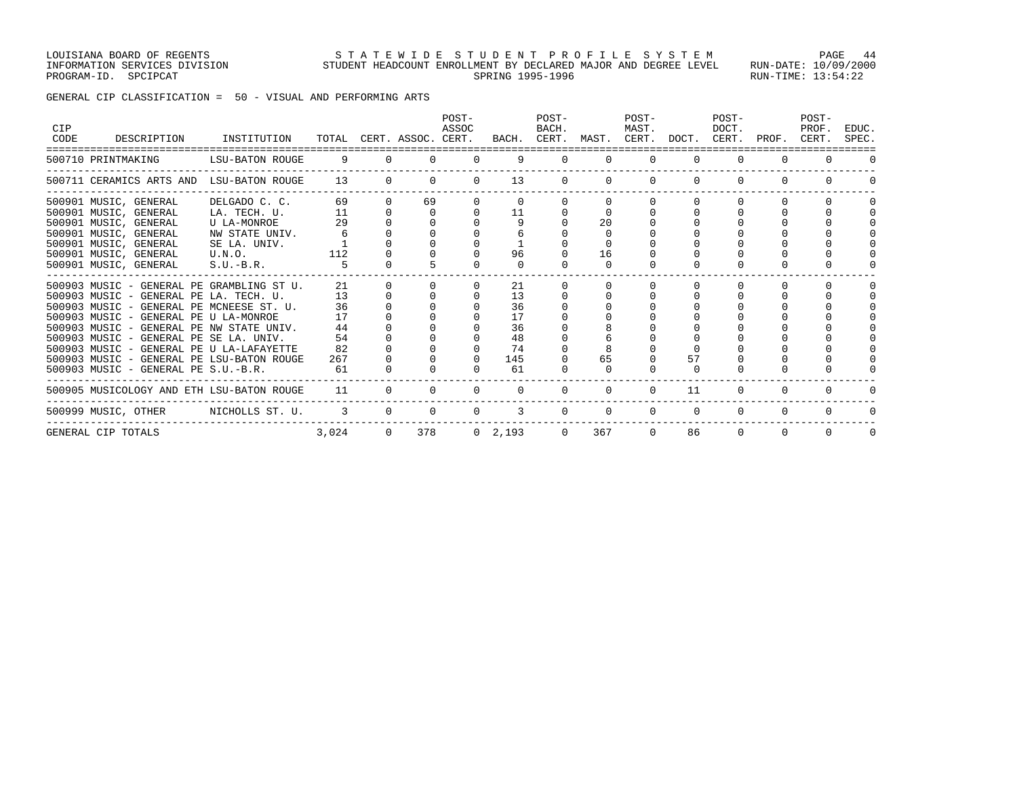GENERAL CIP CLASSIFICATION = 50 - VISUAL AND PERFORMING ARTS

| <b>CIP</b><br>CODE | DESCRIPTION                                                                                                                                                                                                                                                                                                                                                                                    | INSTITUTION                                                                                             |                                               |          | TOTAL CERT. ASSOC. CERT. | POST-<br>ASSOC | BACH.                                               | POST-<br>BACH.<br>CERT. | MAST.                            | POST-<br>MAST. | CERT. DOCT.        | POST-<br>DOCT.<br>CERT. | PROF.        | POST-<br>PROF.<br>CERT. | EDUC.<br>SPEC. |
|--------------------|------------------------------------------------------------------------------------------------------------------------------------------------------------------------------------------------------------------------------------------------------------------------------------------------------------------------------------------------------------------------------------------------|---------------------------------------------------------------------------------------------------------|-----------------------------------------------|----------|--------------------------|----------------|-----------------------------------------------------|-------------------------|----------------------------------|----------------|--------------------|-------------------------|--------------|-------------------------|----------------|
|                    | 500710 PRINTMAKING                                                                                                                                                                                                                                                                                                                                                                             | LSU-BATON ROUGE                                                                                         |                                               |          |                          | $\Omega$       |                                                     | $\Omega$                | $\Omega$                         |                |                    |                         |              |                         |                |
|                    | 500711 CERAMICS ARTS AND                                                                                                                                                                                                                                                                                                                                                                       | LSU-BATON ROUGE                                                                                         | 13                                            | $\Omega$ | $\Omega$                 | $\Omega$       | 13                                                  | $\Omega$                | $\Omega$                         | $\Omega$       | $\Omega$           | $\Omega$                | $\Omega$     |                         |                |
|                    | 500901 MUSIC, GENERAL<br>500901 MUSIC, GENERAL<br>500901 MUSIC, GENERAL<br>500901 MUSIC, GENERAL<br>500901 MUSIC, GENERAL<br>500901 MUSIC, GENERAL<br>500901 MUSIC, GENERAL                                                                                                                                                                                                                    | DELGADO C. C.<br>LA. TECH. U.<br>U LA-MONROE<br>NW STATE UNIV.<br>SE LA. UNIV.<br>U.N.O.<br>$S.U.-B.R.$ | 69<br>11<br>29<br>112                         |          | 69<br><sup>n</sup>       | $\Omega$<br>0  | $\Omega$<br>11<br>96<br>$\Omega$                    | $\Omega$                | $\Omega$<br>20<br>16<br>$\Omega$ |                | $\cap$<br>$\Omega$ | $\Omega$                |              | ∩                       |                |
|                    | 500903 MUSIC - GENERAL PE GRAMBLING ST U.<br>500903 MUSIC - GENERAL PE LA. TECH. U.<br>500903 MUSIC - GENERAL PE MCNEESE ST. U.<br>500903 MUSIC - GENERAL PE U LA-MONROE<br>500903 MUSIC - GENERAL PE NW STATE UNIV.<br>500903 MUSIC - GENERAL PE SE LA. UNIV.<br>500903 MUSIC - GENERAL PE U LA-LAFAYETTE<br>500903 MUSIC - GENERAL PE LSU-BATON ROUGE<br>500903 MUSIC - GENERAL PE S.U.-B.R. |                                                                                                         | 21<br>13<br>36<br>44<br>54<br>82<br>267<br>61 |          |                          | $\Omega$<br>0  | 21<br>13<br>36<br>17<br>36<br>48<br>74<br>145<br>61 |                         | 65<br>$\Omega$                   |                | 57<br><sup>n</sup> | $\Omega$                |              |                         |                |
|                    | 500905 MUSICOLOGY AND ETH LSU-BATON ROUGE                                                                                                                                                                                                                                                                                                                                                      |                                                                                                         | 11                                            |          |                          | $\Omega$       | $\Omega$                                            | $\Omega$                | $\Omega$                         | $\Omega$       | 11                 | $\Omega$                | <sup>0</sup> | 0                       |                |
|                    | 500999 MUSIC, OTHER                                                                                                                                                                                                                                                                                                                                                                            | NICHOLLS ST. U.                                                                                         | $\sim$ 3                                      | $\Omega$ | $\Omega$                 | $\Omega$       | 3                                                   | $\Omega$                | $\Omega$                         | $\Omega$       | $\Omega$           | $\Omega$                | 0            | 0                       |                |
|                    | GENERAL CIP TOTALS                                                                                                                                                                                                                                                                                                                                                                             |                                                                                                         | 3,024                                         | $\Omega$ | 378                      |                | 0, 2, 193                                           | $\Omega$                | 367                              | $\Omega$       | 86                 | $\Omega$                | $\Omega$     | $\Omega$                | 0              |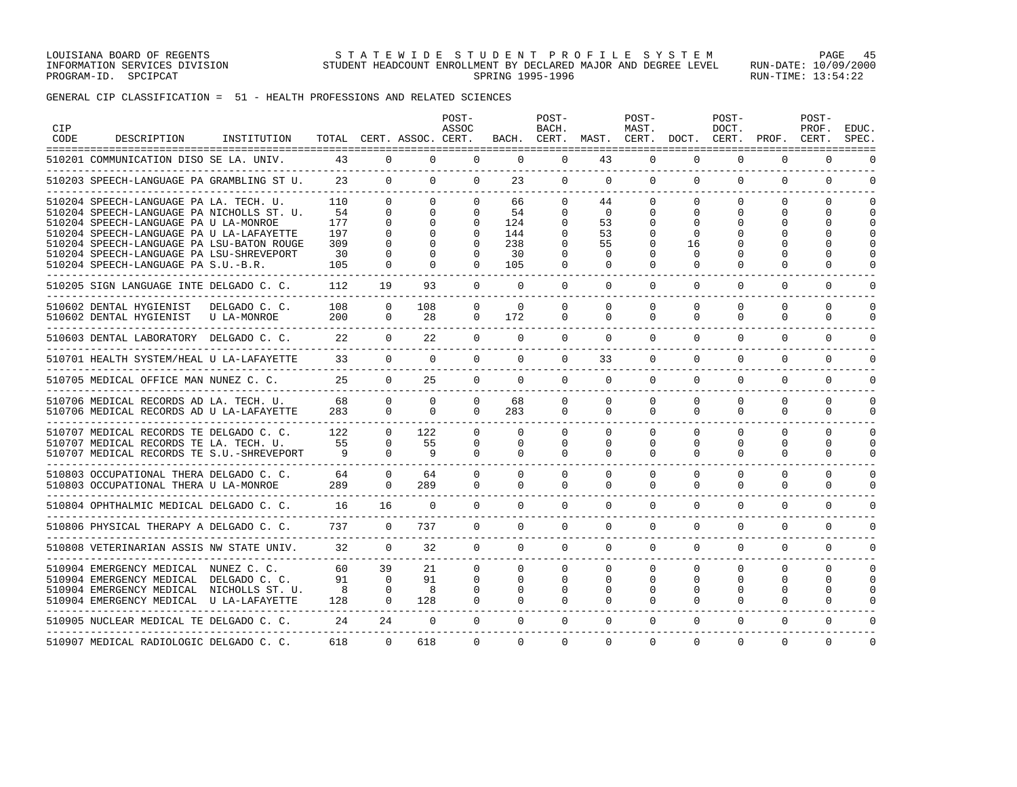LOUISIANA BOARD OF REGENTS STATEWIDE STUDENT PROFILE SYSTEM PAGE 45 INFORMATION SERVICES DIVISION STUDENT HEADCOUNT ENROLLMENT BY DECLARED MAJOR AND DEGREE LEVEL RUN-DATE: 10/09/2000 PROGRAM-ID. SPCIPCAT SALLER SERING 1995-1996 RUN-TIME: 13:54:22

GENERAL CIP CLASSIFICATION = 51 - HEALTH PROFESSIONS AND RELATED SCIENCES

| <b>CIP</b><br>CODE | DESCRIPTION                                                                                                                                                                                                           | INSTITUTION                  |                                |                                              | TOTAL CERT. ASSOC. CERT.       | POST-<br>ASSOC                               |                                              | POST-<br>BACH.<br>BACH. CERT.                            |                                              | POST-<br>MAST.<br>MAST. CERT.         | DOCT.                                              | POST-<br>DOCT.<br>CERT.          | PROF.                                                | POST-<br>PROF.<br>CERT.                                  | EDUC.<br>SPEC.             |
|--------------------|-----------------------------------------------------------------------------------------------------------------------------------------------------------------------------------------------------------------------|------------------------------|--------------------------------|----------------------------------------------|--------------------------------|----------------------------------------------|----------------------------------------------|----------------------------------------------------------|----------------------------------------------|---------------------------------------|----------------------------------------------------|----------------------------------|------------------------------------------------------|----------------------------------------------------------|----------------------------|
|                    | 510201 COMMUNICATION DISO SE LA. UNIV.                                                                                                                                                                                |                              | 43                             | $\Omega$                                     | $\Omega$                       | $\Omega$                                     | $\Omega$                                     | $\Omega$                                                 | 43                                           | $\Omega$                              | $\Omega$                                           | $\Omega$                         | $\Omega$                                             | $\Omega$                                                 | $\cap$                     |
|                    | 510203 SPEECH-LANGUAGE PA GRAMBLING ST U.                                                                                                                                                                             |                              | ----------------------<br>23   | $\Omega$                                     | $\Omega$                       | $\Omega$                                     | 23                                           | $\Omega$                                                 | $\Omega$                                     | $\Omega$                              | $\Omega$                                           | $\Omega$                         | $\Omega$                                             | $\Omega$                                                 | $\Omega$                   |
|                    | 510204 SPEECH-LANGUAGE PA LA. TECH. U.<br>510204 SPEECH-LANGUAGE PA NICHOLLS ST. U.<br>510204 SPEECH-LANGUAGE PA U LA-MONROE<br>510204 SPEECH-LANGUAGE PA U LA-LAFAYETTE<br>510204 SPEECH-LANGUAGE PA LSU-BATON ROUGE |                              | 110<br>54<br>177<br>197<br>309 | $\Omega$<br>$\Omega$<br>$\Omega$<br>$\Omega$ | $\Omega$<br>$\Omega$<br>$\cap$ | 0<br>0<br>0<br>0<br>0                        | 66<br>54<br>124<br>144<br>238                | $\Omega$<br>$\Omega$<br>$\Omega$<br>$\Omega$<br>$\Omega$ | 44<br>$\Omega$<br>53<br>53<br>55             | $\Omega$<br>$\Omega$<br>0<br>0<br>0   | $\Omega$<br>$\Omega$<br>$\Omega$<br>$\Omega$<br>16 | $\Omega$<br>$\Omega$<br>0        | $\Omega$<br>$\Omega$<br><sup>0</sup><br><sup>0</sup> | $\Omega$<br>$\Omega$<br>$\Omega$<br>$\Omega$<br>$\Omega$ |                            |
|                    | 510204 SPEECH-LANGUAGE PA LSU-SHREVEPORT<br>510204 SPEECH-LANGUAGE PA S.U.-B.R.<br>----------------------------------                                                                                                 |                              | 30<br>105                      | $\Omega$<br>$\Omega$                         | ∩                              | 0<br>$\Omega$                                | 30<br>105                                    | $\Omega$<br>$\Omega$                                     | 0<br>$\Omega$                                | 0<br>$\Omega$                         | $\Omega$<br>$\Omega$                               |                                  | U<br>$\Omega$                                        | $\Omega$<br>$\Omega$                                     |                            |
|                    | 510205 SIGN LANGUAGE INTE DELGADO C. C.<br>----------------------------                                                                                                                                               |                              | 112                            | 19                                           | 93                             | $\Omega$                                     | $\Omega$                                     | $\Omega$                                                 | $\Omega$                                     | $\Omega$                              | $\Omega$                                           | $\Omega$                         | $\Omega$                                             | $\Omega$                                                 |                            |
|                    | 510602 DENTAL HYGIENIST<br>510602 DENTAL HYGIENIST                                                                                                                                                                    | DELGADO C. C.<br>U LA-MONROE | 108<br>200                     | $\Omega$<br>$\Omega$                         | 108<br>28                      | $\Omega$<br>$\Omega$                         | $\Omega$<br>172                              | $\Omega$<br>$\Omega$                                     | $\Omega$<br>$\Omega$                         | $\Omega$<br>$\Omega$                  | $\Omega$<br>$\Omega$                               | $\Omega$<br>$\Omega$             | $\Omega$<br>$\Omega$                                 | $\Omega$<br>$\Omega$                                     | ∩<br>$\cap$                |
|                    | 510603 DENTAL LABORATORY DELGADO C. C.                                                                                                                                                                                |                              | 22                             | $\Omega$                                     | 22                             | $\Omega$                                     | $\Omega$                                     | $\Omega$                                                 | $\mathbf 0$                                  | $\Omega$                              | 0                                                  | 0                                | 0                                                    | $\mathbf 0$                                              |                            |
|                    | 510701 HEALTH SYSTEM/HEAL U LA-LAFAYETTE                                                                                                                                                                              |                              | 33                             | $\Omega$                                     | $\Omega$                       | $\Omega$                                     | $\mathbf{0}$                                 | $\Omega$                                                 | 33                                           | $\Omega$                              | $\Omega$                                           | $\Omega$                         | $\Omega$                                             | $\mathbf 0$                                              |                            |
|                    | 510705 MEDICAL OFFICE MAN NUNEZ C. C.                                                                                                                                                                                 |                              | 25                             | $\Omega$                                     | 25                             | $\Omega$                                     | $\Omega$                                     | $\Omega$                                                 | $\Omega$                                     | $\Omega$                              | $\Omega$                                           | 0                                | $\Omega$                                             | $\Omega$                                                 | $\Omega$                   |
|                    | 510706 MEDICAL RECORDS AD LA. TECH. U.<br>510706 MEDICAL RECORDS AD U LA-LAFAYETTE                                                                                                                                    |                              | 68<br>283                      | $\cap$<br>$\Omega$                           | $\Omega$<br>$\Omega$           | $\Omega$<br>$\Omega$                         | 68<br>283                                    | $\cap$<br>$\Omega$                                       | $\Omega$<br>$\Omega$                         | $\Omega$<br>$\Omega$                  | $\Omega$<br>$\Omega$                               | $\Omega$<br>0                    | $\Omega$<br>0                                        | $\Omega$<br>0                                            | O                          |
|                    | 510707 MEDICAL RECORDS TE DELGADO C. C.<br>510707 MEDICAL RECORDS TE LA. TECH. U.<br>510707 MEDICAL RECORDS TE S.U.-SHREVEPORT                                                                                        |                              | 122<br>55<br>9                 | $\Omega$<br>$\Omega$<br>$\Omega$             | 122<br>55<br>9                 | $\Omega$<br>$\Omega$<br>$\Omega$             | $\Omega$<br>$\Omega$<br>$\Omega$             | $\Omega$<br>$\Omega$<br>$\Omega$                         | $\Omega$<br>$\Omega$<br>$\Omega$             | $\Omega$<br>$\Omega$<br>$\Omega$      | $\Omega$<br>$\Omega$<br>$\Omega$                   | $\Omega$<br>$\Omega$<br>$\Omega$ | $\Omega$<br>$\Omega$<br>$\Omega$                     | $\Omega$<br>$\Omega$<br>$\Omega$                         | ∩<br>∩                     |
|                    | 510803 OCCUPATIONAL THERA DELGADO C. C.<br>510803 OCCUPATIONAL THERA U LA-MONROE<br>------------------                                                                                                                |                              | 64<br>289                      | $\Omega$<br>$\Omega$                         | 64<br>289                      | $\Omega$<br>$\Omega$                         | $\Omega$<br>$\Omega$                         | $\Omega$<br>$\Omega$                                     | $\Omega$<br>$\Omega$                         | $\Omega$<br>$\Omega$                  | $\Omega$<br>$\Omega$                               | $\Omega$<br>$\Omega$             | $\Omega$<br>$\Omega$                                 | $\Omega$<br>$\Omega$                                     |                            |
|                    | 510804 OPHTHALMIC MEDICAL DELGADO C. C.                                                                                                                                                                               |                              | 16                             | 16                                           | $\Omega$                       | $\Omega$                                     | $\Omega$                                     | $\Omega$                                                 | $\Omega$                                     | $\Omega$                              | $\Omega$                                           | $\Omega$                         | $\Omega$                                             | $\Omega$                                                 |                            |
|                    | 510806 PHYSICAL THERAPY A DELGADO C. C.<br>______________________________________                                                                                                                                     |                              | 737                            | $\Omega$                                     | 737                            | $\Omega$                                     | $\Omega$                                     | $\Omega$                                                 | 0                                            | $\mathbf 0$                           | 0                                                  | 0                                | 0                                                    | $\mathbf{0}$                                             | $\Omega$                   |
|                    | 510808 VETERINARIAN ASSIS NW STATE UNIV.                                                                                                                                                                              |                              | 32                             | $\Omega$                                     | 32                             | $\Omega$                                     | $\Omega$                                     | $\Omega$                                                 | $\Omega$                                     | $\Omega$                              | $\Omega$                                           | $\Omega$                         | $\Omega$                                             | $\mathbf 0$                                              |                            |
|                    | 510904 EMERGENCY MEDICAL NUNEZ C. C.<br>510904 EMERGENCY MEDICAL<br>510904 EMERGENCY MEDICAL NICHOLLS ST. U.<br>510904 EMERGENCY MEDICAL U LA-LAFAYETTE                                                               | DELGADO C. C.                | 60<br>91<br>8<br>128           | 39<br>$\Omega$<br>$\Omega$<br>$\Omega$       | 21<br>91<br>8<br>128           | $\Omega$<br>$\Omega$<br>$\Omega$<br>$\Omega$ | $\Omega$<br>$\Omega$<br>$\Omega$<br>$\Omega$ | $\Omega$<br>$\Omega$<br>$\Omega$                         | $\Omega$<br>$\Omega$<br>$\Omega$<br>$\Omega$ | $\Omega$<br>$\Omega$<br>0<br>$\Omega$ | $\Omega$<br>$\Omega$<br>0<br>$\Omega$              | $\Omega$<br>0<br>0<br>$\Omega$   | $\Omega$<br>$\Omega$<br>0<br>$\Omega$                | $\Omega$<br>$\Omega$<br>$\Omega$<br>$\Omega$             | $\cap$<br>$\cap$<br>$\cap$ |
|                    | 510905 NUCLEAR MEDICAL TE DELGADO C. C.<br>________________________                                                                                                                                                   |                              | 24                             | 24                                           | $\Omega$                       | $\Omega$                                     | $\Omega$                                     | $\Omega$                                                 | $\Omega$                                     | $\Omega$                              | $\Omega$                                           | $\Omega$                         | $\Omega$                                             | $\mathbf 0$                                              |                            |
|                    | 510907 MEDICAL RADIOLOGIC DELGADO C. C.                                                                                                                                                                               |                              | 618                            | $\cap$                                       | 618                            | $\Omega$                                     | $\Omega$                                     | $\Omega$                                                 | $\Omega$                                     | $\Omega$                              | $\Omega$                                           | $\Omega$                         | $\Omega$                                             | $\Omega$                                                 | $\Omega$                   |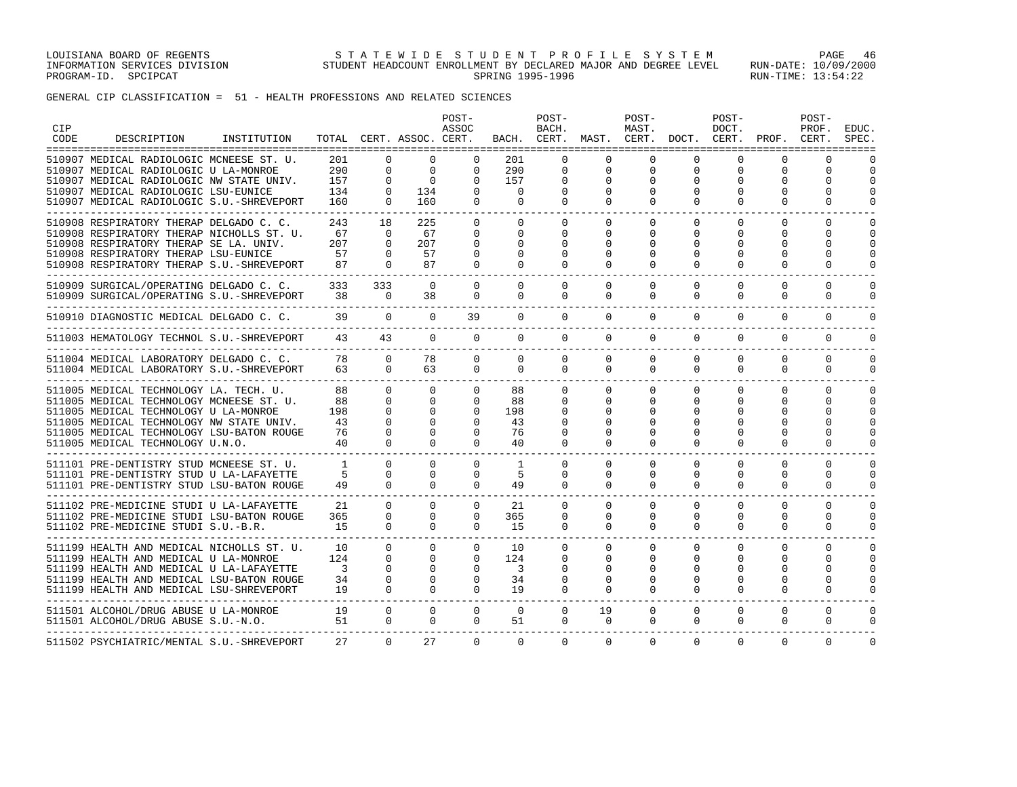#### LOUISIANA BOARD OF REGENTS STATEWIDE STUDENT PROFILE SYSTEM PAGE 46 INFORMATION SERVICES DIVISION STUDENT HEADCOUNT ENROLLMENT BY DECLARED MAJOR AND DEGREE LEVEL RUN-DATE: 10/09/2000 PROGRAM-ID. SPCIPCAT SALLER SERING 1995-1996 RUN-TIME: 13:54:22

GENERAL CIP CLASSIFICATION = 51 - HEALTH PROFESSIONS AND RELATED SCIENCES

| <b>CIP</b><br>CODE | DESCRIPTION                                                                                                                                                                                                                                              | INSTITUTION |                                   |                                                        | TOTAL CERT. ASSOC. CERT.                                             | POST-<br><b>ASSOC</b>                                         |                                   | POST-<br>BACH.<br>BACH. CERT.                       | MAST. CERT.                                | POST-<br>MAST.                                  | DOCT.                                            | POST-<br>DOCT.                      | CERT. PROF.                                | POST-<br>PROF.<br>CERT.                                       | EDUC.<br>SPEC.                   |
|--------------------|----------------------------------------------------------------------------------------------------------------------------------------------------------------------------------------------------------------------------------------------------------|-------------|-----------------------------------|--------------------------------------------------------|----------------------------------------------------------------------|---------------------------------------------------------------|-----------------------------------|-----------------------------------------------------|--------------------------------------------|-------------------------------------------------|--------------------------------------------------|-------------------------------------|--------------------------------------------|---------------------------------------------------------------|----------------------------------|
|                    | 510907 MEDICAL RADIOLOGIC MCNEESE ST. U.<br>510907 MEDICAL RADIOLOGIC U LA-MONROE<br>510907 MEDICAL RADIOLOGIC NW STATE UNIV.<br>510907 MEDICAL RADIOLOGIC LSU-EUNICE                                                                                    |             | 201<br>290<br>157<br>134          | $\Omega$<br>$\Omega$<br>$\Omega$                       | $\Omega$<br>$\Omega$<br>$\Omega$<br>134                              | $\Omega$<br>$\Omega$<br>$\Omega$<br>$\Omega$                  | 201<br>290<br>157<br>$\Omega$     | <sup>0</sup><br>$\Omega$<br>$\Omega$<br>0           | $\Omega$<br>$\Omega$<br>$\Omega$<br>U      | $\Omega$<br>$\Omega$<br>0<br>0                  | $\Omega$<br>$\Omega$<br><sup>0</sup>             | $\Omega$<br>$\Omega$                | $\Omega$<br>$\Omega$<br>∩<br><sup>0</sup>  | $\Omega$<br>$\Omega$<br>$\Omega$<br>$\Omega$                  | $\Omega$<br>$\cap$<br>$\cap$     |
|                    | 510907 MEDICAL RADIOLOGIC S.U.-SHREVEPORT                                                                                                                                                                                                                |             | 160                               | $\Omega$                                               | 160                                                                  | $\Omega$                                                      | 0                                 | $\Omega$                                            | $\Omega$                                   | 0                                               | $\Omega$                                         | 0                                   | 0                                          | $\Omega$                                                      | ∩                                |
|                    | 510908 RESPIRATORY THERAP DELGADO C. C.<br>510908 RESPIRATORY THERAP NICHOLLS ST. U.<br>510908 RESPIRATORY THERAP SE LA. UNIV.<br>510908 RESPIRATORY THERAP LSU-EUNICE                                                                                   |             | 243<br>67<br>207<br>57            | 18<br>$\Omega$<br>$\Omega$<br>$\Omega$                 | 225<br>67<br>207<br>57                                               | $\Omega$<br>0<br>$\Omega$<br>$\Omega$                         | $\Omega$<br>0<br>$\Omega$<br>0    | $\Omega$<br>0<br>0<br>$\Omega$                      | $\Omega$<br>0<br>$\Omega$<br>$\Omega$      | $\Omega$<br>0<br>0<br>0                         | $\Omega$<br>$\Omega$<br><sup>0</sup><br>$\Omega$ | $\Omega$<br>O<br>0<br>$\Omega$      | $\Omega$<br>0<br><sup>0</sup><br>$\Omega$  | $\Omega$<br>$\Omega$<br>$\Omega$<br>$\Omega$                  | $\cap$<br>$\Omega$<br>$\Omega$   |
|                    | 510908 RESPIRATORY THERAP S.U.-SHREVEPORT                                                                                                                                                                                                                |             | 87                                | $\Omega$                                               | 87                                                                   | $\Omega$                                                      | $\Omega$                          | $\Omega$                                            | $\Omega$                                   | $\Omega$                                        | <sup>n</sup>                                     | 0                                   | $\Omega$                                   | $\Omega$                                                      | $\Omega$                         |
|                    | 510909 SURGICAL/OPERATING DELGADO C. C.<br>510909 SURGICAL/OPERATING S.U.-SHREVEPORT<br>---------------------------------                                                                                                                                |             | 333<br>38                         | 333<br>$\Omega$                                        | $\Omega$<br>38                                                       | $\Omega$<br>$\mathbf{0}$                                      | $\Omega$<br>0                     | $\Omega$<br>$\Omega$                                | $\Omega$<br>0                              | $\Omega$<br>$\mathbf 0$                         | $\Omega$<br>$\Omega$                             | $\Omega$<br>0                       | $\Omega$<br>0                              | $\Omega$<br>$\mathbf 0$                                       | $\Omega$                         |
|                    | 510910 DIAGNOSTIC MEDICAL DELGADO C. C. 39                                                                                                                                                                                                               |             |                                   | $\mathbf{0}$                                           | $\mathbf{0}$                                                         | 39                                                            | $\mathbf{0}$                      | 0                                                   | 0                                          | $\mathbf{0}$                                    | 0                                                | 0                                   | 0                                          | $\mathbf 0$                                                   |                                  |
|                    | 511003 HEMATOLOGY TECHNOL S.U.-SHREVEPORT                                                                                                                                                                                                                |             | 43                                | 43                                                     | $\Omega$                                                             | $\Omega$                                                      | $\Omega$                          | $\Omega$                                            | $\Omega$                                   | $\Omega$                                        | $\Omega$                                         | $\mathbf 0$                         | $\mathbf 0$                                | $\mathbf 0$                                                   | $\Omega$                         |
|                    | 511004 MEDICAL LABORATORY DELGADO C. C.<br>511004 MEDICAL LABORATORY S.U.-SHREVEPORT                                                                                                                                                                     |             | 78<br>63                          | $\Omega$<br>$\Omega$                                   | 78<br>63                                                             | $\Omega$<br>$\Omega$                                          | $\Omega$<br>$\Omega$              | $\Omega$<br>$\Omega$                                | $\Omega$<br>$\Omega$                       | $\Omega$<br>$\Omega$                            | $\Omega$<br>$\Omega$                             | $\Omega$<br>$\Omega$                | $\Omega$<br>$\Omega$                       | $\mathbf 0$<br>$\Omega$                                       | $\Omega$<br>$\Omega$             |
|                    | 511005 MEDICAL TECHNOLOGY LA. TECH. U.<br>511005 MEDICAL TECHNOLOGY MCNEESE ST. U.<br>511005 MEDICAL TECHNOLOGY U LA-MONROE<br>511005 MEDICAL TECHNOLOGY NW STATE UNIV.<br>511005 MEDICAL TECHNOLOGY LSU-BATON ROUGE<br>511005 MEDICAL TECHNOLOGY U.N.O. |             | 88<br>88<br>198<br>43<br>76<br>40 | $\Omega$<br>$\Omega$<br>$\Omega$                       | $\Omega$<br>$\Omega$<br>$\Omega$<br>$\Omega$<br>$\Omega$<br>$\Omega$ | $\Omega$<br>$\Omega$<br>0<br>$\Omega$<br>$\Omega$<br>$\Omega$ | 88<br>88<br>198<br>43<br>76<br>40 | $\Omega$<br>$\Omega$<br>0<br>∩<br>0<br><sup>0</sup> | $\Omega$<br>$\Omega$<br>U<br>0<br>$\Omega$ | $\Omega$<br>$\Omega$<br>0<br>U<br>0<br>$\Omega$ | $\Omega$<br>$\Omega$<br>$\Omega$                 | $\Omega$<br>$\Omega$<br>O<br>O<br>0 | $\Omega$<br>$\Omega$<br>0<br>O<br>$\Omega$ | $\Omega$<br>$\Omega$<br>$\Omega$<br>$\Omega$<br>0<br>$\Omega$ | $\Omega$<br>$\Omega$<br>∩        |
|                    | ________________________________<br>511101 PRE-DENTISTRY STUD MCNEESE ST. U.<br>511101 PRE-DENTISTRY STUD U LA-LAFAYETTE<br>511101 PRE-DENTISTRY STUD LSU-BATON ROUGE                                                                                    |             | $\mathbf{1}$<br>5<br>49           | $\Omega$<br>$\Omega$<br>$\Omega$                       | $\Omega$<br>$\Omega$<br>$\Omega$                                     | $\Omega$<br>$\Omega$<br>$\Omega$                              | 1<br>5<br>49                      | 0<br>$\Omega$<br>$\Omega$                           | 0<br>$\Omega$<br>$\Omega$                  | $\Omega$<br>$\Omega$<br>$\Omega$                | $\Omega$<br>$\Omega$<br>$\Omega$                 | $\Omega$<br>$\Omega$<br>$\Omega$    | $\Omega$<br>$\Omega$<br>$\Omega$           | $\Omega$<br>$\Omega$<br>$\Omega$                              | $\cap$<br>$\Omega$<br>$\Omega$   |
|                    | 511102 PRE-MEDICINE STUDI U LA-LAFAYETTE<br>511102 PRE-MEDICINE STUDI LSU-BATON ROUGE<br>511102 PRE-MEDICINE STUDI S.U.-B.R.                                                                                                                             |             | 21<br>365<br>15                   | $\Omega$<br>$\Omega$<br>$\Omega$                       | $\Omega$<br>$\Omega$<br>$\Omega$                                     | $\mathbf{0}$<br>$\Omega$<br>$\Omega$                          | 21<br>365<br>15                   | $\Omega$<br>$\Omega$<br>$\Omega$                    | $\Omega$<br>$\Omega$<br>$\Omega$           | $\Omega$<br>$\Omega$<br>$\Omega$                | $\Omega$<br>$\Omega$<br>$\Omega$                 | $\Omega$<br>$\Omega$<br>$\Omega$    | $\Omega$<br>$\Omega$<br>$\Omega$           | $\Omega$<br>$\Omega$<br>$\Omega$                              | $\Omega$<br>$\Omega$<br>$\Omega$ |
|                    | _____________________________<br>511199 HEALTH AND MEDICAL NICHOLLS ST. U.<br>511199 HEALTH AND MEDICAL U LA-MONROE<br>511199 HEALTH AND MEDICAL U LA-LAFAYETTE<br>511199 HEALTH AND MEDICAL LSU-BATON ROUGE<br>511199 HEALTH AND MEDICAL LSU-SHREVEPORT |             | 10<br>124<br>3<br>34<br>19        | $\Omega$<br>$\Omega$<br>$\cap$<br>$\Omega$<br>$\Omega$ | $\Omega$<br>$\Omega$<br>$\Omega$<br>$\Omega$<br>$\Omega$             | 0<br>$\Omega$<br>$\Omega$<br>0<br>$\Omega$                    | 10<br>124<br>3<br>34<br>19        | 0<br>0<br>0<br>0<br>$\Omega$                        | 0<br>U<br>U<br>0<br>$\Omega$               | 0<br>0<br>U<br>O<br>$\Omega$                    | 0<br>∩<br><sup>0</sup><br>$\Omega$               | 0<br>0<br>U<br>O<br>0               | 0<br>0<br>∩<br>0<br>$\Omega$               | $\mathbf 0$<br>0<br>$\Omega$<br>0<br>$\Omega$                 | ∩<br>∩                           |
|                    | -------------------------<br>511501 ALCOHOL/DRUG ABUSE U LA-MONROE<br>511501 ALCOHOL/DRUG ABUSE S.U.-N.O.                                                                                                                                                |             | 19<br>51                          | $\mathbf 0$<br>$\Omega$                                | $\mathbf{0}$<br>$\Omega$                                             | $\mathbf{0}$<br>$\Omega$                                      | $\overline{0}$<br>51              | $\mathbf 0$<br>$\Omega$                             | 19<br>$\Omega$                             | 0<br>$\Omega$                                   | 0<br>$\Omega$                                    | $\mathbf 0$<br>$\Omega$             | 0<br>$\Omega$                              | 0<br>$\Omega$                                                 | $\Omega$<br>$\cap$               |
|                    | 511502 PSYCHIATRIC/MENTAL S.U.-SHREVEPORT                                                                                                                                                                                                                |             | 27                                |                                                        | 27                                                                   | $\Omega$                                                      | $\Omega$                          | $\Omega$                                            | $\Omega$                                   | $\Omega$                                        | $\Omega$                                         | $\Omega$                            | $\Omega$                                   | $\Omega$                                                      | $\Omega$                         |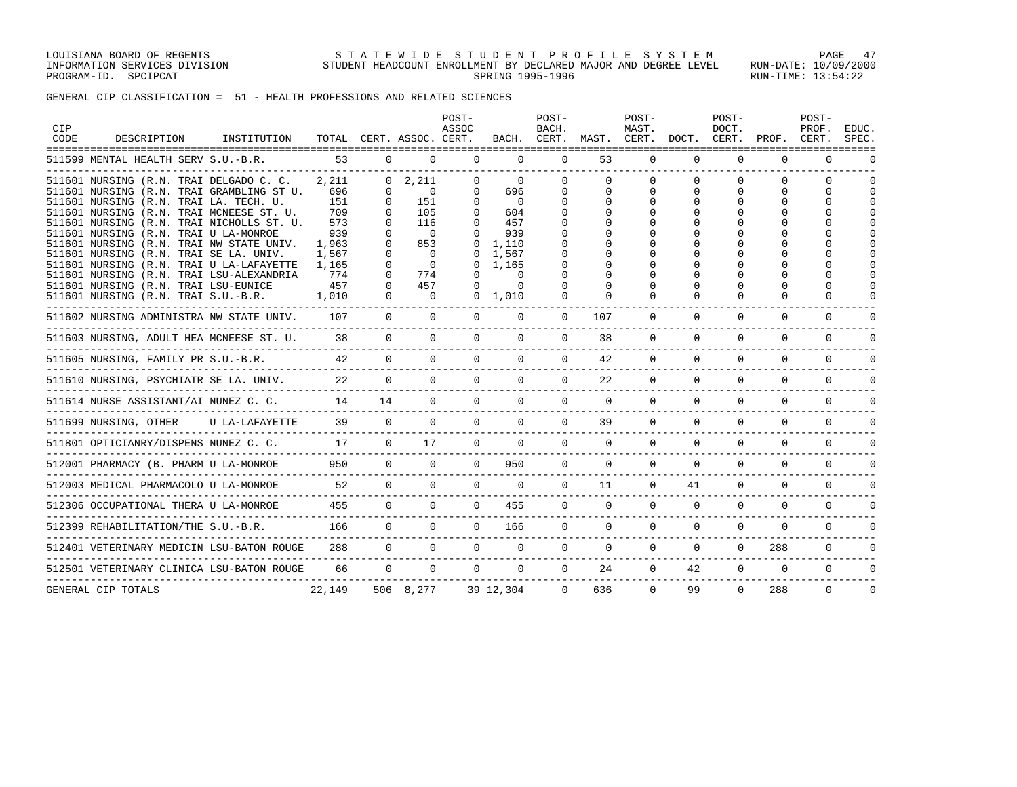LOUISIANA BOARD OF REGENTS STATEWIDE STUDENT PROFILE SYSTEM PAGE 47 INFORMATION SERVICES DIVISION STUDENT HEADCOUNT ENROLLMENT BY DECLARED MAJOR AND DEGREE LEVEL RUN-DATE: 10/09/2000 PROGRAM-ID. SPCIPCAT SALLER SERING 1995-1996 RUN-TIME: 13:54:22

GENERAL CIP CLASSIFICATION = 51 - HEALTH PROFESSIONS AND RELATED SCIENCES

| CIP<br>CODE | DESCRIPTION                                                                                                                 | INSTITUTION             | TOTAL                 |                                  | CERT. ASSOC. CERT.          | POST-<br>ASSOC                   | BACH.                       | POST-<br>BACH.<br>CERT. | MAST.                            | POST-<br>MAST.<br>CERT.   | DOCT.                          | POST-<br>DOCT.<br>CERT.          | PROF.                        | POST-<br>PROF.<br>CERT.          | EDUC.<br>SPEC. |
|-------------|-----------------------------------------------------------------------------------------------------------------------------|-------------------------|-----------------------|----------------------------------|-----------------------------|----------------------------------|-----------------------------|-------------------------|----------------------------------|---------------------------|--------------------------------|----------------------------------|------------------------------|----------------------------------|----------------|
|             | 511599 MENTAL HEALTH SERV S.U.-B.R.                                                                                         |                         | 53                    | $\Omega$                         | $\Omega$                    | $\Omega$                         | $\Omega$                    | $\Omega$                | 53                               | $\Omega$                  | $\Omega$                       | $\Omega$                         | $\Omega$                     | $\Omega$                         |                |
|             | 511601 NURSING (R.N. TRAI DELGADO C. C.<br>511601 NURSING (R.N. TRAI GRAMBLING ST U.<br>511601 NURSING                      | (R.N. TRAI LA. TECH. U. | 2,211<br>696<br>151   | $\Omega$<br>$\Omega$<br>$\Omega$ | 2,211<br>$\Omega$<br>151    | $\Omega$<br>$\Omega$<br>$\Omega$ | $\Omega$<br>696<br>$\Omega$ | $\Omega$<br>$\Omega$    | $\Omega$<br>$\Omega$<br>$\Omega$ | $\Omega$<br>$\Omega$<br>O | $\Omega$<br>$\Omega$<br>$\cap$ | $\Omega$<br>$\Omega$<br>$\Omega$ | $\cap$<br>$\Omega$<br>$\cap$ | $\Omega$<br>$\Omega$<br>$\Omega$ |                |
|             | 511601 NURSING (R.N. TRAI MCNEESE ST. U.<br>511601 NURSING (R.N. TRAI NICHOLLS ST. U.                                       |                         | 709<br>573            | $\Omega$<br>$\cap$               | 105<br>116                  | $\Omega$                         | 604<br>457                  |                         |                                  |                           |                                | ∩                                |                              | $\Omega$<br>$\cap$               |                |
|             | 511601 NURSING (R.N. TRAI U LA-MONROE<br>511601 NURSING (R.N. TRAI NW STATE UNIV.<br>511601 NURSING (R.N. TRAI SE LA. UNIV. |                         | 939<br>1,963<br>1,567 | $\Omega$<br>0<br>0               | $\Omega$<br>853<br>$\Omega$ | $\Omega$<br>0                    | 939<br>1,110<br>1,567       |                         |                                  |                           |                                |                                  |                              | $\cap$<br>$\cap$<br>$\cap$       |                |
|             | 511601 NURSING (R.N. TRAI U LA-LAFAYETTE<br>511601 NURSING (R.N. TRAI LSU-ALEXANDRIA                                        |                         | 1,165<br>774          | $\Omega$<br>$\Omega$             | $\Omega$<br>774             | $\Omega$<br>n                    | 1,165<br>$\Omega$           |                         |                                  |                           |                                |                                  |                              | $\cap$<br>$\cap$                 |                |
|             | 511601 NURSING (R.N. TRAI LSU-EUNICE<br>511601 NURSING (R.N. TRAI S.U.-B.R.                                                 |                         | 457<br>1,010          | $\Omega$<br>$\Omega$             | 457<br>$\Omega$             | $\Omega$<br>$\Omega$             | $\Omega$<br>1,010           | $\Omega$                | $\Omega$                         |                           | $\Omega$                       | U<br>$\Omega$                    | $\cap$                       | $\Omega$<br>$\Omega$             |                |
|             | 511602 NURSING ADMINISTRA NW STATE UNIV.                                                                                    |                         | 107                   | $\Omega$                         | $\Omega$                    | $\Omega$                         | $\mathbf 0$                 | $\Omega$                | 107                              | 0                         | 0                              | $\Omega$                         | $\Omega$                     | 0                                |                |
|             | 511603 NURSING, ADULT HEA MCNEESE ST. U.                                                                                    |                         | 38                    | $\Omega$                         | $\Omega$                    | $\Omega$                         | $\Omega$                    | $\Omega$                | 38                               | $\Omega$                  | $\Omega$                       | $\Omega$                         | $\Omega$                     | $\mathbf 0$                      |                |
|             | 511605 NURSING, FAMILY PR S.U.-B.R.                                                                                         |                         | 42                    | $\Omega$                         | $\Omega$                    | $\Omega$                         | $\Omega$                    | $\Omega$                | 42                               | $\Omega$                  | $\Omega$                       | $\Omega$                         | $\Omega$                     | $\Omega$                         | $\cap$         |
|             | 511610 NURSING, PSYCHIATR SE LA. UNIV.                                                                                      |                         | 22                    | $\Omega$                         | $\Omega$                    | $\Omega$                         | $\Omega$                    | $\Omega$                | 22                               | $\Omega$                  | $\Omega$                       | $\Omega$                         | $\Omega$                     | $\Omega$                         | <sup>n</sup>   |
|             | 511614 NURSE ASSISTANT/AI NUNEZ C. C.                                                                                       |                         | 14                    | 14                               | $\Omega$                    | $\Omega$                         | $\Omega$                    | $\mathbf 0$             | $\mathbf 0$                      | $\mathbf 0$               | $\mathbf 0$                    | $\mathbf 0$                      | $\mathbf 0$                  | $\mathbf 0$                      |                |
|             | 511699 NURSING, OTHER                                                                                                       | U LA-LAFAYETTE          | 39                    | $\Omega$                         | $\Omega$                    | $\Omega$                         | $\Omega$                    | $\Omega$                | 39                               | $\Omega$                  | $\Omega$                       | $\Omega$                         | $\Omega$                     | $\Omega$                         | $\cap$         |
|             | 511801 OPTICIANRY/DISPENS NUNEZ C. C.                                                                                       |                         | 17                    | $\Omega$                         | 17                          | $\Omega$                         | $\Omega$                    | $\Omega$                | $\Omega$                         | $\Omega$                  | $\Omega$                       | $\Omega$                         | $\Omega$                     | $\Omega$                         | $\cap$         |
|             | 512001 PHARMACY (B. PHARM U LA-MONROE                                                                                       |                         | 950                   | $\Omega$                         | $\Omega$                    | $\Omega$                         | 950                         | $\Omega$                | $\mathbf 0$                      | $\Omega$                  | 0                              | $\mathbf 0$                      | $\mathbf 0$                  | $\Omega$                         | U              |
|             | 512003 MEDICAL PHARMACOLO U LA-MONROE                                                                                       |                         | 52                    | $\Omega$                         | $\Omega$                    | $\Omega$                         | $\Omega$                    | $\Omega$                | 11                               | $\Omega$                  | 41                             | $\Omega$                         | $\Omega$                     | $\Omega$                         | <sup>0</sup>   |
|             | 512306 OCCUPATIONAL THERA U LA-MONROE                                                                                       |                         | 455                   | $\Omega$                         | $\Omega$                    | $\Omega$                         | 455                         | $\Omega$                | $\Omega$                         | $\Omega$                  | $\Omega$                       | $\Omega$                         | $\Omega$                     | $\mathbf 0$                      |                |
|             | 512399 REHABILITATION/THE S.U.-B.R.                                                                                         |                         | 166                   | $\Omega$                         | $\Omega$                    | $\Omega$                         | 166                         | $\Omega$                | $\Omega$                         | $\Omega$                  | $\Omega$                       | $\Omega$                         | $\Omega$                     | $\Omega$                         | $\cap$         |
|             | 512401 VETERINARY MEDICIN LSU-BATON ROUGE                                                                                   |                         | 288                   | $\Omega$                         | $\Omega$                    | $\Omega$                         | $\Omega$                    | $\Omega$                | $\Omega$                         | $\Omega$                  | $\mathbf 0$                    | $\Omega$                         | 288                          | $\mathbf 0$                      | ∩              |
|             | 512501 VETERINARY CLINICA LSU-BATON ROUGE                                                                                   |                         | 66                    | 0                                | $\Omega$                    | $\Omega$                         | 0                           | $\Omega$                | 24                               | $\mathbf{0}$              | 42                             | 0                                | $\mathbf 0$                  | 0                                | $\Omega$       |
|             | GENERAL CIP TOTALS                                                                                                          |                         | 22,149                |                                  | 506 8,277                   |                                  | 39 12,304                   | $\Omega$                | 636                              | $\Omega$                  | 99                             | $\Omega$                         | 288                          | $\Omega$                         | $\Omega$       |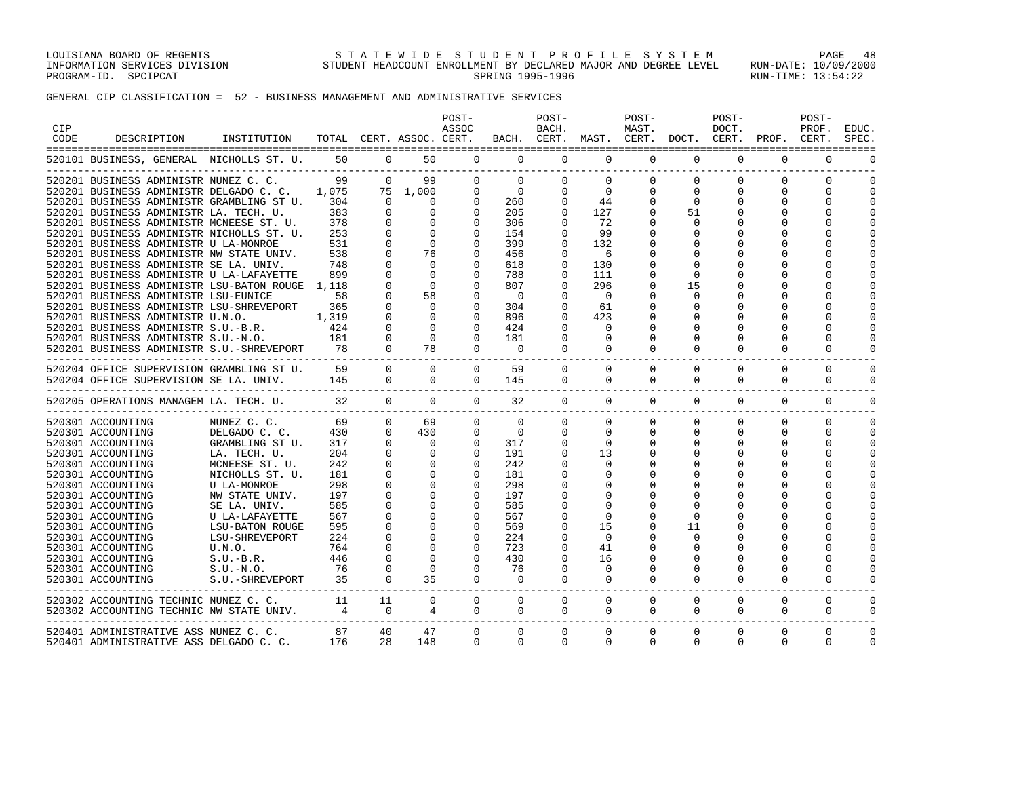LOUISIANA BOARD OF REGENTS STATEWIDE STUDENT PROFILE SYSTEM PAGE 48 INFORMATION SERVICES DIVISION STUDENT HEADCOUNT ENROLLMENT BY DECLARED MAJOR AND DEGREE LEVEL RUN-DATE: 10/09/2000 PROGRAM-ID. SPCIPCAT SALLER SERING 1995-1996 RUN-TIME: 13:54:22

GENERAL CIP CLASSIFICATION = 52 - BUSINESS MANAGEMENT AND ADMINISTRATIVE SERVICES

| CIP<br>CODE | DESCRIPTION                                                                                                                                                                                                                                                                                                                                                                                                                                                                                                                                                                                                                                                                                          | INSTITUTION                                                                                                                                                                                                                                                             |                                                                                                           |                                                                                                                                                                              | TOTAL CERT. ASSOC. CERT.                                                                                                                              | POST-<br>ASSOC                                                                                                                                              | BACH.                                                                                                                      | POST-<br>BACH.<br>CERT.                                                                                                                                                    | MAST.                                                                                                                                           | POST-<br>MAST.                                               | CERT. DOCT.                                                                                                                  | POST-<br>DOCT.                                                                                                                                          | CERT. PROF.                                                                                                                         | POST-<br>PROF.<br>CERT.                                                                                                                                                                  | EDUC.<br>SPEC.                                                                                                        |
|-------------|------------------------------------------------------------------------------------------------------------------------------------------------------------------------------------------------------------------------------------------------------------------------------------------------------------------------------------------------------------------------------------------------------------------------------------------------------------------------------------------------------------------------------------------------------------------------------------------------------------------------------------------------------------------------------------------------------|-------------------------------------------------------------------------------------------------------------------------------------------------------------------------------------------------------------------------------------------------------------------------|-----------------------------------------------------------------------------------------------------------|------------------------------------------------------------------------------------------------------------------------------------------------------------------------------|-------------------------------------------------------------------------------------------------------------------------------------------------------|-------------------------------------------------------------------------------------------------------------------------------------------------------------|----------------------------------------------------------------------------------------------------------------------------|----------------------------------------------------------------------------------------------------------------------------------------------------------------------------|-------------------------------------------------------------------------------------------------------------------------------------------------|--------------------------------------------------------------|------------------------------------------------------------------------------------------------------------------------------|---------------------------------------------------------------------------------------------------------------------------------------------------------|-------------------------------------------------------------------------------------------------------------------------------------|------------------------------------------------------------------------------------------------------------------------------------------------------------------------------------------|-----------------------------------------------------------------------------------------------------------------------|
|             | 520101 BUSINESS, GENERAL  NICHOLLS ST. U.                                                                                                                                                                                                                                                                                                                                                                                                                                                                                                                                                                                                                                                            |                                                                                                                                                                                                                                                                         | 50                                                                                                        | $\Omega$                                                                                                                                                                     | 50                                                                                                                                                    | $\Omega$                                                                                                                                                    | $\Omega$                                                                                                                   | $\Omega$                                                                                                                                                                   | $\Omega$                                                                                                                                        | $\Omega$                                                     | $\Omega$                                                                                                                     | $\Omega$                                                                                                                                                | $\Omega$                                                                                                                            | $\Omega$                                                                                                                                                                                 | $\cap$                                                                                                                |
|             | 520201 BUSINESS ADMINISTR NUNEZ C. C.<br>520201 BUSINESS ADMINISTR DELGADO C. C.<br>520201 BUSINESS ADMINISTR GRAMBLING ST U.<br>520201 BUSINESS ADMINISTR LA. TECH. U.<br>520201 BUSINESS ADMINISTR MCNEESE ST. U.<br>520201 BUSINESS ADMINISTR NICHOLLS ST. U.<br>520201 BUSINESS ADMINISTR U LA-MONROE<br>520201 BUSINESS ADMINISTR NW STATE UNIV.<br>520201 BUSINESS ADMINISTR SE LA. UNIV.<br>520201 BUSINESS ADMINISTR U LA-LAFAYETTE<br>520201 BUSINESS ADMINISTR LSU-BATON ROUGE 1,118<br>520201 BUSINESS ADMINISTR LSU-EUNICE<br>520201 BUSINESS ADMINISTR LSU-SHREVEPORT<br>520201 BUSINESS ADMINISTR U.N.O.<br>520201 BUSINESS ADMINISTR S.U.-B.R.<br>520201 BUSINESS ADMINISTR S.U.-N.O. |                                                                                                                                                                                                                                                                         | 99<br>1,075<br>304<br>383<br>378<br>253<br>531<br>538<br>748<br>899<br>58<br>365<br>1,319<br>424<br>181   | $\Omega$<br>$\Omega$<br>$\Omega$<br>$\mathbf 0$<br>$\mathbf 0$<br>$\Omega$<br>$\Omega$<br>O<br>$\cap$<br>$\Omega$<br>$\Omega$                                                | 99<br>75 1,000<br>$\Omega$<br>$\Omega$<br>0<br>$\Omega$<br>0<br>76<br>$\Omega$<br>0<br>$\Omega$<br>58<br>$\Omega$<br>$\Omega$<br>$\Omega$<br>$\Omega$ | $\Omega$<br>0<br>$\Omega$<br>$\Omega$<br>$\Omega$<br>$\Omega$<br>0<br>$\Omega$<br>0<br>$\Omega$<br>$\Omega$<br>$\Omega$                                     | $\Omega$<br>$\mathbf 0$<br>260<br>205<br>306<br>154<br>399<br>456<br>618<br>788<br>807<br>0<br>304<br>896<br>424<br>181    | ------<br>$\Omega$<br>0<br>$\Omega$<br>$\Omega$<br>$\Omega$<br>$\Omega$<br>$\Omega$<br>$\Omega$<br>$\Omega$<br>0<br>U<br>U<br>$\Omega$<br>$\Omega$<br>$\Omega$<br>$\Omega$ | $\Omega$<br>$\mathbf 0$<br>44<br>127<br>72<br>99<br>132<br>6<br>130<br>111<br>296<br>$\mathbf 0$<br>61<br>423<br>$\Omega$<br>$\Omega$           | $\Omega$<br>0<br>$\Omega$<br>$\Omega$                        | $\Omega$<br>0<br>$\Omega$<br>51<br>$\Omega$<br>$\Omega$<br>$\Omega$<br>$\Omega$<br>15<br>0<br>O<br>$\Omega$<br>$\Omega$      | $\Omega$<br>0<br>$\Omega$<br>$\Omega$<br>$\Omega$<br>$\Omega$<br>$\Omega$<br>$\Omega$<br>O<br>$\cap$<br>$\Omega$<br>$\cap$<br>U<br>$\Omega$<br>$\Omega$ | $\Omega$<br>$\Omega$<br>$\Omega$<br>$\Omega$<br>$\Omega$<br>$\cap$<br>$\cap$<br>$\Omega$<br>∩<br>∩<br>$\Omega$                      | $\cap$<br>$\Omega$<br>$\Omega$<br>$\Omega$<br>$\Omega$<br>$\Omega$<br>$\Omega$<br>$\Omega$<br>$\Omega$<br>$\Omega$<br>$\Omega$<br>$\Omega$<br>$\Omega$<br>$\cap$<br>$\Omega$<br>$\Omega$ | U<br>$\Omega$<br>$\Omega$<br>$\Omega$<br>∩<br>∩<br>$\Omega$<br>$\cap$<br>$\cap$<br>U<br>$\cap$<br>∩<br>$\cap$         |
|             | 520201 BUSINESS ADMINISTR S.U.-SHREVEPORT 78<br>520204 OFFICE SUPERVISION GRAMBLING ST U.                                                                                                                                                                                                                                                                                                                                                                                                                                                                                                                                                                                                            |                                                                                                                                                                                                                                                                         | 59<br>145                                                                                                 | $\Omega$<br>$\Omega$<br>$\overline{0}$                                                                                                                                       | 78<br>$\Omega$<br>$\mathbf 0$                                                                                                                         | 0<br>$\Omega$<br>$\mathbf 0$                                                                                                                                | $\mathbf 0$<br>59<br>145                                                                                                   | 0<br>$\Omega$<br>$\mathbf 0$                                                                                                                                               | $\mathbf 0$<br>$\Omega$<br>$\mathbf 0$                                                                                                          | $\Omega$<br>$\Omega$<br>$\mathbf 0$                          | $\Omega$<br>$\Omega$<br>0                                                                                                    | $\Omega$<br>$\Omega$<br>$\mathbf 0$                                                                                                                     | $\Omega$<br>$\Omega$<br>$\mathbf 0$                                                                                                 | $\Omega$<br>$\Omega$<br>$\mathbf 0$                                                                                                                                                      | $\cap$<br>$\Omega$<br>$\Omega$                                                                                        |
|             | 520204 OFFICE SUPERVISION SE LA. UNIV.<br>520205 OPERATIONS MANAGEM LA. TECH. U.                                                                                                                                                                                                                                                                                                                                                                                                                                                                                                                                                                                                                     |                                                                                                                                                                                                                                                                         | 32                                                                                                        | $\overline{0}$                                                                                                                                                               | $\mathbf{0}$                                                                                                                                          | $\mathbf{0}$                                                                                                                                                | 32                                                                                                                         | 0                                                                                                                                                                          | $\mathbf{0}$                                                                                                                                    | 0                                                            | 0                                                                                                                            | 0                                                                                                                                                       | 0                                                                                                                                   | $\mathbf 0$                                                                                                                                                                              | 0                                                                                                                     |
|             | ________________________________<br>520301 ACCOUNTING<br>520301 ACCOUNTING<br>520301 ACCOUNTING<br>520301 ACCOUNTING<br>520301 ACCOUNTING<br>520301 ACCOUNTING<br>520301 ACCOUNTING<br>520301 ACCOUNTING<br>520301 ACCOUNTING<br>520301 ACCOUNTING<br>520301 ACCOUNTING<br>520301 ACCOUNTING<br>520301 ACCOUNTING<br>520301 ACCOUNTING<br>520301 ACCOUNTING<br>520301 ACCOUNTING                                                                                                                                                                                                                                                                                                                     | NUNEZ C. C.<br>DELGADO C. C.<br>GRAMBLING ST U.<br>LA. TECH. U.<br>MCNEESE ST. U.<br>NICHOLLS ST. U.<br>U LA-MONROE<br>NW STATE UNIV.<br>SE LA. UNIV.<br>U LA-LAFAYETTE<br>LSU-BATON ROUGE<br>LSU-SHREVEPORT<br>U.N.O.<br>$S.U.-B.R.$<br>$S.U.-N.O.$<br>S.U.-SHREVEPORT | 69<br>430<br>317<br>204<br>242<br>181<br>298<br>197<br>585<br>567<br>595<br>224<br>764<br>446<br>76<br>35 | $\Omega$<br>$\Omega$<br>$\Omega$<br>$\mathbf 0$<br>$\Omega$<br>$\Omega$<br>0<br>$\Omega$<br>$\Omega$<br>$\Omega$<br>$\Omega$<br>$\Omega$<br>$\Omega$<br>$\Omega$<br>$\Omega$ | 69<br>430<br>$\Omega$<br>$\Omega$<br>$\Omega$<br>$\Omega$<br>0<br>$\mathbf 0$<br>0<br>$\Omega$<br>$\Omega$<br>$\Omega$<br>$\Omega$<br>35              | $\Omega$<br>0<br>$\Omega$<br>$\Omega$<br>$\Omega$<br>$\Omega$<br>$\Omega$<br>$\Omega$<br>0<br>$\Omega$<br>0<br>$\Omega$<br>$\Omega$<br>$\Omega$<br>$\Omega$ | $\Omega$<br>$\Omega$<br>317<br>191<br>242<br>181<br>298<br>197<br>585<br>567<br>569<br>224<br>723<br>430<br>76<br>$\Omega$ | $\Omega$<br>$\mathbf 0$<br>$\Omega$<br>$\Omega$<br>U<br>O<br>U<br>U<br>$\Omega$<br>$\Omega$<br>U<br>$\Omega$                                                               | $\Omega$<br>$\Omega$<br>$\Omega$<br>13<br>$\Omega$<br>$\Omega$<br>0<br>O<br>0<br>$\Omega$<br>15<br>$\Omega$<br>41<br>16<br>$\Omega$<br>$\Omega$ | $\Omega$<br>$\Omega$<br>$\Omega$<br><sup>0</sup><br>$\Omega$ | $\Omega$<br>$\Omega$<br>$\Omega$<br>$\Omega$<br>O<br>$\Omega$<br>11<br>$\Omega$<br>$\Omega$<br>0<br><sup>0</sup><br>$\Omega$ | $\Omega$<br>$\Omega$<br>$\Omega$<br>$\Omega$<br>$\Omega$<br>O<br>$\Omega$<br>U<br>O<br>$\Omega$<br>∩<br>O<br>$\Omega$<br>$\Omega$                       | $\Omega$<br>$\Omega$<br>$\Omega$<br>$\Omega$<br>$\Omega$<br>$\Omega$<br>∩<br>$\Omega$<br>$\Omega$<br>∩<br>∩<br>$\Omega$<br>$\Omega$ | $\Omega$<br>$\Omega$<br>$\Omega$<br>$\Omega$<br>$\Omega$<br>$\Omega$<br>$\Omega$<br>$\Omega$<br>O<br>$\Omega$<br>$\Omega$<br>$\Omega$<br>$\Omega$<br>O<br>$\cap$<br>$\Omega$             | $\Omega$<br>$\Omega$<br>$\Omega$<br>$\cap$<br>$\cap$<br>O<br>O<br>U<br>O<br>$\cap$<br>U<br>U<br>∩<br>$\cap$<br>$\cap$ |
|             | 520302 ACCOUNTING TECHNIC NUNEZ C. C.<br>520302 ACCOUNTING TECHNIC NW STATE UNIV.                                                                                                                                                                                                                                                                                                                                                                                                                                                                                                                                                                                                                    |                                                                                                                                                                                                                                                                         | 11                                                                                                        | 11<br>4 0                                                                                                                                                                    | $\Omega$<br>4                                                                                                                                         | $\Omega$<br>$\mathbf 0$                                                                                                                                     | $\Omega$<br>$\mathbf 0$                                                                                                    | $\Omega$<br>$\mathbf 0$                                                                                                                                                    | $\Omega$<br>$\mathbf 0$                                                                                                                         | $\Omega$<br>$\mathbf 0$                                      | $\Omega$<br>0                                                                                                                | $\Omega$<br>$\mathbf 0$                                                                                                                                 | $\Omega$<br>$\mathbf 0$                                                                                                             | $\Omega$<br>0                                                                                                                                                                            | $\Omega$<br>0                                                                                                         |
|             | 520401 ADMINISTRATIVE ASS NUNEZ C. C.<br>520401 ADMINISTRATIVE ASS DELGADO C. C.                                                                                                                                                                                                                                                                                                                                                                                                                                                                                                                                                                                                                     |                                                                                                                                                                                                                                                                         | 87<br>176                                                                                                 | 40<br>28                                                                                                                                                                     | 47<br>148                                                                                                                                             | $\Omega$<br>$\Omega$                                                                                                                                        | $\Omega$<br>$\Omega$                                                                                                       | $\Omega$<br>$\Omega$                                                                                                                                                       | $\Omega$<br>$\Omega$                                                                                                                            | $\Omega$<br>$\Omega$                                         | $\Omega$<br>$\Omega$                                                                                                         | $\Omega$<br>$\Omega$                                                                                                                                    | $\Omega$<br>$\Omega$                                                                                                                | $\Omega$<br>$\Omega$                                                                                                                                                                     | $\Omega$<br>$\Omega$                                                                                                  |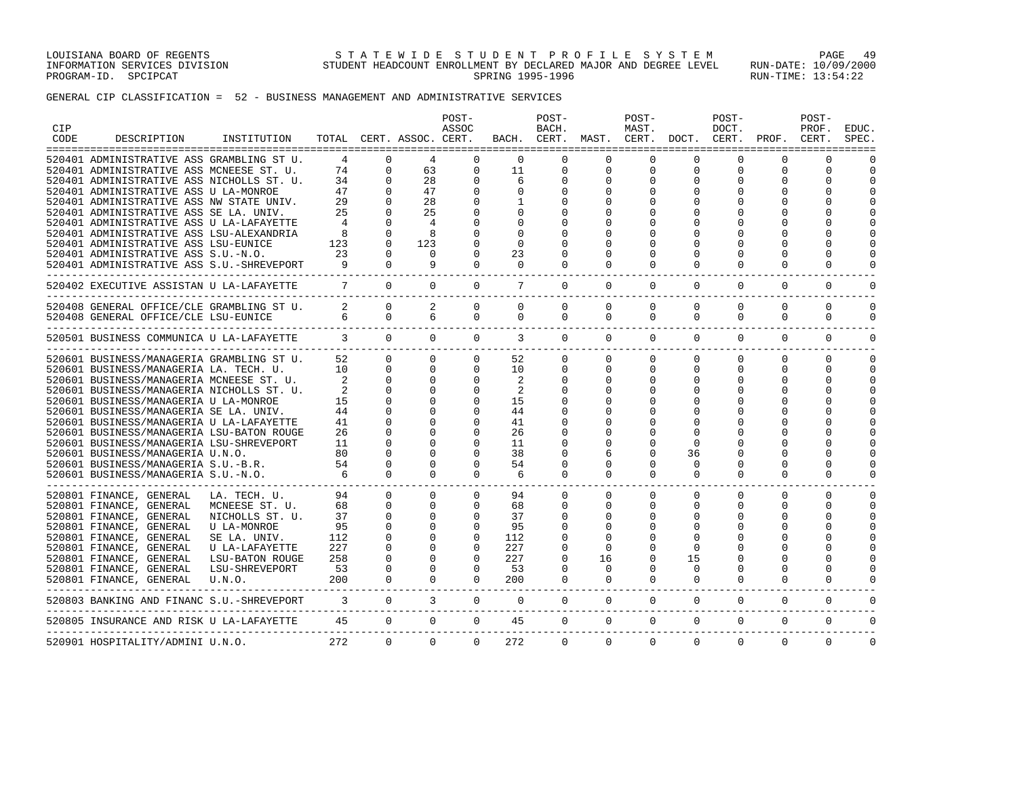LOUISIANA BOARD OF REGENTS S T A T E W I D E S T U D E N T P R O F I L E S Y S T E M PAGE 49 INFORMATION SERVICES DIVISION STUDENT HEADCOUNT ENROLLMENT BY DECLARED MAJOR AND DEGREE LEVEL RUN-DATE: 10/09/2000 PROGRAM-ID. SPCIPCAT SALLER SERING 1995-1996 RUN-TIME: 13:54:22

### GENERAL CIP CLASSIFICATION = 52 - BUSINESS MANAGEMENT AND ADMINISTRATIVE SERVICES

| CIP<br>CODE | DESCRIPTION                                                               | INSTITUTION     |                         |              | TOTAL CERT. ASSOC. CERT. | POST-<br>ASSOC |              | POST-<br>BACH. |          | POST-<br>MAST. | BACH. CERT. MAST. CERT. DOCT. CERT. PROF. CERT. | POST-<br>DOCT. |              | POST-<br>PROF. | EDUC.<br>SPEC. |
|-------------|---------------------------------------------------------------------------|-----------------|-------------------------|--------------|--------------------------|----------------|--------------|----------------|----------|----------------|-------------------------------------------------|----------------|--------------|----------------|----------------|
|             | 520401 ADMINISTRATIVE ASS GRAMBLING ST U.                                 |                 |                         | $\Omega$     | 4                        | <sup>0</sup>   | $\Omega$     | <sup>0</sup>   | $\Omega$ | $\Omega$       | $\Omega$                                        | $\Omega$       | $\Omega$     | n              |                |
|             | 520401 ADMINISTRATIVE ASS MCNEESE ST. U.                                  |                 | 74                      | $\mathbf 0$  | 63                       | $\mathbf{0}$   | 11           | $\mathbf 0$    | 0        | 0              | 0                                               | 0              | 0            | 0              | $\Omega$       |
|             | 520401 ADMINISTRATIVE ASS NICHOLLS ST. U.                                 |                 | 34                      | 0            | 28                       | 0              | 6            | 0              | 0        | 0              | 0                                               | $\Omega$       |              | O              | $\Omega$       |
|             | 520401 ADMINISTRATIVE ASS U LA-MONROE                                     |                 | 47                      |              | 47                       | $\Omega$       | $\Omega$     | O              | U        | 0              |                                                 |                |              | U              | $\cap$         |
|             | 520401 ADMINISTRATIVE ASS NW STATE UNIV.                                  |                 | 29                      | $\Omega$     | 28                       |                |              | 0              |          |                |                                                 |                |              |                |                |
|             | 520401 ADMINISTRATIVE ASS SE LA. UNIV.                                    |                 | 25                      |              | 25                       |                |              |                |          | O              |                                                 |                |              |                |                |
|             | 520401 ADMINISTRATIVE ASS U LA-LAFAYETTE                                  |                 | $\overline{4}$          | $\Omega$     | 4                        | $\Omega$       |              | $\Omega$       |          | O              |                                                 |                |              |                |                |
|             | 520401 ADMINISTRATIVE ASS LSU-ALEXANDRIA                                  |                 |                         | $\Omega$     | 8                        | $\Omega$       | $\Omega$     | O              |          | 0              |                                                 |                |              |                |                |
|             | 520401 ADMINISTRATIVE ASS LSU-EUNICE                                      |                 | 123                     | $\Omega$     | 123                      | $\Omega$       | $\Omega$     | <sup>0</sup>   |          | 0              |                                                 |                |              | <sup>0</sup>   |                |
|             | 520401 ADMINISTRATIVE ASS S.U.-N.O.                                       |                 | 23                      |              | $\Omega$                 | $\Omega$       | 23           | 0              | U        | 0              | 0                                               | $\Omega$       | O            | <sup>0</sup>   |                |
|             | 520401 ADMINISTRATIVE ASS S.U.-SHREVEPORT                                 |                 | $\overline{9}$          | $\Omega$     | 9                        | $\Omega$       | $\Omega$     | 0              | $\Omega$ | 0              | $\Omega$                                        | $\Omega$       | 0            | $\Omega$       |                |
|             | 520402 EXECUTIVE ASSISTAN U LA-LAFAYETTE<br>_____________________________ |                 | $7^{\circ}$             | $\Omega$     | $\Omega$                 | $\Omega$       | 7            | $\Omega$       | $\Omega$ | $\Omega$       | $\Omega$                                        | $\Omega$       | $\Omega$     | $\Omega$       | $\Omega$       |
|             | 520408 GENERAL OFFICE/CLE GRAMBLING ST U.                                 |                 |                         | $\Omega$     | 2                        | $\Omega$       | $\Omega$     | $\Omega$       | 0        | $\Omega$       | $\Omega$                                        | $\Omega$       | $\Omega$     | $\Omega$       | $\Omega$       |
|             | 520408 GENERAL OFFICE/CLE LSU-EUNICE                                      |                 | $6\overline{6}$         | $\Omega$     | 6                        | $\Omega$       | $\Omega$     | $\Omega$       | $\Omega$ | $\Omega$       | $\Omega$                                        | $\Omega$       | $\Omega$     | $\Omega$       | $\Omega$       |
|             | 520501 BUSINESS COMMUNICA U LA-LAFAYETTE                                  |                 |                         | $3 \t 0$     | $\Omega$                 | $\Omega$       | $\mathbf{3}$ | $\circ$        | $\circ$  | $\mathbf{0}$   | $\overline{0}$                                  | $\overline{0}$ | $\mathbf{0}$ | $\mathbf 0$    | $\mathbf 0$    |
|             | 520601 BUSINESS/MANAGERIA GRAMBLING ST U.                                 |                 | 52                      | $\Omega$     | $\Omega$                 | $\mathbf{0}$   | 52           | $\Omega$       | $\Omega$ | 0              | $\Omega$                                        | $\Omega$       | $\Omega$     | 0              | $\Omega$       |
|             | 520601 BUSINESS/MANAGERIA LA. TECH. U.                                    |                 | 10                      | $\Omega$     | $\Omega$                 | $\mathbf{0}$   | 10           | 0              | 0        | $\mathbf{0}$   | $\Omega$                                        | $\Omega$       | $\Omega$     | $\Omega$       | $\Omega$       |
|             | 520601 BUSINESS/MANAGERIA MCNEESE ST. U.                                  |                 | 2                       | $\Omega$     | $\Omega$                 | $\Omega$       | 2            | $\Omega$       | U        | $\Omega$       | $\Omega$                                        | $\Omega$       | O            | $\Omega$       | $\Omega$       |
|             | 520601 BUSINESS/MANAGERIA NICHOLLS ST. U.                                 |                 |                         | $\Omega$     | 0                        | 0              | 2            | 0              |          | 0              | 0                                               | $\Omega$       |              | $\Omega$       | n              |
|             | 520601 BUSINESS/MANAGERIA U LA-MONROE                                     |                 | 15                      | $\Omega$     |                          | $\Omega$       | 15           | O              |          | O              |                                                 |                |              | U              |                |
|             | 520601 BUSINESS/MANAGERIA SE LA. UNIV.                                    |                 | 44                      | $\Omega$     | $\Omega$                 | $\Omega$       | 44           |                |          |                |                                                 |                |              |                |                |
|             | 520601 BUSINESS/MANAGERIA U LA-LAFAYETTE                                  |                 | 41                      |              | $\Omega$                 | $\Omega$       | 41           |                |          |                |                                                 |                |              |                |                |
|             | 520601 BUSINESS/MANAGERIA LSU-BATON ROUGE                                 |                 | 26                      | $\Omega$     | $\Omega$                 | $\Omega$       | 26           |                |          |                |                                                 |                |              |                |                |
|             | 520601 BUSINESS/MANAGERIA LSU-SHREVEPORT                                  |                 | 11                      | $\Omega$     | $\Omega$                 | $\Omega$       | 11           | O              | U        | O              | $\Omega$                                        |                |              | $\Omega$       |                |
|             | 520601 BUSINESS/MANAGERIA U.N.O.                                          |                 | 80                      | $\Omega$     | 0                        | $\Omega$       | 38           | O              |          | O              | 36                                              |                |              |                |                |
|             | 520601 BUSINESS/MANAGERIA S.U.-B.R.                                       |                 | 54                      | $\Omega$     | 0                        | $\Omega$       | 54           | O              | U        | 0              | $\Omega$                                        |                | O            | U              |                |
|             | 520601 BUSINESS/MANAGERIA S.U.-N.O.                                       |                 | 6                       | $\Omega$     | $\Omega$                 | $\Omega$       | 6            | $\Omega$       | $\Omega$ | $\Omega$       | $\Omega$                                        |                | $\Omega$     | $\Omega$       | $\Omega$       |
|             | 520801 FINANCE, GENERAL                                                   | LA. TECH. U.    | 94                      | $\Omega$     | $\Omega$                 | 0              | 94           | $\Omega$       | $\Omega$ | $\Omega$       | $\Omega$                                        | $\Omega$       | $\Omega$     | $\Omega$       | $\Omega$       |
|             | 520801 FINANCE, GENERAL                                                   | MCNEESE ST. U.  | 68                      | $\Omega$     | $\Omega$                 | $\Omega$       | 68           | 0              | $\Omega$ | $\Omega$       | $\Omega$                                        | $\Omega$       | $\Omega$     | $\Omega$       | $\Omega$       |
|             | 520801 FINANCE, GENERAL                                                   | NICHOLLS ST. U. | 37                      | $\Omega$     | $\Omega$                 | $\Omega$       | 37           | 0              | $\Omega$ | 0              | 0                                               | $\Omega$       | O            | $\Omega$       | $\Omega$       |
|             | 520801 FINANCE, GENERAL                                                   | U LA-MONROE     | 95                      | $\Omega$     | $\Omega$                 | $\Omega$       | 95           | 0              | $\Omega$ | $\Omega$       | 0                                               | $\Omega$       | U            | $\Omega$       | $\cap$         |
|             | 520801 FINANCE, GENERAL                                                   | SE LA. UNIV.    | 112                     | $\Omega$     | $\Omega$                 | $\Omega$       | 112          | $\Omega$       | U        | $\Omega$       | $\Omega$                                        | $\Omega$       |              | $\Omega$       |                |
|             | 520801 FINANCE, GENERAL                                                   | U LA-LAFAYETTE  | 227                     | $\Omega$     | 0                        | $\Omega$       | 227          | 0              | $\Omega$ | 0              | $\Omega$                                        |                |              | O              |                |
|             | 520801 FINANCE, GENERAL                                                   | LSU-BATON ROUGE | 258                     | $\Omega$     | $\Omega$                 | $\Omega$       | 227          | $\Omega$       | 16       | $\Omega$       | 15                                              |                |              | O              |                |
|             | 520801 FINANCE, GENERAL                                                   | LSU-SHREVEPORT  | 53                      | $\Omega$     | $\Omega$                 | $\Omega$       | 53           | $\Omega$       | $\Omega$ | $\Omega$       | $\Omega$                                        | $\Omega$       | $\Omega$     | $\Omega$       | $\cap$         |
|             | 520801 FINANCE, GENERAL                                                   | U.N.O.          | 200                     | $\Omega$     | $\Omega$                 | $\Omega$       | 200          | $\Omega$       | $\Omega$ | $\Omega$       | $\Omega$                                        | $\Omega$       | $\Omega$     | $\Omega$       |                |
|             | 520803 BANKING AND FINANC S.U.-SHREVEPORT                                 |                 | $\overline{\mathbf{3}}$ | $\mathbf{0}$ | $\mathbf{3}$             | $\Omega$       | $\Omega$     | 0              | 0        | $\mathbf 0$    | $\mathbf{0}$                                    | $\mathbf{0}$   | 0            | 0              | $\Omega$       |
|             | 520805 INSURANCE AND RISK U LA-LAFAYETTE                                  |                 | 45                      | $\Omega$     | $\Omega$                 | $\Omega$       | 45           | $\mathbf 0$    | 0        | 0              | $- - - - - -$<br>$\mathbf{0}$                   | $\mathbf{0}$   | 0            | 0              | $\Omega$       |
|             | 520901 HOSPITALITY/ADMINI U.N.O.                                          |                 | 272                     | $\Omega$     | $\Omega$                 | $\Omega$       | 272          | $\Omega$       | $\Omega$ | $\Omega$       | $\Omega$                                        | $\Omega$       | $\Omega$     | $\Omega$       | $\Omega$       |